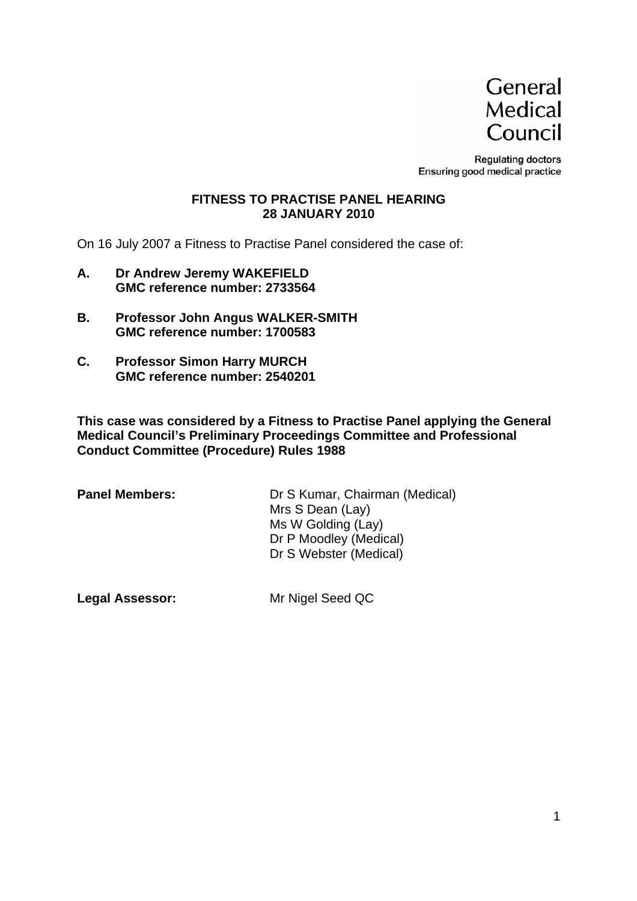

**Regulating doctors** Ensuring good medical practice

#### **FITNESS TO PRACTISE PANEL HEARING 28 JANUARY 2010**

On 16 July 2007 a Fitness to Practise Panel considered the case of:

- **A. Dr Andrew Jeremy WAKEFIELD GMC reference number: 2733564**
- **B. Professor John Angus WALKER-SMITH GMC reference number: 1700583**
- **C. Professor Simon Harry MURCH GMC reference number: 2540201**

**This case was considered by a Fitness to Practise Panel applying the General Medical Council's Preliminary Proceedings Committee and Professional Conduct Committee (Procedure) Rules 1988** 

**Panel Members:** Dr S Kumar, Chairman (Medical) Mrs S Dean (Lay) Ms W Golding (Lay) Dr P Moodley (Medical) Dr S Webster (Medical)

**Legal Assessor:** Mr Nigel Seed QC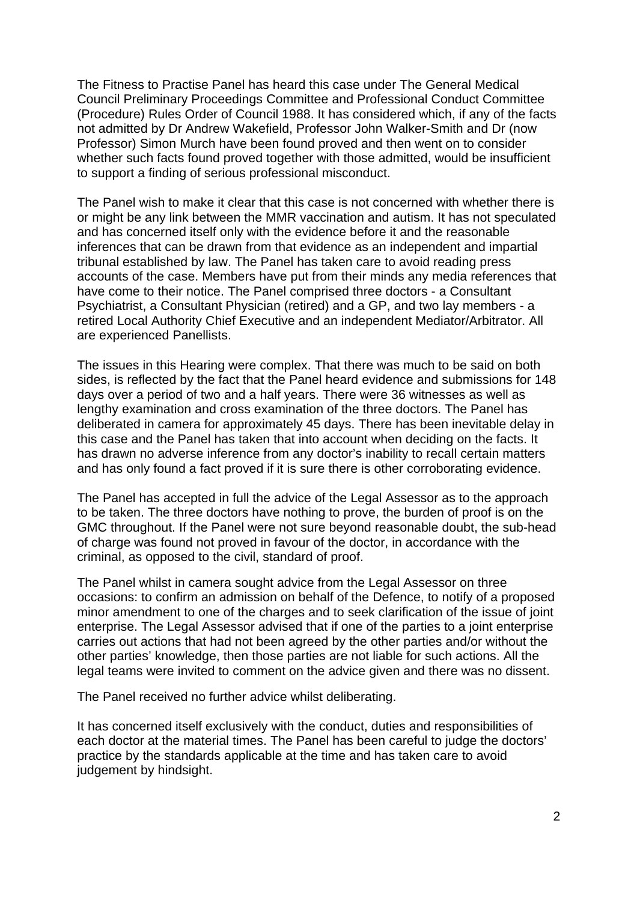The Fitness to Practise Panel has heard this case under The General Medical Council Preliminary Proceedings Committee and Professional Conduct Committee (Procedure) Rules Order of Council 1988. It has considered which, if any of the facts not admitted by Dr Andrew Wakefield, Professor John Walker-Smith and Dr (now Professor) Simon Murch have been found proved and then went on to consider whether such facts found proved together with those admitted, would be insufficient to support a finding of serious professional misconduct.

The Panel wish to make it clear that this case is not concerned with whether there is or might be any link between the MMR vaccination and autism. It has not speculated and has concerned itself only with the evidence before it and the reasonable inferences that can be drawn from that evidence as an independent and impartial tribunal established by law. The Panel has taken care to avoid reading press accounts of the case. Members have put from their minds any media references that have come to their notice. The Panel comprised three doctors - a Consultant Psychiatrist, a Consultant Physician (retired) and a GP, and two lay members - a retired Local Authority Chief Executive and an independent Mediator/Arbitrator. All are experienced Panellists.

The issues in this Hearing were complex. That there was much to be said on both sides, is reflected by the fact that the Panel heard evidence and submissions for 148 days over a period of two and a half years. There were 36 witnesses as well as lengthy examination and cross examination of the three doctors. The Panel has deliberated in camera for approximately 45 days. There has been inevitable delay in this case and the Panel has taken that into account when deciding on the facts. It has drawn no adverse inference from any doctor's inability to recall certain matters and has only found a fact proved if it is sure there is other corroborating evidence.

The Panel has accepted in full the advice of the Legal Assessor as to the approach to be taken. The three doctors have nothing to prove, the burden of proof is on the GMC throughout. If the Panel were not sure beyond reasonable doubt, the sub-head of charge was found not proved in favour of the doctor, in accordance with the criminal, as opposed to the civil, standard of proof.

The Panel whilst in camera sought advice from the Legal Assessor on three occasions: to confirm an admission on behalf of the Defence, to notify of a proposed minor amendment to one of the charges and to seek clarification of the issue of joint enterprise. The Legal Assessor advised that if one of the parties to a joint enterprise carries out actions that had not been agreed by the other parties and/or without the other parties' knowledge, then those parties are not liable for such actions. All the legal teams were invited to comment on the advice given and there was no dissent.

The Panel received no further advice whilst deliberating.

It has concerned itself exclusively with the conduct, duties and responsibilities of each doctor at the material times. The Panel has been careful to judge the doctors' practice by the standards applicable at the time and has taken care to avoid judgement by hindsight.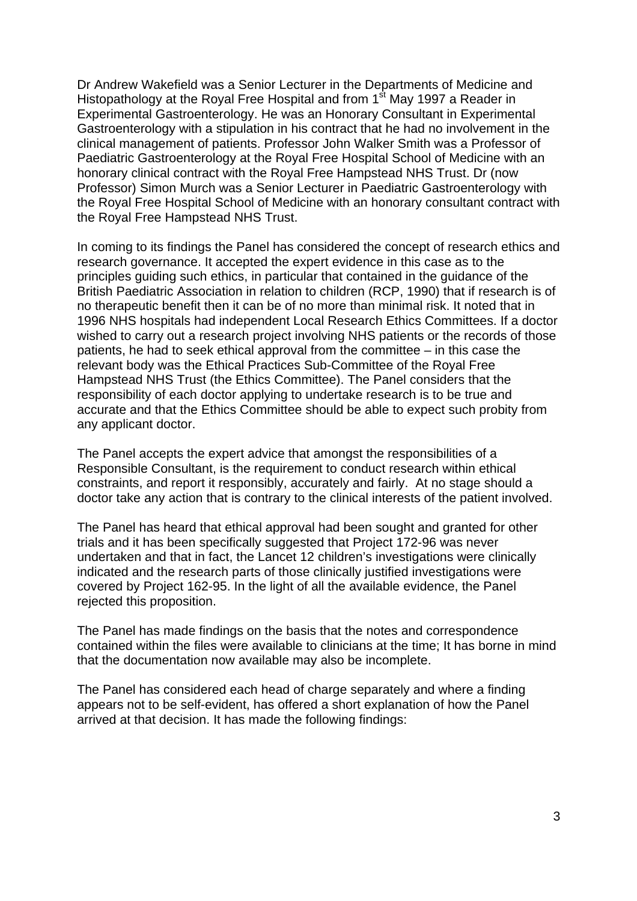Dr Andrew Wakefield was a Senior Lecturer in the Departments of Medicine and Histopathology at the Royal Free Hospital and from 1<sup>st</sup> May 1997 a Reader in Experimental Gastroenterology. He was an Honorary Consultant in Experimental Gastroenterology with a stipulation in his contract that he had no involvement in the clinical management of patients. Professor John Walker Smith was a Professor of Paediatric Gastroenterology at the Royal Free Hospital School of Medicine with an honorary clinical contract with the Royal Free Hampstead NHS Trust. Dr (now Professor) Simon Murch was a Senior Lecturer in Paediatric Gastroenterology with the Royal Free Hospital School of Medicine with an honorary consultant contract with the Royal Free Hampstead NHS Trust.

In coming to its findings the Panel has considered the concept of research ethics and research governance. It accepted the expert evidence in this case as to the principles guiding such ethics, in particular that contained in the guidance of the British Paediatric Association in relation to children (RCP, 1990) that if research is of no therapeutic benefit then it can be of no more than minimal risk. It noted that in 1996 NHS hospitals had independent Local Research Ethics Committees. If a doctor wished to carry out a research project involving NHS patients or the records of those patients, he had to seek ethical approval from the committee – in this case the relevant body was the Ethical Practices Sub-Committee of the Royal Free Hampstead NHS Trust (the Ethics Committee). The Panel considers that the responsibility of each doctor applying to undertake research is to be true and accurate and that the Ethics Committee should be able to expect such probity from any applicant doctor.

The Panel accepts the expert advice that amongst the responsibilities of a Responsible Consultant, is the requirement to conduct research within ethical constraints, and report it responsibly, accurately and fairly. At no stage should a doctor take any action that is contrary to the clinical interests of the patient involved.

The Panel has heard that ethical approval had been sought and granted for other trials and it has been specifically suggested that Project 172-96 was never undertaken and that in fact, the Lancet 12 children's investigations were clinically indicated and the research parts of those clinically justified investigations were covered by Project 162-95. In the light of all the available evidence, the Panel rejected this proposition.

The Panel has made findings on the basis that the notes and correspondence contained within the files were available to clinicians at the time; It has borne in mind that the documentation now available may also be incomplete.

The Panel has considered each head of charge separately and where a finding appears not to be self-evident, has offered a short explanation of how the Panel arrived at that decision. It has made the following findings: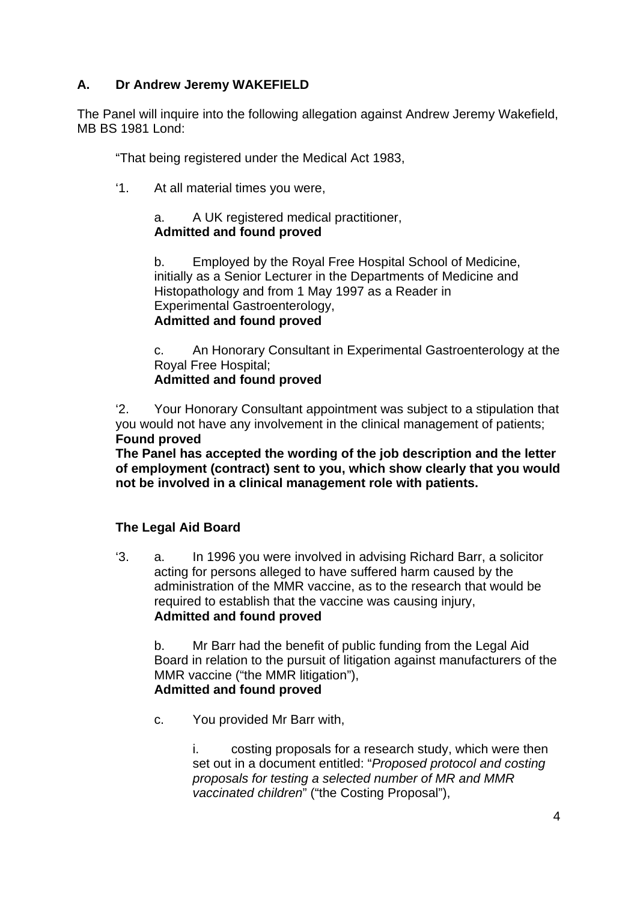# **A. Dr Andrew Jeremy WAKEFIELD**

The Panel will inquire into the following allegation against Andrew Jeremy Wakefield, MB BS 1981 Lond:

"That being registered under the Medical Act 1983,

'1. At all material times you were,

# a. A UK registered medical practitioner, **Admitted and found proved**

b. Employed by the Royal Free Hospital School of Medicine, initially as a Senior Lecturer in the Departments of Medicine and Histopathology and from 1 May 1997 as a Reader in Experimental Gastroenterology, **Admitted and found proved** 

c. An Honorary Consultant in Experimental Gastroenterology at the Royal Free Hospital;

**Admitted and found proved** 

'2. Your Honorary Consultant appointment was subject to a stipulation that you would not have any involvement in the clinical management of patients; **Found proved** 

**The Panel has accepted the wording of the job description and the letter of employment (contract) sent to you, which show clearly that you would not be involved in a clinical management role with patients.** 

# **The Legal Aid Board**

'3. a. In 1996 you were involved in advising Richard Barr, a solicitor acting for persons alleged to have suffered harm caused by the administration of the MMR vaccine, as to the research that would be required to establish that the vaccine was causing injury, **Admitted and found proved**

b. Mr Barr had the benefit of public funding from the Legal Aid Board in relation to the pursuit of litigation against manufacturers of the MMR vaccine ("the MMR litigation"), **Admitted and found proved**

c. You provided Mr Barr with,

i. costing proposals for a research study, which were then set out in a document entitled: "*Proposed protocol and costing proposals for testing a selected number of MR and MMR vaccinated children*" ("the Costing Proposal"),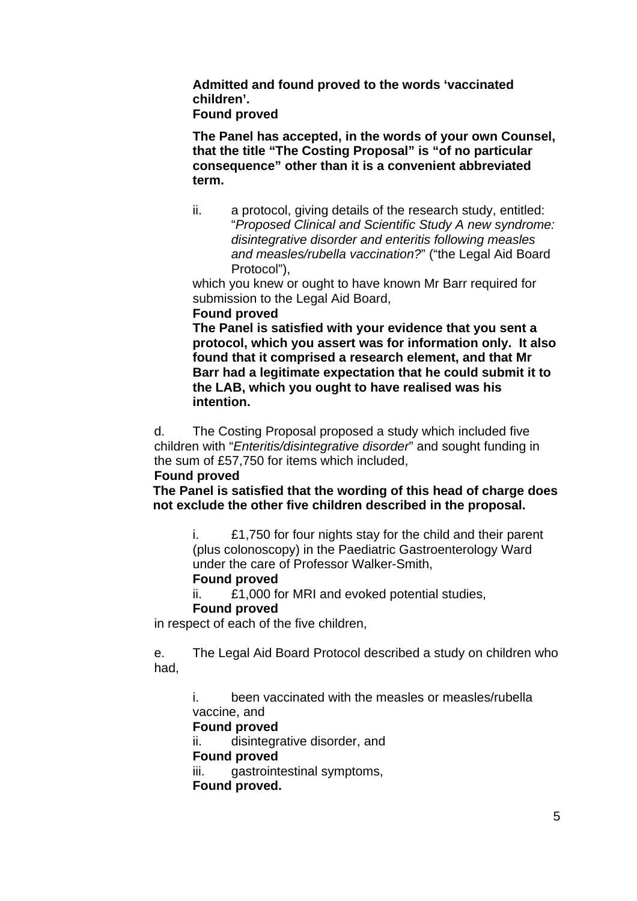**Admitted and found proved to the words 'vaccinated children'. Found proved** 

**The Panel has accepted, in the words of your own Counsel, that the title "The Costing Proposal" is "of no particular consequence" other than it is a convenient abbreviated term.** 

ii. a protocol, giving details of the research study, entitled: "*Proposed Clinical and Scientific Study A new syndrome: disintegrative disorder and enteritis following measles and measles/rubella vaccination?*" ("the Legal Aid Board Protocol"),

which you knew or ought to have known Mr Barr required for submission to the Legal Aid Board,

**Found proved** 

**The Panel is satisfied with your evidence that you sent a protocol, which you assert was for information only. It also found that it comprised a research element, and that Mr Barr had a legitimate expectation that he could submit it to the LAB, which you ought to have realised was his intention.** 

d. The Costing Proposal proposed a study which included five children with "*Enteritis/disintegrative disorder*" and sought funding in the sum of £57,750 for items which included,

### **Found proved**

**The Panel is satisfied that the wording of this head of charge does not exclude the other five children described in the proposal.** 

i. £1,750 for four nights stay for the child and their parent (plus colonoscopy) in the Paediatric Gastroenterology Ward under the care of Professor Walker-Smith, **Found proved** 

# ii. £1,000 for MRI and evoked potential studies,

### **Found proved**

in respect of each of the five children,

e. The Legal Aid Board Protocol described a study on children who had,

i. been vaccinated with the measles or measles/rubella vaccine, and

### **Found proved**

ii. disintegrative disorder, and **Found proved**  iii. gastrointestinal symptoms,

**Found proved.**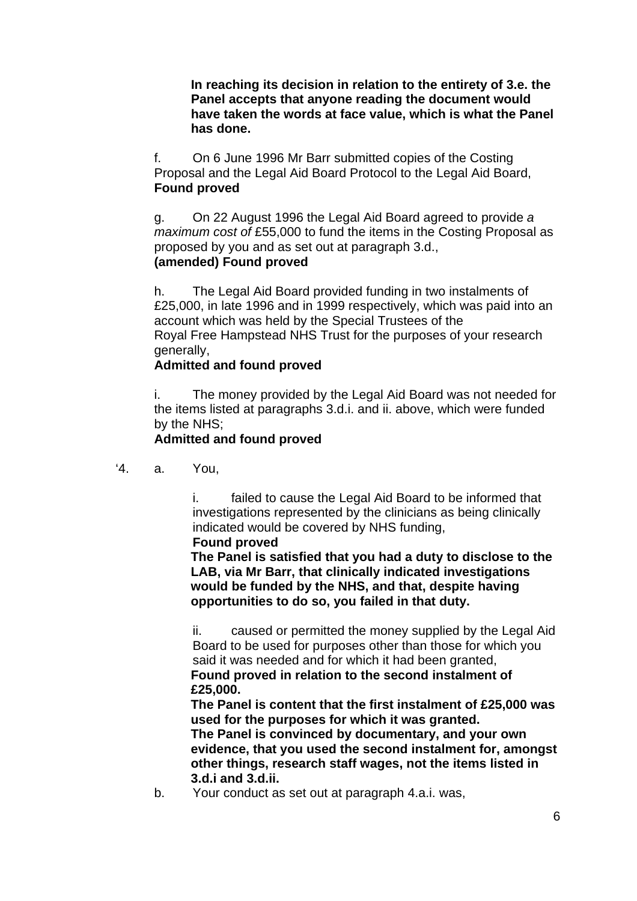**In reaching its decision in relation to the entirety of 3.e. the Panel accepts that anyone reading the document would have taken the words at face value, which is what the Panel has done.** 

f. On 6 June 1996 Mr Barr submitted copies of the Costing Proposal and the Legal Aid Board Protocol to the Legal Aid Board, **Found proved**

g. On 22 August 1996 the Legal Aid Board agreed to provide *a maximum cost of* £55,000 to fund the items in the Costing Proposal as proposed by you and as set out at paragraph 3.d., **(amended) Found proved** 

h. The Legal Aid Board provided funding in two instalments of £25,000, in late 1996 and in 1999 respectively, which was paid into an account which was held by the Special Trustees of the Royal Free Hampstead NHS Trust for the purposes of your research generally,

### **Admitted and found proved**

i. The money provided by the Legal Aid Board was not needed for the items listed at paragraphs 3.d.i. and ii. above, which were funded by the NHS;

### **Admitted and found proved**

'4. a. You,

i. failed to cause the Legal Aid Board to be informed that investigations represented by the clinicians as being clinically indicated would be covered by NHS funding,

**Found proved** 

**The Panel is satisfied that you had a duty to disclose to the LAB, via Mr Barr, that clinically indicated investigations would be funded by the NHS, and that, despite having opportunities to do so, you failed in that duty.** 

ii. caused or permitted the money supplied by the Legal Aid Board to be used for purposes other than those for which you said it was needed and for which it had been granted, **Found proved in relation to the second instalment of £25,000.** 

**The Panel is content that the first instalment of £25,000 was used for the purposes for which it was granted. The Panel is convinced by documentary, and your own evidence, that you used the second instalment for, amongst other things, research staff wages, not the items listed in 3.d.i and 3.d.ii.** 

b. Your conduct as set out at paragraph 4.a.i. was,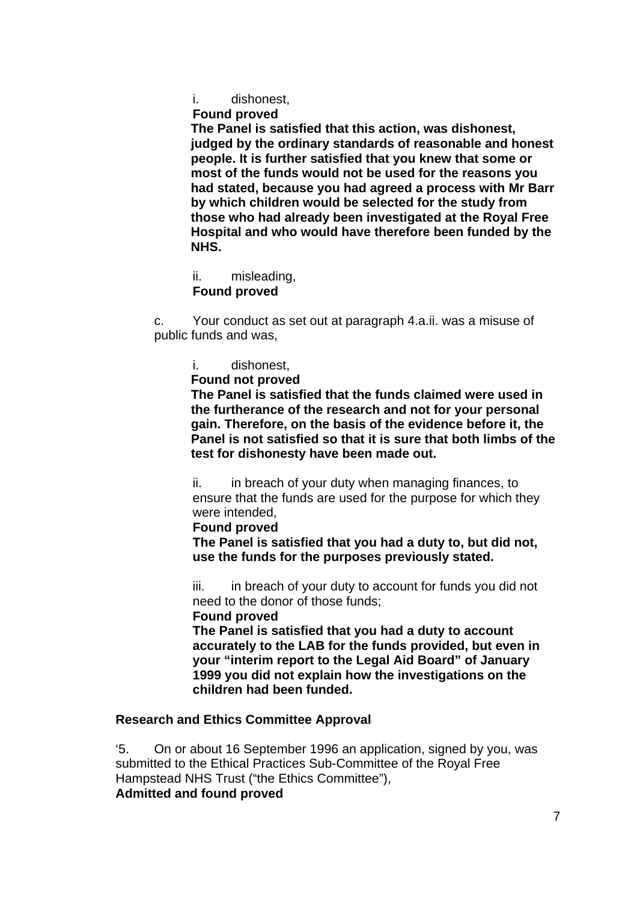i. dishonest,

**Found proved** 

**The Panel is satisfied that this action, was dishonest, judged by the ordinary standards of reasonable and honest people. It is further satisfied that you knew that some or most of the funds would not be used for the reasons you had stated, because you had agreed a process with Mr Barr by which children would be selected for the study from those who had already been investigated at the Royal Free Hospital and who would have therefore been funded by the NHS.** 

ii. misleading, **Found proved** 

c. Your conduct as set out at paragraph 4.a.ii. was a misuse of public funds and was,

- i. dishonest,
- **Found not proved**

**The Panel is satisfied that the funds claimed were used in the furtherance of the research and not for your personal gain. Therefore, on the basis of the evidence before it, the Panel is not satisfied so that it is sure that both limbs of the test for dishonesty have been made out.** 

ii. in breach of your duty when managing finances, to ensure that the funds are used for the purpose for which they were intended,

**Found proved** 

**The Panel is satisfied that you had a duty to, but did not, use the funds for the purposes previously stated.** 

iii. in breach of your duty to account for funds you did not need to the donor of those funds;

 **Found proved** 

**The Panel is satisfied that you had a duty to account accurately to the LAB for the funds provided, but even in your "interim report to the Legal Aid Board" of January 1999 you did not explain how the investigations on the children had been funded.** 

### **Research and Ethics Committee Approval**

'5. On or about 16 September 1996 an application, signed by you, was submitted to the Ethical Practices Sub-Committee of the Royal Free Hampstead NHS Trust ("the Ethics Committee"), **Admitted and found proved**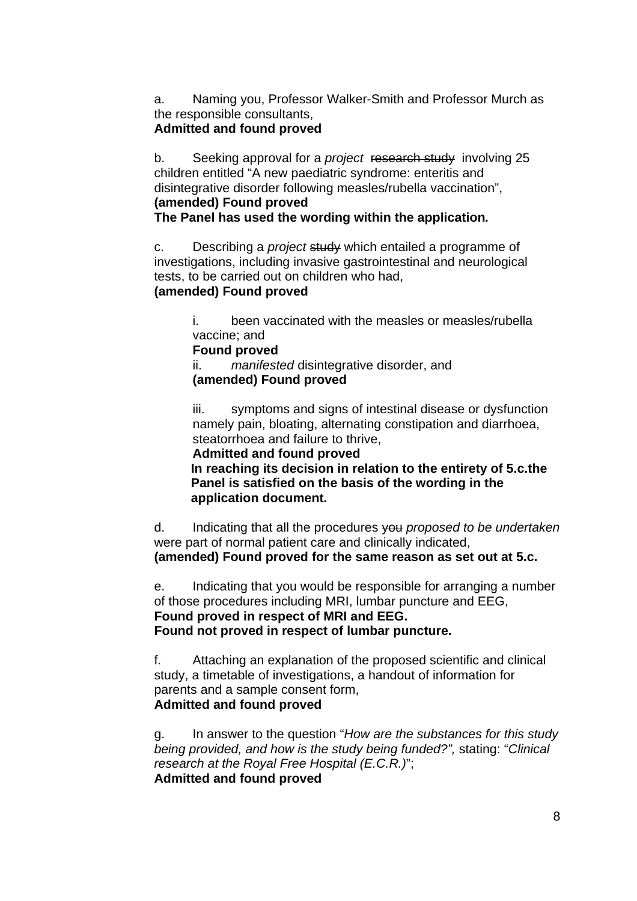a. Naming you, Professor Walker-Smith and Professor Murch as the responsible consultants,

# **Admitted and found proved**

b. Seeking approval for a *project* research study involving 25 children entitled "A new paediatric syndrome: enteritis and disintegrative disorder following measles/rubella vaccination", **(amended) Found proved** 

**The Panel has used the wording within the application***.* 

c. Describing a *project* study which entailed a programme of investigations, including invasive gastrointestinal and neurological tests, to be carried out on children who had,

#### **(amended) Found proved**

i. been vaccinated with the measles or measles/rubella vaccine; and

#### **Found proved**

 ii. *manifested* disintegrative disorder, and **(amended) Found proved** 

iii. symptoms and signs of intestinal disease or dysfunction namely pain, bloating, alternating constipation and diarrhoea, steatorrhoea and failure to thrive,

**Admitted and found proved In reaching its decision in relation to the entirety of 5.c.the Panel is satisfied on the basis of the wording in the application document.** 

d. Indicating that all the procedures you *proposed to be undertaken* were part of normal patient care and clinically indicated, **(amended) Found proved for the same reason as set out at 5.c.** 

e. Indicating that you would be responsible for arranging a number of those procedures including MRI, lumbar puncture and EEG, **Found proved in respect of MRI and EEG. Found not proved in respect of lumbar puncture.** 

f. Attaching an explanation of the proposed scientific and clinical study, a timetable of investigations, a handout of information for parents and a sample consent form, **Admitted and found proved**

g. In answer to the question "*How are the substances for this study being provided, and how is the study being funded?",* stating: "*Clinical research at the Royal Free Hospital (E.C.R.)*"; **Admitted and found proved**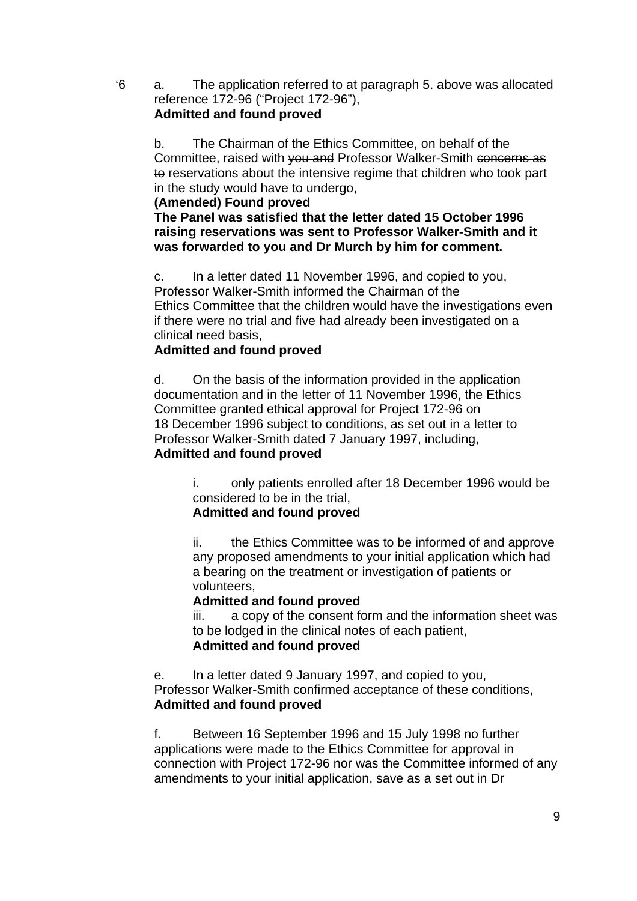'6 a. The application referred to at paragraph 5. above was allocated reference 172-96 ("Project 172-96"), **Admitted and found proved**

b. The Chairman of the Ethics Committee, on behalf of the Committee, raised with you and Professor Walker-Smith concerns as to reservations about the intensive regime that children who took part in the study would have to undergo,

### **(Amended) Found proved**

**The Panel was satisfied that the letter dated 15 October 1996 raising reservations was sent to Professor Walker-Smith and it was forwarded to you and Dr Murch by him for comment.** 

c. In a letter dated 11 November 1996, and copied to you, Professor Walker-Smith informed the Chairman of the Ethics Committee that the children would have the investigations even if there were no trial and five had already been investigated on a clinical need basis,

### **Admitted and found proved**

d. On the basis of the information provided in the application documentation and in the letter of 11 November 1996, the Ethics Committee granted ethical approval for Project 172-96 on 18 December 1996 subject to conditions, as set out in a letter to Professor Walker-Smith dated 7 January 1997, including, **Admitted and found proved**

> i. only patients enrolled after 18 December 1996 would be considered to be in the trial,

# **Admitted and found proved**

ii. the Ethics Committee was to be informed of and approve any proposed amendments to your initial application which had a bearing on the treatment or investigation of patients or volunteers,

### **Admitted and found proved**

iii. a copy of the consent form and the information sheet was to be lodged in the clinical notes of each patient, **Admitted and found proved**

e. In a letter dated 9 January 1997, and copied to you, Professor Walker-Smith confirmed acceptance of these conditions, **Admitted and found proved**

f. Between 16 September 1996 and 15 July 1998 no further applications were made to the Ethics Committee for approval in connection with Project 172-96 nor was the Committee informed of any amendments to your initial application, save as a set out in Dr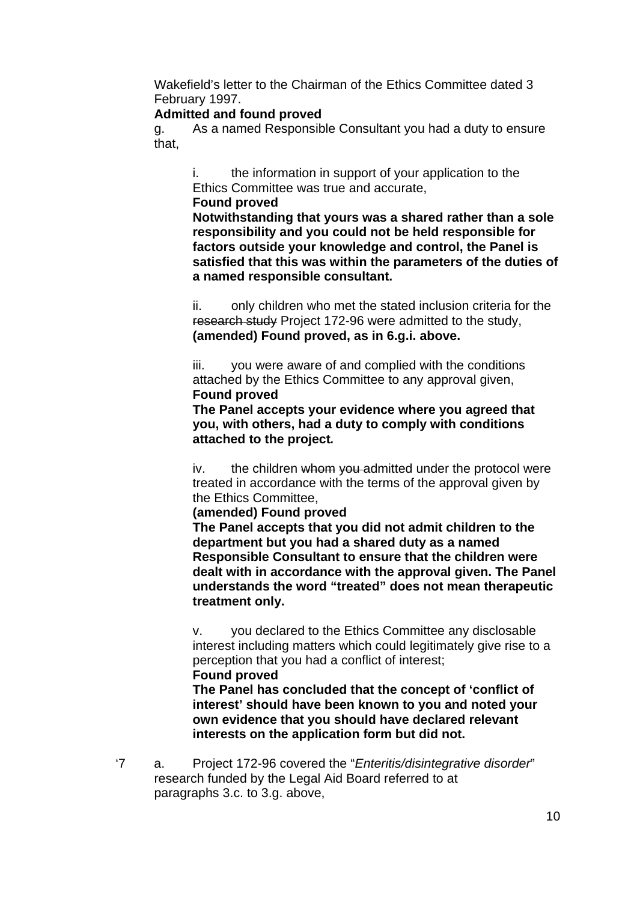Wakefield's letter to the Chairman of the Ethics Committee dated 3 February 1997.

### **Admitted and found proved**

g. As a named Responsible Consultant you had a duty to ensure that,

i. the information in support of your application to the Ethics Committee was true and accurate,

### **Found proved**

**Notwithstanding that yours was a shared rather than a sole responsibility and you could not be held responsible for factors outside your knowledge and control, the Panel is satisfied that this was within the parameters of the duties of a named responsible consultant.** 

ii. only children who met the stated inclusion criteria for the research study Project 172-96 were admitted to the study, **(amended) Found proved, as in 6.g.i. above.** 

iii. you were aware of and complied with the conditions attached by the Ethics Committee to any approval given, **Found proved** 

**The Panel accepts your evidence where you agreed that you, with others, had a duty to comply with conditions attached to the project***.* 

iv. the children whom you admitted under the protocol were treated in accordance with the terms of the approval given by the Ethics Committee,

**(amended) Found proved** 

**The Panel accepts that you did not admit children to the department but you had a shared duty as a named Responsible Consultant to ensure that the children were dealt with in accordance with the approval given. The Panel understands the word "treated" does not mean therapeutic treatment only.** 

v. you declared to the Ethics Committee any disclosable interest including matters which could legitimately give rise to a perception that you had a conflict of interest; **Found proved** 

**The Panel has concluded that the concept of 'conflict of interest' should have been known to you and noted your own evidence that you should have declared relevant interests on the application form but did not.** 

'7 a. Project 172-96 covered the "*Enteritis/disintegrative disorder*" research funded by the Legal Aid Board referred to at paragraphs 3.c. to 3.g. above,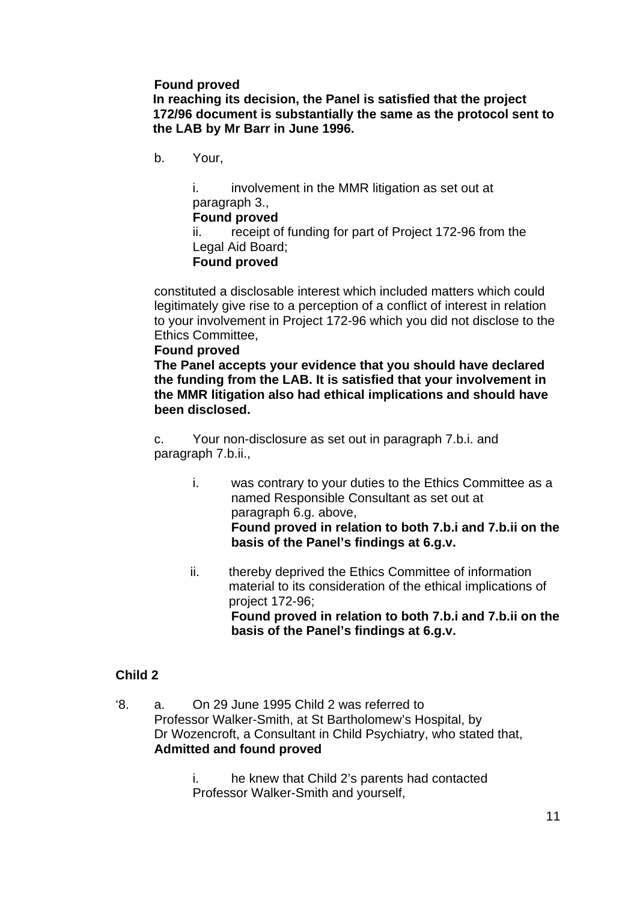### **Found proved**

**In reaching its decision, the Panel is satisfied that the project 172/96 document is substantially the same as the protocol sent to the LAB by Mr Barr in June 1996.** 

b. Your,

i. involvement in the MMR litigation as set out at paragraph 3.,

#### **Found proved**

ii. receipt of funding for part of Project 172-96 from the Legal Aid Board;

### **Found proved**

constituted a disclosable interest which included matters which could legitimately give rise to a perception of a conflict of interest in relation to your involvement in Project 172-96 which you did not disclose to the Ethics Committee,

#### **Found proved**

**The Panel accepts your evidence that you should have declared the funding from the LAB. It is satisfied that your involvement in the MMR litigation also had ethical implications and should have been disclosed.** 

c. Your non-disclosure as set out in paragraph 7.b.i. and paragraph 7.b.ii.,

- i. was contrary to your duties to the Ethics Committee as a named Responsible Consultant as set out at paragraph 6.g. above, **Found proved in relation to both 7.b.i and 7.b.ii on the basis of the Panel's findings at 6.g.v.**
- ii. thereby deprived the Ethics Committee of information material to its consideration of the ethical implications of project 172-96;  **Found proved in relation to both 7.b.i and 7.b.ii on the basis of the Panel's findings at 6.g.v.**

### **Child 2**

'8. a. On 29 June 1995 Child 2 was referred to Professor Walker-Smith, at St Bartholomew's Hospital, by Dr Wozencroft, a Consultant in Child Psychiatry, who stated that, **Admitted and found proved**

> i. he knew that Child 2's parents had contacted Professor Walker-Smith and yourself,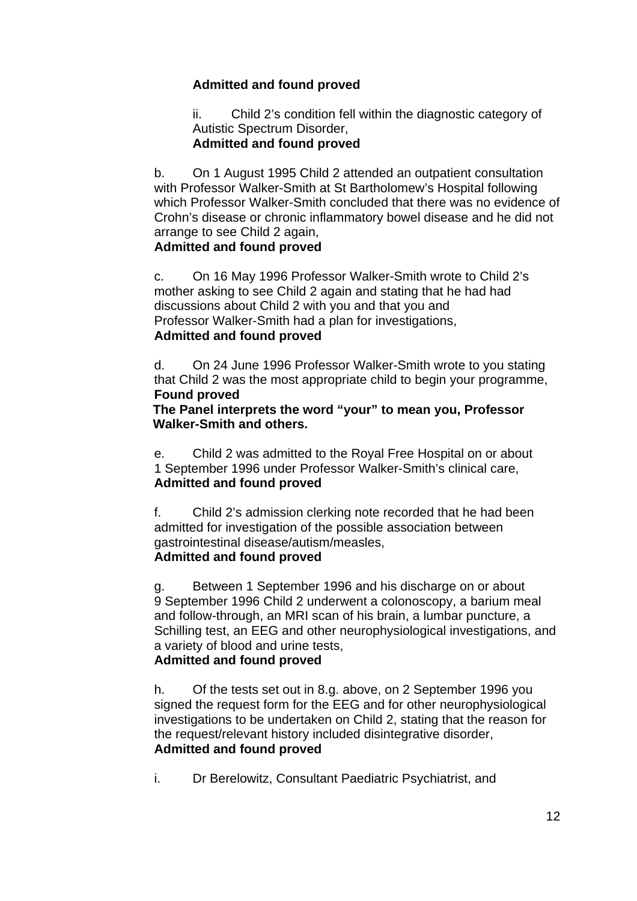# **Admitted and found proved**

ii. Child 2's condition fell within the diagnostic category of Autistic Spectrum Disorder,

### **Admitted and found proved**

b. On 1 August 1995 Child 2 attended an outpatient consultation with Professor Walker-Smith at St Bartholomew's Hospital following which Professor Walker-Smith concluded that there was no evidence of Crohn's disease or chronic inflammatory bowel disease and he did not arrange to see Child 2 again,

# **Admitted and found proved**

c. On 16 May 1996 Professor Walker-Smith wrote to Child 2's mother asking to see Child 2 again and stating that he had had discussions about Child 2 with you and that you and Professor Walker-Smith had a plan for investigations,

### **Admitted and found proved**

d. On 24 June 1996 Professor Walker-Smith wrote to you stating that Child 2 was the most appropriate child to begin your programme, **Found proved** 

### **The Panel interprets the word "your" to mean you, Professor Walker-Smith and others.**

e. Child 2 was admitted to the Royal Free Hospital on or about 1 September 1996 under Professor Walker-Smith's clinical care, **Admitted and found proved**

f. Child 2's admission clerking note recorded that he had been admitted for investigation of the possible association between gastrointestinal disease/autism/measles, **Admitted and found proved**

### g. Between 1 September 1996 and his discharge on or about 9 September 1996 Child 2 underwent a colonoscopy, a barium meal and follow-through, an MRI scan of his brain, a lumbar puncture, a Schilling test, an EEG and other neurophysiological investigations, and a variety of blood and urine tests,

# **Admitted and found proved**

h. Of the tests set out in 8.g. above, on 2 September 1996 you signed the request form for the EEG and for other neurophysiological investigations to be undertaken on Child 2, stating that the reason for the request/relevant history included disintegrative disorder, **Admitted and found proved** 

i. Dr Berelowitz, Consultant Paediatric Psychiatrist, and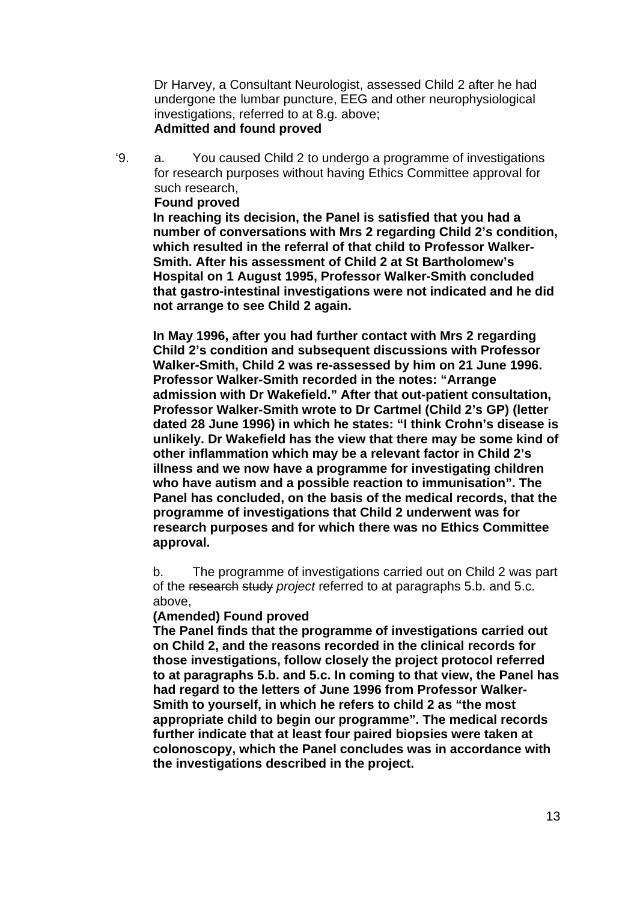Dr Harvey, a Consultant Neurologist, assessed Child 2 after he had undergone the lumbar puncture, EEG and other neurophysiological investigations, referred to at 8.g. above; **Admitted and found proved**

'9. a. You caused Child 2 to undergo a programme of investigations for research purposes without having Ethics Committee approval for such research,

**Found proved** 

**In reaching its decision, the Panel is satisfied that you had a number of conversations with Mrs 2 regarding Child 2's condition, which resulted in the referral of that child to Professor Walker-Smith. After his assessment of Child 2 at St Bartholomew's Hospital on 1 August 1995, Professor Walker-Smith concluded that gastro-intestinal investigations were not indicated and he did not arrange to see Child 2 again.** 

**In May 1996, after you had further contact with Mrs 2 regarding Child 2's condition and subsequent discussions with Professor Walker-Smith, Child 2 was re-assessed by him on 21 June 1996. Professor Walker-Smith recorded in the notes: "Arrange admission with Dr Wakefield." After that out-patient consultation, Professor Walker-Smith wrote to Dr Cartmel (Child 2's GP) (letter dated 28 June 1996) in which he states: "I think Crohn's disease is unlikely. Dr Wakefield has the view that there may be some kind of other inflammation which may be a relevant factor in Child 2's illness and we now have a programme for investigating children who have autism and a possible reaction to immunisation". The Panel has concluded, on the basis of the medical records, that the programme of investigations that Child 2 underwent was for research purposes and for which there was no Ethics Committee approval.** 

 b. The programme of investigations carried out on Child 2 was part of the research study *project* referred to at paragraphs 5.b. and 5.c. above,

#### **(Amended) Found proved**

**The Panel finds that the programme of investigations carried out on Child 2, and the reasons recorded in the clinical records for those investigations, follow closely the project protocol referred to at paragraphs 5.b. and 5.c. In coming to that view, the Panel has had regard to the letters of June 1996 from Professor Walker-Smith to yourself, in which he refers to child 2 as "the most appropriate child to begin our programme". The medical records further indicate that at least four paired biopsies were taken at colonoscopy, which the Panel concludes was in accordance with the investigations described in the project.**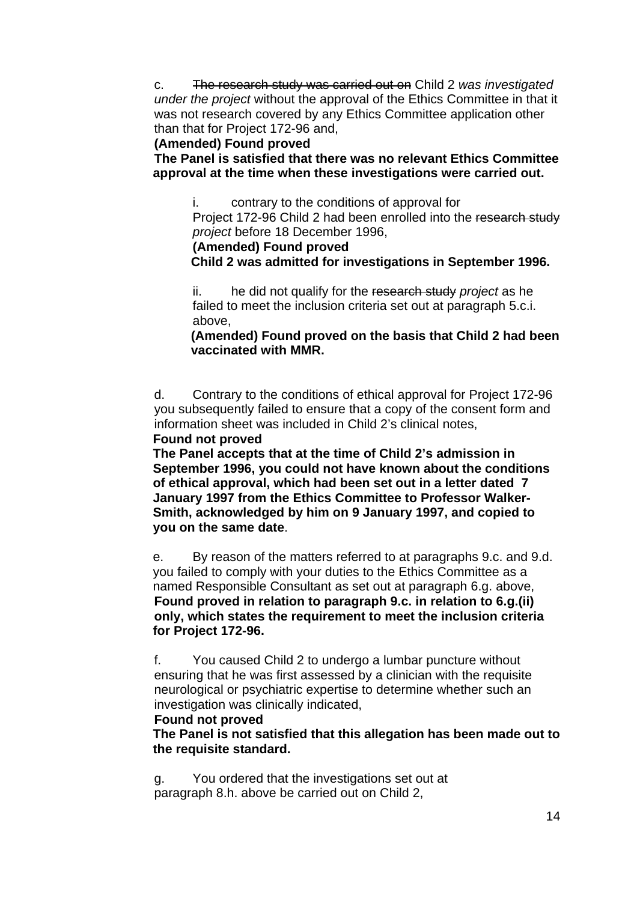c. The research study was carried out on Child 2 *was investigated under the project* without the approval of the Ethics Committee in that it was not research covered by any Ethics Committee application other than that for Project 172-96 and,

### **(Amended) Found proved**

 **The Panel is satisfied that there was no relevant Ethics Committee approval at the time when these investigations were carried out.** 

i. contrary to the conditions of approval for

Project 172-96 Child 2 had been enrolled into the research study *project* before 18 December 1996,

**(Amended) Found proved** 

 **Child 2 was admitted for investigations in September 1996.** 

ii. he did not qualify for the research study *project* as he failed to meet the inclusion criteria set out at paragraph 5.c.i. above,

**(Amended) Found proved on the basis that Child 2 had been vaccinated with MMR.** 

d. Contrary to the conditions of ethical approval for Project 172-96 you subsequently failed to ensure that a copy of the consent form and information sheet was included in Child 2's clinical notes,

### **Found not proved**

**The Panel accepts that at the time of Child 2's admission in September 1996, you could not have known about the conditions of ethical approval, which had been set out in a letter dated 7 January 1997 from the Ethics Committee to Professor Walker-Smith, acknowledged by him on 9 January 1997, and copied to you on the same date**.

 e. By reason of the matters referred to at paragraphs 9.c. and 9.d. you failed to comply with your duties to the Ethics Committee as a named Responsible Consultant as set out at paragraph 6.g. above, **Found proved in relation to paragraph 9.c. in relation to 6.g.(ii) only, which states the requirement to meet the inclusion criteria for Project 172-96.** 

f. You caused Child 2 to undergo a lumbar puncture without ensuring that he was first assessed by a clinician with the requisite neurological or psychiatric expertise to determine whether such an investigation was clinically indicated,

### **Found not proved**

**The Panel is not satisfied that this allegation has been made out to the requisite standard.**

g. You ordered that the investigations set out at paragraph 8.h. above be carried out on Child 2,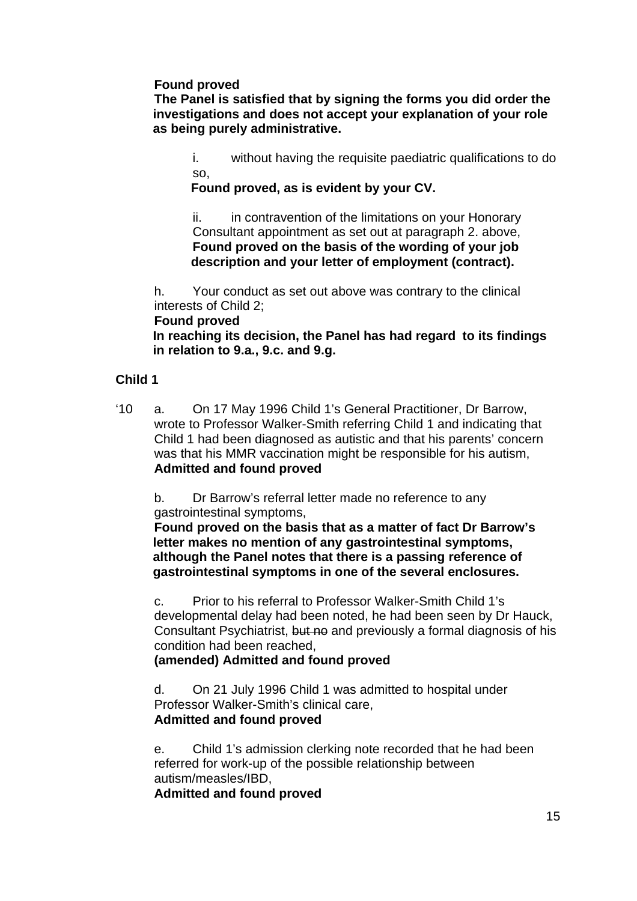**Found proved** 

**The Panel is satisfied that by signing the forms you did order the investigations and does not accept your explanation of your role as being purely administrative.** 

i. without having the requisite paediatric qualifications to do so,

**Found proved, as is evident by your CV.** 

ii. in contravention of the limitations on your Honorary Consultant appointment as set out at paragraph 2. above, **Found proved on the basis of the wording of your job description and your letter of employment (contract).** 

h. Your conduct as set out above was contrary to the clinical interests of Child 2;

 **Found proved** 

**In reaching its decision, the Panel has had regard to its findings in relation to 9.a., 9.c. and 9.g.** 

### **Child 1**

'10 a. On 17 May 1996 Child 1's General Practitioner, Dr Barrow, wrote to Professor Walker-Smith referring Child 1 and indicating that Child 1 had been diagnosed as autistic and that his parents' concern was that his MMR vaccination might be responsible for his autism, **Admitted and found proved**

b. Dr Barrow's referral letter made no reference to any gastrointestinal symptoms,

**Found proved on the basis that as a matter of fact Dr Barrow's letter makes no mention of any gastrointestinal symptoms, although the Panel notes that there is a passing reference of gastrointestinal symptoms in one of the several enclosures.** 

c. Prior to his referral to Professor Walker-Smith Child 1's developmental delay had been noted, he had been seen by Dr Hauck, Consultant Psychiatrist, but no and previously a formal diagnosis of his condition had been reached,

**(amended) Admitted and found proved** 

d. On 21 July 1996 Child 1 was admitted to hospital under Professor Walker-Smith's clinical care, **Admitted and found proved**

e. Child 1's admission clerking note recorded that he had been referred for work-up of the possible relationship between autism/measles/IBD,

**Admitted and found proved**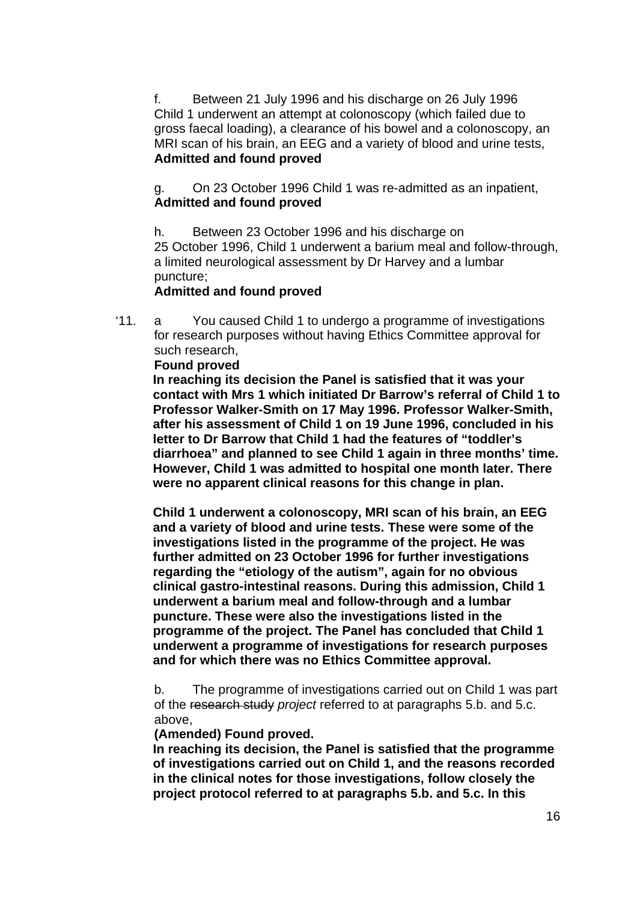f. Between 21 July 1996 and his discharge on 26 July 1996 Child 1 underwent an attempt at colonoscopy (which failed due to gross faecal loading), a clearance of his bowel and a colonoscopy, an MRI scan of his brain, an EEG and a variety of blood and urine tests, **Admitted and found proved**

g. On 23 October 1996 Child 1 was re-admitted as an inpatient, **Admitted and found proved**

h. Between 23 October 1996 and his discharge on 25 October 1996, Child 1 underwent a barium meal and follow-through, a limited neurological assessment by Dr Harvey and a lumbar puncture;

#### **Admitted and found proved**

'11. a You caused Child 1 to undergo a programme of investigations for research purposes without having Ethics Committee approval for such research,

#### **Found proved**

 **In reaching its decision the Panel is satisfied that it was your contact with Mrs 1 which initiated Dr Barrow's referral of Child 1 to Professor Walker-Smith on 17 May 1996. Professor Walker-Smith, after his assessment of Child 1 on 19 June 1996, concluded in his letter to Dr Barrow that Child 1 had the features of "toddler's diarrhoea" and planned to see Child 1 again in three months' time. However, Child 1 was admitted to hospital one month later. There were no apparent clinical reasons for this change in plan.** 

 **Child 1 underwent a colonoscopy, MRI scan of his brain, an EEG and a variety of blood and urine tests. These were some of the investigations listed in the programme of the project. He was further admitted on 23 October 1996 for further investigations regarding the "etiology of the autism", again for no obvious clinical gastro-intestinal reasons. During this admission, Child 1 underwent a barium meal and follow-through and a lumbar puncture. These were also the investigations listed in the programme of the project. The Panel has concluded that Child 1 underwent a programme of investigations for research purposes and for which there was no Ethics Committee approval.** 

b. The programme of investigations carried out on Child 1 was part of the research study *project* referred to at paragraphs 5.b. and 5.c. above,

#### **(Amended) Found proved.**

 **In reaching its decision, the Panel is satisfied that the programme of investigations carried out on Child 1, and the reasons recorded in the clinical notes for those investigations, follow closely the project protocol referred to at paragraphs 5.b. and 5.c. In this**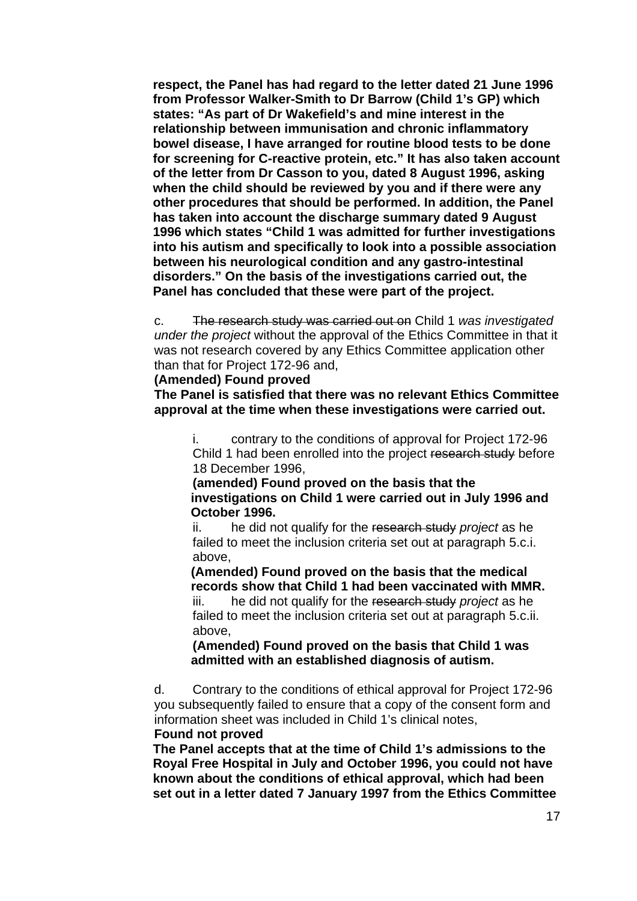**respect, the Panel has had regard to the letter dated 21 June 1996 from Professor Walker-Smith to Dr Barrow (Child 1's GP) which states: "As part of Dr Wakefield's and mine interest in the relationship between immunisation and chronic inflammatory bowel disease, I have arranged for routine blood tests to be done for screening for C-reactive protein, etc." It has also taken account of the letter from Dr Casson to you, dated 8 August 1996, asking when the child should be reviewed by you and if there were any other procedures that should be performed. In addition, the Panel has taken into account the discharge summary dated 9 August 1996 which states "Child 1 was admitted for further investigations into his autism and specifically to look into a possible association between his neurological condition and any gastro-intestinal disorders." On the basis of the investigations carried out, the Panel has concluded that these were part of the project.** 

c. The research study was carried out on Child 1 *was investigated under the project* without the approval of the Ethics Committee in that it was not research covered by any Ethics Committee application other than that for Project 172-96 and,

#### **(Amended) Found proved**

**The Panel is satisfied that there was no relevant Ethics Committee approval at the time when these investigations were carried out.** 

i. contrary to the conditions of approval for Project 172-96 Child 1 had been enrolled into the project research study before 18 December 1996,

**(amended) Found proved on the basis that the investigations on Child 1 were carried out in July 1996 and October 1996.** 

ii. he did not qualify for the research study *project* as he failed to meet the inclusion criteria set out at paragraph 5.c.i. above,

**(Amended) Found proved on the basis that the medical records show that Child 1 had been vaccinated with MMR.**  iii. he did not qualify for the research study *project* as he failed to meet the inclusion criteria set out at paragraph 5.c.ii. above,

**(Amended) Found proved on the basis that Child 1 was admitted with an established diagnosis of autism.** 

d. Contrary to the conditions of ethical approval for Project 172-96 you subsequently failed to ensure that a copy of the consent form and information sheet was included in Child 1's clinical notes,

### **Found not proved**

**The Panel accepts that at the time of Child 1's admissions to the Royal Free Hospital in July and October 1996, you could not have known about the conditions of ethical approval, which had been set out in a letter dated 7 January 1997 from the Ethics Committee**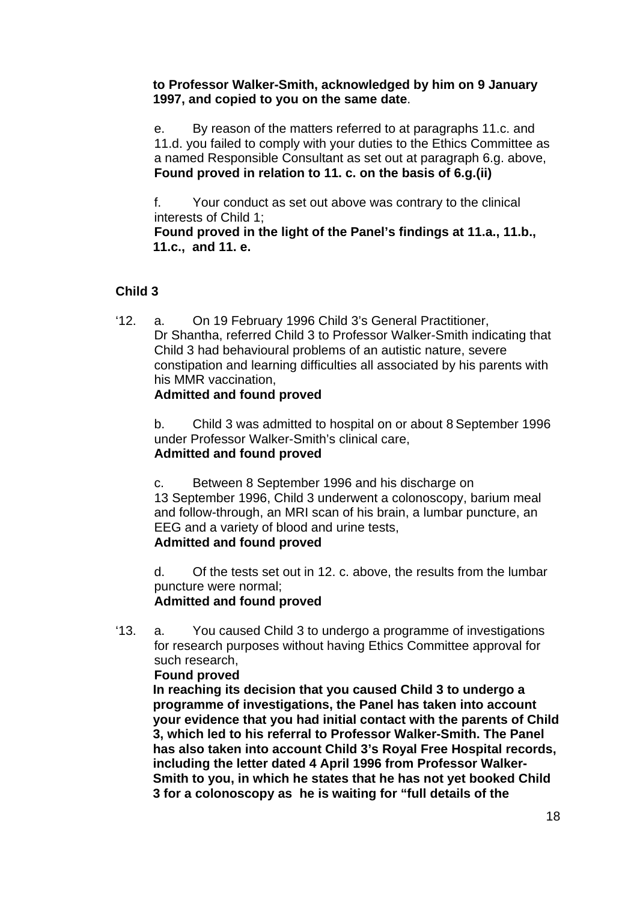**to Professor Walker-Smith, acknowledged by him on 9 January 1997, and copied to you on the same date**.

e. By reason of the matters referred to at paragraphs 11.c. and 11.d. you failed to comply with your duties to the Ethics Committee as a named Responsible Consultant as set out at paragraph 6.g. above, **Found proved in relation to 11. c. on the basis of 6.g.(ii)** 

f. Your conduct as set out above was contrary to the clinical interests of Child 1;

 **Found proved in the light of the Panel's findings at 11.a., 11.b., 11.c., and 11. e.**

# **Child 3**

'12. a. On 19 February 1996 Child 3's General Practitioner, Dr Shantha, referred Child 3 to Professor Walker-Smith indicating that Child 3 had behavioural problems of an autistic nature, severe constipation and learning difficulties all associated by his parents with his MMR vaccination,

# **Admitted and found proved**

b. Child 3 was admitted to hospital on or about 8 September 1996 under Professor Walker-Smith's clinical care, **Admitted and found proved**

c. Between 8 September 1996 and his discharge on 13 September 1996, Child 3 underwent a colonoscopy, barium meal and follow-through, an MRI scan of his brain, a lumbar puncture, an EEG and a variety of blood and urine tests, **Admitted and found proved**

d. Of the tests set out in 12. c. above, the results from the lumbar puncture were normal; **Admitted and found proved**

'13. a. You caused Child 3 to undergo a programme of investigations for research purposes without having Ethics Committee approval for such research,

**Found proved** 

**In reaching its decision that you caused Child 3 to undergo a programme of investigations, the Panel has taken into account your evidence that you had initial contact with the parents of Child 3, which led to his referral to Professor Walker-Smith. The Panel has also taken into account Child 3's Royal Free Hospital records, including the letter dated 4 April 1996 from Professor Walker-Smith to you, in which he states that he has not yet booked Child 3 for a colonoscopy as he is waiting for "full details of the**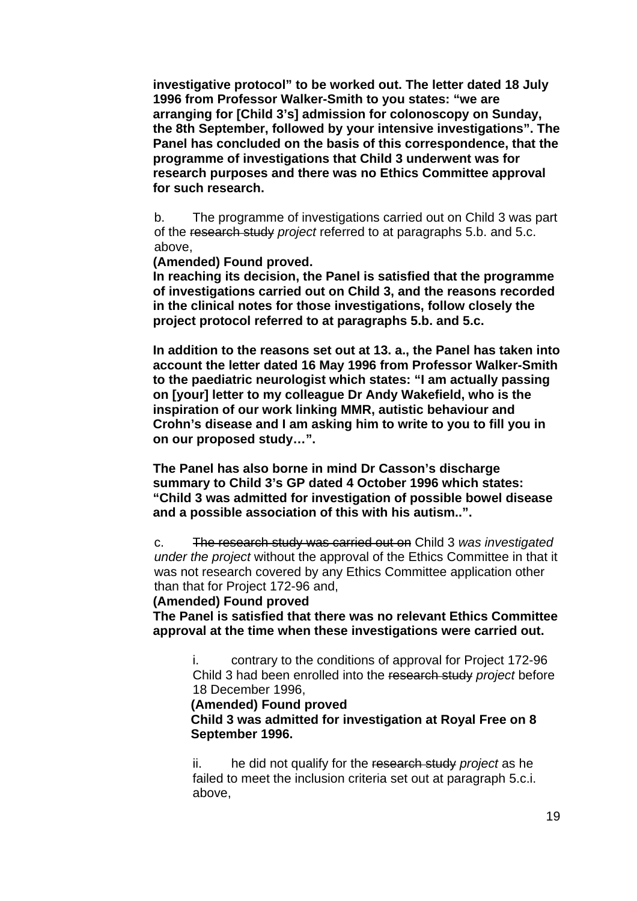**investigative protocol" to be worked out. The letter dated 18 July 1996 from Professor Walker-Smith to you states: "we are arranging for [Child 3's] admission for colonoscopy on Sunday, the 8th September, followed by your intensive investigations". The Panel has concluded on the basis of this correspondence, that the programme of investigations that Child 3 underwent was for research purposes and there was no Ethics Committee approval for such research.** 

b. The programme of investigations carried out on Child 3 was part of the research study *project* referred to at paragraphs 5.b. and 5.c. above,

**(Amended) Found proved.** 

**In reaching its decision, the Panel is satisfied that the programme of investigations carried out on Child 3, and the reasons recorded in the clinical notes for those investigations, follow closely the project protocol referred to at paragraphs 5.b. and 5.c.** 

**In addition to the reasons set out at 13. a., the Panel has taken into account the letter dated 16 May 1996 from Professor Walker-Smith to the paediatric neurologist which states: "I am actually passing on [your] letter to my colleague Dr Andy Wakefield, who is the inspiration of our work linking MMR, autistic behaviour and Crohn's disease and I am asking him to write to you to fill you in on our proposed study…".** 

**The Panel has also borne in mind Dr Casson's discharge summary to Child 3's GP dated 4 October 1996 which states: "Child 3 was admitted for investigation of possible bowel disease and a possible association of this with his autism..".** 

c. The research study was carried out on Child 3 *was investigated under the project* without the approval of the Ethics Committee in that it was not research covered by any Ethics Committee application other than that for Project 172-96 and,

#### **(Amended) Found proved**

**The Panel is satisfied that there was no relevant Ethics Committee approval at the time when these investigations were carried out.** 

i. contrary to the conditions of approval for Project 172-96 Child 3 had been enrolled into the research study *project* before 18 December 1996,

#### **(Amended) Found proved**

**Child 3 was admitted for investigation at Royal Free on 8 September 1996.** 

ii. he did not qualify for the research study *project* as he failed to meet the inclusion criteria set out at paragraph 5.c.i. above,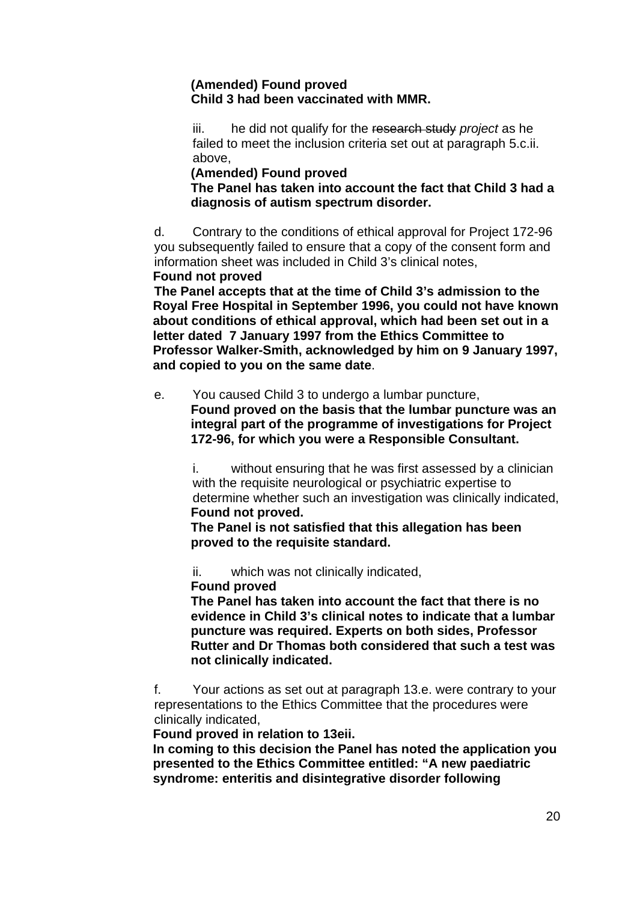### **(Amended) Found proved Child 3 had been vaccinated with MMR.**

iii. he did not qualify for the research study *project* as he failed to meet the inclusion criteria set out at paragraph 5.c.ii. above,

### **(Amended) Found proved**

**The Panel has taken into account the fact that Child 3 had a diagnosis of autism spectrum disorder.** 

d. Contrary to the conditions of ethical approval for Project 172-96 you subsequently failed to ensure that a copy of the consent form and information sheet was included in Child 3's clinical notes, **Found not proved** 

 **The Panel accepts that at the time of Child 3's admission to the Royal Free Hospital in September 1996, you could not have known about conditions of ethical approval, which had been set out in a letter dated 7 January 1997 from the Ethics Committee to Professor Walker-Smith, acknowledged by him on 9 January 1997, and copied to you on the same date**.

e. You caused Child 3 to undergo a lumbar puncture, **Found proved on the basis that the lumbar puncture was an integral part of the programme of investigations for Project 172-96, for which you were a Responsible Consultant.** 

i. without ensuring that he was first assessed by a clinician with the requisite neurological or psychiatric expertise to determine whether such an investigation was clinically indicated, **Found not proved.** 

 **The Panel is not satisfied that this allegation has been proved to the requisite standard.**

ii. which was not clinically indicated,

#### **Found proved**

 **The Panel has taken into account the fact that there is no evidence in Child 3's clinical notes to indicate that a lumbar puncture was required. Experts on both sides, Professor Rutter and Dr Thomas both considered that such a test was not clinically indicated.** 

f. Your actions as set out at paragraph 13.e. were contrary to your representations to the Ethics Committee that the procedures were clinically indicated,

 **Found proved in relation to 13eii.** 

 **In coming to this decision the Panel has noted the application you presented to the Ethics Committee entitled: "A new paediatric syndrome: enteritis and disintegrative disorder following**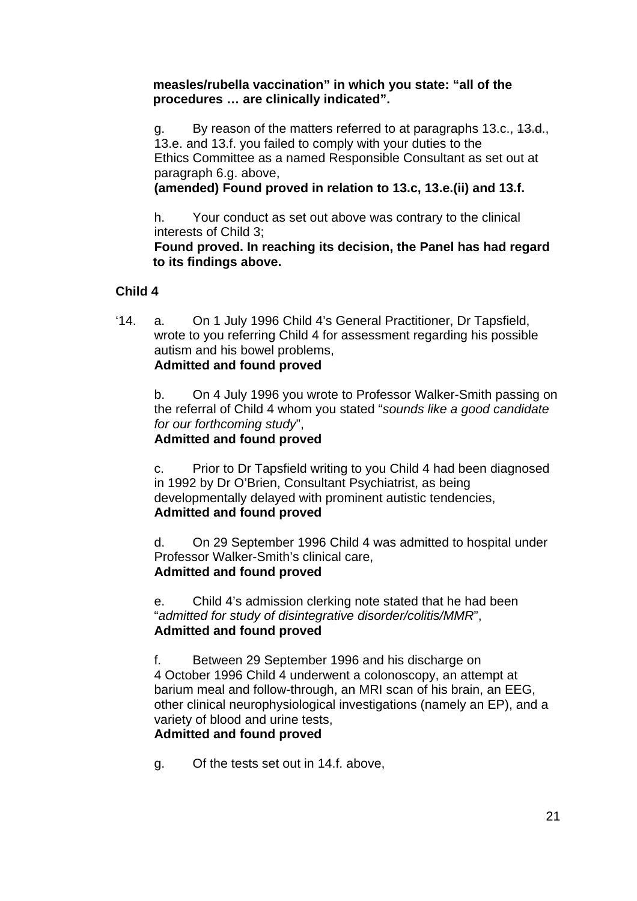**measles/rubella vaccination" in which you state: "all of the procedures … are clinically indicated".** 

g. By reason of the matters referred to at paragraphs 13.c., 13.d., 13.e. and 13.f. you failed to comply with your duties to the Ethics Committee as a named Responsible Consultant as set out at paragraph 6.g. above,

**(amended) Found proved in relation to 13.c, 13.e.(ii) and 13.f.** 

h. Your conduct as set out above was contrary to the clinical interests of Child 3;

 **Found proved. In reaching its decision, the Panel has had regard to its findings above.** 

# **Child 4**

'14. a. On 1 July 1996 Child 4's General Practitioner, Dr Tapsfield, wrote to you referring Child 4 for assessment regarding his possible autism and his bowel problems, **Admitted and found proved**

b. On 4 July 1996 you wrote to Professor Walker-Smith passing on the referral of Child 4 whom you stated "*sounds like a good candidate for our forthcoming study*",

**Admitted and found proved**

c. Prior to Dr Tapsfield writing to you Child 4 had been diagnosed in 1992 by Dr O'Brien, Consultant Psychiatrist, as being developmentally delayed with prominent autistic tendencies, **Admitted and found proved**

d. On 29 September 1996 Child 4 was admitted to hospital under Professor Walker-Smith's clinical care, **Admitted and found proved**

e. Child 4's admission clerking note stated that he had been "*admitted for study of disintegrative disorder/colitis/MMR*", **Admitted and found proved**

f. Between 29 September 1996 and his discharge on 4 October 1996 Child 4 underwent a colonoscopy, an attempt at barium meal and follow-through, an MRI scan of his brain, an EEG, other clinical neurophysiological investigations (namely an EP), and a variety of blood and urine tests,

# **Admitted and found proved**

g. Of the tests set out in 14.f. above,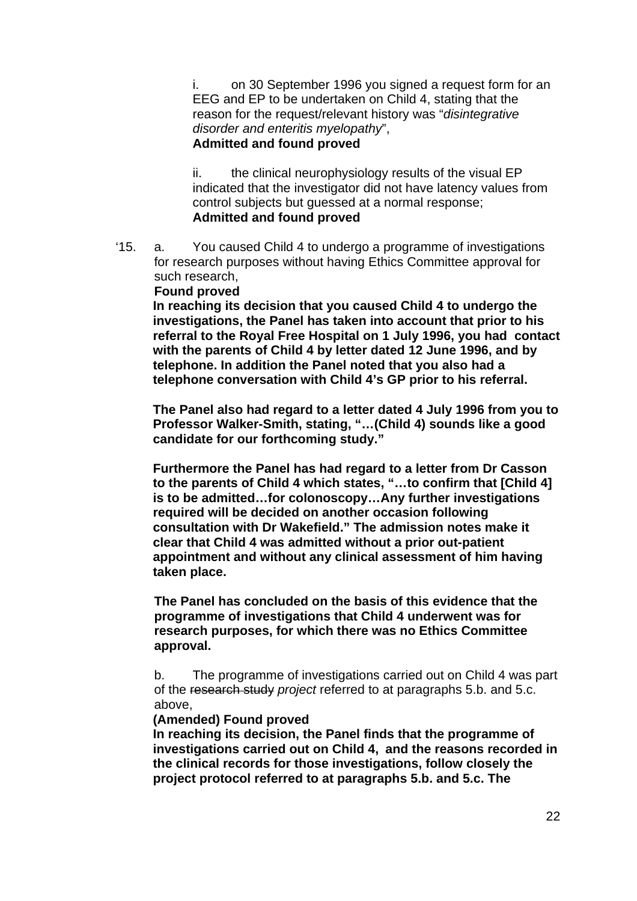i. on 30 September 1996 you signed a request form for an EEG and EP to be undertaken on Child 4, stating that the reason for the request/relevant history was "*disintegrative disorder and enteritis myelopathy*", **Admitted and found proved**

ii. the clinical neurophysiology results of the visual EP indicated that the investigator did not have latency values from control subjects but guessed at a normal response; **Admitted and found proved**

'15. a. You caused Child 4 to undergo a programme of investigations for research purposes without having Ethics Committee approval for such research,

#### **Found proved**

**In reaching its decision that you caused Child 4 to undergo the investigations, the Panel has taken into account that prior to his referral to the Royal Free Hospital on 1 July 1996, you had contact with the parents of Child 4 by letter dated 12 June 1996, and by telephone. In addition the Panel noted that you also had a telephone conversation with Child 4's GP prior to his referral.** 

**The Panel also had regard to a letter dated 4 July 1996 from you to Professor Walker-Smith, stating, "…(Child 4) sounds like a good candidate for our forthcoming study."** 

**Furthermore the Panel has had regard to a letter from Dr Casson to the parents of Child 4 which states, "…to confirm that [Child 4] is to be admitted…for colonoscopy…Any further investigations required will be decided on another occasion following consultation with Dr Wakefield." The admission notes make it clear that Child 4 was admitted without a prior out-patient appointment and without any clinical assessment of him having taken place.** 

**The Panel has concluded on the basis of this evidence that the programme of investigations that Child 4 underwent was for research purposes, for which there was no Ethics Committee approval.** 

b. The programme of investigations carried out on Child 4 was part of the research study *project* referred to at paragraphs 5.b. and 5.c. above,

#### **(Amended) Found proved**

**In reaching its decision, the Panel finds that the programme of investigations carried out on Child 4, and the reasons recorded in the clinical records for those investigations, follow closely the project protocol referred to at paragraphs 5.b. and 5.c. The**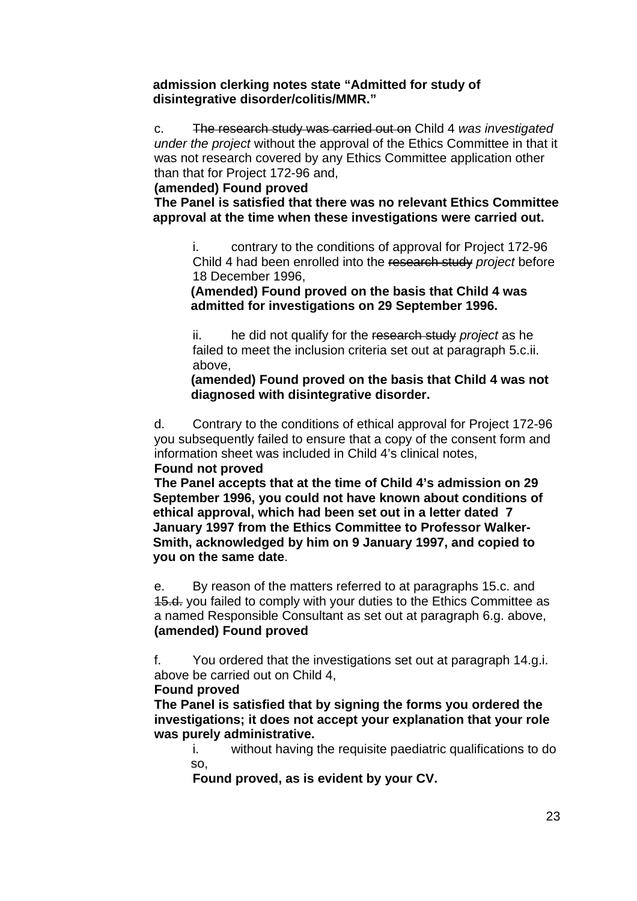#### **admission clerking notes state "Admitted for study of disintegrative disorder/colitis/MMR."**

c. The research study was carried out on Child 4 *was investigated under the project* without the approval of the Ethics Committee in that it was not research covered by any Ethics Committee application other than that for Project 172-96 and,

#### **(amended) Found proved**

 **The Panel is satisfied that there was no relevant Ethics Committee approval at the time when these investigations were carried out.** 

i. contrary to the conditions of approval for Project 172-96 Child 4 had been enrolled into the research study *project* before 18 December 1996,

**(Amended) Found proved on the basis that Child 4 was admitted for investigations on 29 September 1996.** 

ii. he did not qualify for the research study *project* as he failed to meet the inclusion criteria set out at paragraph 5.c.ii. above,

**(amended) Found proved on the basis that Child 4 was not diagnosed with disintegrative disorder.** 

d. Contrary to the conditions of ethical approval for Project 172-96 you subsequently failed to ensure that a copy of the consent form and information sheet was included in Child 4's clinical notes, **Found not proved** 

 **The Panel accepts that at the time of Child 4's admission on 29 September 1996, you could not have known about conditions of ethical approval, which had been set out in a letter dated 7 January 1997 from the Ethics Committee to Professor Walker-Smith, acknowledged by him on 9 January 1997, and copied to you on the same date**.

e. By reason of the matters referred to at paragraphs 15.c. and 15.d. you failed to comply with your duties to the Ethics Committee as a named Responsible Consultant as set out at paragraph 6.g. above, **(amended) Found proved** 

f. You ordered that the investigations set out at paragraph 14.g.i. above be carried out on Child 4,

### **Found proved**

**The Panel is satisfied that by signing the forms you ordered the investigations; it does not accept your explanation that your role was purely administrative.** 

i. without having the requisite paediatric qualifications to do so,

**Found proved, as is evident by your CV.**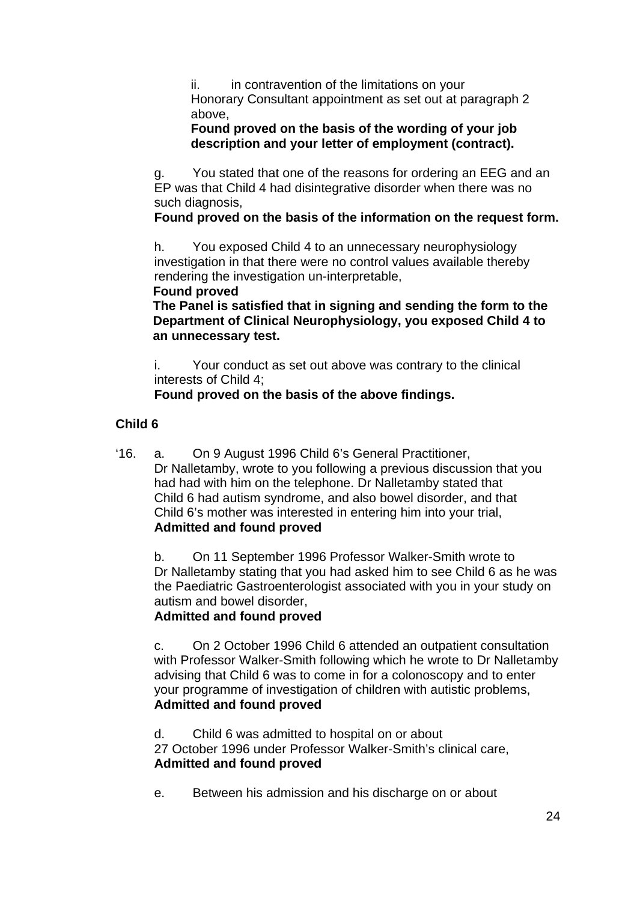ii. in contravention of the limitations on your Honorary Consultant appointment as set out at paragraph 2 above,

# **Found proved on the basis of the wording of your job description and your letter of employment (contract).**

g. You stated that one of the reasons for ordering an EEG and an EP was that Child 4 had disintegrative disorder when there was no such diagnosis,

# **Found proved on the basis of the information on the request form.**

h. You exposed Child 4 to an unnecessary neurophysiology investigation in that there were no control values available thereby rendering the investigation un-interpretable,

### **Found proved**

**The Panel is satisfied that in signing and sending the form to the Department of Clinical Neurophysiology, you exposed Child 4 to an unnecessary test.**

i. Your conduct as set out above was contrary to the clinical interests of Child 4;

# **Found proved on the basis of the above findings.**

# **Child 6**

'16. a. On 9 August 1996 Child 6's General Practitioner, Dr Nalletamby, wrote to you following a previous discussion that you had had with him on the telephone. Dr Nalletamby stated that Child 6 had autism syndrome, and also bowel disorder, and that Child 6's mother was interested in entering him into your trial, **Admitted and found proved**

b. On 11 September 1996 Professor Walker-Smith wrote to Dr Nalletamby stating that you had asked him to see Child 6 as he was the Paediatric Gastroenterologist associated with you in your study on autism and bowel disorder,

# **Admitted and found proved**

c. On 2 October 1996 Child 6 attended an outpatient consultation with Professor Walker-Smith following which he wrote to Dr Nalletamby advising that Child 6 was to come in for a colonoscopy and to enter your programme of investigation of children with autistic problems, **Admitted and found proved**

d. Child 6 was admitted to hospital on or about 27 October 1996 under Professor Walker-Smith's clinical care, **Admitted and found proved**

e. Between his admission and his discharge on or about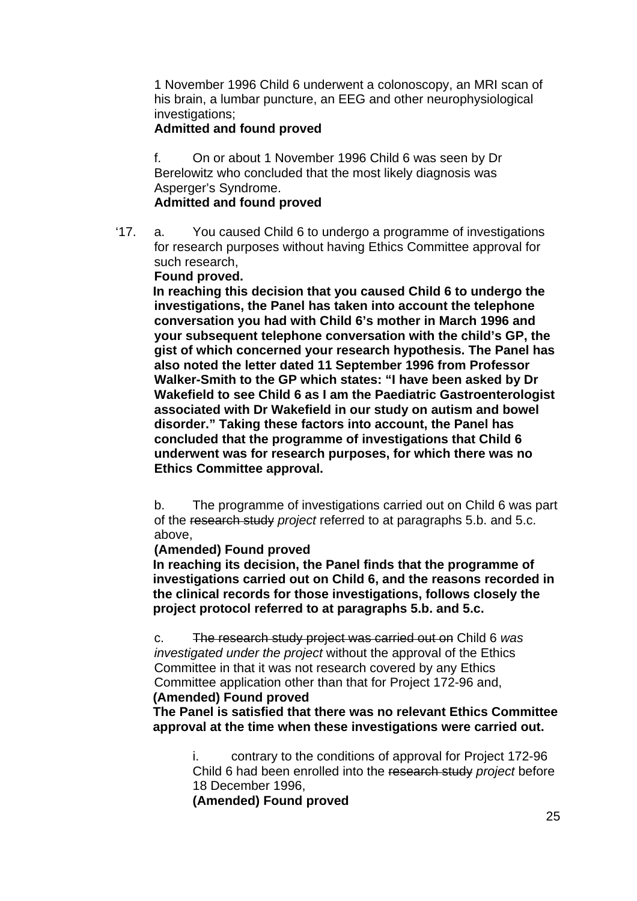1 November 1996 Child 6 underwent a colonoscopy, an MRI scan of his brain, a lumbar puncture, an EEG and other neurophysiological investigations:

### **Admitted and found proved**

f. On or about 1 November 1996 Child 6 was seen by Dr Berelowitz who concluded that the most likely diagnosis was Asperger's Syndrome.

### **Admitted and found proved**

'17. a. You caused Child 6 to undergo a programme of investigations for research purposes without having Ethics Committee approval for such research,

**Found proved.** 

**In reaching this decision that you caused Child 6 to undergo the investigations, the Panel has taken into account the telephone conversation you had with Child 6's mother in March 1996 and your subsequent telephone conversation with the child's GP, the gist of which concerned your research hypothesis. The Panel has also noted the letter dated 11 September 1996 from Professor Walker-Smith to the GP which states: "I have been asked by Dr Wakefield to see Child 6 as I am the Paediatric Gastroenterologist associated with Dr Wakefield in our study on autism and bowel disorder." Taking these factors into account, the Panel has concluded that the programme of investigations that Child 6 underwent was for research purposes, for which there was no Ethics Committee approval.** 

b. The programme of investigations carried out on Child 6 was part of the research study *project* referred to at paragraphs 5.b. and 5.c. above,

### **(Amended) Found proved**

**In reaching its decision, the Panel finds that the programme of investigations carried out on Child 6, and the reasons recorded in the clinical records for those investigations, follows closely the project protocol referred to at paragraphs 5.b. and 5.c.** 

c. The research study project was carried out on Child 6 *was investigated under the project* without the approval of the Ethics Committee in that it was not research covered by any Ethics Committee application other than that for Project 172-96 and,

#### **(Amended) Found proved**

**The Panel is satisfied that there was no relevant Ethics Committee approval at the time when these investigations were carried out.** 

i. contrary to the conditions of approval for Project 172-96 Child 6 had been enrolled into the research study *project* before 18 December 1996,

**(Amended) Found proved**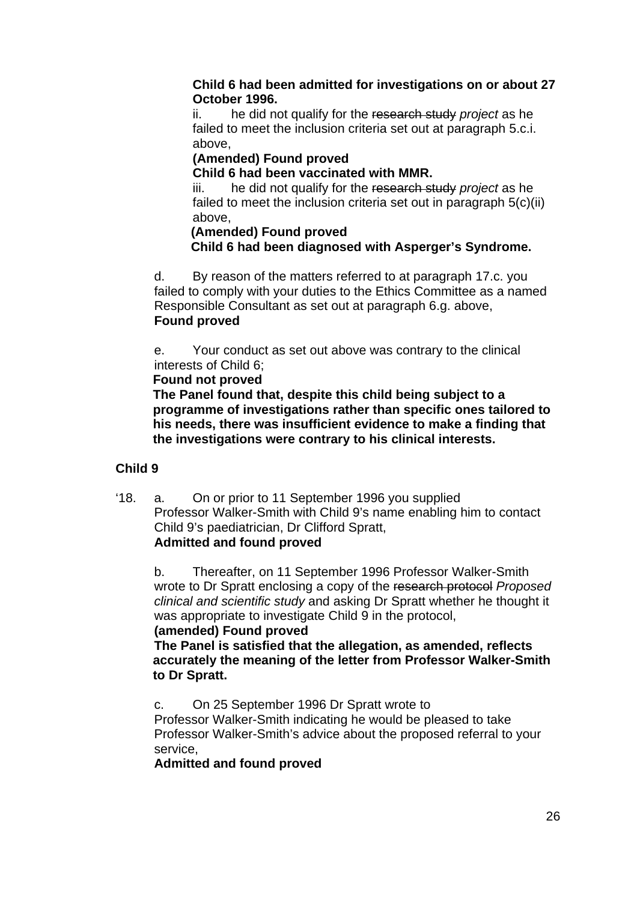### **Child 6 had been admitted for investigations on or about 27 October 1996.**

ii. he did not qualify for the research study *project* as he failed to meet the inclusion criteria set out at paragraph 5.c.i. above,

# **(Amended) Found proved**

**Child 6 had been vaccinated with MMR.** 

iii. he did not qualify for the research study *project* as he failed to meet the inclusion criteria set out in paragraph 5(c)(ii) above,

### **(Amended) Found proved Child 6 had been diagnosed with Asperger's Syndrome.**

d. By reason of the matters referred to at paragraph 17.c. you failed to comply with your duties to the Ethics Committee as a named Responsible Consultant as set out at paragraph 6.g. above, **Found proved** 

e. Your conduct as set out above was contrary to the clinical interests of Child 6;

### **Found not proved**

**The Panel found that, despite this child being subject to a programme of investigations rather than specific ones tailored to his needs, there was insufficient evidence to make a finding that the investigations were contrary to his clinical interests.** 

# **Child 9**

'18. a. On or prior to 11 September 1996 you supplied Professor Walker-Smith with Child 9's name enabling him to contact Child 9's paediatrician, Dr Clifford Spratt, **Admitted and found proved**

b. Thereafter, on 11 September 1996 Professor Walker-Smith wrote to Dr Spratt enclosing a copy of the research protocol *Proposed clinical and scientific study* and asking Dr Spratt whether he thought it was appropriate to investigate Child 9 in the protocol.

# **(amended) Found proved**

 **The Panel is satisfied that the allegation, as amended, reflects accurately the meaning of the letter from Professor Walker-Smith to Dr Spratt.** 

c. On 25 September 1996 Dr Spratt wrote to

Professor Walker-Smith indicating he would be pleased to take Professor Walker-Smith's advice about the proposed referral to your service,

# **Admitted and found proved**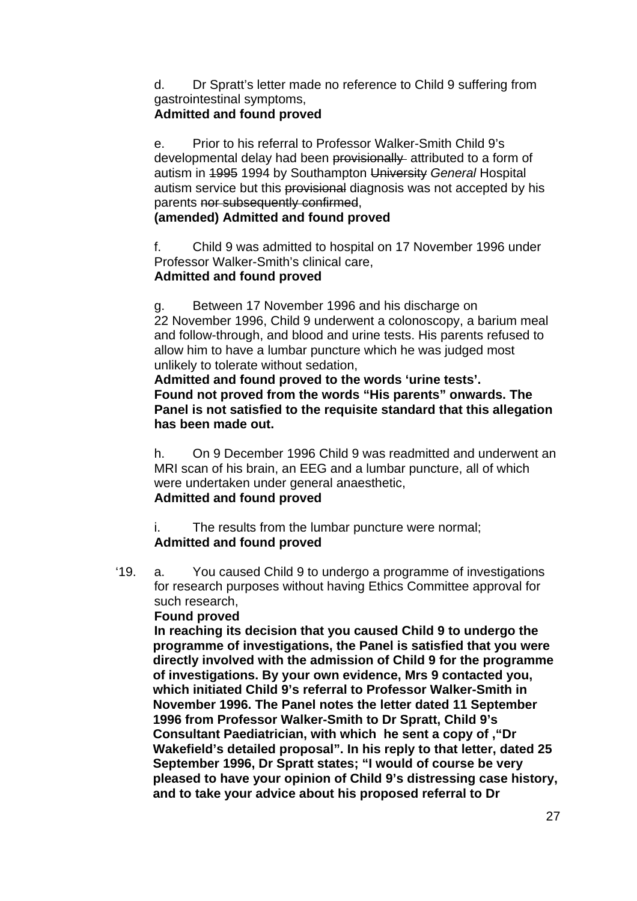d. Dr Spratt's letter made no reference to Child 9 suffering from gastrointestinal symptoms,

# **Admitted and found proved**

e. Prior to his referral to Professor Walker-Smith Child 9's developmental delay had been provisionally attributed to a form of autism in 1995 1994 by Southampton University *General* Hospital autism service but this provisional diagnosis was not accepted by his parents nor subsequently confirmed,

# **(amended) Admitted and found proved**

f. Child 9 was admitted to hospital on 17 November 1996 under Professor Walker-Smith's clinical care, **Admitted and found proved**

g. Between 17 November 1996 and his discharge on 22 November 1996, Child 9 underwent a colonoscopy, a barium meal and follow-through, and blood and urine tests. His parents refused to allow him to have a lumbar puncture which he was judged most unlikely to tolerate without sedation,

**Admitted and found proved to the words 'urine tests'. Found not proved from the words "His parents" onwards. The Panel is not satisfied to the requisite standard that this allegation has been made out.** 

h. On 9 December 1996 Child 9 was readmitted and underwent an MRI scan of his brain, an EEG and a lumbar puncture, all of which were undertaken under general anaesthetic, **Admitted and found proved**

i. The results from the lumbar puncture were normal; **Admitted and found proved**

'19. a. You caused Child 9 to undergo a programme of investigations for research purposes without having Ethics Committee approval for such research,

# **Found proved**

 **In reaching its decision that you caused Child 9 to undergo the programme of investigations, the Panel is satisfied that you were directly involved with the admission of Child 9 for the programme of investigations. By your own evidence, Mrs 9 contacted you, which initiated Child 9's referral to Professor Walker-Smith in November 1996. The Panel notes the letter dated 11 September 1996 from Professor Walker-Smith to Dr Spratt, Child 9's Consultant Paediatrician, with which he sent a copy of ,"Dr Wakefield's detailed proposal". In his reply to that letter, dated 25 September 1996, Dr Spratt states; "I would of course be very pleased to have your opinion of Child 9's distressing case history, and to take your advice about his proposed referral to Dr**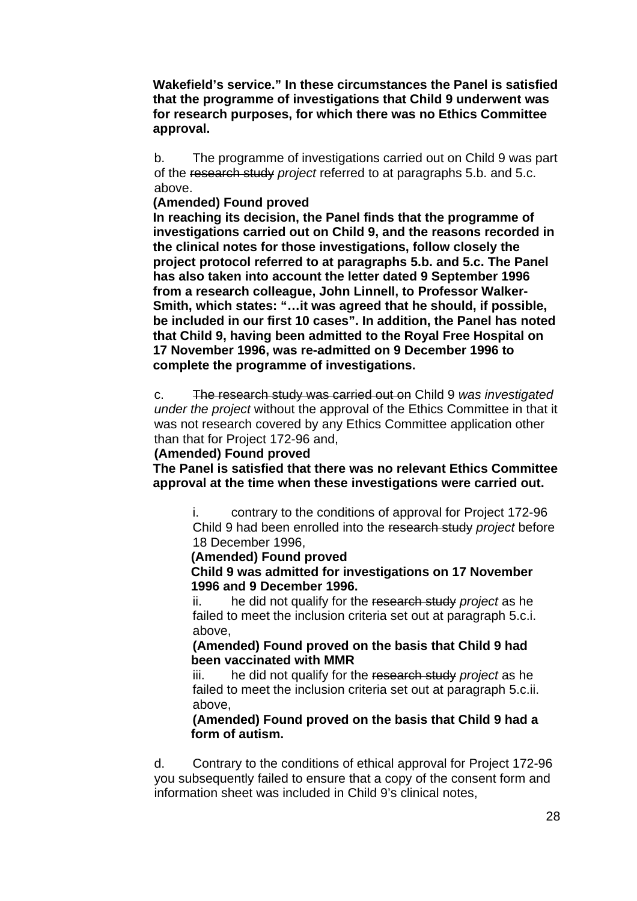**Wakefield's service." In these circumstances the Panel is satisfied that the programme of investigations that Child 9 underwent was for research purposes, for which there was no Ethics Committee approval.**

b. The programme of investigations carried out on Child 9 was part of the research study *project* referred to at paragraphs 5.b. and 5.c. above.

#### **(Amended) Found proved**

**In reaching its decision, the Panel finds that the programme of investigations carried out on Child 9, and the reasons recorded in the clinical notes for those investigations, follow closely the project protocol referred to at paragraphs 5.b. and 5.c. The Panel has also taken into account the letter dated 9 September 1996 from a research colleague, John Linnell, to Professor Walker-Smith, which states: "…it was agreed that he should, if possible, be included in our first 10 cases". In addition, the Panel has noted that Child 9, having been admitted to the Royal Free Hospital on 17 November 1996, was re-admitted on 9 December 1996 to complete the programme of investigations.** 

c. The research study was carried out on Child 9 *was investigated under the project* without the approval of the Ethics Committee in that it was not research covered by any Ethics Committee application other than that for Project 172-96 and,

#### **(Amended) Found proved**

**The Panel is satisfied that there was no relevant Ethics Committee approval at the time when these investigations were carried out.** 

i. contrary to the conditions of approval for Project 172-96 Child 9 had been enrolled into the research study *project* before 18 December 1996,

#### **(Amended) Found proved**

 **Child 9 was admitted for investigations on 17 November 1996 and 9 December 1996.**

ii. he did not qualify for the research study *project* as he failed to meet the inclusion criteria set out at paragraph 5.c.i. above,

#### **(Amended) Found proved on the basis that Child 9 had been vaccinated with MMR**

iii. he did not qualify for the research study *project* as he failed to meet the inclusion criteria set out at paragraph 5.c.ii. above,

### **(Amended) Found proved on the basis that Child 9 had a form of autism.**

d. Contrary to the conditions of ethical approval for Project 172-96 you subsequently failed to ensure that a copy of the consent form and information sheet was included in Child 9's clinical notes,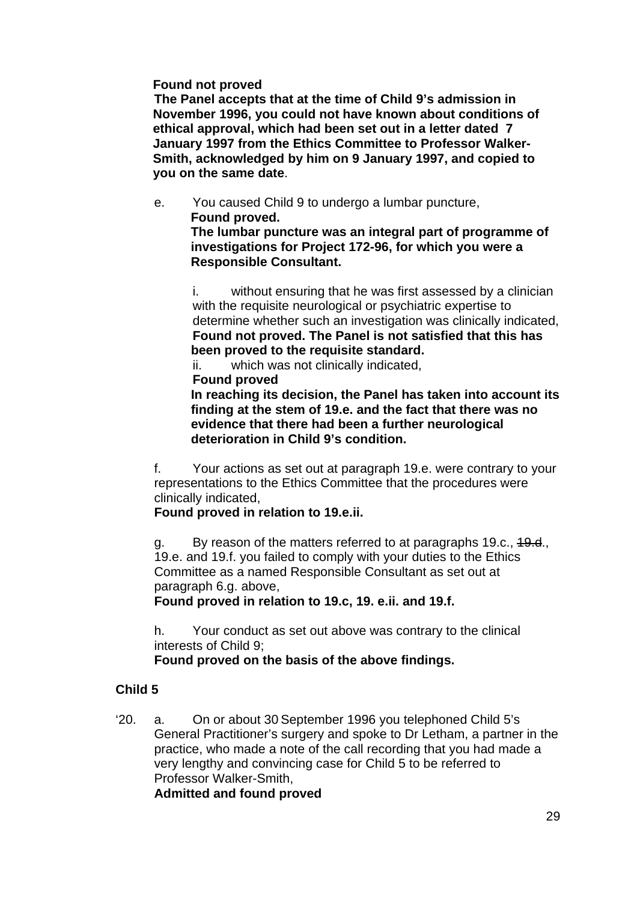### **Found not proved**

 **The Panel accepts that at the time of Child 9's admission in November 1996, you could not have known about conditions of ethical approval, which had been set out in a letter dated 7 January 1997 from the Ethics Committee to Professor Walker-Smith, acknowledged by him on 9 January 1997, and copied to you on the same date**.

e. You caused Child 9 to undergo a lumbar puncture, **Found proved. The lumbar puncture was an integral part of programme of investigations for Project 172-96, for which you were a** 

**Responsible Consultant.** 

i. without ensuring that he was first assessed by a clinician with the requisite neurological or psychiatric expertise to determine whether such an investigation was clinically indicated, **Found not proved. The Panel is not satisfied that this has been proved to the requisite standard.** 

ii. which was not clinically indicated,

**Found proved** 

 **In reaching its decision, the Panel has taken into account its finding at the stem of 19.e. and the fact that there was no evidence that there had been a further neurological deterioration in Child 9's condition.**

f. Your actions as set out at paragraph 19.e. were contrary to your representations to the Ethics Committee that the procedures were clinically indicated,

# **Found proved in relation to 19.e.ii.**

g. By reason of the matters referred to at paragraphs 19.c., 19.d., 19.e. and 19.f. you failed to comply with your duties to the Ethics Committee as a named Responsible Consultant as set out at paragraph 6.g. above,

**Found proved in relation to 19.c, 19. e.ii. and 19.f.** 

h. Your conduct as set out above was contrary to the clinical interests of Child 9;

# **Found proved on the basis of the above findings.**

# **Child 5**

'20. a. On or about 30 September 1996 you telephoned Child 5's General Practitioner's surgery and spoke to Dr Letham, a partner in the practice, who made a note of the call recording that you had made a very lengthy and convincing case for Child 5 to be referred to Professor Walker-Smith,

**Admitted and found proved**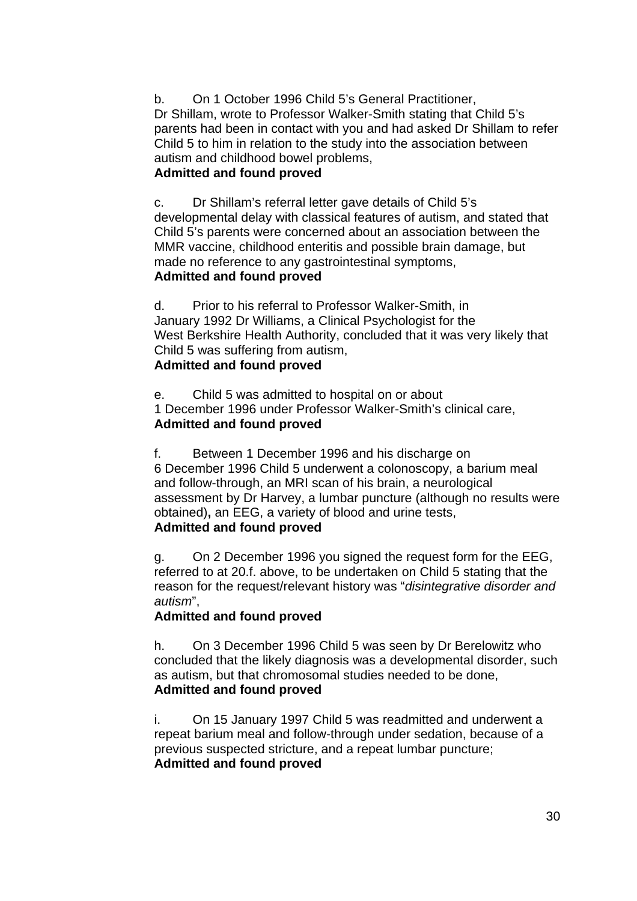b. On 1 October 1996 Child 5's General Practitioner, Dr Shillam, wrote to Professor Walker-Smith stating that Child 5's parents had been in contact with you and had asked Dr Shillam to refer Child 5 to him in relation to the study into the association between autism and childhood bowel problems,

# **Admitted and found proved**

c. Dr Shillam's referral letter gave details of Child 5's developmental delay with classical features of autism, and stated that Child 5's parents were concerned about an association between the MMR vaccine, childhood enteritis and possible brain damage, but made no reference to any gastrointestinal symptoms, **Admitted and found proved**

d. Prior to his referral to Professor Walker-Smith, in January 1992 Dr Williams, a Clinical Psychologist for the West Berkshire Health Authority, concluded that it was very likely that Child 5 was suffering from autism,

# **Admitted and found proved**

e. Child 5 was admitted to hospital on or about 1 December 1996 under Professor Walker-Smith's clinical care, **Admitted and found proved**

f. Between 1 December 1996 and his discharge on 6 December 1996 Child 5 underwent a colonoscopy, a barium meal and follow-through, an MRI scan of his brain, a neurological assessment by Dr Harvey, a lumbar puncture (although no results were obtained)**,** an EEG, a variety of blood and urine tests, **Admitted and found proved**

g. On 2 December 1996 you signed the request form for the EEG, referred to at 20.f. above, to be undertaken on Child 5 stating that the reason for the request/relevant history was "*disintegrative disorder and autism*",

# **Admitted and found proved**

h. On 3 December 1996 Child 5 was seen by Dr Berelowitz who concluded that the likely diagnosis was a developmental disorder, such as autism, but that chromosomal studies needed to be done, **Admitted and found proved**

i. On 15 January 1997 Child 5 was readmitted and underwent a repeat barium meal and follow-through under sedation, because of a previous suspected stricture, and a repeat lumbar puncture; **Admitted and found proved**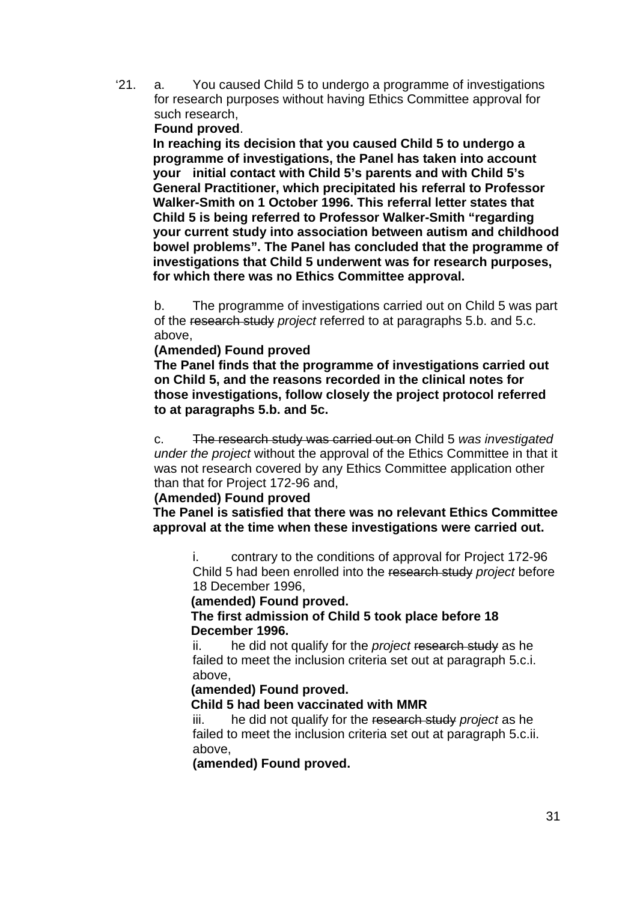'21. a. You caused Child 5 to undergo a programme of investigations for research purposes without having Ethics Committee approval for such research,

### **Found proved**.

**In reaching its decision that you caused Child 5 to undergo a programme of investigations, the Panel has taken into account your initial contact with Child 5's parents and with Child 5's General Practitioner, which precipitated his referral to Professor Walker-Smith on 1 October 1996. This referral letter states that Child 5 is being referred to Professor Walker-Smith "regarding your current study into association between autism and childhood bowel problems". The Panel has concluded that the programme of investigations that Child 5 underwent was for research purposes, for which there was no Ethics Committee approval.**

b. The programme of investigations carried out on Child 5 was part of the research study *project* referred to at paragraphs 5.b. and 5.c. above,

#### **(Amended) Found proved**

**The Panel finds that the programme of investigations carried out on Child 5, and the reasons recorded in the clinical notes for those investigations, follow closely the project protocol referred to at paragraphs 5.b. and 5c.** 

c. The research study was carried out on Child 5 *was investigated under the project* without the approval of the Ethics Committee in that it was not research covered by any Ethics Committee application other than that for Project 172-96 and,

#### **(Amended) Found proved**

**The Panel is satisfied that there was no relevant Ethics Committee approval at the time when these investigations were carried out.** 

i. contrary to the conditions of approval for Project 172-96 Child 5 had been enrolled into the research study *project* before 18 December 1996,

#### **(amended) Found proved.**

 **The first admission of Child 5 took place before 18 December 1996.** 

ii. he did not qualify for the *project* research study as he failed to meet the inclusion criteria set out at paragraph 5.c.i. above,

### **(amended) Found proved.**

### **Child 5 had been vaccinated with MMR**

iii. he did not qualify for the research study *project* as he failed to meet the inclusion criteria set out at paragraph 5.c.ii. above,

**(amended) Found proved.**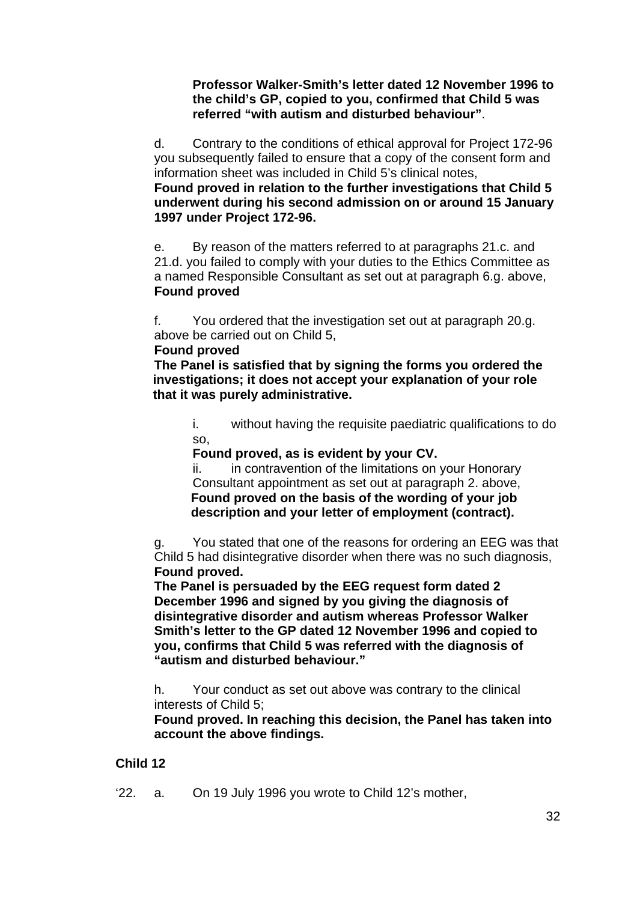**Professor Walker-Smith's letter dated 12 November 1996 to the child's GP, copied to you, confirmed that Child 5 was referred "with autism and disturbed behaviour"**.

d. Contrary to the conditions of ethical approval for Project 172-96 you subsequently failed to ensure that a copy of the consent form and information sheet was included in Child 5's clinical notes,

**Found proved in relation to the further investigations that Child 5 underwent during his second admission on or around 15 January 1997 under Project 172-96.** 

e. By reason of the matters referred to at paragraphs 21.c. and 21.d. you failed to comply with your duties to the Ethics Committee as a named Responsible Consultant as set out at paragraph 6.g. above, **Found proved** 

f. You ordered that the investigation set out at paragraph 20.g. above be carried out on Child 5,

# **Found proved**

**The Panel is satisfied that by signing the forms you ordered the investigations; it does not accept your explanation of your role that it was purely administrative.** 

i. without having the requisite paediatric qualifications to do so,

**Found proved, as is evident by your CV.**

ii. in contravention of the limitations on your Honorary Consultant appointment as set out at paragraph 2. above, **Found proved on the basis of the wording of your job description and your letter of employment (contract).**

g. You stated that one of the reasons for ordering an EEG was that Child 5 had disintegrative disorder when there was no such diagnosis, **Found proved.** 

**The Panel is persuaded by the EEG request form dated 2 December 1996 and signed by you giving the diagnosis of disintegrative disorder and autism whereas Professor Walker Smith's letter to the GP dated 12 November 1996 and copied to you, confirms that Child 5 was referred with the diagnosis of "autism and disturbed behaviour."** 

h. Your conduct as set out above was contrary to the clinical interests of Child 5;

**Found proved. In reaching this decision, the Panel has taken into account the above findings.** 

# **Child 12**

'22. a. On 19 July 1996 you wrote to Child 12's mother,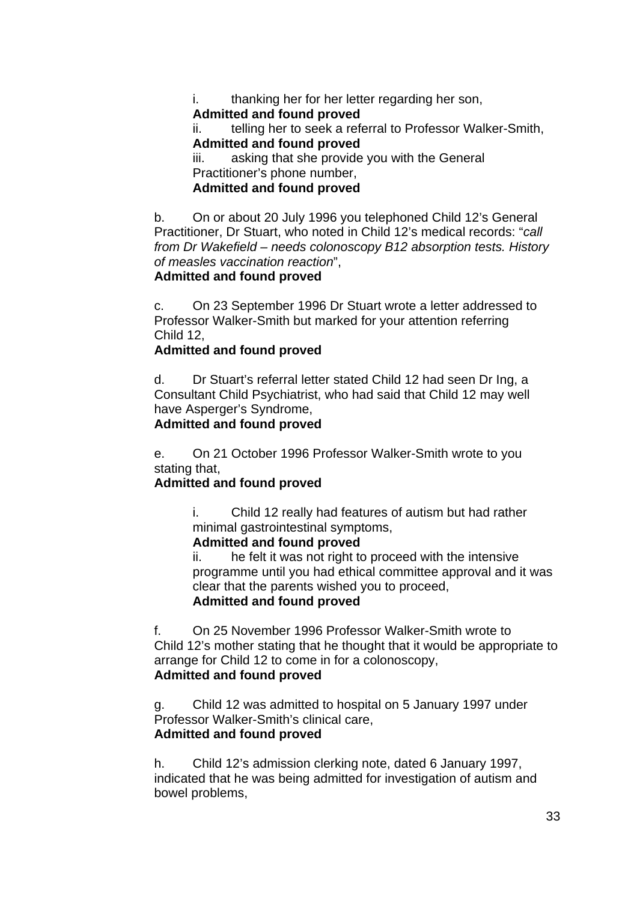i. thanking her for her letter regarding her son, **Admitted and found proved**

ii. telling her to seek a referral to Professor Walker-Smith, **Admitted and found proved**

iii. asking that she provide you with the General Practitioner's phone number,

# **Admitted and found proved**

b. On or about 20 July 1996 you telephoned Child 12's General Practitioner, Dr Stuart, who noted in Child 12's medical records: "*call from Dr Wakefield – needs colonoscopy B12 absorption tests. History of measles vaccination reaction*",

# **Admitted and found proved**

c. On 23 September 1996 Dr Stuart wrote a letter addressed to Professor Walker-Smith but marked for your attention referring Child 12,

# **Admitted and found proved**

d. Dr Stuart's referral letter stated Child 12 had seen Dr Ing, a Consultant Child Psychiatrist, who had said that Child 12 may well have Asperger's Syndrome,

### **Admitted and found proved**

e. On 21 October 1996 Professor Walker-Smith wrote to you stating that.

# **Admitted and found proved**

i. Child 12 really had features of autism but had rather minimal gastrointestinal symptoms,

# **Admitted and found proved**

ii. he felt it was not right to proceed with the intensive programme until you had ethical committee approval and it was clear that the parents wished you to proceed, **Admitted and found proved**

f. On 25 November 1996 Professor Walker-Smith wrote to Child 12's mother stating that he thought that it would be appropriate to arrange for Child 12 to come in for a colonoscopy, **Admitted and found proved**

g. Child 12 was admitted to hospital on 5 January 1997 under Professor Walker-Smith's clinical care, **Admitted and found proved**

h. Child 12's admission clerking note, dated 6 January 1997, indicated that he was being admitted for investigation of autism and bowel problems,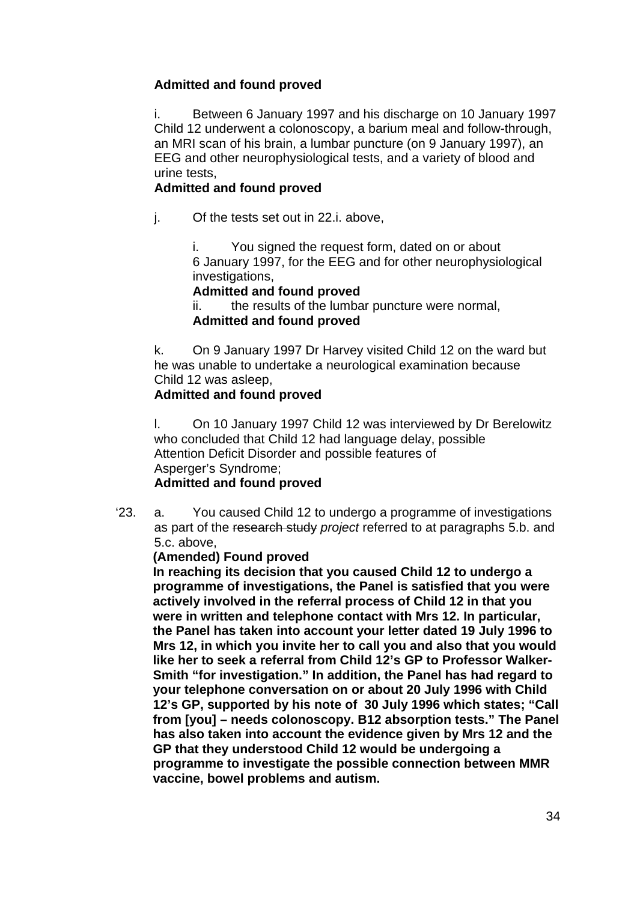# **Admitted and found proved**

i. Between 6 January 1997 and his discharge on 10 January 1997 Child 12 underwent a colonoscopy, a barium meal and follow-through, an MRI scan of his brain, a lumbar puncture (on 9 January 1997), an EEG and other neurophysiological tests, and a variety of blood and urine tests,

# **Admitted and found proved**

j. Of the tests set out in 22.i. above,

i. You signed the request form, dated on or about 6 January 1997, for the EEG and for other neurophysiological investigations,

# **Admitted and found proved**

ii. the results of the lumbar puncture were normal, **Admitted and found proved**

k. On 9 January 1997 Dr Harvey visited Child 12 on the ward but he was unable to undertake a neurological examination because Child 12 was asleep,

# **Admitted and found proved**

l. On 10 January 1997 Child 12 was interviewed by Dr Berelowitz who concluded that Child 12 had language delay, possible Attention Deficit Disorder and possible features of Asperger's Syndrome;

# **Admitted and found proved**

'23. a. You caused Child 12 to undergo a programme of investigations as part of the research study *project* referred to at paragraphs 5.b. and 5.c. above,

### **(Amended) Found proved**

**In reaching its decision that you caused Child 12 to undergo a programme of investigations, the Panel is satisfied that you were actively involved in the referral process of Child 12 in that you were in written and telephone contact with Mrs 12. In particular, the Panel has taken into account your letter dated 19 July 1996 to Mrs 12, in which you invite her to call you and also that you would like her to seek a referral from Child 12's GP to Professor Walker-Smith "for investigation." In addition, the Panel has had regard to your telephone conversation on or about 20 July 1996 with Child 12's GP, supported by his note of 30 July 1996 which states; "Call from [you] – needs colonoscopy. B12 absorption tests." The Panel has also taken into account the evidence given by Mrs 12 and the GP that they understood Child 12 would be undergoing a programme to investigate the possible connection between MMR vaccine, bowel problems and autism.**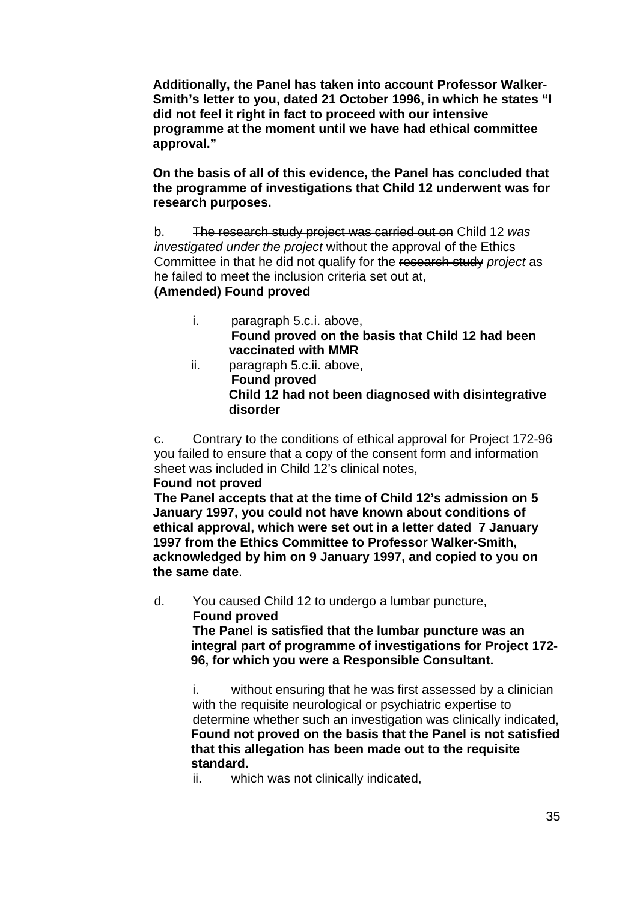**Additionally, the Panel has taken into account Professor Walker-Smith's letter to you, dated 21 October 1996, in which he states "I did not feel it right in fact to proceed with our intensive programme at the moment until we have had ethical committee approval."** 

**On the basis of all of this evidence, the Panel has concluded that the programme of investigations that Child 12 underwent was for research purposes.** 

b. The research study project was carried out on Child 12 *was investigated under the project* without the approval of the Ethics Committee in that he did not qualify for the research study *project* as he failed to meet the inclusion criteria set out at,

### **(Amended) Found proved**

- i. paragraph 5.c.i. above, **Found proved on the basis that Child 12 had been vaccinated with MMR**
- ii. paragraph 5.c.ii. above, **Found proved Child 12 had not been diagnosed with disintegrative disorder**

c. Contrary to the conditions of ethical approval for Project 172-96 you failed to ensure that a copy of the consent form and information sheet was included in Child 12's clinical notes,

### **Found not proved**

 **The Panel accepts that at the time of Child 12's admission on 5 January 1997, you could not have known about conditions of ethical approval, which were set out in a letter dated 7 January 1997 from the Ethics Committee to Professor Walker-Smith, acknowledged by him on 9 January 1997, and copied to you on the same date**.

d. You caused Child 12 to undergo a lumbar puncture, **Found proved** 

 **The Panel is satisfied that the lumbar puncture was an integral part of programme of investigations for Project 172- 96, for which you were a Responsible Consultant.** 

i. without ensuring that he was first assessed by a clinician with the requisite neurological or psychiatric expertise to determine whether such an investigation was clinically indicated, **Found not proved on the basis that the Panel is not satisfied that this allegation has been made out to the requisite standard.**

ii. which was not clinically indicated,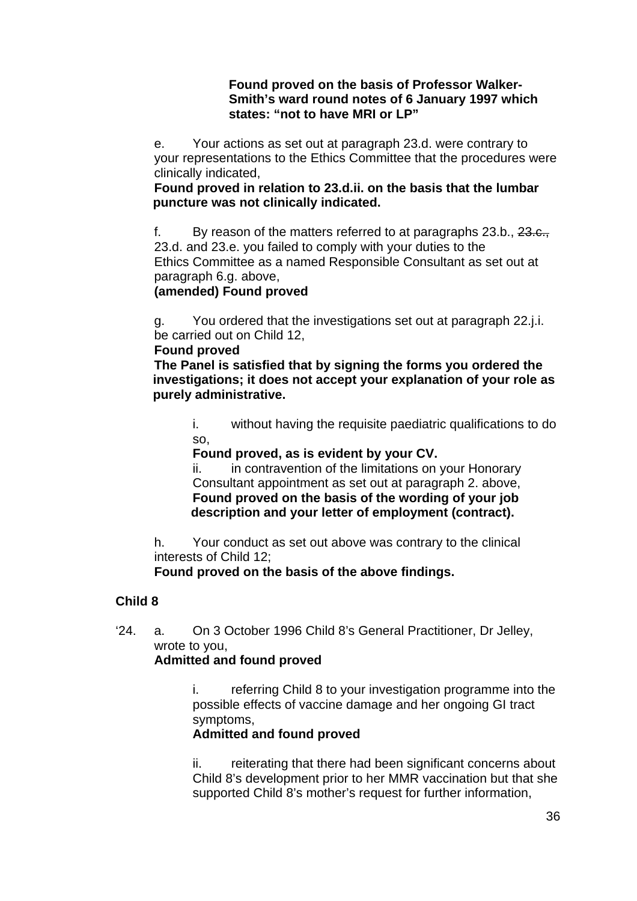### **Found proved on the basis of Professor Walker-Smith's ward round notes of 6 January 1997 which states: "not to have MRI or LP"**

 e. Your actions as set out at paragraph 23.d. were contrary to your representations to the Ethics Committee that the procedures were clinically indicated,

 **Found proved in relation to 23.d.ii. on the basis that the lumbar puncture was not clinically indicated.** 

f. By reason of the matters referred to at paragraphs 23.b., 23.e., 23.d. and 23.e. you failed to comply with your duties to the Ethics Committee as a named Responsible Consultant as set out at paragraph 6.g. above,

# **(amended) Found proved**

g. You ordered that the investigations set out at paragraph 22.j.i. be carried out on Child 12,

### **Found proved**

 **The Panel is satisfied that by signing the forms you ordered the investigations; it does not accept your explanation of your role as purely administrative.** 

i. without having the requisite paediatric qualifications to do so,

**Found proved, as is evident by your CV.** 

ii. in contravention of the limitations on your Honorary Consultant appointment as set out at paragraph 2. above, **Found proved on the basis of the wording of your job description and your letter of employment (contract).** 

h. Your conduct as set out above was contrary to the clinical interests of Child 12;

 **Found proved on the basis of the above findings.** 

# **Child 8**

'24. a. On 3 October 1996 Child 8's General Practitioner, Dr Jelley, wrote to you,

# **Admitted and found proved**

i. referring Child 8 to your investigation programme into the possible effects of vaccine damage and her ongoing GI tract symptoms,

# **Admitted and found proved**

ii. reiterating that there had been significant concerns about Child 8's development prior to her MMR vaccination but that she supported Child 8's mother's request for further information,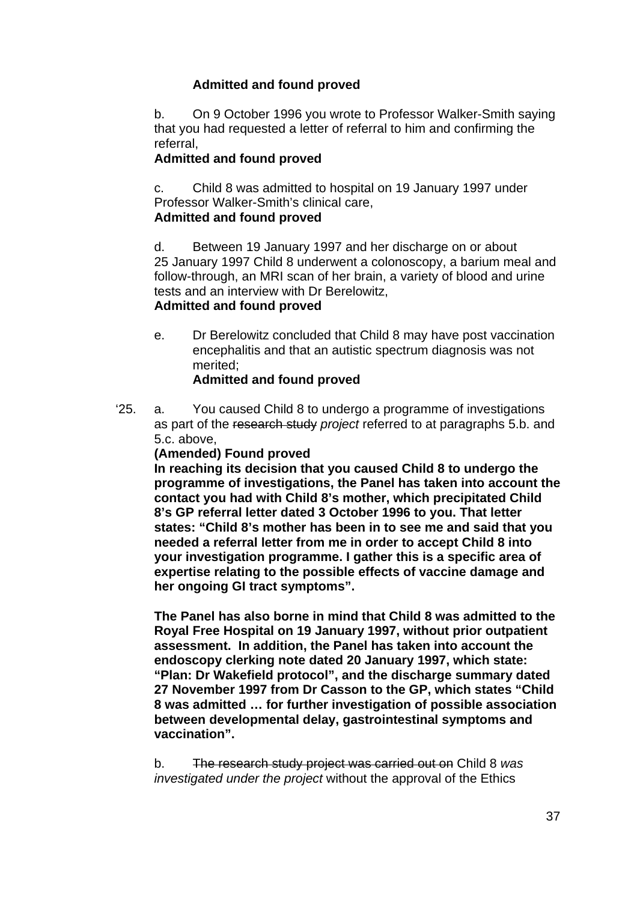## **Admitted and found proved**

b. On 9 October 1996 you wrote to Professor Walker-Smith saying that you had requested a letter of referral to him and confirming the referral,

## **Admitted and found proved**

 c. Child 8 was admitted to hospital on 19 January 1997 under Professor Walker-Smith's clinical care,

## **Admitted and found proved**

d. Between 19 January 1997 and her discharge on or about 25 January 1997 Child 8 underwent a colonoscopy, a barium meal and follow-through, an MRI scan of her brain, a variety of blood and urine tests and an interview with Dr Berelowitz,

## **Admitted and found proved**

e. Dr Berelowitz concluded that Child 8 may have post vaccination encephalitis and that an autistic spectrum diagnosis was not merited;

# **Admitted and found proved**

'25. a. You caused Child 8 to undergo a programme of investigations as part of the research study *project* referred to at paragraphs 5.b. and 5.c. above,

### **(Amended) Found proved**

**In reaching its decision that you caused Child 8 to undergo the programme of investigations, the Panel has taken into account the contact you had with Child 8's mother, which precipitated Child 8's GP referral letter dated 3 October 1996 to you. That letter states: "Child 8's mother has been in to see me and said that you needed a referral letter from me in order to accept Child 8 into your investigation programme. I gather this is a specific area of expertise relating to the possible effects of vaccine damage and her ongoing GI tract symptoms".** 

**The Panel has also borne in mind that Child 8 was admitted to the Royal Free Hospital on 19 January 1997, without prior outpatient assessment. In addition, the Panel has taken into account the endoscopy clerking note dated 20 January 1997, which state: "Plan: Dr Wakefield protocol", and the discharge summary dated 27 November 1997 from Dr Casson to the GP, which states "Child 8 was admitted … for further investigation of possible association between developmental delay, gastrointestinal symptoms and vaccination".** 

b. The research study project was carried out on Child 8 *was investigated under the project* without the approval of the Ethics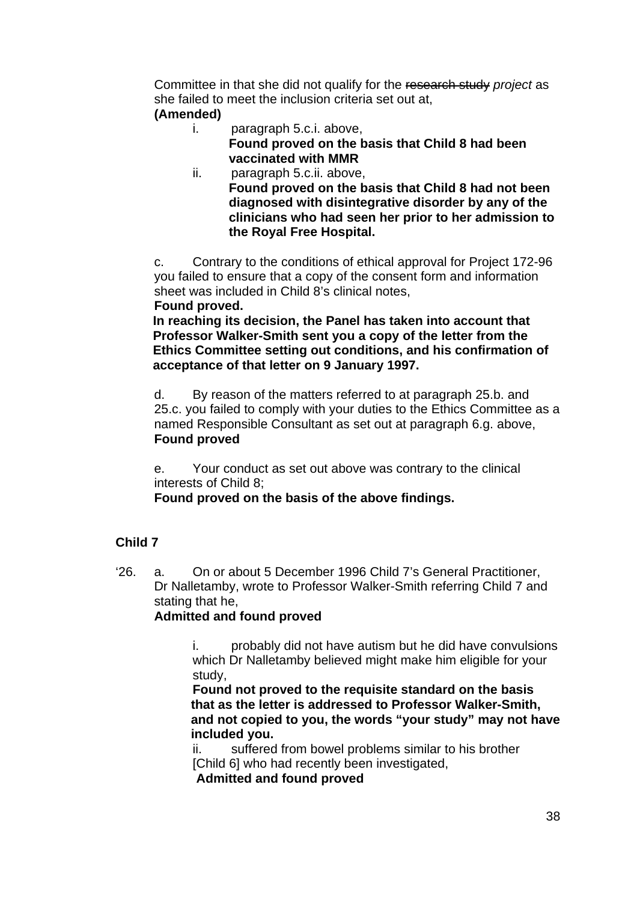Committee in that she did not qualify for the research study *project* as she failed to meet the inclusion criteria set out at,

## **(Amended)**

- i. paragraph 5.c.i. above, **Found proved on the basis that Child 8 had been vaccinated with MMR**
- ii. paragraph 5.c.ii. above, **Found proved on the basis that Child 8 had not been diagnosed with disintegrative disorder by any of the clinicians who had seen her prior to her admission to the Royal Free Hospital.**

c. Contrary to the conditions of ethical approval for Project 172-96 you failed to ensure that a copy of the consent form and information sheet was included in Child 8's clinical notes,  **Found proved.** 

**In reaching its decision, the Panel has taken into account that Professor Walker-Smith sent you a copy of the letter from the Ethics Committee setting out conditions, and his confirmation of acceptance of that letter on 9 January 1997.** 

d. By reason of the matters referred to at paragraph 25.b. and 25.c. you failed to comply with your duties to the Ethics Committee as a named Responsible Consultant as set out at paragraph 6.g. above, **Found proved** 

e. Your conduct as set out above was contrary to the clinical interests of Child 8;

 **Found proved on the basis of the above findings.** 

# **Child 7**

'26. a. On or about 5 December 1996 Child 7's General Practitioner, Dr Nalletamby, wrote to Professor Walker-Smith referring Child 7 and stating that he,

# **Admitted and found proved**

i. probably did not have autism but he did have convulsions which Dr Nalletamby believed might make him eligible for your study,

**Found not proved to the requisite standard on the basis that as the letter is addressed to Professor Walker-Smith, and not copied to you, the words "your study" may not have included you.** 

ii. suffered from bowel problems similar to his brother [Child 6] who had recently been investigated,

**Admitted and found proved**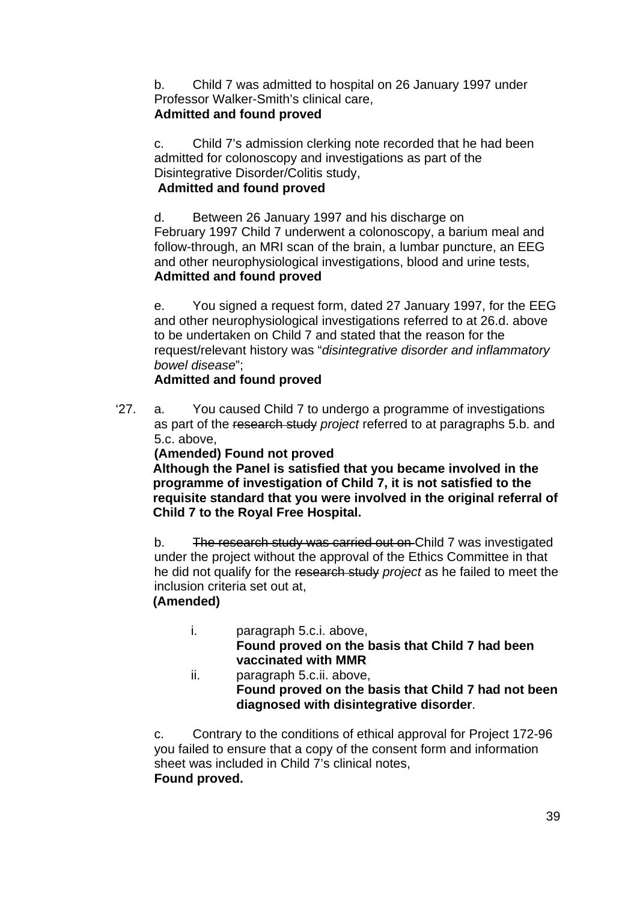b. Child 7 was admitted to hospital on 26 January 1997 under Professor Walker-Smith's clinical care, **Admitted and found proved**

c. Child 7's admission clerking note recorded that he had been admitted for colonoscopy and investigations as part of the Disintegrative Disorder/Colitis study,

## **Admitted and found proved**

d. Between 26 January 1997 and his discharge on February 1997 Child 7 underwent a colonoscopy, a barium meal and follow-through, an MRI scan of the brain, a lumbar puncture, an EEG and other neurophysiological investigations, blood and urine tests, **Admitted and found proved**

e. You signed a request form, dated 27 January 1997, for the EEG and other neurophysiological investigations referred to at 26.d. above to be undertaken on Child 7 and stated that the reason for the request/relevant history was "*disintegrative disorder and inflammatory bowel disease*";

# **Admitted and found proved**

'27. a. You caused Child 7 to undergo a programme of investigations as part of the research study *project* referred to at paragraphs 5.b. and 5.c. above,

**(Amended) Found not proved** 

**Although the Panel is satisfied that you became involved in the programme of investigation of Child 7, it is not satisfied to the requisite standard that you were involved in the original referral of Child 7 to the Royal Free Hospital.** 

b. The research study was carried out on Child 7 was investigated under the project without the approval of the Ethics Committee in that he did not qualify for the research study *project* as he failed to meet the inclusion criteria set out at,

# **(Amended)**

- i. paragraph 5.c.i. above, **Found proved on the basis that Child 7 had been vaccinated with MMR**
- ii. paragraph 5.c.ii. above, **Found proved on the basis that Child 7 had not been diagnosed with disintegrative disorder**.

c. Contrary to the conditions of ethical approval for Project 172-96 you failed to ensure that a copy of the consent form and information sheet was included in Child 7's clinical notes,  **Found proved.**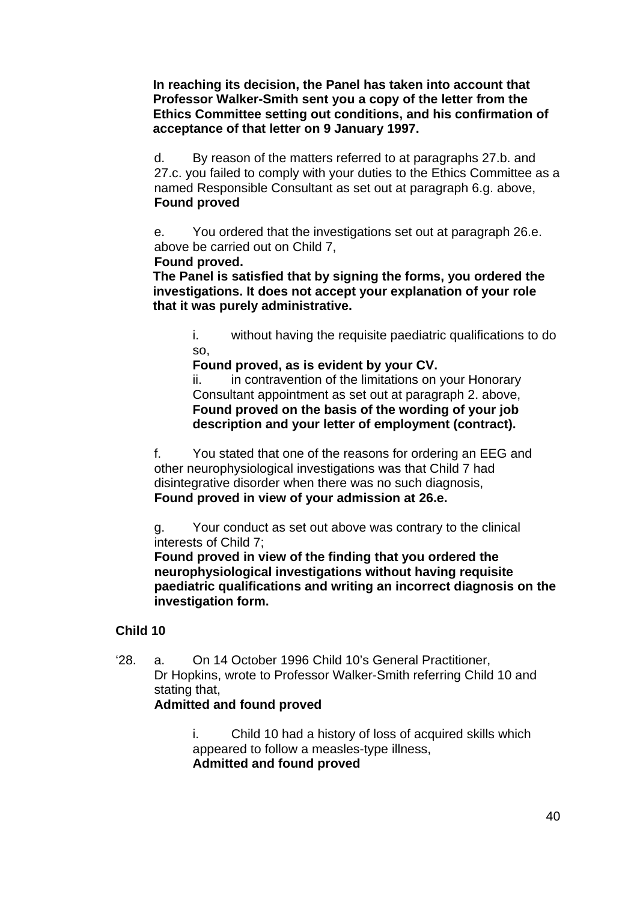**In reaching its decision, the Panel has taken into account that Professor Walker-Smith sent you a copy of the letter from the Ethics Committee setting out conditions, and his confirmation of acceptance of that letter on 9 January 1997.** 

d. By reason of the matters referred to at paragraphs 27.b. and 27.c. you failed to comply with your duties to the Ethics Committee as a named Responsible Consultant as set out at paragraph 6.g. above, **Found proved** 

e. You ordered that the investigations set out at paragraph 26.e. above be carried out on Child 7,

#### **Found proved.**

**The Panel is satisfied that by signing the forms, you ordered the investigations. It does not accept your explanation of your role that it was purely administrative.** 

i. without having the requisite paediatric qualifications to do so,

**Found proved, as is evident by your CV.** 

ii. in contravention of the limitations on your Honorary Consultant appointment as set out at paragraph 2. above, **Found proved on the basis of the wording of your job description and your letter of employment (contract).** 

f. You stated that one of the reasons for ordering an EEG and other neurophysiological investigations was that Child 7 had disintegrative disorder when there was no such diagnosis, **Found proved in view of your admission at 26.e.** 

g. Your conduct as set out above was contrary to the clinical interests of Child 7;

**Found proved in view of the finding that you ordered the neurophysiological investigations without having requisite paediatric qualifications and writing an incorrect diagnosis on the investigation form.** 

### **Child 10**

'28. a. On 14 October 1996 Child 10's General Practitioner, Dr Hopkins, wrote to Professor Walker-Smith referring Child 10 and stating that.

#### **Admitted and found proved**

i. Child 10 had a history of loss of acquired skills which appeared to follow a measles-type illness, **Admitted and found proved**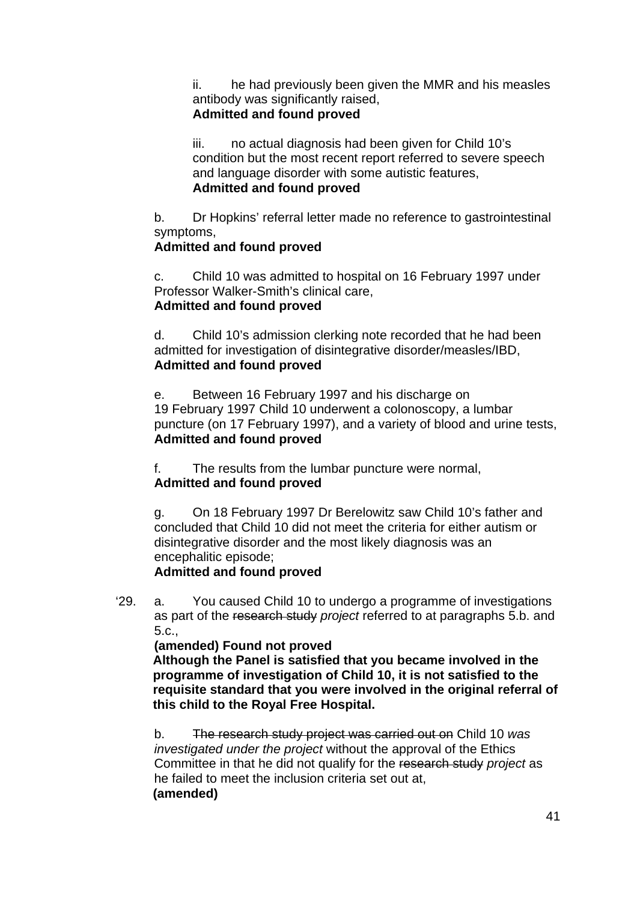ii. he had previously been given the MMR and his measles antibody was significantly raised, **Admitted and found proved**

iii. no actual diagnosis had been given for Child 10's condition but the most recent report referred to severe speech and language disorder with some autistic features, **Admitted and found proved**

b. Dr Hopkins' referral letter made no reference to gastrointestinal symptoms,

## **Admitted and found proved**

c. Child 10 was admitted to hospital on 16 February 1997 under Professor Walker-Smith's clinical care, **Admitted and found proved**

d. Child 10's admission clerking note recorded that he had been admitted for investigation of disintegrative disorder/measles/IBD, **Admitted and found proved**

e. Between 16 February 1997 and his discharge on 19 February 1997 Child 10 underwent a colonoscopy, a lumbar puncture (on 17 February 1997), and a variety of blood and urine tests, **Admitted and found proved**

f. The results from the lumbar puncture were normal, **Admitted and found proved**

g. On 18 February 1997 Dr Berelowitz saw Child 10's father and concluded that Child 10 did not meet the criteria for either autism or disintegrative disorder and the most likely diagnosis was an encephalitic episode; **Admitted and found proved**

'29. a. You caused Child 10 to undergo a programme of investigations as part of the research study *project* referred to at paragraphs 5.b. and 5.c.,

## **(amended) Found not proved**

**Although the Panel is satisfied that you became involved in the programme of investigation of Child 10, it is not satisfied to the requisite standard that you were involved in the original referral of this child to the Royal Free Hospital.** 

b. The research study project was carried out on Child 10 *was investigated under the project* without the approval of the Ethics Committee in that he did not qualify for the research study *project* as he failed to meet the inclusion criteria set out at, **(amended)**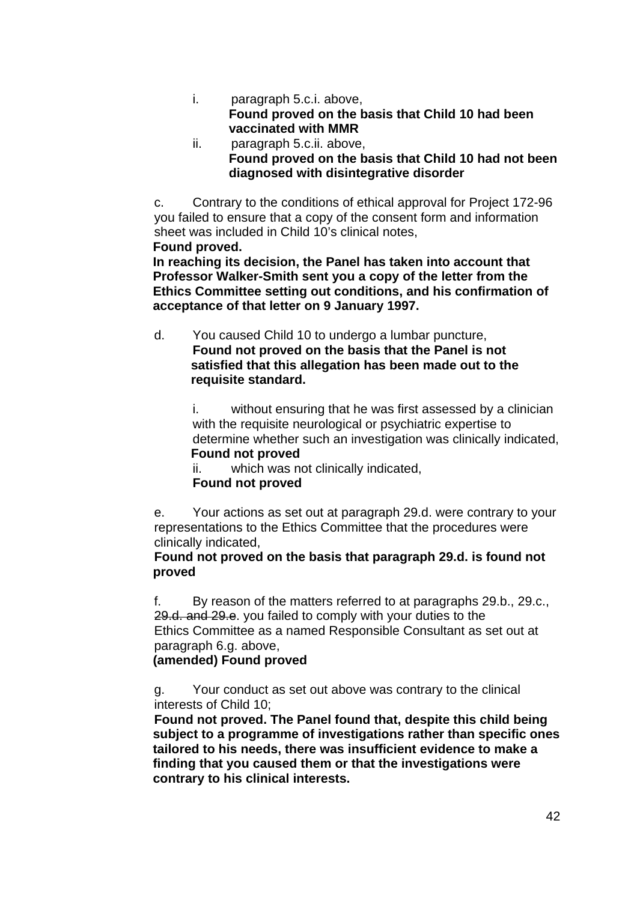- i. paragraph 5.c.i. above, **Found proved on the basis that Child 10 had been vaccinated with MMR**
- ii. paragraph 5.c.ii. above, **Found proved on the basis that Child 10 had not been diagnosed with disintegrative disorder**

c. Contrary to the conditions of ethical approval for Project 172-96 you failed to ensure that a copy of the consent form and information sheet was included in Child 10's clinical notes, **Found proved.** 

**In reaching its decision, the Panel has taken into account that Professor Walker-Smith sent you a copy of the letter from the Ethics Committee setting out conditions, and his confirmation of acceptance of that letter on 9 January 1997.** 

d. You caused Child 10 to undergo a lumbar puncture, **Found not proved on the basis that the Panel is not satisfied that this allegation has been made out to the requisite standard.** 

> i. without ensuring that he was first assessed by a clinician with the requisite neurological or psychiatric expertise to determine whether such an investigation was clinically indicated, **Found not proved**

ii. which was not clinically indicated,

## **Found not proved**

e. Your actions as set out at paragraph 29.d. were contrary to your representations to the Ethics Committee that the procedures were clinically indicated,

#### **Found not proved on the basis that paragraph 29.d. is found not proved**

f. By reason of the matters referred to at paragraphs 29.b., 29.c., 29.d. and 29.e. you failed to comply with your duties to the Ethics Committee as a named Responsible Consultant as set out at paragraph 6.g. above,

## **(amended) Found proved**

g. Your conduct as set out above was contrary to the clinical interests of Child 10;

**Found not proved. The Panel found that, despite this child being subject to a programme of investigations rather than specific ones tailored to his needs, there was insufficient evidence to make a finding that you caused them or that the investigations were contrary to his clinical interests.**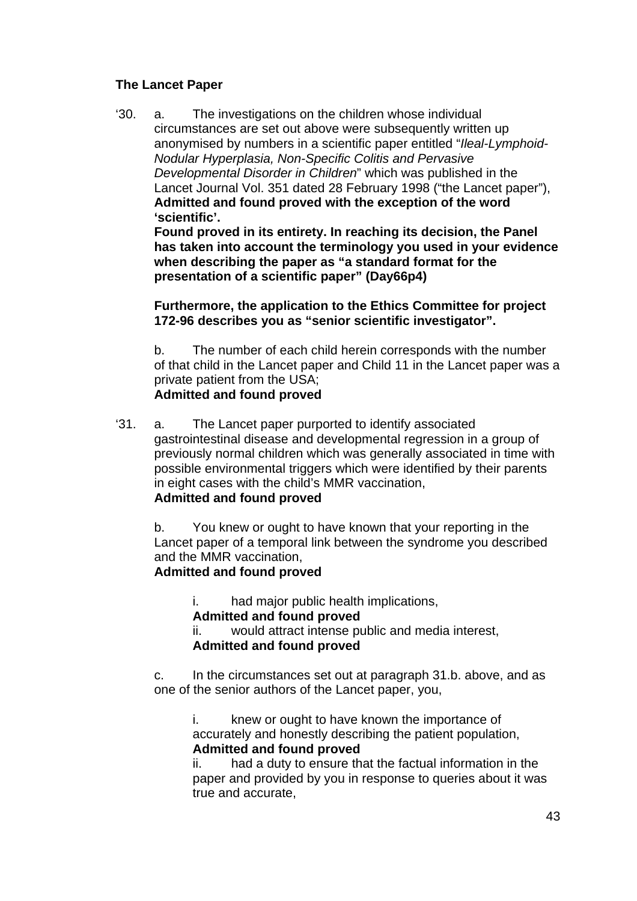#### **The Lancet Paper**

'30. a. The investigations on the children whose individual circumstances are set out above were subsequently written up anonymised by numbers in a scientific paper entitled "*Ileal-Lymphoid-Nodular Hyperplasia, Non-Specific Colitis and Pervasive Developmental Disorder in Children*" which was published in the Lancet Journal Vol. 351 dated 28 February 1998 ("the Lancet paper"), **Admitted and found proved with the exception of the word 'scientific'.** 

**Found proved in its entirety. In reaching its decision, the Panel has taken into account the terminology you used in your evidence when describing the paper as "a standard format for the presentation of a scientific paper" (Day66p4)** 

**Furthermore, the application to the Ethics Committee for project 172-96 describes you as "senior scientific investigator".** 

b. The number of each child herein corresponds with the number of that child in the Lancet paper and Child 11 in the Lancet paper was a private patient from the USA; **Admitted and found proved**

'31. a. The Lancet paper purported to identify associated gastrointestinal disease and developmental regression in a group of previously normal children which was generally associated in time with possible environmental triggers which were identified by their parents in eight cases with the child's MMR vaccination, **Admitted and found proved** 

b. You knew or ought to have known that your reporting in the Lancet paper of a temporal link between the syndrome you described and the MMR vaccination,

## **Admitted and found proved**

i. had major public health implications,

#### **Admitted and found proved**

ii. would attract intense public and media interest, **Admitted and found proved** 

c. In the circumstances set out at paragraph 31.b. above, and as one of the senior authors of the Lancet paper, you,

i. knew or ought to have known the importance of accurately and honestly describing the patient population, **Admitted and found proved**

ii. had a duty to ensure that the factual information in the paper and provided by you in response to queries about it was true and accurate,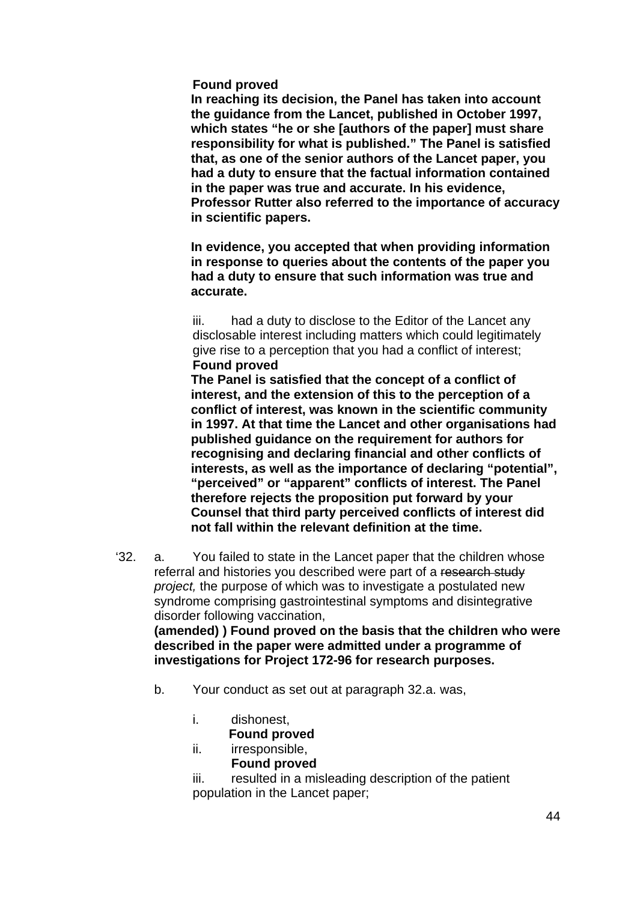#### **Found proved**

**In reaching its decision, the Panel has taken into account the guidance from the Lancet, published in October 1997, which states "he or she [authors of the paper] must share responsibility for what is published." The Panel is satisfied that, as one of the senior authors of the Lancet paper, you had a duty to ensure that the factual information contained in the paper was true and accurate. In his evidence, Professor Rutter also referred to the importance of accuracy in scientific papers.** 

**In evidence, you accepted that when providing information in response to queries about the contents of the paper you had a duty to ensure that such information was true and accurate.** 

iii. had a duty to disclose to the Editor of the Lancet any disclosable interest including matters which could legitimately give rise to a perception that you had a conflict of interest; **Found proved**

**The Panel is satisfied that the concept of a conflict of interest, and the extension of this to the perception of a conflict of interest, was known in the scientific community in 1997. At that time the Lancet and other organisations had published guidance on the requirement for authors for recognising and declaring financial and other conflicts of interests, as well as the importance of declaring "potential", "perceived" or "apparent" conflicts of interest. The Panel therefore rejects the proposition put forward by your Counsel that third party perceived conflicts of interest did not fall within the relevant definition at the time.** 

'32. a. You failed to state in the Lancet paper that the children whose referral and histories you described were part of a research study *project,* the purpose of which was to investigate a postulated new syndrome comprising gastrointestinal symptoms and disintegrative disorder following vaccination,

**(amended) ) Found proved on the basis that the children who were described in the paper were admitted under a programme of investigations for Project 172-96 for research purposes.** 

- b. Your conduct as set out at paragraph 32.a. was,
	- i. dishonest,

#### **Found proved**

- ii. irresponsible,
	- **Found proved**

iii. resulted in a misleading description of the patient population in the Lancet paper;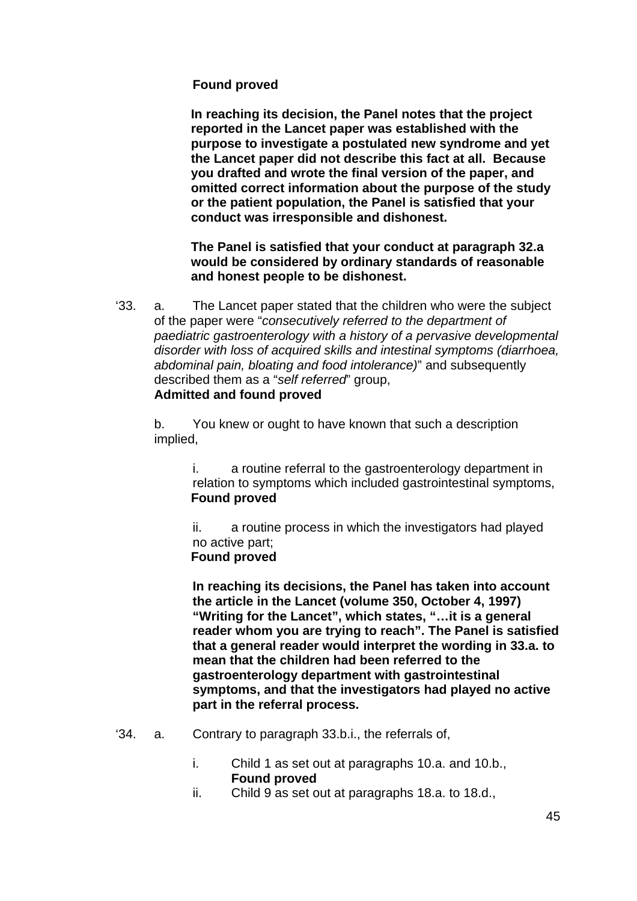### **Found proved**

**In reaching its decision, the Panel notes that the project reported in the Lancet paper was established with the purpose to investigate a postulated new syndrome and yet the Lancet paper did not describe this fact at all. Because you drafted and wrote the final version of the paper, and omitted correct information about the purpose of the study or the patient population, the Panel is satisfied that your conduct was irresponsible and dishonest.** 

**The Panel is satisfied that your conduct at paragraph 32.a would be considered by ordinary standards of reasonable and honest people to be dishonest.** 

'33. a. The Lancet paper stated that the children who were the subject of the paper were "*consecutively referred to the department of paediatric gastroenterology with a history of a pervasive developmental disorder with loss of acquired skills and intestinal symptoms (diarrhoea, abdominal pain, bloating and food intolerance)*" and subsequently described them as a "*self referred*" group, **Admitted and found proved**

b. You knew or ought to have known that such a description implied,

> i. a routine referral to the gastroenterology department in relation to symptoms which included gastrointestinal symptoms, **Found proved**

ii. a routine process in which the investigators had played no active part; **Found proved** 

**In reaching its decisions, the Panel has taken into account the article in the Lancet (volume 350, October 4, 1997) "Writing for the Lancet", which states, "…it is a general reader whom you are trying to reach". The Panel is satisfied that a general reader would interpret the wording in 33.a. to mean that the children had been referred to the gastroenterology department with gastrointestinal symptoms, and that the investigators had played no active part in the referral process.** 

- '34. a. Contrary to paragraph 33.b.i., the referrals of,
	- i. Child 1 as set out at paragraphs 10.a. and 10.b., **Found proved**
	- ii. Child 9 as set out at paragraphs 18.a. to 18.d.,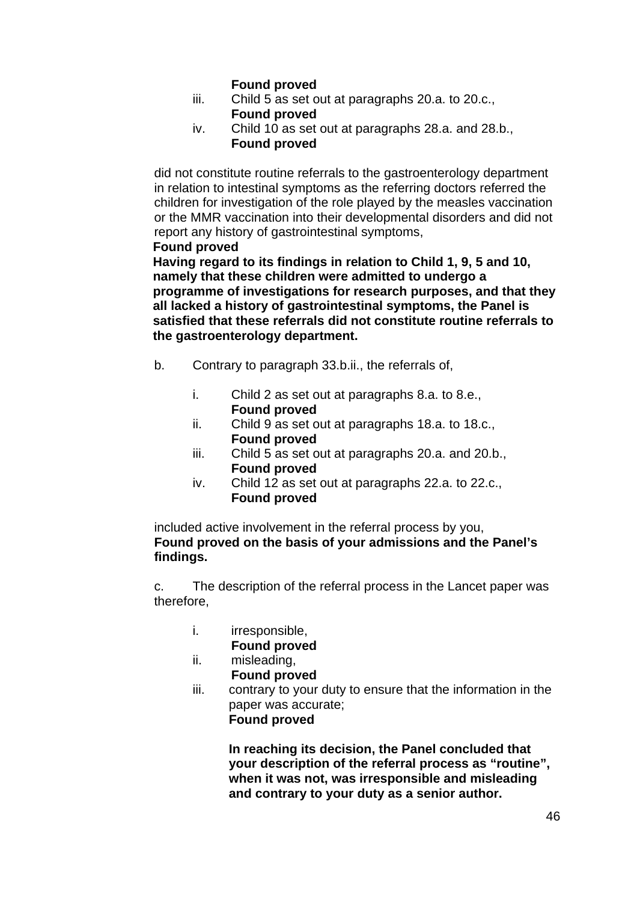## **Found proved**

- iii. Child 5 as set out at paragraphs 20.a. to 20.c., **Found proved**
- iv. Child 10 as set out at paragraphs 28.a. and 28.b., **Found proved**

did not constitute routine referrals to the gastroenterology department in relation to intestinal symptoms as the referring doctors referred the children for investigation of the role played by the measles vaccination or the MMR vaccination into their developmental disorders and did not report any history of gastrointestinal symptoms,

**Found proved** 

**Having regard to its findings in relation to Child 1, 9, 5 and 10, namely that these children were admitted to undergo a programme of investigations for research purposes, and that they all lacked a history of gastrointestinal symptoms, the Panel is satisfied that these referrals did not constitute routine referrals to the gastroenterology department.** 

- b. Contrary to paragraph 33.b.ii., the referrals of,
	- i. Child 2 as set out at paragraphs 8.a. to 8.e., **Found proved**
	- ii. Child 9 as set out at paragraphs 18.a. to 18.c., **Found proved**
	- iii. Child 5 as set out at paragraphs 20.a. and 20.b., **Found proved**
	- iv. Child 12 as set out at paragraphs 22.a. to 22.c.,  **Found proved**

included active involvement in the referral process by you, **Found proved on the basis of your admissions and the Panel's findings.**

c. The description of the referral process in the Lancet paper was therefore,

i. irresponsible,

**Found proved**

- ii. misleading, **Found proved**
- iii. contrary to your duty to ensure that the information in the paper was accurate; **Found proved**

**In reaching its decision, the Panel concluded that your description of the referral process as "routine", when it was not, was irresponsible and misleading and contrary to your duty as a senior author.**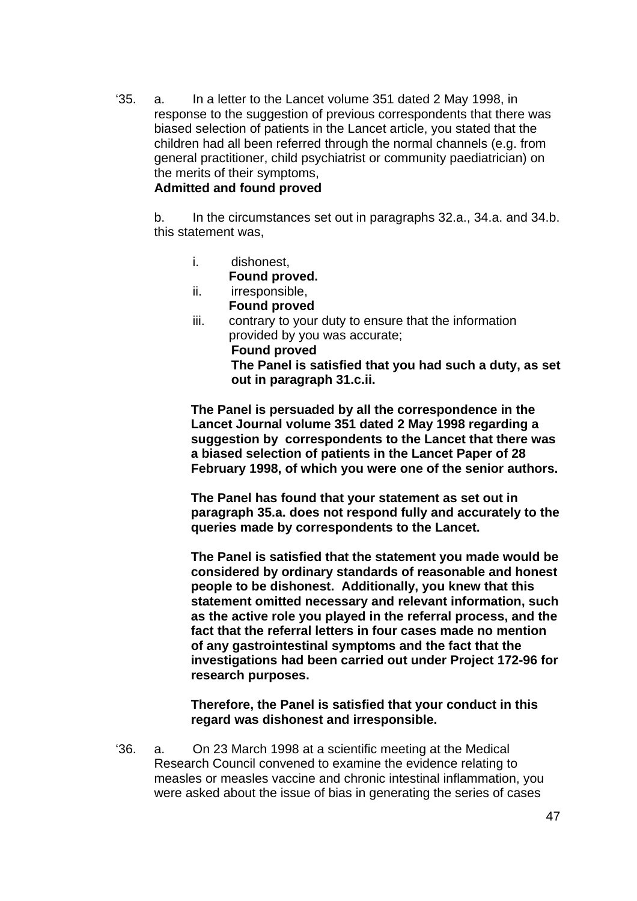'35. a. In a letter to the Lancet volume 351 dated 2 May 1998, in response to the suggestion of previous correspondents that there was biased selection of patients in the Lancet article, you stated that the children had all been referred through the normal channels (e.g. from general practitioner, child psychiatrist or community paediatrician) on the merits of their symptoms,

#### **Admitted and found proved**

b. In the circumstances set out in paragraphs 32.a., 34.a. and 34.b. this statement was,

i. dishonest,

**Found proved.** 

- ii. irresponsible, **Found proved**
- iii. contrary to your duty to ensure that the information provided by you was accurate; **Found proved The Panel is satisfied that you had such a duty, as set out in paragraph 31.c.ii.**

**The Panel is persuaded by all the correspondence in the Lancet Journal volume 351 dated 2 May 1998 regarding a suggestion by correspondents to the Lancet that there was a biased selection of patients in the Lancet Paper of 28 February 1998, of which you were one of the senior authors.** 

**The Panel has found that your statement as set out in paragraph 35.a. does not respond fully and accurately to the queries made by correspondents to the Lancet.** 

**The Panel is satisfied that the statement you made would be considered by ordinary standards of reasonable and honest people to be dishonest. Additionally, you knew that this statement omitted necessary and relevant information, such as the active role you played in the referral process, and the fact that the referral letters in four cases made no mention of any gastrointestinal symptoms and the fact that the investigations had been carried out under Project 172-96 for research purposes.** 

#### **Therefore, the Panel is satisfied that your conduct in this regard was dishonest and irresponsible.**

'36. a. On 23 March 1998 at a scientific meeting at the Medical Research Council convened to examine the evidence relating to measles or measles vaccine and chronic intestinal inflammation, you were asked about the issue of bias in generating the series of cases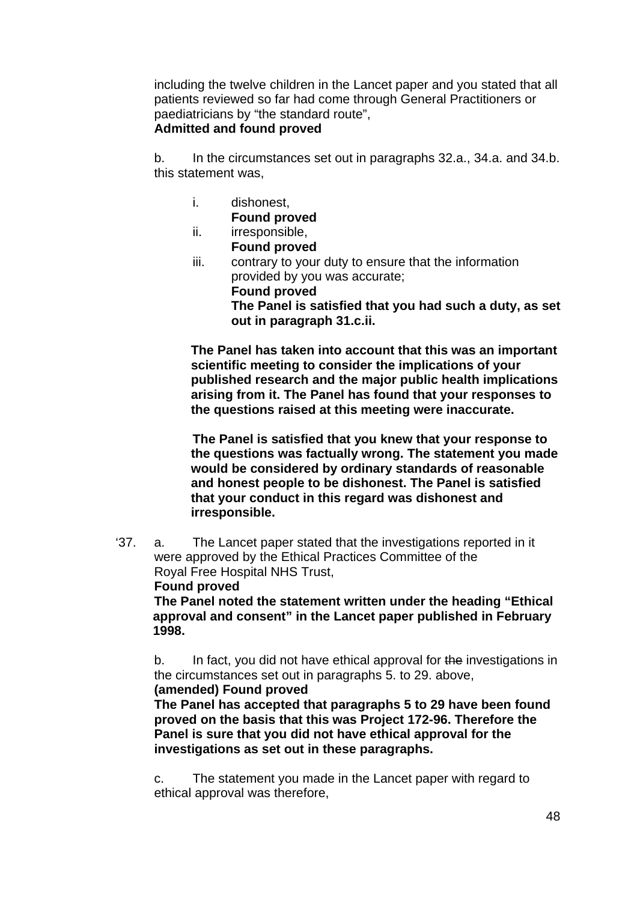including the twelve children in the Lancet paper and you stated that all patients reviewed so far had come through General Practitioners or paediatricians by "the standard route",

# **Admitted and found proved**

b. In the circumstances set out in paragraphs 32.a., 34.a. and 34.b. this statement was,

- i. dishonest,
- **Found proved**  ii. irresponsible,
- **Found proved**  iii. contrary to your duty to ensure that the information provided by you was accurate; **Found proved The Panel is satisfied that you had such a duty, as set out in paragraph 31.c.ii.**

**The Panel has taken into account that this was an important scientific meeting to consider the implications of your published research and the major public health implications arising from it. The Panel has found that your responses to the questions raised at this meeting were inaccurate.** 

**The Panel is satisfied that you knew that your response to the questions was factually wrong. The statement you made would be considered by ordinary standards of reasonable and honest people to be dishonest. The Panel is satisfied that your conduct in this regard was dishonest and irresponsible.** 

'37. a. The Lancet paper stated that the investigations reported in it were approved by the Ethical Practices Committee of the Royal Free Hospital NHS Trust,

#### **Found proved**

 **The Panel noted the statement written under the heading "Ethical approval and consent" in the Lancet paper published in February 1998.** 

b. In fact, you did not have ethical approval for the investigations in the circumstances set out in paragraphs 5. to 29. above,

 **(amended) Found proved The Panel has accepted that paragraphs 5 to 29 have been found proved on the basis that this was Project 172-96. Therefore the Panel is sure that you did not have ethical approval for the investigations as set out in these paragraphs.** 

c. The statement you made in the Lancet paper with regard to ethical approval was therefore,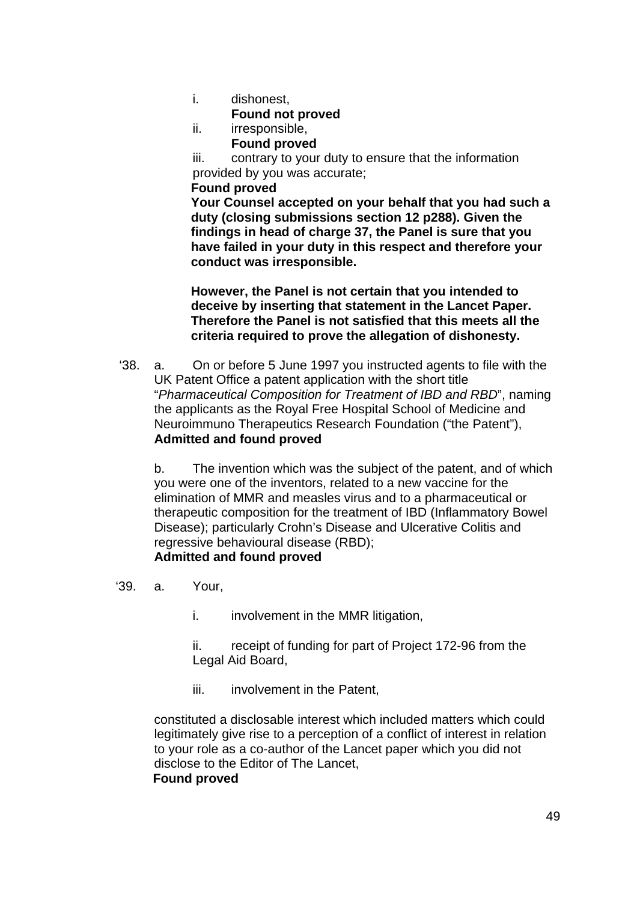i. dishonest,

**Found not proved** 

- ii. irresponsible,
	- **Found proved**

iii. contrary to your duty to ensure that the information provided by you was accurate;

#### **Found proved**

 **Your Counsel accepted on your behalf that you had such a duty (closing submissions section 12 p288). Given the findings in head of charge 37, the Panel is sure that you have failed in your duty in this respect and therefore your conduct was irresponsible.** 

 **However, the Panel is not certain that you intended to deceive by inserting that statement in the Lancet Paper. Therefore the Panel is not satisfied that this meets all the criteria required to prove the allegation of dishonesty.** 

 '38. a. On or before 5 June 1997 you instructed agents to file with the UK Patent Office a patent application with the short title "*Pharmaceutical Composition for Treatment of IBD and RBD*", naming the applicants as the Royal Free Hospital School of Medicine and Neuroimmuno Therapeutics Research Foundation ("the Patent"), **Admitted and found proved**

b. The invention which was the subject of the patent, and of which you were one of the inventors, related to a new vaccine for the elimination of MMR and measles virus and to a pharmaceutical or therapeutic composition for the treatment of IBD (Inflammatory Bowel Disease); particularly Crohn's Disease and Ulcerative Colitis and regressive behavioural disease (RBD); **Admitted and found proved**

#### '39. a. Your,

i. involvement in the MMR litigation,

ii. receipt of funding for part of Project 172-96 from the Legal Aid Board,

iii. involvement in the Patent.

constituted a disclosable interest which included matters which could legitimately give rise to a perception of a conflict of interest in relation to your role as a co-author of the Lancet paper which you did not disclose to the Editor of The Lancet,

#### **Found proved**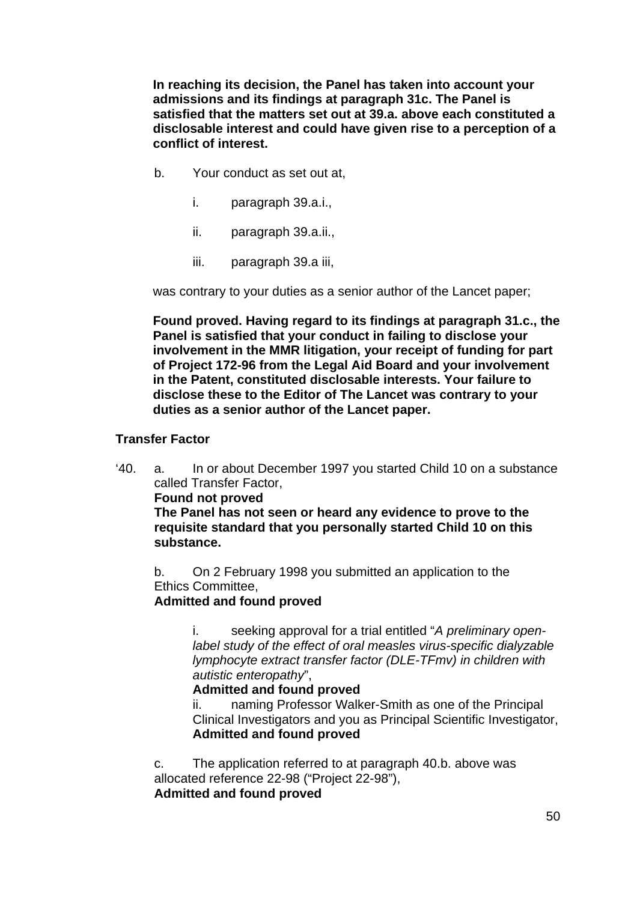**In reaching its decision, the Panel has taken into account your admissions and its findings at paragraph 31c. The Panel is satisfied that the matters set out at 39.a. above each constituted a disclosable interest and could have given rise to a perception of a conflict of interest.** 

- b. Your conduct as set out at,
	- i. paragraph 39.a.i.,
	- ii. paragraph 39.a.ii.,
	- iii. paragraph 39.a iii,

was contrary to your duties as a senior author of the Lancet paper;

**Found proved. Having regard to its findings at paragraph 31.c., the Panel is satisfied that your conduct in failing to disclose your involvement in the MMR litigation, your receipt of funding for part of Project 172-96 from the Legal Aid Board and your involvement in the Patent, constituted disclosable interests. Your failure to disclose these to the Editor of The Lancet was contrary to your duties as a senior author of the Lancet paper.** 

#### **Transfer Factor**

'40. a. In or about December 1997 you started Child 10 on a substance called Transfer Factor,

**Found not proved** 

**The Panel has not seen or heard any evidence to prove to the requisite standard that you personally started Child 10 on this substance.** 

b. On 2 February 1998 you submitted an application to the Ethics Committee,

**Admitted and found proved**

i. seeking approval for a trial entitled "*A preliminary openlabel study of the effect of oral measles virus-specific dialyzable lymphocyte extract transfer factor (DLE-TFmv) in children with autistic enteropathy*",

### **Admitted and found proved**

ii. naming Professor Walker-Smith as one of the Principal Clinical Investigators and you as Principal Scientific Investigator, **Admitted and found proved**

c. The application referred to at paragraph 40.b. above was allocated reference 22-98 ("Project 22-98"), **Admitted and found proved**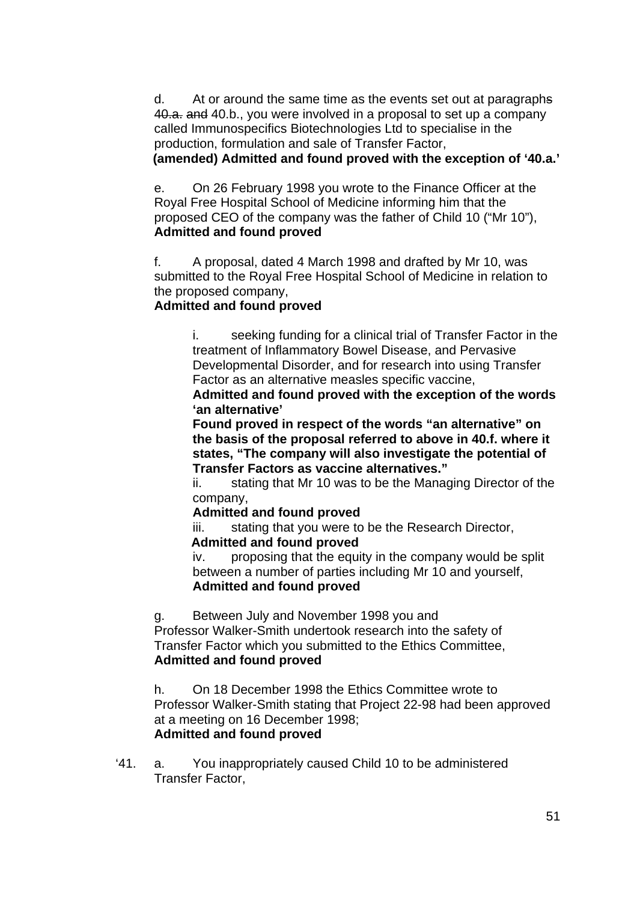d. At or around the same time as the events set out at paragraphs 40.a. and 40.b., you were involved in a proposal to set up a company called Immunospecifics Biotechnologies Ltd to specialise in the production, formulation and sale of Transfer Factor, **(amended) Admitted and found proved with the exception of '40.a.'**

e. On 26 February 1998 you wrote to the Finance Officer at the Royal Free Hospital School of Medicine informing him that the proposed CEO of the company was the father of Child 10 ("Mr 10"), **Admitted and found proved**

f. A proposal, dated 4 March 1998 and drafted by Mr 10, was submitted to the Royal Free Hospital School of Medicine in relation to the proposed company,

## **Admitted and found proved**

i. seeking funding for a clinical trial of Transfer Factor in the treatment of Inflammatory Bowel Disease, and Pervasive Developmental Disorder, and for research into using Transfer Factor as an alternative measles specific vaccine,

**Admitted and found proved with the exception of the words 'an alternative'** 

**Found proved in respect of the words "an alternative" on the basis of the proposal referred to above in 40.f. where it states, "The company will also investigate the potential of Transfer Factors as vaccine alternatives."** 

ii. stating that Mr 10 was to be the Managing Director of the company,

## **Admitted and found proved**

iii. stating that you were to be the Research Director,

#### **Admitted and found proved**

iv. proposing that the equity in the company would be split between a number of parties including Mr 10 and yourself, **Admitted and found proved**

g. Between July and November 1998 you and

Professor Walker-Smith undertook research into the safety of Transfer Factor which you submitted to the Ethics Committee, **Admitted and found proved**

h. On 18 December 1998 the Ethics Committee wrote to Professor Walker-Smith stating that Project 22-98 had been approved at a meeting on 16 December 1998; **Admitted and found proved**

'41. a. You inappropriately caused Child 10 to be administered Transfer Factor,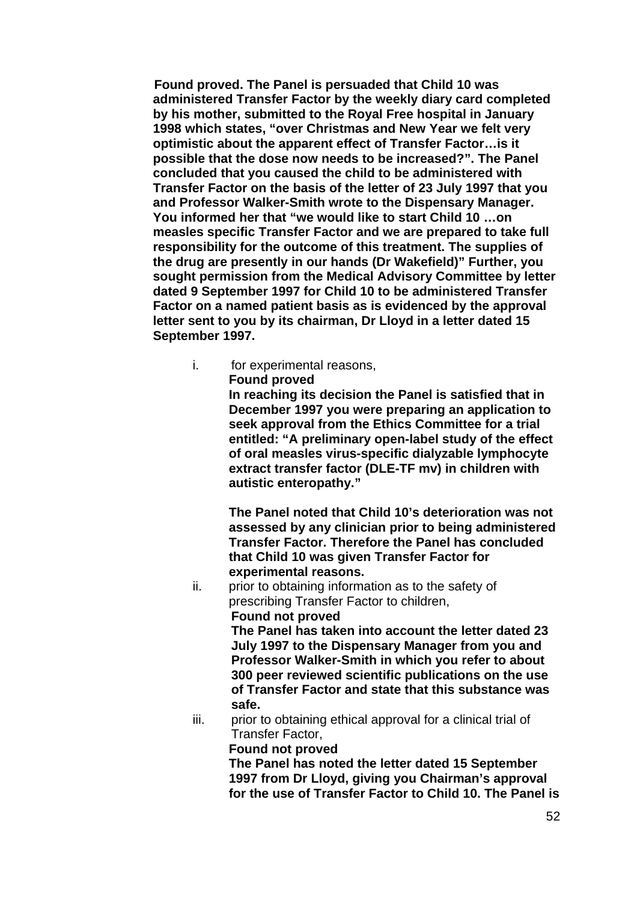**Found proved. The Panel is persuaded that Child 10 was administered Transfer Factor by the weekly diary card completed by his mother, submitted to the Royal Free hospital in January 1998 which states, "over Christmas and New Year we felt very optimistic about the apparent effect of Transfer Factor…is it possible that the dose now needs to be increased?". The Panel concluded that you caused the child to be administered with Transfer Factor on the basis of the letter of 23 July 1997 that you and Professor Walker-Smith wrote to the Dispensary Manager. You informed her that "we would like to start Child 10 …on measles specific Transfer Factor and we are prepared to take full responsibility for the outcome of this treatment. The supplies of the drug are presently in our hands (Dr Wakefield)" Further, you sought permission from the Medical Advisory Committee by letter dated 9 September 1997 for Child 10 to be administered Transfer Factor on a named patient basis as is evidenced by the approval letter sent to you by its chairman, Dr Lloyd in a letter dated 15 September 1997.** 

i. for experimental reasons,

**Found proved** 

**In reaching its decision the Panel is satisfied that in December 1997 you were preparing an application to seek approval from the Ethics Committee for a trial entitled: "A preliminary open-label study of the effect of oral measles virus-specific dialyzable lymphocyte extract transfer factor (DLE-TF mv) in children with autistic enteropathy."** 

**The Panel noted that Child 10's deterioration was not assessed by any clinician prior to being administered Transfer Factor. Therefore the Panel has concluded that Child 10 was given Transfer Factor for experimental reasons.** 

ii. prior to obtaining information as to the safety of prescribing Transfer Factor to children, **Found not proved** 

> **The Panel has taken into account the letter dated 23 July 1997 to the Dispensary Manager from you and Professor Walker-Smith in which you refer to about 300 peer reviewed scientific publications on the use of Transfer Factor and state that this substance was safe.**

iii. prior to obtaining ethical approval for a clinical trial of Transfer Factor,

#### **Found not proved**

**The Panel has noted the letter dated 15 September 1997 from Dr Lloyd, giving you Chairman's approval for the use of Transfer Factor to Child 10. The Panel is**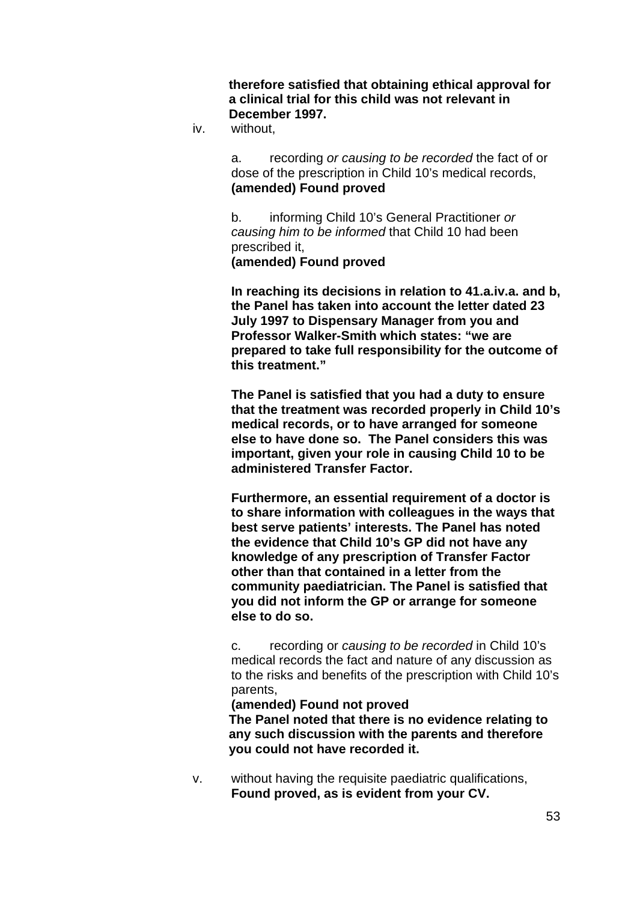**therefore satisfied that obtaining ethical approval for a clinical trial for this child was not relevant in December 1997.** 

iv. without,

a. recording *or causing to be recorded* the fact of or dose of the prescription in Child 10's medical records, **(amended) Found proved** 

b. informing Child 10's General Practitioner *or causing him to be informed* that Child 10 had been prescribed it, **(amended) Found proved** 

**In reaching its decisions in relation to 41.a.iv.a. and b, the Panel has taken into account the letter dated 23 July 1997 to Dispensary Manager from you and Professor Walker-Smith which states: "we are prepared to take full responsibility for the outcome of this treatment."** 

**The Panel is satisfied that you had a duty to ensure that the treatment was recorded properly in Child 10's medical records, or to have arranged for someone else to have done so. The Panel considers this was important, given your role in causing Child 10 to be administered Transfer Factor.** 

**Furthermore, an essential requirement of a doctor is to share information with colleagues in the ways that best serve patients' interests. The Panel has noted the evidence that Child 10's GP did not have any knowledge of any prescription of Transfer Factor other than that contained in a letter from the community paediatrician. The Panel is satisfied that you did not inform the GP or arrange for someone else to do so.** 

c. recording or *causing to be recorded* in Child 10's medical records the fact and nature of any discussion as to the risks and benefits of the prescription with Child 10's parents,

#### **(amended) Found not proved**

**The Panel noted that there is no evidence relating to any such discussion with the parents and therefore you could not have recorded it.** 

v. without having the requisite paediatric qualifications, **Found proved, as is evident from your CV.**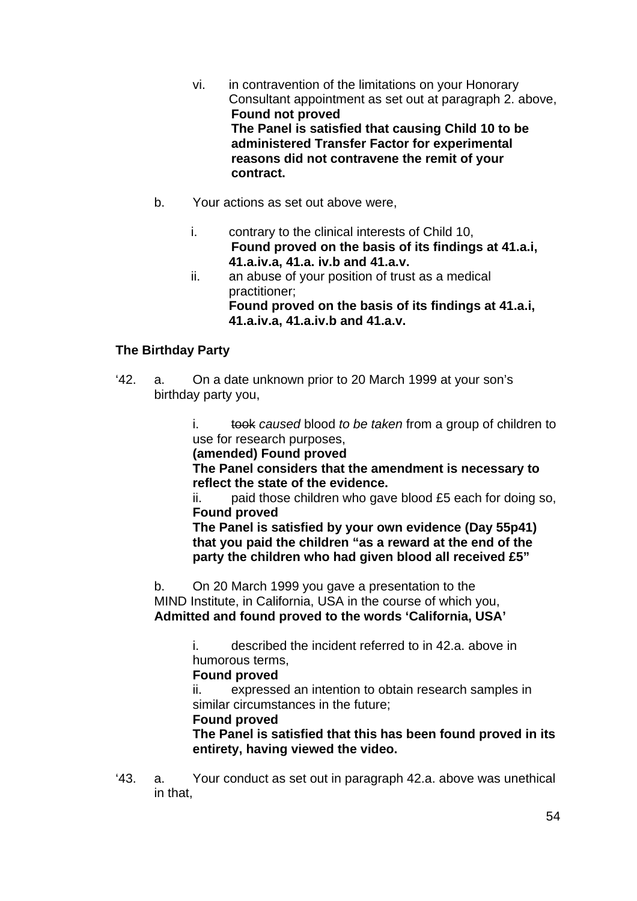- vi. in contravention of the limitations on your Honorary Consultant appointment as set out at paragraph 2. above, **Found not proved The Panel is satisfied that causing Child 10 to be administered Transfer Factor for experimental reasons did not contravene the remit of your contract.**
- b. Your actions as set out above were,
	- i. contrary to the clinical interests of Child 10, **Found proved on the basis of its findings at 41.a.i, 41.a.iv.a, 41.a. iv.b and 41.a.v.**
	- ii. an abuse of your position of trust as a medical practitioner;  **Found proved on the basis of its findings at 41.a.i, 41.a.iv.a, 41.a.iv.b and 41.a.v.**

## **The Birthday Party**

'42. a. On a date unknown prior to 20 March 1999 at your son's birthday party you,

> i. took *caused* blood *to be taken* from a group of children to use for research purposes,

**(amended) Found proved** 

**The Panel considers that the amendment is necessary to reflect the state of the evidence.**

ii. paid those children who gave blood £5 each for doing so, **Found proved** 

**The Panel is satisfied by your own evidence (Day 55p41) that you paid the children "as a reward at the end of the party the children who had given blood all received £5"** 

b. On 20 March 1999 you gave a presentation to the MIND Institute, in California, USA in the course of which you, **Admitted and found proved to the words 'California, USA'**

> i. described the incident referred to in 42.a. above in humorous terms,

#### **Found proved**

ii. expressed an intention to obtain research samples in similar circumstances in the future;

#### **Found proved**

**The Panel is satisfied that this has been found proved in its entirety, having viewed the video.** 

'43. a. Your conduct as set out in paragraph 42.a. above was unethical in that,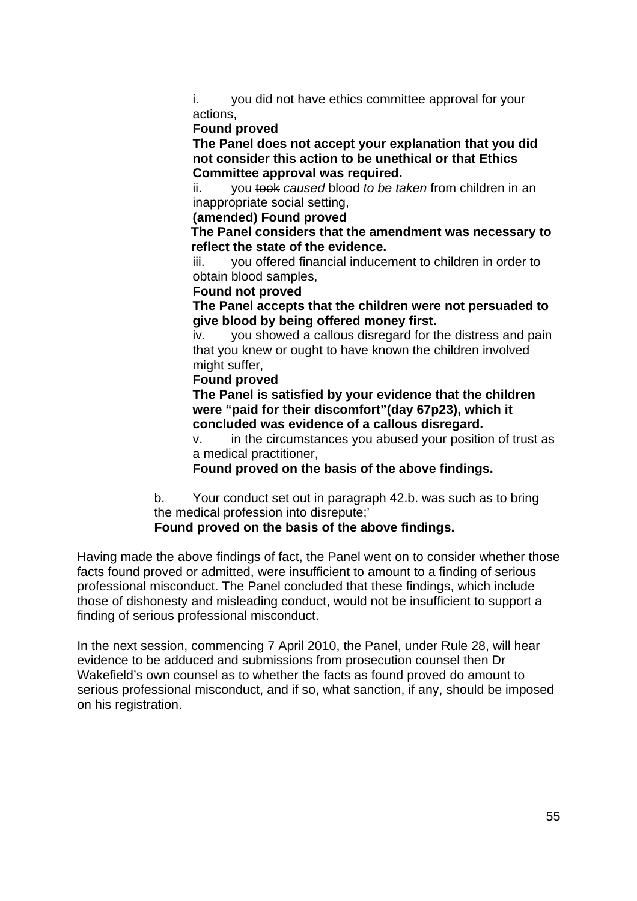i. you did not have ethics committee approval for your actions,

#### **Found proved**

**The Panel does not accept your explanation that you did not consider this action to be unethical or that Ethics Committee approval was required.** 

ii. you took *caused* blood *to be taken* from children in an inappropriate social setting,

**(amended) Found proved** 

 **The Panel considers that the amendment was necessary to reflect the state of the evidence.** 

iii. you offered financial inducement to children in order to obtain blood samples,

#### **Found not proved**

**The Panel accepts that the children were not persuaded to give blood by being offered money first.** 

iv. you showed a callous disregard for the distress and pain that you knew or ought to have known the children involved might suffer,

#### **Found proved**

**The Panel is satisfied by your evidence that the children were "paid for their discomfort"(day 67p23), which it concluded was evidence of a callous disregard.** 

v. in the circumstances you abused your position of trust as a medical practitioner,

**Found proved on the basis of the above findings.** 

b. Your conduct set out in paragraph 42.b. was such as to bring the medical profession into disrepute;'

#### **Found proved on the basis of the above findings.**

Having made the above findings of fact, the Panel went on to consider whether those facts found proved or admitted, were insufficient to amount to a finding of serious professional misconduct. The Panel concluded that these findings, which include those of dishonesty and misleading conduct, would not be insufficient to support a finding of serious professional misconduct.

In the next session, commencing 7 April 2010, the Panel, under Rule 28, will hear evidence to be adduced and submissions from prosecution counsel then Dr Wakefield's own counsel as to whether the facts as found proved do amount to serious professional misconduct, and if so, what sanction, if any, should be imposed on his registration.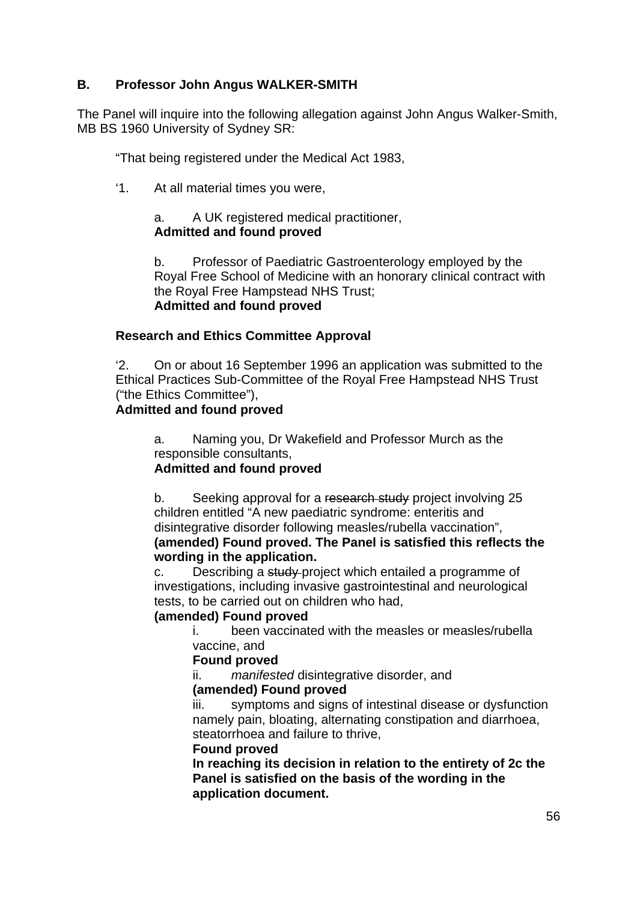## **B. Professor John Angus WALKER-SMITH**

The Panel will inquire into the following allegation against John Angus Walker-Smith, MB BS 1960 University of Sydney SR:

"That being registered under the Medical Act 1983,

'1. At all material times you were,

### a. A UK registered medical practitioner, **Admitted and found proved**

b. Professor of Paediatric Gastroenterology employed by the Royal Free School of Medicine with an honorary clinical contract with the Royal Free Hampstead NHS Trust; **Admitted and found proved** 

## **Research and Ethics Committee Approval**

'2. On or about 16 September 1996 an application was submitted to the Ethical Practices Sub-Committee of the Royal Free Hampstead NHS Trust ("the Ethics Committee"),

### **Admitted and found proved**

a. Naming you, Dr Wakefield and Professor Murch as the responsible consultants,

## **Admitted and found proved**

b. Seeking approval for a research study project involving 25 children entitled "A new paediatric syndrome: enteritis and disintegrative disorder following measles/rubella vaccination", **(amended) Found proved. The Panel is satisfied this reflects the wording in the application.** 

c. Describing a study-project which entailed a programme of investigations, including invasive gastrointestinal and neurological tests, to be carried out on children who had,

## **(amended) Found proved**

i. been vaccinated with the measles or measles/rubella vaccine, and

#### **Found proved**

ii. *manifested* disintegrative disorder, and

#### **(amended) Found proved**

iii. symptoms and signs of intestinal disease or dysfunction namely pain, bloating, alternating constipation and diarrhoea, steatorrhoea and failure to thrive,

#### **Found proved**

**In reaching its decision in relation to the entirety of 2c the Panel is satisfied on the basis of the wording in the application document.**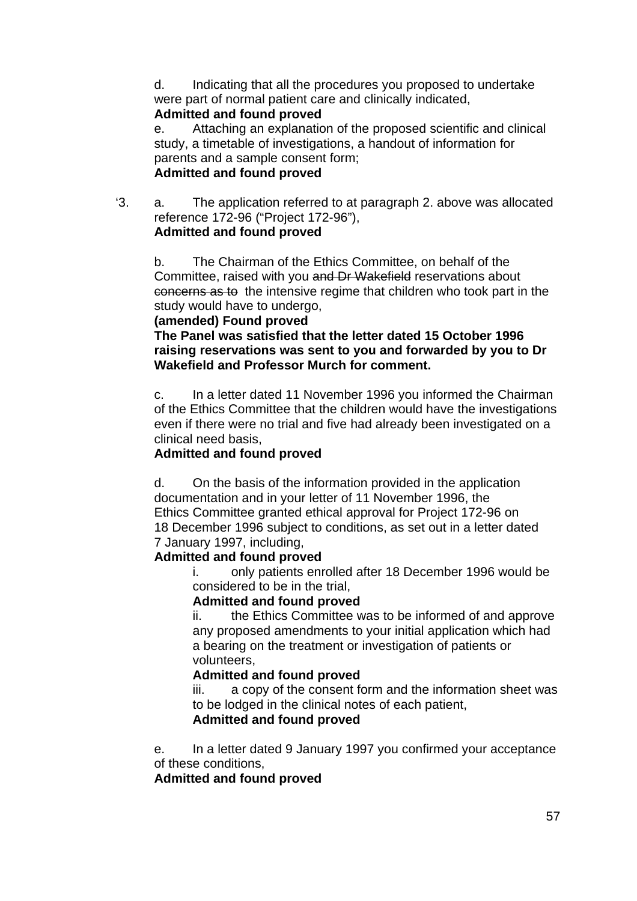d. Indicating that all the procedures you proposed to undertake were part of normal patient care and clinically indicated,

### **Admitted and found proved**

e. Attaching an explanation of the proposed scientific and clinical study, a timetable of investigations, a handout of information for parents and a sample consent form; **Admitted and found proved**

'3. a. The application referred to at paragraph 2. above was allocated reference 172-96 ("Project 172-96"), **Admitted and found proved**

b. The Chairman of the Ethics Committee, on behalf of the Committee, raised with you and Dr Wakefield reservations about concerns as to the intensive regime that children who took part in the study would have to undergo,

### **(amended) Found proved**

**The Panel was satisfied that the letter dated 15 October 1996 raising reservations was sent to you and forwarded by you to Dr Wakefield and Professor Murch for comment.** 

c. In a letter dated 11 November 1996 you informed the Chairman of the Ethics Committee that the children would have the investigations even if there were no trial and five had already been investigated on a clinical need basis,

### **Admitted and found proved**

d. On the basis of the information provided in the application documentation and in your letter of 11 November 1996, the Ethics Committee granted ethical approval for Project 172-96 on 18 December 1996 subject to conditions, as set out in a letter dated 7 January 1997, including,

#### **Admitted and found proved**

i. only patients enrolled after 18 December 1996 would be considered to be in the trial,

#### **Admitted and found proved**

ii. the Ethics Committee was to be informed of and approve any proposed amendments to your initial application which had a bearing on the treatment or investigation of patients or volunteers,

### **Admitted and found proved**

iii. a copy of the consent form and the information sheet was to be lodged in the clinical notes of each patient,

#### **Admitted and found proved**

e. In a letter dated 9 January 1997 you confirmed your acceptance of these conditions,

#### **Admitted and found proved**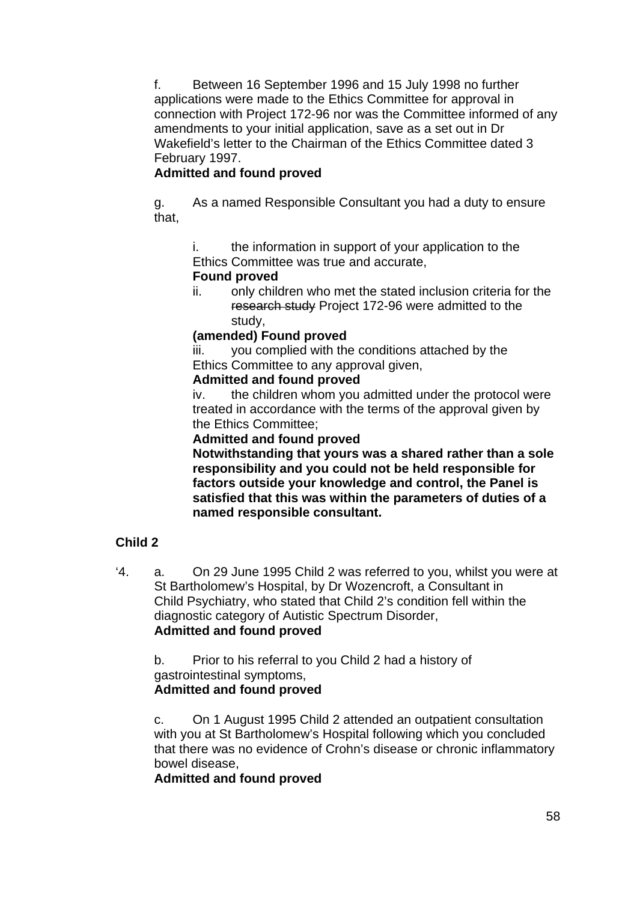f. Between 16 September 1996 and 15 July 1998 no further applications were made to the Ethics Committee for approval in connection with Project 172-96 nor was the Committee informed of any amendments to your initial application, save as a set out in Dr Wakefield's letter to the Chairman of the Ethics Committee dated 3 February 1997.

## **Admitted and found proved**

g. As a named Responsible Consultant you had a duty to ensure that,

i. the information in support of your application to the Ethics Committee was true and accurate,

### **Found proved**

ii. only children who met the stated inclusion criteria for the research study Project 172-96 were admitted to the study,

### **(amended) Found proved**

iii. you complied with the conditions attached by the Ethics Committee to any approval given,

#### **Admitted and found proved**

iv. the children whom you admitted under the protocol were treated in accordance with the terms of the approval given by the Ethics Committee;

#### **Admitted and found proved**

**Notwithstanding that yours was a shared rather than a sole responsibility and you could not be held responsible for factors outside your knowledge and control, the Panel is satisfied that this was within the parameters of duties of a named responsible consultant.** 

## **Child 2**

'4. a. On 29 June 1995 Child 2 was referred to you, whilst you were at St Bartholomew's Hospital, by Dr Wozencroft, a Consultant in Child Psychiatry, who stated that Child 2's condition fell within the diagnostic category of Autistic Spectrum Disorder, **Admitted and found proved**

b. Prior to his referral to you Child 2 had a history of gastrointestinal symptoms, **Admitted and found proved** 

c. On 1 August 1995 Child 2 attended an outpatient consultation with you at St Bartholomew's Hospital following which you concluded that there was no evidence of Crohn's disease or chronic inflammatory bowel disease,

#### **Admitted and found proved**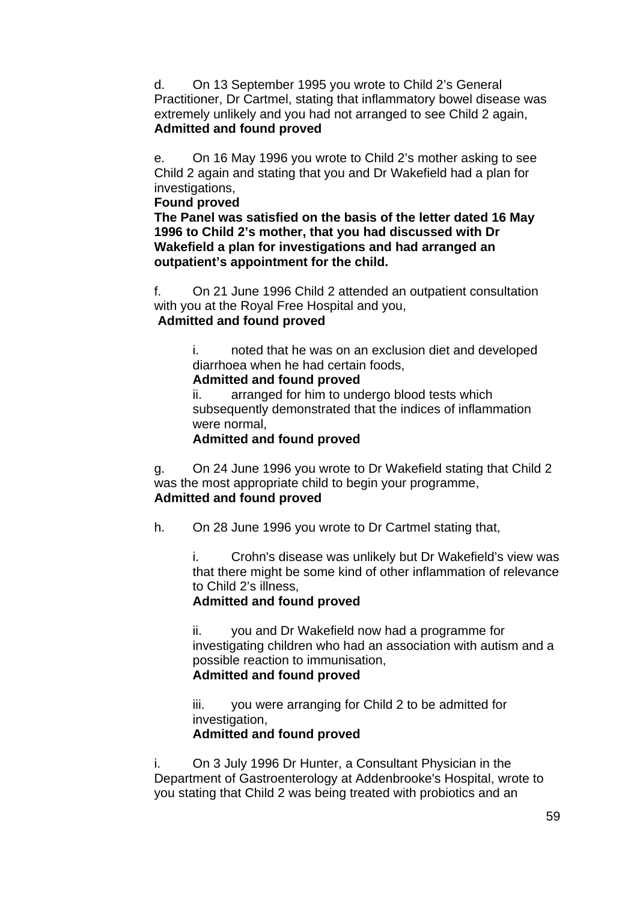d. On 13 September 1995 you wrote to Child 2's General Practitioner, Dr Cartmel, stating that inflammatory bowel disease was extremely unlikely and you had not arranged to see Child 2 again, **Admitted and found proved** 

e. On 16 May 1996 you wrote to Child 2's mother asking to see Child 2 again and stating that you and Dr Wakefield had a plan for investigations,

#### **Found proved**

**The Panel was satisfied on the basis of the letter dated 16 May 1996 to Child 2's mother, that you had discussed with Dr Wakefield a plan for investigations and had arranged an outpatient's appointment for the child.** 

f. On 21 June 1996 Child 2 attended an outpatient consultation with you at the Royal Free Hospital and you, **Admitted and found proved** 

> i. noted that he was on an exclusion diet and developed diarrhoea when he had certain foods,

## **Admitted and found proved**

ii. arranged for him to undergo blood tests which subsequently demonstrated that the indices of inflammation were normal,

## **Admitted and found proved**

g. On 24 June 1996 you wrote to Dr Wakefield stating that Child 2 was the most appropriate child to begin your programme, **Admitted and found proved**

h. On 28 June 1996 you wrote to Dr Cartmel stating that,

i. Crohn's disease was unlikely but Dr Wakefield's view was that there might be some kind of other inflammation of relevance to Child 2's illness,

## **Admitted and found proved**

ii. you and Dr Wakefield now had a programme for investigating children who had an association with autism and a possible reaction to immunisation, **Admitted and found proved** 

iii. you were arranging for Child 2 to be admitted for investigation,

## **Admitted and found proved**

i. On 3 July 1996 Dr Hunter, a Consultant Physician in the Department of Gastroenterology at Addenbrooke's Hospital, wrote to you stating that Child 2 was being treated with probiotics and an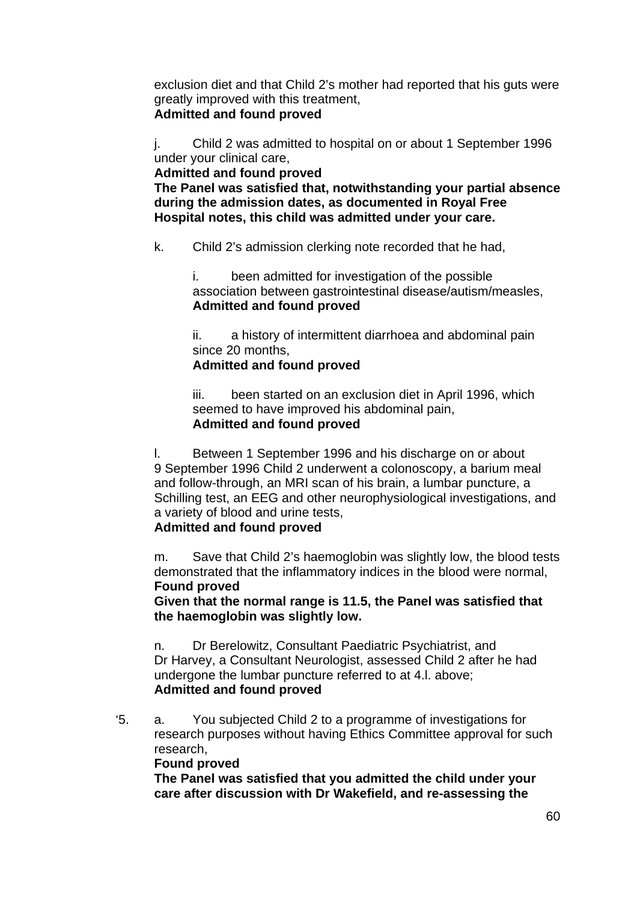exclusion diet and that Child 2's mother had reported that his guts were greatly improved with this treatment, **Admitted and found proved** 

j. Child 2 was admitted to hospital on or about 1 September 1996 under your clinical care,

**Admitted and found proved The Panel was satisfied that, notwithstanding your partial absence during the admission dates, as documented in Royal Free Hospital notes, this child was admitted under your care.** 

k. Child 2's admission clerking note recorded that he had,

i. been admitted for investigation of the possible association between gastrointestinal disease/autism/measles, **Admitted and found proved**

ii. a history of intermittent diarrhoea and abdominal pain since 20 months,

### **Admitted and found proved**

iii. been started on an exclusion diet in April 1996, which seemed to have improved his abdominal pain, **Admitted and found proved**

l. Between 1 September 1996 and his discharge on or about 9 September 1996 Child 2 underwent a colonoscopy, a barium meal and follow-through, an MRI scan of his brain, a lumbar puncture, a Schilling test, an EEG and other neurophysiological investigations, and a variety of blood and urine tests,

## **Admitted and found proved**

m. Save that Child 2's haemoglobin was slightly low, the blood tests demonstrated that the inflammatory indices in the blood were normal, **Found proved** 

**Given that the normal range is 11.5, the Panel was satisfied that the haemoglobin was slightly low.** 

n. Dr Berelowitz, Consultant Paediatric Psychiatrist, and Dr Harvey, a Consultant Neurologist, assessed Child 2 after he had undergone the lumbar puncture referred to at 4.l. above; **Admitted and found proved**

'5. a. You subjected Child 2 to a programme of investigations for research purposes without having Ethics Committee approval for such research,

#### **Found proved**

**The Panel was satisfied that you admitted the child under your care after discussion with Dr Wakefield, and re-assessing the**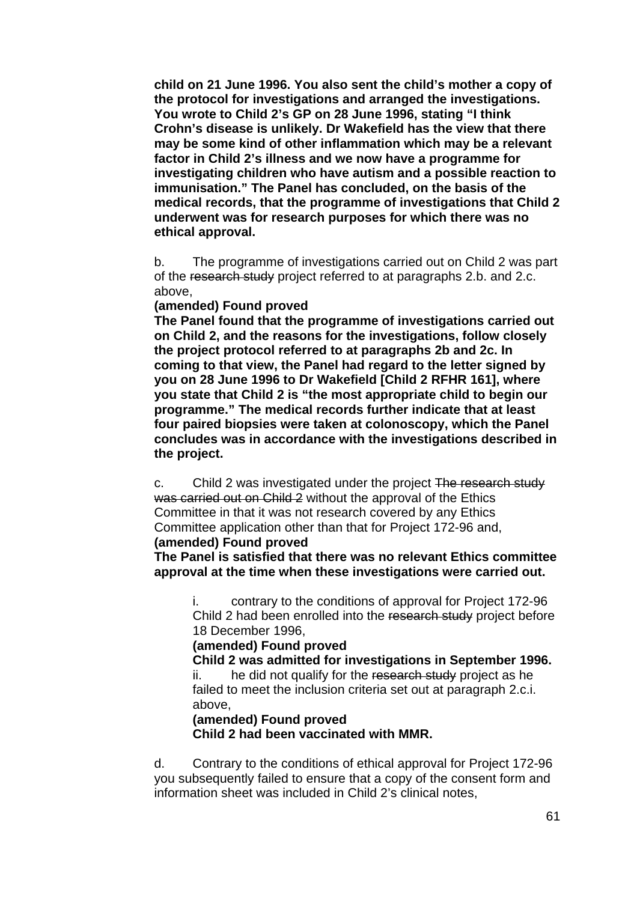**child on 21 June 1996. You also sent the child's mother a copy of the protocol for investigations and arranged the investigations. You wrote to Child 2's GP on 28 June 1996, stating "I think Crohn's disease is unlikely. Dr Wakefield has the view that there may be some kind of other inflammation which may be a relevant factor in Child 2's illness and we now have a programme for investigating children who have autism and a possible reaction to immunisation." The Panel has concluded, on the basis of the medical records, that the programme of investigations that Child 2 underwent was for research purposes for which there was no ethical approval.** 

b. The programme of investigations carried out on Child 2 was part of the research study project referred to at paragraphs 2.b. and 2.c. above,

#### **(amended) Found proved**

**The Panel found that the programme of investigations carried out on Child 2, and the reasons for the investigations, follow closely the project protocol referred to at paragraphs 2b and 2c. In coming to that view, the Panel had regard to the letter signed by you on 28 June 1996 to Dr Wakefield [Child 2 RFHR 161], where you state that Child 2 is "the most appropriate child to begin our programme." The medical records further indicate that at least four paired biopsies were taken at colonoscopy, which the Panel concludes was in accordance with the investigations described in the project.** 

c. Child 2 was investigated under the project The research study was carried out on Child 2 without the approval of the Ethics Committee in that it was not research covered by any Ethics Committee application other than that for Project 172-96 and, **(amended) Found proved** 

#### **The Panel is satisfied that there was no relevant Ethics committee approval at the time when these investigations were carried out.**

i. contrary to the conditions of approval for Project 172-96 Child 2 had been enrolled into the research study project before 18 December 1996,

#### **(amended) Found proved**

 **Child 2 was admitted for investigations in September 1996.**  ii. he did not qualify for the research study project as he failed to meet the inclusion criteria set out at paragraph 2.c.i. above,

#### **(amended) Found proved**

 **Child 2 had been vaccinated with MMR.** 

d. Contrary to the conditions of ethical approval for Project 172-96 you subsequently failed to ensure that a copy of the consent form and information sheet was included in Child 2's clinical notes,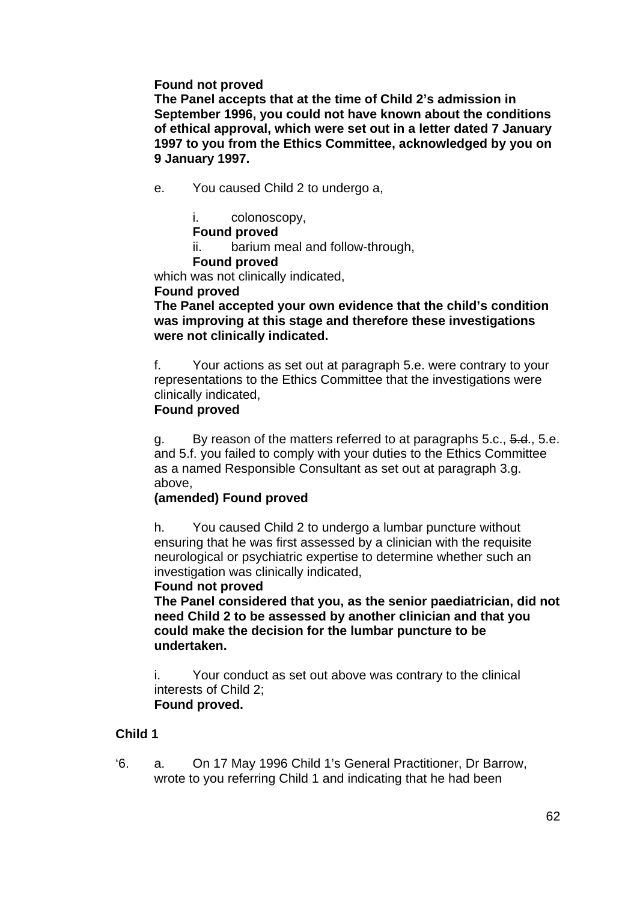#### **Found not proved**

**The Panel accepts that at the time of Child 2's admission in September 1996, you could not have known about the conditions of ethical approval, which were set out in a letter dated 7 January 1997 to you from the Ethics Committee, acknowledged by you on 9 January 1997.** 

- e. You caused Child 2 to undergo a,
	- i. colonoscopy,

#### **Found proved**

ii. barium meal and follow-through,

#### **Found proved**

which was not clinically indicated.

#### **Found proved**

**The Panel accepted your own evidence that the child's condition was improving at this stage and therefore these investigations were not clinically indicated.** 

f. Your actions as set out at paragraph 5.e. were contrary to your representations to the Ethics Committee that the investigations were clinically indicated,

#### **Found proved**

g. By reason of the matters referred to at paragraphs 5.c., 5.d., 5.e. and 5.f. you failed to comply with your duties to the Ethics Committee as a named Responsible Consultant as set out at paragraph 3.g. above,

#### **(amended) Found proved**

h. You caused Child 2 to undergo a lumbar puncture without ensuring that he was first assessed by a clinician with the requisite neurological or psychiatric expertise to determine whether such an investigation was clinically indicated,

#### **Found not proved**

**The Panel considered that you, as the senior paediatrician, did not need Child 2 to be assessed by another clinician and that you could make the decision for the lumbar puncture to be undertaken.** 

i. Your conduct as set out above was contrary to the clinical interests of Child 2;  **Found proved.** 

#### **Child 1**

'6. a. On 17 May 1996 Child 1's General Practitioner, Dr Barrow, wrote to you referring Child 1 and indicating that he had been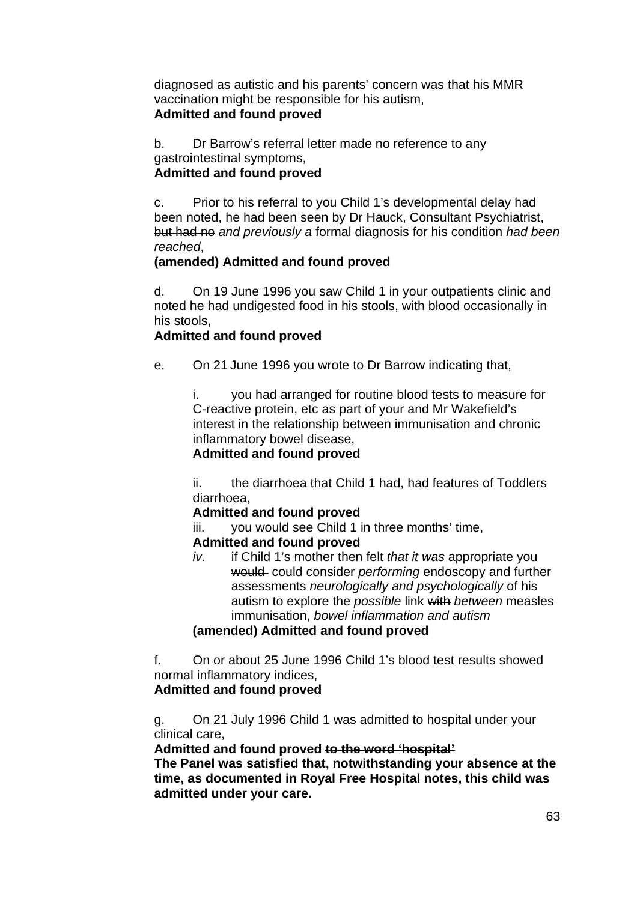diagnosed as autistic and his parents' concern was that his MMR vaccination might be responsible for his autism, **Admitted and found proved**

b. Dr Barrow's referral letter made no reference to any gastrointestinal symptoms, **Admitted and found proved**

c. Prior to his referral to you Child 1's developmental delay had been noted, he had been seen by Dr Hauck, Consultant Psychiatrist, but had no *and previously a* formal diagnosis for his condition *had been reached*,

### **(amended) Admitted and found proved**

d. On 19 June 1996 you saw Child 1 in your outpatients clinic and noted he had undigested food in his stools, with blood occasionally in his stools,

### **Admitted and found proved**

e. On 21 June 1996 you wrote to Dr Barrow indicating that,

i. you had arranged for routine blood tests to measure for C-reactive protein, etc as part of your and Mr Wakefield's interest in the relationship between immunisation and chronic inflammatory bowel disease,

#### **Admitted and found proved**

ii. the diarrhoea that Child 1 had, had features of Toddlers diarrhoea,

#### **Admitted and found proved**

iii. you would see Child 1 in three months' time,

#### **Admitted and found proved**

*iv.* if Child 1's mother then felt *that it was* appropriate you would could consider *performing* endoscopy and further assessments *neurologically and psychologically* of his autism to explore the *possible* link with *between* measles immunisation, *bowel inflammation and autism* 

#### **(amended) Admitted and found proved**

f. On or about 25 June 1996 Child 1's blood test results showed normal inflammatory indices, **Admitted and found proved**

g. On 21 July 1996 Child 1 was admitted to hospital under your clinical care,

#### **Admitted and found proved to the word 'hospital'**

**The Panel was satisfied that, notwithstanding your absence at the time, as documented in Royal Free Hospital notes, this child was admitted under your care.**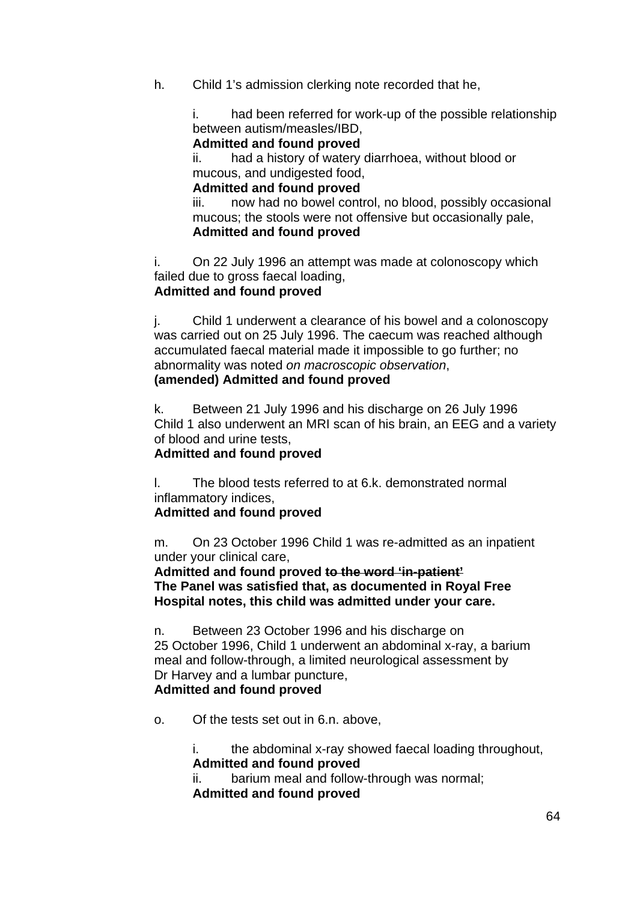h. Child 1's admission clerking note recorded that he,

i. had been referred for work-up of the possible relationship between autism/measles/IBD,

**Admitted and found proved**

ii. had a history of watery diarrhoea, without blood or mucous, and undigested food,

#### **Admitted and found proved**

iii. now had no bowel control, no blood, possibly occasional mucous; the stools were not offensive but occasionally pale, **Admitted and found proved**

i. On 22 July 1996 an attempt was made at colonoscopy which failed due to gross faecal loading,

### **Admitted and found proved**

j. Child 1 underwent a clearance of his bowel and a colonoscopy was carried out on 25 July 1996. The caecum was reached although accumulated faecal material made it impossible to go further; no abnormality was noted *on macroscopic observation*,

### **(amended) Admitted and found proved**

k. Between 21 July 1996 and his discharge on 26 July 1996 Child 1 also underwent an MRI scan of his brain, an EEG and a variety of blood and urine tests,

#### **Admitted and found proved**

l. The blood tests referred to at 6.k. demonstrated normal inflammatory indices,

## **Admitted and found proved**

m. On 23 October 1996 Child 1 was re-admitted as an inpatient under your clinical care,

**Admitted and found proved to the word 'in-patient' The Panel was satisfied that, as documented in Royal Free Hospital notes, this child was admitted under your care.** 

n. Between 23 October 1996 and his discharge on 25 October 1996, Child 1 underwent an abdominal x-ray, a barium meal and follow-through, a limited neurological assessment by Dr Harvey and a lumbar puncture, **Admitted and found proved** 

o. Of the tests set out in 6.n. above,

i. the abdominal x-ray showed faecal loading throughout, **Admitted and found proved**

ii. barium meal and follow-through was normal; **Admitted and found proved**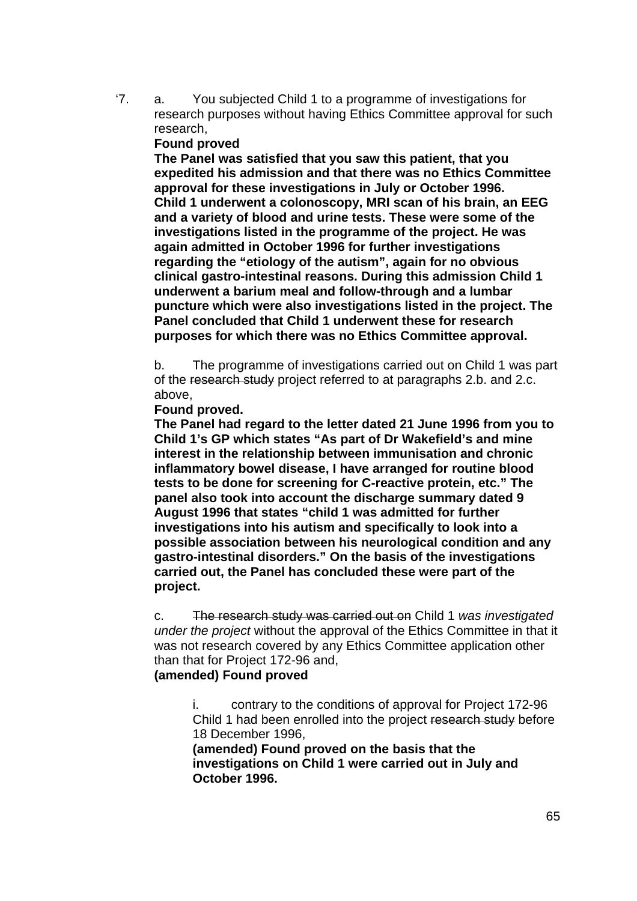'7. a. You subjected Child 1 to a programme of investigations for research purposes without having Ethics Committee approval for such research,

#### **Found proved**

**The Panel was satisfied that you saw this patient, that you expedited his admission and that there was no Ethics Committee approval for these investigations in July or October 1996. Child 1 underwent a colonoscopy, MRI scan of his brain, an EEG and a variety of blood and urine tests. These were some of the investigations listed in the programme of the project. He was again admitted in October 1996 for further investigations regarding the "etiology of the autism", again for no obvious clinical gastro-intestinal reasons. During this admission Child 1 underwent a barium meal and follow-through and a lumbar puncture which were also investigations listed in the project. The Panel concluded that Child 1 underwent these for research purposes for which there was no Ethics Committee approval.** 

b. The programme of investigations carried out on Child 1 was part of the research study project referred to at paragraphs 2.b. and 2.c. above,

#### **Found proved.**

**The Panel had regard to the letter dated 21 June 1996 from you to Child 1's GP which states "As part of Dr Wakefield's and mine interest in the relationship between immunisation and chronic inflammatory bowel disease, I have arranged for routine blood tests to be done for screening for C-reactive protein, etc." The panel also took into account the discharge summary dated 9 August 1996 that states "child 1 was admitted for further investigations into his autism and specifically to look into a possible association between his neurological condition and any gastro-intestinal disorders." On the basis of the investigations carried out, the Panel has concluded these were part of the project.** 

c. The research study was carried out on Child 1 *was investigated under the project* without the approval of the Ethics Committee in that it was not research covered by any Ethics Committee application other than that for Project 172-96 and, **(amended) Found proved** 

i. contrary to the conditions of approval for Project 172-96 Child 1 had been enrolled into the project research study before 18 December 1996,

**(amended) Found proved on the basis that the investigations on Child 1 were carried out in July and October 1996.**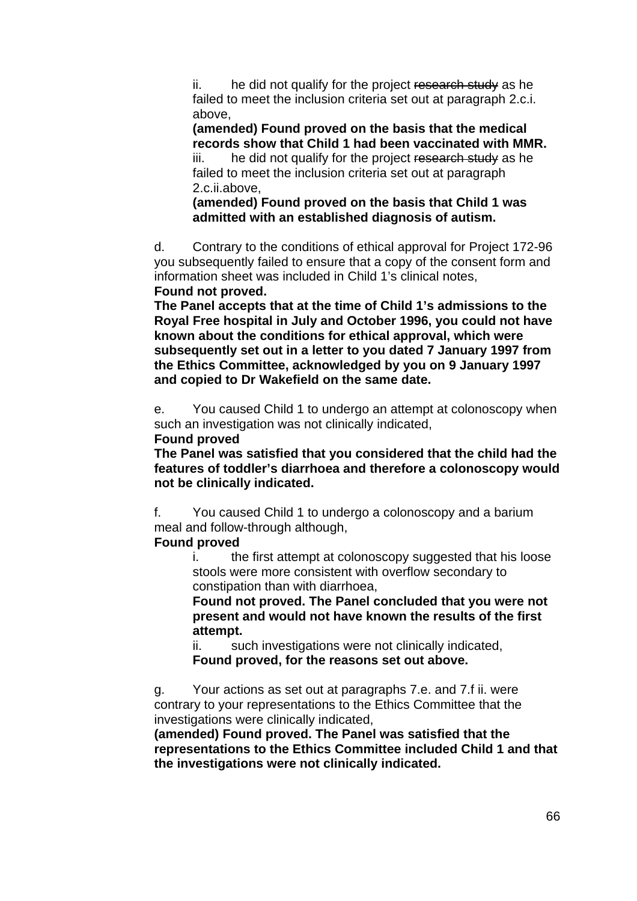ii. he did not qualify for the project research study as he failed to meet the inclusion criteria set out at paragraph 2.c.i. above,

**(amended) Found proved on the basis that the medical records show that Child 1 had been vaccinated with MMR.**  iii. he did not qualify for the project research study as he failed to meet the inclusion criteria set out at paragraph 2.c.ii.above,

**(amended) Found proved on the basis that Child 1 was admitted with an established diagnosis of autism.** 

d. Contrary to the conditions of ethical approval for Project 172-96 you subsequently failed to ensure that a copy of the consent form and information sheet was included in Child 1's clinical notes, **Found not proved.** 

**The Panel accepts that at the time of Child 1's admissions to the Royal Free hospital in July and October 1996, you could not have known about the conditions for ethical approval, which were subsequently set out in a letter to you dated 7 January 1997 from the Ethics Committee, acknowledged by you on 9 January 1997 and copied to Dr Wakefield on the same date.** 

e. You caused Child 1 to undergo an attempt at colonoscopy when such an investigation was not clinically indicated,

#### **Found proved**

**The Panel was satisfied that you considered that the child had the features of toddler's diarrhoea and therefore a colonoscopy would not be clinically indicated.** 

f. You caused Child 1 to undergo a colonoscopy and a barium meal and follow-through although,

#### **Found proved**

i. the first attempt at colonoscopy suggested that his loose stools were more consistent with overflow secondary to constipation than with diarrhoea,

**Found not proved. The Panel concluded that you were not present and would not have known the results of the first attempt.** 

ii. such investigations were not clinically indicated, **Found proved, for the reasons set out above.** 

g. Your actions as set out at paragraphs 7.e. and 7.f ii. were contrary to your representations to the Ethics Committee that the investigations were clinically indicated,

**(amended) Found proved. The Panel was satisfied that the representations to the Ethics Committee included Child 1 and that the investigations were not clinically indicated.**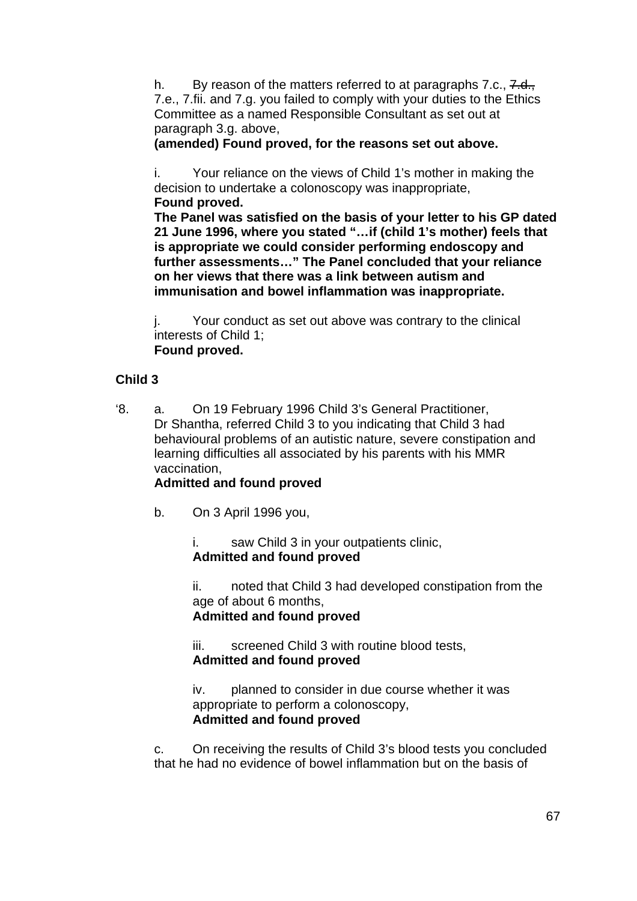h. By reason of the matters referred to at paragraphs 7.c.,  $7. d_{\odot}$ 7.e., 7.fii. and 7.g. you failed to comply with your duties to the Ethics Committee as a named Responsible Consultant as set out at paragraph 3.g. above,

**(amended) Found proved, for the reasons set out above.** 

i. Your reliance on the views of Child 1's mother in making the decision to undertake a colonoscopy was inappropriate, **Found proved.** 

**The Panel was satisfied on the basis of your letter to his GP dated 21 June 1996, where you stated "…if (child 1's mother) feels that is appropriate we could consider performing endoscopy and further assessments…" The Panel concluded that your reliance on her views that there was a link between autism and immunisation and bowel inflammation was inappropriate.** 

j. Your conduct as set out above was contrary to the clinical interests of Child 1;  **Found proved.** 

### **Child 3**

'8. a. On 19 February 1996 Child 3's General Practitioner, Dr Shantha, referred Child 3 to you indicating that Child 3 had behavioural problems of an autistic nature, severe constipation and learning difficulties all associated by his parents with his MMR vaccination,

## **Admitted and found proved**

b. On 3 April 1996 you,

i. saw Child 3 in your outpatients clinic, **Admitted and found proved**

ii. noted that Child 3 had developed constipation from the age of about 6 months, **Admitted and found proved**

iii. screened Child 3 with routine blood tests, **Admitted and found proved**

iv. planned to consider in due course whether it was appropriate to perform a colonoscopy, **Admitted and found proved**

c. On receiving the results of Child 3's blood tests you concluded that he had no evidence of bowel inflammation but on the basis of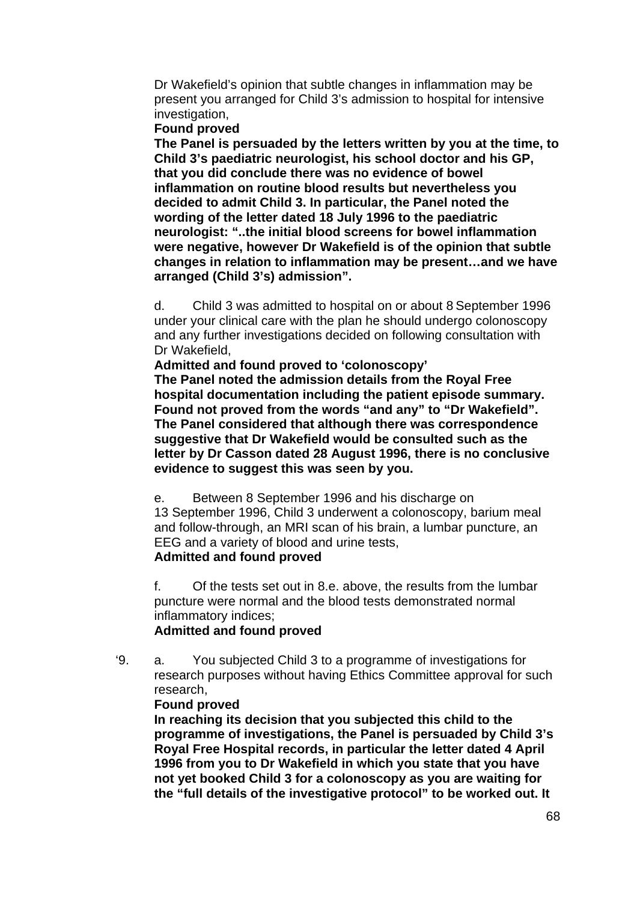Dr Wakefield's opinion that subtle changes in inflammation may be present you arranged for Child 3's admission to hospital for intensive investigation,

**Found proved** 

**The Panel is persuaded by the letters written by you at the time, to Child 3's paediatric neurologist, his school doctor and his GP, that you did conclude there was no evidence of bowel inflammation on routine blood results but nevertheless you decided to admit Child 3. In particular, the Panel noted the wording of the letter dated 18 July 1996 to the paediatric neurologist: "..the initial blood screens for bowel inflammation were negative, however Dr Wakefield is of the opinion that subtle changes in relation to inflammation may be present…and we have arranged (Child 3's) admission".** 

d. Child 3 was admitted to hospital on or about 8 September 1996 under your clinical care with the plan he should undergo colonoscopy and any further investigations decided on following consultation with Dr Wakefield,

**Admitted and found proved to 'colonoscopy'**

**The Panel noted the admission details from the Royal Free hospital documentation including the patient episode summary. Found not proved from the words "and any" to "Dr Wakefield". The Panel considered that although there was correspondence suggestive that Dr Wakefield would be consulted such as the letter by Dr Casson dated 28 August 1996, there is no conclusive evidence to suggest this was seen by you.** 

e. Between 8 September 1996 and his discharge on

13 September 1996, Child 3 underwent a colonoscopy, barium meal and follow-through, an MRI scan of his brain, a lumbar puncture, an EEG and a variety of blood and urine tests,

### **Admitted and found proved**

f. Of the tests set out in 8.e. above, the results from the lumbar puncture were normal and the blood tests demonstrated normal inflammatory indices;

#### **Admitted and found proved**

'9. a. You subjected Child 3 to a programme of investigations for research purposes without having Ethics Committee approval for such research,

#### **Found proved**

**In reaching its decision that you subjected this child to the programme of investigations, the Panel is persuaded by Child 3's Royal Free Hospital records, in particular the letter dated 4 April 1996 from you to Dr Wakefield in which you state that you have not yet booked Child 3 for a colonoscopy as you are waiting for the "full details of the investigative protocol" to be worked out. It**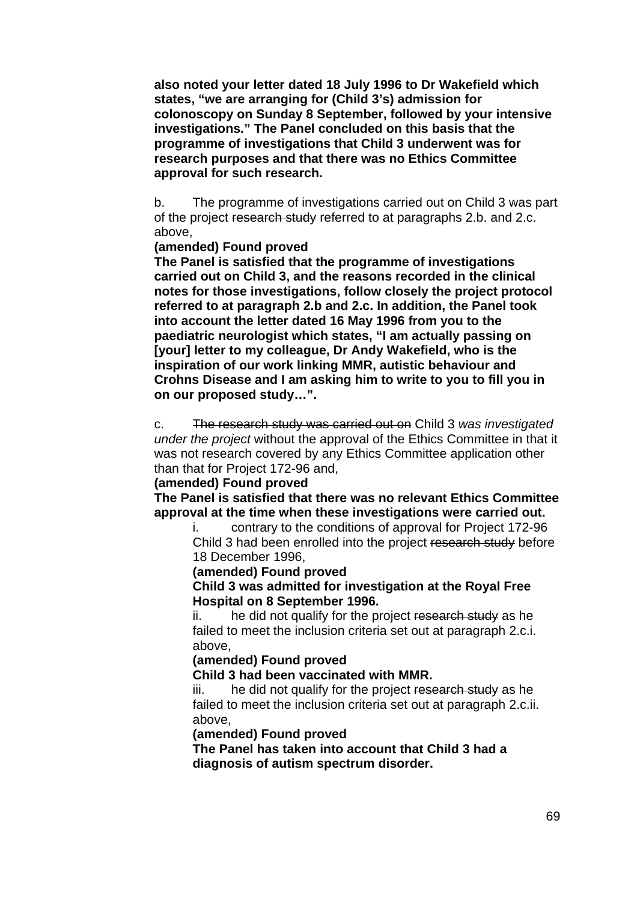**also noted your letter dated 18 July 1996 to Dr Wakefield which states, "we are arranging for (Child 3's) admission for colonoscopy on Sunday 8 September, followed by your intensive investigations." The Panel concluded on this basis that the programme of investigations that Child 3 underwent was for research purposes and that there was no Ethics Committee approval for such research.** 

b. The programme of investigations carried out on Child 3 was part of the project research study referred to at paragraphs 2.b. and 2.c. above,

#### **(amended) Found proved**

**The Panel is satisfied that the programme of investigations carried out on Child 3, and the reasons recorded in the clinical notes for those investigations, follow closely the project protocol referred to at paragraph 2.b and 2.c. In addition, the Panel took into account the letter dated 16 May 1996 from you to the paediatric neurologist which states, "I am actually passing on [your] letter to my colleague, Dr Andy Wakefield, who is the inspiration of our work linking MMR, autistic behaviour and Crohns Disease and I am asking him to write to you to fill you in on our proposed study…".** 

c. The research study was carried out on Child 3 *was investigated under the project* without the approval of the Ethics Committee in that it was not research covered by any Ethics Committee application other than that for Project 172-96 and,

### **(amended) Found proved**

**The Panel is satisfied that there was no relevant Ethics Committee approval at the time when these investigations were carried out.** 

i. contrary to the conditions of approval for Project 172-96 Child 3 had been enrolled into the project research study before 18 December 1996,

#### **(amended) Found proved**

**Child 3 was admitted for investigation at the Royal Free Hospital on 8 September 1996.** 

ii. he did not qualify for the project research study as he failed to meet the inclusion criteria set out at paragraph 2.c.i. above,

#### **(amended) Found proved**

**Child 3 had been vaccinated with MMR.** 

iii. he did not qualify for the project research study as he failed to meet the inclusion criteria set out at paragraph 2.c.ii. above,

#### **(amended) Found proved**

**The Panel has taken into account that Child 3 had a diagnosis of autism spectrum disorder.**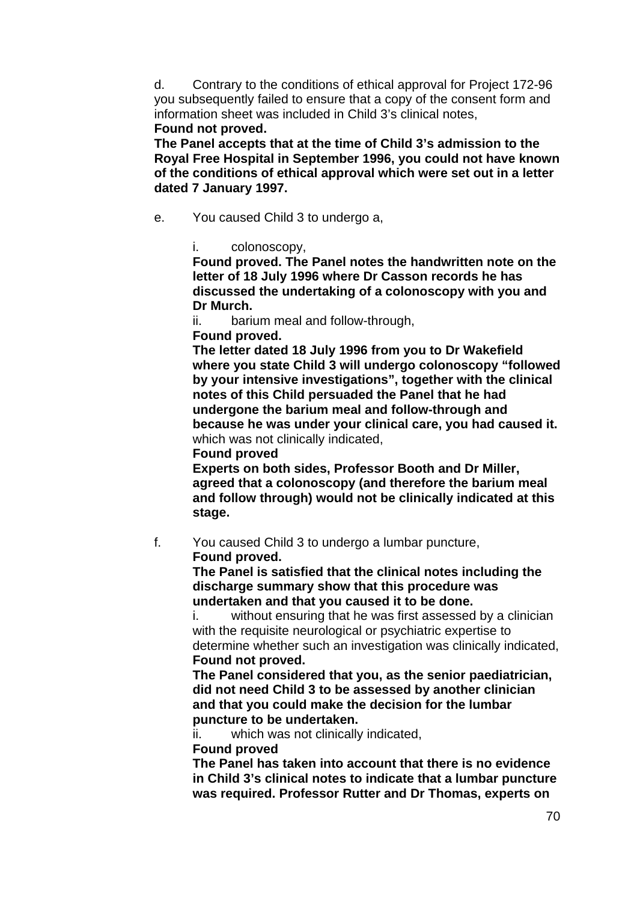d. Contrary to the conditions of ethical approval for Project 172-96 you subsequently failed to ensure that a copy of the consent form and information sheet was included in Child 3's clinical notes,

**Found not proved.** 

**The Panel accepts that at the time of Child 3's admission to the Royal Free Hospital in September 1996, you could not have known of the conditions of ethical approval which were set out in a letter dated 7 January 1997.** 

- e. You caused Child 3 to undergo a,
	- i. colonoscopy,

**Found proved. The Panel notes the handwritten note on the letter of 18 July 1996 where Dr Casson records he has discussed the undertaking of a colonoscopy with you and Dr Murch.** 

ii. barium meal and follow-through,

**Found proved.** 

**The letter dated 18 July 1996 from you to Dr Wakefield where you state Child 3 will undergo colonoscopy "followed by your intensive investigations", together with the clinical notes of this Child persuaded the Panel that he had undergone the barium meal and follow-through and because he was under your clinical care, you had caused it.**  which was not clinically indicated,

**Found proved** 

**Experts on both sides, Professor Booth and Dr Miller, agreed that a colonoscopy (and therefore the barium meal and follow through) would not be clinically indicated at this stage.** 

f. You caused Child 3 to undergo a lumbar puncture, **Found proved.** 

> **The Panel is satisfied that the clinical notes including the discharge summary show that this procedure was undertaken and that you caused it to be done.**

i. without ensuring that he was first assessed by a clinician with the requisite neurological or psychiatric expertise to determine whether such an investigation was clinically indicated, **Found not proved.** 

**The Panel considered that you, as the senior paediatrician, did not need Child 3 to be assessed by another clinician and that you could make the decision for the lumbar puncture to be undertaken.** 

ii. which was not clinically indicated,

**Found proved** 

**The Panel has taken into account that there is no evidence in Child 3's clinical notes to indicate that a lumbar puncture was required. Professor Rutter and Dr Thomas, experts on**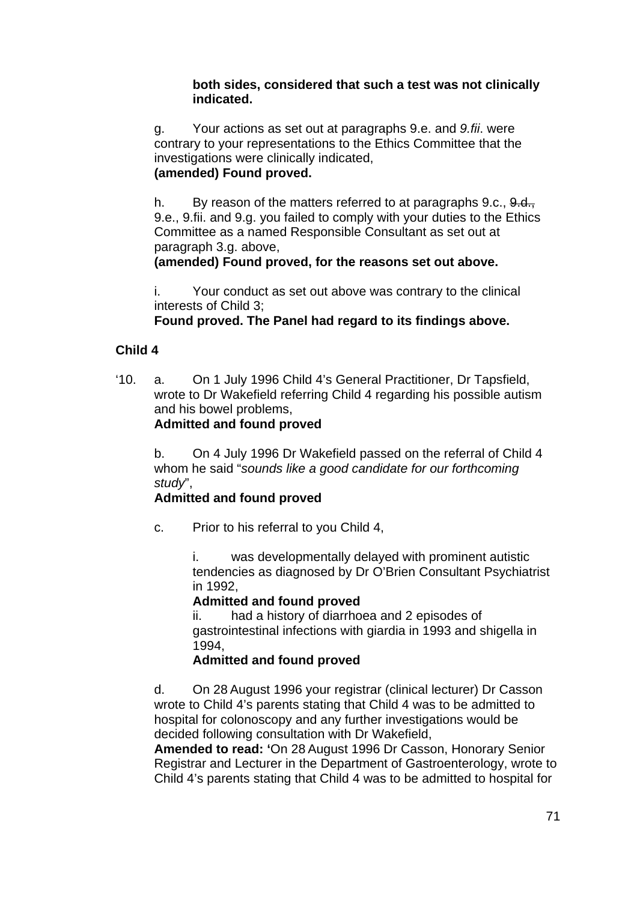#### **both sides, considered that such a test was not clinically indicated.**

g. Your actions as set out at paragraphs 9.e. and *9.fii*. were contrary to your representations to the Ethics Committee that the investigations were clinically indicated, **(amended) Found proved.** 

h. By reason of the matters referred to at paragraphs 9.c., 9.d., 9.e., 9.fii. and 9.g. you failed to comply with your duties to the Ethics Committee as a named Responsible Consultant as set out at paragraph 3.g. above,

#### **(amended) Found proved, for the reasons set out above.**

i. Your conduct as set out above was contrary to the clinical interests of Child 3;

### **Found proved. The Panel had regard to its findings above.**

### **Child 4**

'10. a. On 1 July 1996 Child 4's General Practitioner, Dr Tapsfield, wrote to Dr Wakefield referring Child 4 regarding his possible autism and his bowel problems, **Admitted and found proved**

#### b. On 4 July 1996 Dr Wakefield passed on the referral of Child 4 whom he said "*sounds like a good candidate for our forthcoming study*",

## **Admitted and found proved**

c. Prior to his referral to you Child 4,

i. was developmentally delayed with prominent autistic tendencies as diagnosed by Dr O'Brien Consultant Psychiatrist in 1992,

#### **Admitted and found proved**

ii. had a history of diarrhoea and 2 episodes of gastrointestinal infections with giardia in 1993 and shigella in 1994,

#### **Admitted and found proved**

d. On 28 August 1996 your registrar (clinical lecturer) Dr Casson wrote to Child 4's parents stating that Child 4 was to be admitted to hospital for colonoscopy and any further investigations would be decided following consultation with Dr Wakefield,

**Amended to read: '**On 28 August 1996 Dr Casson, Honorary Senior Registrar and Lecturer in the Department of Gastroenterology, wrote to Child 4's parents stating that Child 4 was to be admitted to hospital for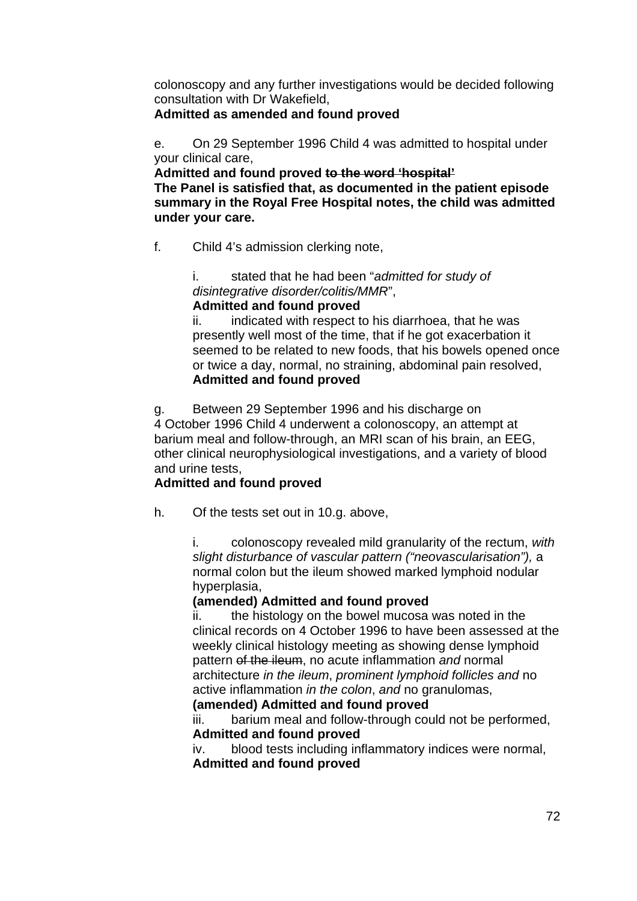colonoscopy and any further investigations would be decided following consultation with Dr Wakefield,

#### **Admitted as amended and found proved**

e. On 29 September 1996 Child 4 was admitted to hospital under your clinical care,

**Admitted and found proved to the word 'hospital' The Panel is satisfied that, as documented in the patient episode summary in the Royal Free Hospital notes, the child was admitted under your care.** 

f. Child 4's admission clerking note,

i. stated that he had been "*admitted for study of disintegrative disorder/colitis/MMR*", **Admitted and found proved**

ii. indicated with respect to his diarrhoea, that he was presently well most of the time, that if he got exacerbation it seemed to be related to new foods, that his bowels opened once or twice a day, normal, no straining, abdominal pain resolved, **Admitted and found proved** 

g. Between 29 September 1996 and his discharge on 4 October 1996 Child 4 underwent a colonoscopy, an attempt at barium meal and follow-through, an MRI scan of his brain, an EEG, other clinical neurophysiological investigations, and a variety of blood and urine tests,

## **Admitted and found proved**

h. Of the tests set out in 10.g. above,

i. colonoscopy revealed mild granularity of the rectum, *with slight disturbance of vascular pattern ("neovascularisation"),* a normal colon but the ileum showed marked lymphoid nodular hyperplasia,

## **(amended) Admitted and found proved**

ii. the histology on the bowel mucosa was noted in the clinical records on 4 October 1996 to have been assessed at the weekly clinical histology meeting as showing dense lymphoid pattern of the ileum, no acute inflammation *and* normal architecture *in the ileum*, *prominent lymphoid follicles and* no active inflammation *in the colon*, *and* no granulomas,

#### **(amended) Admitted and found proved**

iii. barium meal and follow-through could not be performed, **Admitted and found proved**

iv. blood tests including inflammatory indices were normal, **Admitted and found proved**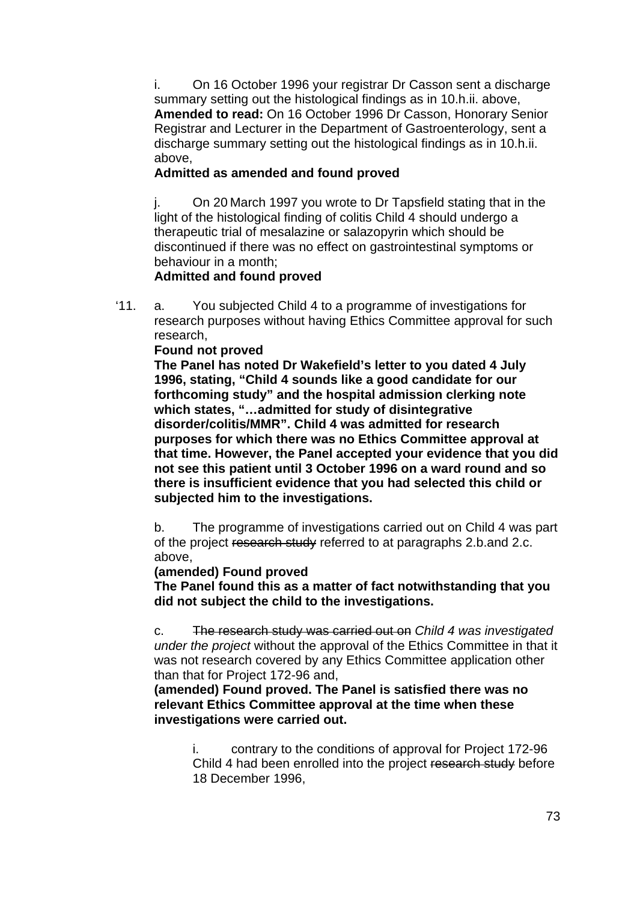i. On 16 October 1996 your registrar Dr Casson sent a discharge summary setting out the histological findings as in 10.h.ii. above, **Amended to read:** On 16 October 1996 Dr Casson, Honorary Senior Registrar and Lecturer in the Department of Gastroenterology, sent a discharge summary setting out the histological findings as in 10.h.ii. above,

### **Admitted as amended and found proved**

j. On 20 March 1997 you wrote to Dr Tapsfield stating that in the light of the histological finding of colitis Child 4 should undergo a therapeutic trial of mesalazine or salazopyrin which should be discontinued if there was no effect on gastrointestinal symptoms or behaviour in a month;

### **Admitted and found proved**

'11. a. You subjected Child 4 to a programme of investigations for research purposes without having Ethics Committee approval for such research,

### **Found not proved**

**The Panel has noted Dr Wakefield's letter to you dated 4 July 1996, stating, "Child 4 sounds like a good candidate for our forthcoming study" and the hospital admission clerking note which states, "…admitted for study of disintegrative disorder/colitis/MMR". Child 4 was admitted for research purposes for which there was no Ethics Committee approval at that time. However, the Panel accepted your evidence that you did not see this patient until 3 October 1996 on a ward round and so there is insufficient evidence that you had selected this child or subjected him to the investigations.** 

b. The programme of investigations carried out on Child 4 was part of the project research study referred to at paragraphs 2.b.and 2.c. above,

### **(amended) Found proved**

**The Panel found this as a matter of fact notwithstanding that you did not subject the child to the investigations.** 

c. The research study was carried out on *Child 4 was investigated under the project* without the approval of the Ethics Committee in that it was not research covered by any Ethics Committee application other than that for Project 172-96 and,

**(amended) Found proved. The Panel is satisfied there was no relevant Ethics Committee approval at the time when these investigations were carried out.** 

> i. contrary to the conditions of approval for Project 172-96 Child 4 had been enrolled into the project research study before 18 December 1996,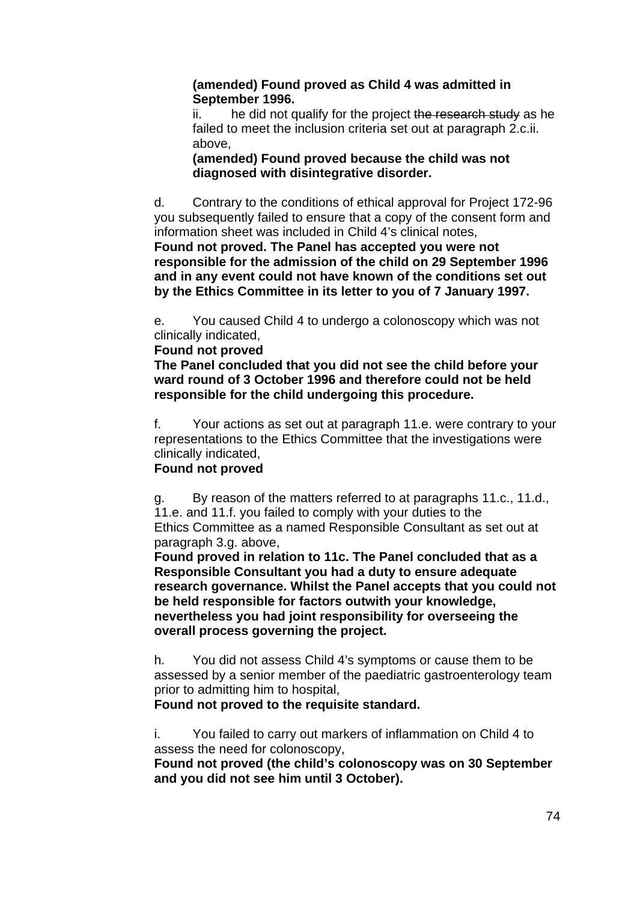### **(amended) Found proved as Child 4 was admitted in September 1996.**

ii. he did not qualify for the project the research study as he failed to meet the inclusion criteria set out at paragraph 2.c.ii. above,

### **(amended) Found proved because the child was not diagnosed with disintegrative disorder.**

d. Contrary to the conditions of ethical approval for Project 172-96 you subsequently failed to ensure that a copy of the consent form and information sheet was included in Child 4's clinical notes,

**Found not proved. The Panel has accepted you were not responsible for the admission of the child on 29 September 1996 and in any event could not have known of the conditions set out by the Ethics Committee in its letter to you of 7 January 1997.** 

e. You caused Child 4 to undergo a colonoscopy which was not clinically indicated,

### **Found not proved**

**The Panel concluded that you did not see the child before your ward round of 3 October 1996 and therefore could not be held responsible for the child undergoing this procedure.** 

f. Your actions as set out at paragraph 11.e. were contrary to your representations to the Ethics Committee that the investigations were clinically indicated,

# **Found not proved**

g. By reason of the matters referred to at paragraphs 11.c., 11.d., 11.e. and 11.f. you failed to comply with your duties to the Ethics Committee as a named Responsible Consultant as set out at paragraph 3.g. above,

**Found proved in relation to 11c. The Panel concluded that as a Responsible Consultant you had a duty to ensure adequate research governance. Whilst the Panel accepts that you could not be held responsible for factors outwith your knowledge, nevertheless you had joint responsibility for overseeing the overall process governing the project.** 

h. You did not assess Child 4's symptoms or cause them to be assessed by a senior member of the paediatric gastroenterology team prior to admitting him to hospital,

# **Found not proved to the requisite standard.**

i. You failed to carry out markers of inflammation on Child 4 to assess the need for colonoscopy,

**Found not proved (the child's colonoscopy was on 30 September and you did not see him until 3 October).**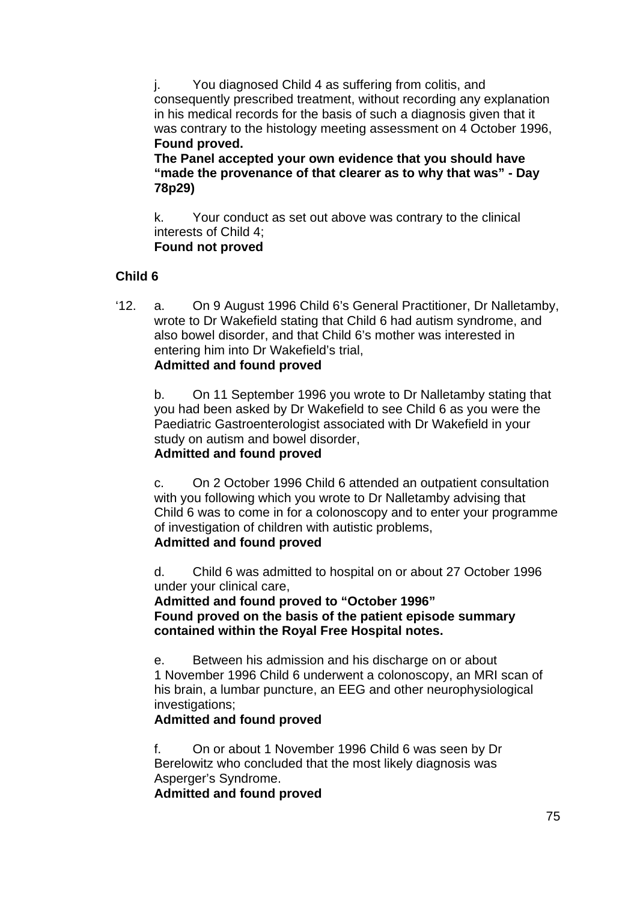j. You diagnosed Child 4 as suffering from colitis, and consequently prescribed treatment, without recording any explanation in his medical records for the basis of such a diagnosis given that it was contrary to the histology meeting assessment on 4 October 1996, **Found proved.** 

**The Panel accepted your own evidence that you should have "made the provenance of that clearer as to why that was" - Day 78p29)** 

k. Your conduct as set out above was contrary to the clinical interests of Child 4;  **Found not proved** 

# **Child 6**

'12. a. On 9 August 1996 Child 6's General Practitioner, Dr Nalletamby, wrote to Dr Wakefield stating that Child 6 had autism syndrome, and also bowel disorder, and that Child 6's mother was interested in entering him into Dr Wakefield's trial, **Admitted and found proved**

b. On 11 September 1996 you wrote to Dr Nalletamby stating that you had been asked by Dr Wakefield to see Child 6 as you were the Paediatric Gastroenterologist associated with Dr Wakefield in your study on autism and bowel disorder, **Admitted and found proved**

c. On 2 October 1996 Child 6 attended an outpatient consultation with you following which you wrote to Dr Nalletamby advising that Child 6 was to come in for a colonoscopy and to enter your programme of investigation of children with autistic problems, **Admitted and found proved**

d. Child 6 was admitted to hospital on or about 27 October 1996 under your clinical care,

**Admitted and found proved to "October 1996" Found proved on the basis of the patient episode summary contained within the Royal Free Hospital notes.** 

e. Between his admission and his discharge on or about 1 November 1996 Child 6 underwent a colonoscopy, an MRI scan of his brain, a lumbar puncture, an EEG and other neurophysiological investigations;

# **Admitted and found proved**

f. On or about 1 November 1996 Child 6 was seen by Dr Berelowitz who concluded that the most likely diagnosis was Asperger's Syndrome.

**Admitted and found proved**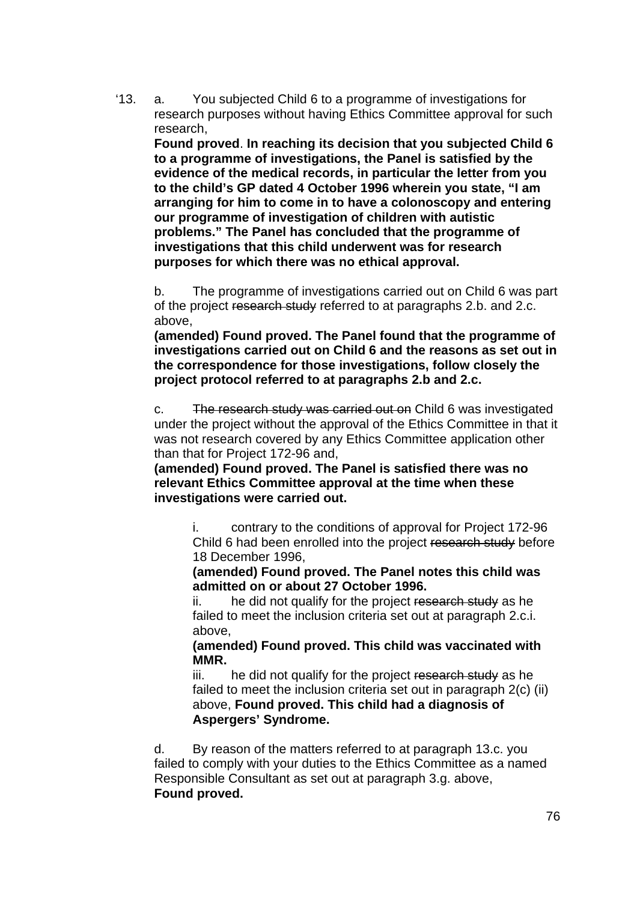'13. a. You subjected Child 6 to a programme of investigations for research purposes without having Ethics Committee approval for such research,

**Found proved**. **In reaching its decision that you subjected Child 6 to a programme of investigations, the Panel is satisfied by the evidence of the medical records, in particular the letter from you to the child's GP dated 4 October 1996 wherein you state, "I am arranging for him to come in to have a colonoscopy and entering our programme of investigation of children with autistic problems." The Panel has concluded that the programme of investigations that this child underwent was for research purposes for which there was no ethical approval.** 

b. The programme of investigations carried out on Child 6 was part of the project research study referred to at paragraphs 2.b. and 2.c. above,

**(amended) Found proved. The Panel found that the programme of investigations carried out on Child 6 and the reasons as set out in the correspondence for those investigations, follow closely the project protocol referred to at paragraphs 2.b and 2.c.** 

c. The research study was carried out on Child 6 was investigated under the project without the approval of the Ethics Committee in that it was not research covered by any Ethics Committee application other than that for Project 172-96 and,

**(amended) Found proved. The Panel is satisfied there was no relevant Ethics Committee approval at the time when these investigations were carried out.** 

i. contrary to the conditions of approval for Project 172-96 Child 6 had been enrolled into the project research study before 18 December 1996,

**(amended) Found proved. The Panel notes this child was admitted on or about 27 October 1996.** 

ii. he did not qualify for the project research study as he failed to meet the inclusion criteria set out at paragraph 2.c.i. above,

**(amended) Found proved. This child was vaccinated with MMR.** 

iii. he did not qualify for the project research study as he failed to meet the inclusion criteria set out in paragraph 2(c) (ii) above, **Found proved. This child had a diagnosis of Aspergers' Syndrome.** 

d. By reason of the matters referred to at paragraph 13.c. you failed to comply with your duties to the Ethics Committee as a named Responsible Consultant as set out at paragraph 3.g. above, **Found proved.**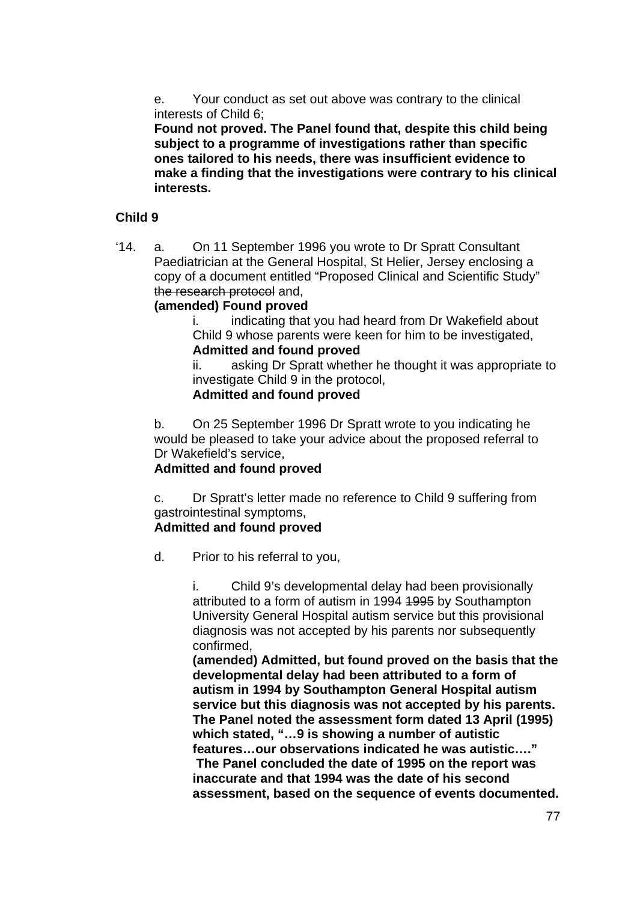e. Your conduct as set out above was contrary to the clinical interests of Child 6;

**Found not proved. The Panel found that, despite this child being subject to a programme of investigations rather than specific ones tailored to his needs, there was insufficient evidence to make a finding that the investigations were contrary to his clinical interests.** 

### **Child 9**

'14. a. On 11 September 1996 you wrote to Dr Spratt Consultant Paediatrician at the General Hospital, St Helier, Jersey enclosing a copy of a document entitled "Proposed Clinical and Scientific Study" the research protocol and,

### **(amended) Found proved**

i. indicating that you had heard from Dr Wakefield about Child 9 whose parents were keen for him to be investigated, **Admitted and found proved**

ii. asking Dr Spratt whether he thought it was appropriate to investigate Child 9 in the protocol,

### **Admitted and found proved**

b. On 25 September 1996 Dr Spratt wrote to you indicating he would be pleased to take your advice about the proposed referral to Dr Wakefield's service,

### **Admitted and found proved**

c. Dr Spratt's letter made no reference to Child 9 suffering from gastrointestinal symptoms,

### **Admitted and found proved**

d. Prior to his referral to you,

i. Child 9's developmental delay had been provisionally attributed to a form of autism in 1994 1995 by Southampton University General Hospital autism service but this provisional diagnosis was not accepted by his parents nor subsequently confirmed,

**(amended) Admitted, but found proved on the basis that the developmental delay had been attributed to a form of autism in 1994 by Southampton General Hospital autism service but this diagnosis was not accepted by his parents. The Panel noted the assessment form dated 13 April (1995) which stated, "…9 is showing a number of autistic features…our observations indicated he was autistic…." The Panel concluded the date of 1995 on the report was inaccurate and that 1994 was the date of his second assessment, based on the sequence of events documented.**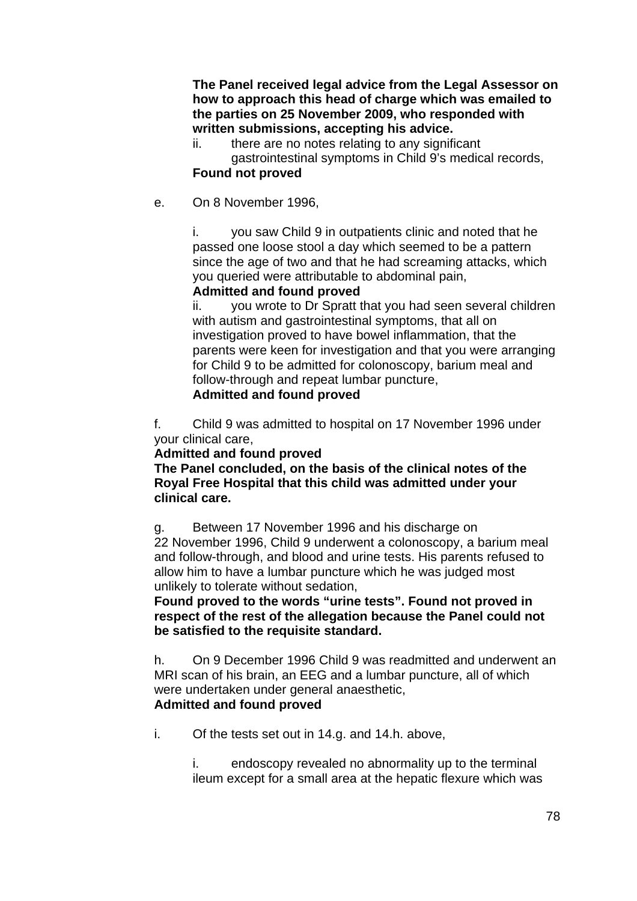**The Panel received legal advice from the Legal Assessor on how to approach this head of charge which was emailed to the parties on 25 November 2009, who responded with written submissions, accepting his advice.** 

ii. there are no notes relating to any significant gastrointestinal symptoms in Child 9's medical records, **Found not proved** 

#### e. On 8 November 1996,

i. you saw Child 9 in outpatients clinic and noted that he passed one loose stool a day which seemed to be a pattern since the age of two and that he had screaming attacks, which you queried were attributable to abdominal pain,

#### **Admitted and found proved**

ii. you wrote to Dr Spratt that you had seen several children with autism and gastrointestinal symptoms, that all on investigation proved to have bowel inflammation, that the parents were keen for investigation and that you were arranging for Child 9 to be admitted for colonoscopy, barium meal and follow-through and repeat lumbar puncture, **Admitted and found proved**

f. Child 9 was admitted to hospital on 17 November 1996 under your clinical care,

#### **Admitted and found proved**

**The Panel concluded, on the basis of the clinical notes of the Royal Free Hospital that this child was admitted under your clinical care.** 

g. Between 17 November 1996 and his discharge on

22 November 1996, Child 9 underwent a colonoscopy, a barium meal and follow-through, and blood and urine tests. His parents refused to allow him to have a lumbar puncture which he was judged most unlikely to tolerate without sedation,

**Found proved to the words "urine tests". Found not proved in respect of the rest of the allegation because the Panel could not be satisfied to the requisite standard.** 

h. On 9 December 1996 Child 9 was readmitted and underwent an MRI scan of his brain, an EEG and a lumbar puncture, all of which were undertaken under general anaesthetic, **Admitted and found proved**

#### i. Of the tests set out in 14.g. and 14.h. above,

i. endoscopy revealed no abnormality up to the terminal ileum except for a small area at the hepatic flexure which was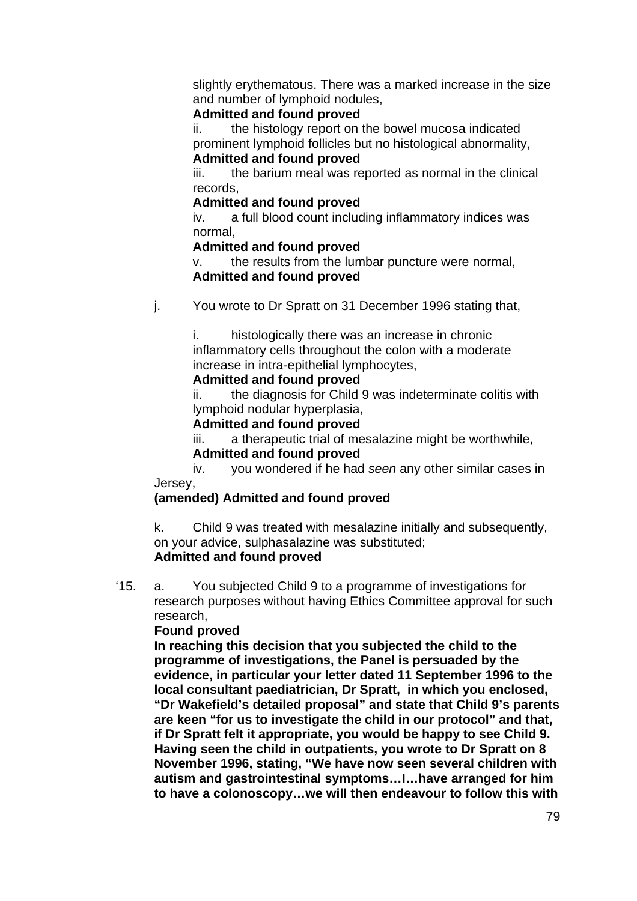slightly erythematous. There was a marked increase in the size and number of lymphoid nodules,

### **Admitted and found proved**

ii. the histology report on the bowel mucosa indicated prominent lymphoid follicles but no histological abnormality, **Admitted and found proved**

iii. the barium meal was reported as normal in the clinical records,

### **Admitted and found proved**

iv. a full blood count including inflammatory indices was normal,

### **Admitted and found proved**

v. the results from the lumbar puncture were normal, **Admitted and found proved**

j. You wrote to Dr Spratt on 31 December 1996 stating that,

i. histologically there was an increase in chronic inflammatory cells throughout the colon with a moderate increase in intra-epithelial lymphocytes,

### **Admitted and found proved**

ii. the diagnosis for Child 9 was indeterminate colitis with lymphoid nodular hyperplasia,

### **Admitted and found proved**

iii. a therapeutic trial of mesalazine might be worthwhile, **Admitted and found proved**

iv. you wondered if he had *seen* any other similar cases in Jersey,

# **(amended) Admitted and found proved**

k. Child 9 was treated with mesalazine initially and subsequently, on your advice, sulphasalazine was substituted;

# **Admitted and found proved**

'15. a. You subjected Child 9 to a programme of investigations for research purposes without having Ethics Committee approval for such research,

### **Found proved**

**In reaching this decision that you subjected the child to the programme of investigations, the Panel is persuaded by the evidence, in particular your letter dated 11 September 1996 to the local consultant paediatrician, Dr Spratt, in which you enclosed, "Dr Wakefield's detailed proposal" and state that Child 9's parents are keen "for us to investigate the child in our protocol" and that, if Dr Spratt felt it appropriate, you would be happy to see Child 9. Having seen the child in outpatients, you wrote to Dr Spratt on 8 November 1996, stating, "We have now seen several children with autism and gastrointestinal symptoms…I…have arranged for him to have a colonoscopy…we will then endeavour to follow this with**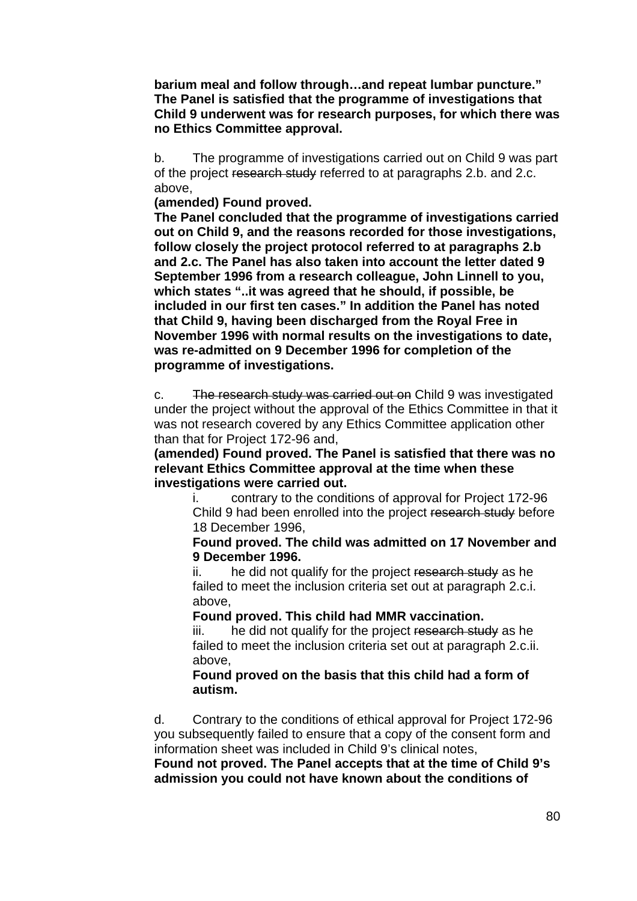**barium meal and follow through…and repeat lumbar puncture." The Panel is satisfied that the programme of investigations that Child 9 underwent was for research purposes, for which there was no Ethics Committee approval.** 

b. The programme of investigations carried out on Child 9 was part of the project research study referred to at paragraphs 2.b. and 2.c. above,

**(amended) Found proved.** 

**The Panel concluded that the programme of investigations carried out on Child 9, and the reasons recorded for those investigations, follow closely the project protocol referred to at paragraphs 2.b and 2.c. The Panel has also taken into account the letter dated 9 September 1996 from a research colleague, John Linnell to you, which states "..it was agreed that he should, if possible, be included in our first ten cases." In addition the Panel has noted that Child 9, having been discharged from the Royal Free in November 1996 with normal results on the investigations to date, was re-admitted on 9 December 1996 for completion of the programme of investigations.** 

c. The research study was carried out on Child 9 was investigated under the project without the approval of the Ethics Committee in that it was not research covered by any Ethics Committee application other than that for Project 172-96 and,

**(amended) Found proved. The Panel is satisfied that there was no relevant Ethics Committee approval at the time when these investigations were carried out.** 

i. contrary to the conditions of approval for Project 172-96 Child 9 had been enrolled into the project research study before 18 December 1996,

**Found proved. The child was admitted on 17 November and 9 December 1996.** 

ii. he did not qualify for the project research study as he failed to meet the inclusion criteria set out at paragraph 2.c.i. above,

**Found proved. This child had MMR vaccination.** 

iii. he did not qualify for the project research study as he failed to meet the inclusion criteria set out at paragraph 2.c.ii. above,

**Found proved on the basis that this child had a form of autism.** 

d. Contrary to the conditions of ethical approval for Project 172-96 you subsequently failed to ensure that a copy of the consent form and information sheet was included in Child 9's clinical notes,

**Found not proved. The Panel accepts that at the time of Child 9's admission you could not have known about the conditions of**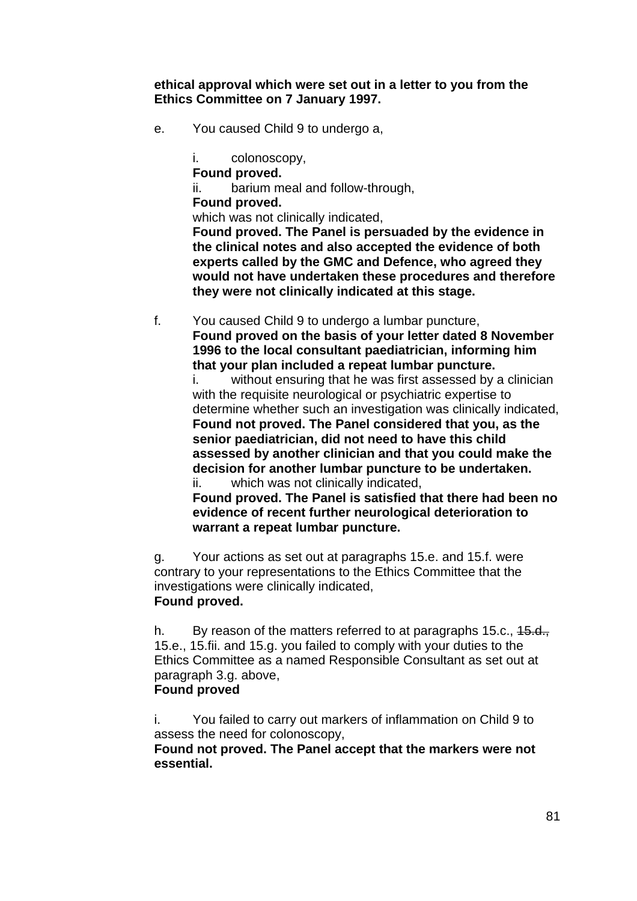**ethical approval which were set out in a letter to you from the Ethics Committee on 7 January 1997.** 

e. You caused Child 9 to undergo a,

i. colonoscopy, **Found proved.**  ii. barium meal and follow-through, **Found proved.**  which was not clinically indicated. **Found proved. The Panel is persuaded by the evidence in the clinical notes and also accepted the evidence of both experts called by the GMC and Defence, who agreed they would not have undertaken these procedures and therefore they were not clinically indicated at this stage.** 

f. You caused Child 9 to undergo a lumbar puncture, **Found proved on the basis of your letter dated 8 November 1996 to the local consultant paediatrician, informing him that your plan included a repeat lumbar puncture.**  i. without ensuring that he was first assessed by a clinician with the requisite neurological or psychiatric expertise to determine whether such an investigation was clinically indicated, **Found not proved. The Panel considered that you, as the** 

**senior paediatrician, did not need to have this child assessed by another clinician and that you could make the decision for another lumbar puncture to be undertaken.**  ii. which was not clinically indicated,

**Found proved. The Panel is satisfied that there had been no evidence of recent further neurological deterioration to warrant a repeat lumbar puncture.** 

g. Your actions as set out at paragraphs 15.e. and 15.f. were contrary to your representations to the Ethics Committee that the investigations were clinically indicated, **Found proved.** 

h. By reason of the matters referred to at paragraphs 15.c., 45.d., 15.e., 15.fii. and 15.g. you failed to comply with your duties to the Ethics Committee as a named Responsible Consultant as set out at paragraph 3.g. above,

### **Found proved**

i. You failed to carry out markers of inflammation on Child 9 to assess the need for colonoscopy,

**Found not proved. The Panel accept that the markers were not essential.**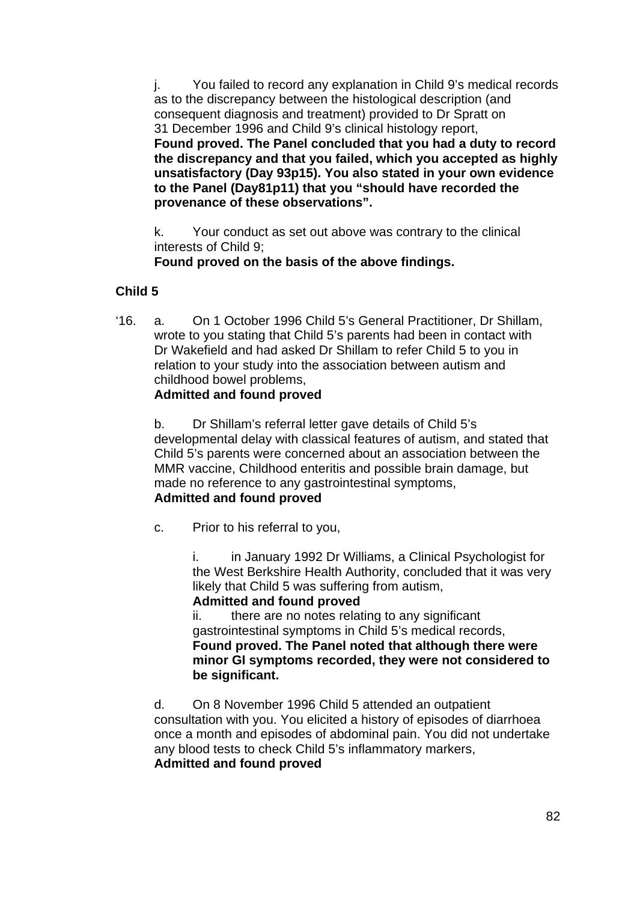j. You failed to record any explanation in Child 9's medical records as to the discrepancy between the histological description (and consequent diagnosis and treatment) provided to Dr Spratt on 31 December 1996 and Child 9's clinical histology report, **Found proved. The Panel concluded that you had a duty to record the discrepancy and that you failed, which you accepted as highly unsatisfactory (Day 93p15). You also stated in your own evidence to the Panel (Day81p11) that you "should have recorded the provenance of these observations".** 

k. Your conduct as set out above was contrary to the clinical interests of Child 9;

 **Found proved on the basis of the above findings.** 

# **Child 5**

'16. a. On 1 October 1996 Child 5's General Practitioner, Dr Shillam, wrote to you stating that Child 5's parents had been in contact with Dr Wakefield and had asked Dr Shillam to refer Child 5 to you in relation to your study into the association between autism and childhood bowel problems,

# **Admitted and found proved**

b. Dr Shillam's referral letter gave details of Child 5's developmental delay with classical features of autism, and stated that Child 5's parents were concerned about an association between the MMR vaccine, Childhood enteritis and possible brain damage, but made no reference to any gastrointestinal symptoms, **Admitted and found proved** 

c. Prior to his referral to you,

i. in January 1992 Dr Williams, a Clinical Psychologist for the West Berkshire Health Authority, concluded that it was very likely that Child 5 was suffering from autism,

**Admitted and found proved**

ii. there are no notes relating to any significant gastrointestinal symptoms in Child 5's medical records, **Found proved. The Panel noted that although there were minor GI symptoms recorded, they were not considered to be significant.** 

d. On 8 November 1996 Child 5 attended an outpatient consultation with you. You elicited a history of episodes of diarrhoea once a month and episodes of abdominal pain. You did not undertake any blood tests to check Child 5's inflammatory markers,  **Admitted and found proved**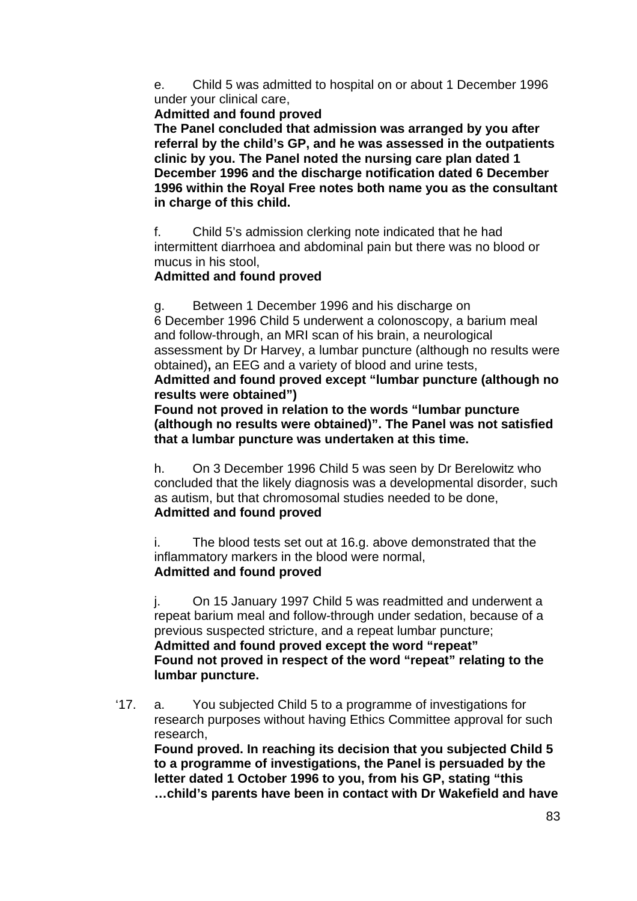e. Child 5 was admitted to hospital on or about 1 December 1996 under your clinical care,

#### **Admitted and found proved**

**The Panel concluded that admission was arranged by you after referral by the child's GP, and he was assessed in the outpatients clinic by you. The Panel noted the nursing care plan dated 1 December 1996 and the discharge notification dated 6 December 1996 within the Royal Free notes both name you as the consultant in charge of this child.** 

f. Child 5's admission clerking note indicated that he had intermittent diarrhoea and abdominal pain but there was no blood or mucus in his stool,

### **Admitted and found proved**

g. Between 1 December 1996 and his discharge on 6 December 1996 Child 5 underwent a colonoscopy, a barium meal and follow-through, an MRI scan of his brain, a neurological assessment by Dr Harvey, a lumbar puncture (although no results were obtained)**,** an EEG and a variety of blood and urine tests,

### **Admitted and found proved except "lumbar puncture (although no results were obtained")**

**Found not proved in relation to the words "lumbar puncture (although no results were obtained)". The Panel was not satisfied that a lumbar puncture was undertaken at this time.** 

h. On 3 December 1996 Child 5 was seen by Dr Berelowitz who concluded that the likely diagnosis was a developmental disorder, such as autism, but that chromosomal studies needed to be done, **Admitted and found proved**

i. The blood tests set out at 16.g. above demonstrated that the inflammatory markers in the blood were normal, **Admitted and found proved**

j. On 15 January 1997 Child 5 was readmitted and underwent a repeat barium meal and follow-through under sedation, because of a previous suspected stricture, and a repeat lumbar puncture; **Admitted and found proved except the word "repeat" Found not proved in respect of the word "repeat" relating to the lumbar puncture.** 

'17. a. You subjected Child 5 to a programme of investigations for research purposes without having Ethics Committee approval for such research,

**Found proved. In reaching its decision that you subjected Child 5 to a programme of investigations, the Panel is persuaded by the letter dated 1 October 1996 to you, from his GP, stating "this …child's parents have been in contact with Dr Wakefield and have**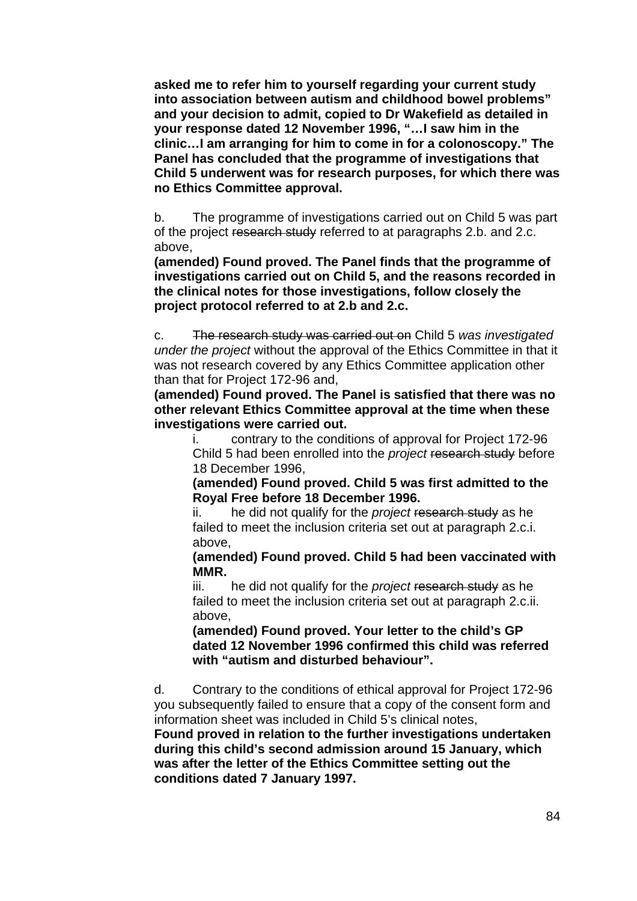**asked me to refer him to yourself regarding your current study into association between autism and childhood bowel problems" and your decision to admit, copied to Dr Wakefield as detailed in your response dated 12 November 1996, "…I saw him in the clinic…I am arranging for him to come in for a colonoscopy." The Panel has concluded that the programme of investigations that Child 5 underwent was for research purposes, for which there was no Ethics Committee approval.** 

b. The programme of investigations carried out on Child 5 was part of the project research study referred to at paragraphs 2.b. and 2.c. above,

**(amended) Found proved. The Panel finds that the programme of investigations carried out on Child 5, and the reasons recorded in the clinical notes for those investigations, follow closely the project protocol referred to at 2.b and 2.c.** 

c. The research study was carried out on Child 5 *was investigated under the project* without the approval of the Ethics Committee in that it was not research covered by any Ethics Committee application other than that for Project 172-96 and,

**(amended) Found proved. The Panel is satisfied that there was no other relevant Ethics Committee approval at the time when these investigations were carried out.** 

i. contrary to the conditions of approval for Project 172-96 Child 5 had been enrolled into the *project* research study before 18 December 1996,

**(amended) Found proved. Child 5 was first admitted to the Royal Free before 18 December 1996.** 

ii. he did not qualify for the *project* research study as he failed to meet the inclusion criteria set out at paragraph 2.c.i. above,

**(amended) Found proved. Child 5 had been vaccinated with MMR.** 

iii. he did not qualify for the *project* research study as he failed to meet the inclusion criteria set out at paragraph 2.c.ii. above,

**(amended) Found proved. Your letter to the child's GP dated 12 November 1996 confirmed this child was referred with "autism and disturbed behaviour".** 

d. Contrary to the conditions of ethical approval for Project 172-96 you subsequently failed to ensure that a copy of the consent form and information sheet was included in Child 5's clinical notes,

**Found proved in relation to the further investigations undertaken during this child's second admission around 15 January, which was after the letter of the Ethics Committee setting out the conditions dated 7 January 1997.**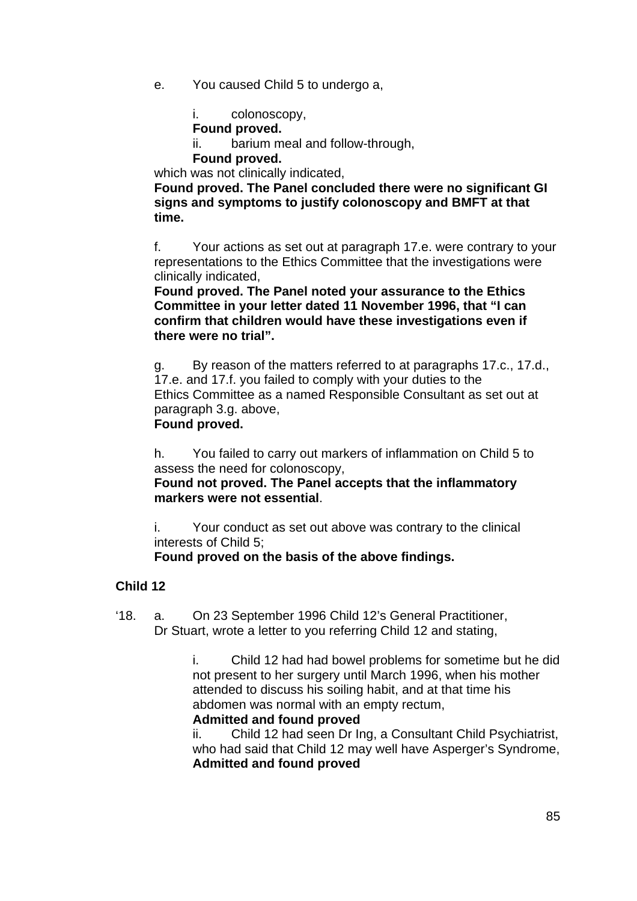e. You caused Child 5 to undergo a,

i. colonoscopy,

**Found proved.** 

ii. barium meal and follow-through,

**Found proved.** 

which was not clinically indicated.

**Found proved. The Panel concluded there were no significant GI signs and symptoms to justify colonoscopy and BMFT at that time.** 

f. Your actions as set out at paragraph 17.e. were contrary to your representations to the Ethics Committee that the investigations were clinically indicated,

**Found proved. The Panel noted your assurance to the Ethics Committee in your letter dated 11 November 1996, that "I can confirm that children would have these investigations even if there were no trial".** 

g. By reason of the matters referred to at paragraphs 17.c., 17.d., 17.e. and 17.f. you failed to comply with your duties to the Ethics Committee as a named Responsible Consultant as set out at paragraph 3.g. above, **Found proved.** 

h. You failed to carry out markers of inflammation on Child 5 to

assess the need for colonoscopy,

**Found not proved. The Panel accepts that the inflammatory markers were not essential**.

i. Your conduct as set out above was contrary to the clinical interests of Child 5;

**Found proved on the basis of the above findings.** 

# **Child 12**

'18. a. On 23 September 1996 Child 12's General Practitioner, Dr Stuart, wrote a letter to you referring Child 12 and stating,

> i. Child 12 had had bowel problems for sometime but he did not present to her surgery until March 1996, when his mother attended to discuss his soiling habit, and at that time his abdomen was normal with an empty rectum,

# **Admitted and found proved**

ii. Child 12 had seen Dr Ing, a Consultant Child Psychiatrist, who had said that Child 12 may well have Asperger's Syndrome, **Admitted and found proved**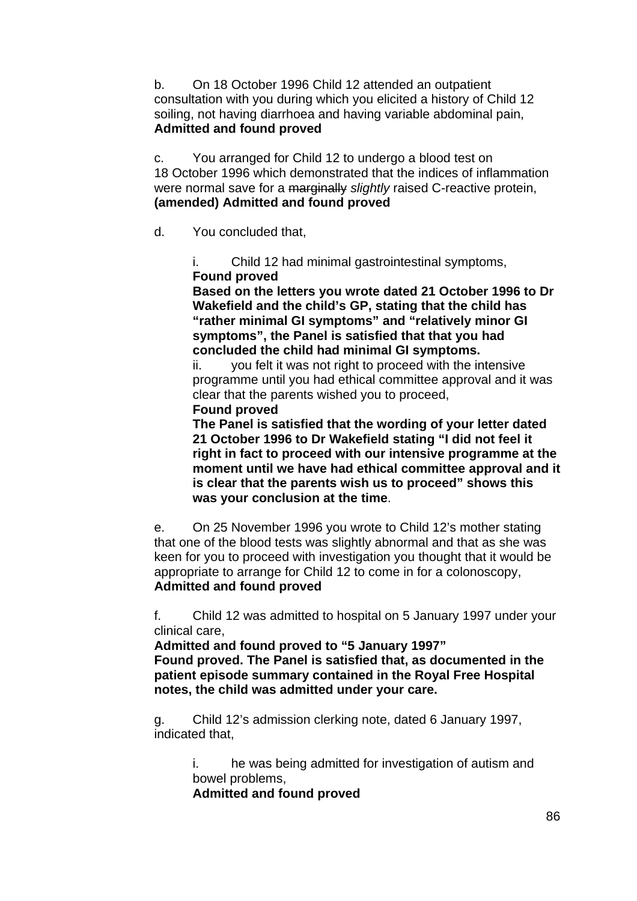b. On 18 October 1996 Child 12 attended an outpatient consultation with you during which you elicited a history of Child 12 soiling, not having diarrhoea and having variable abdominal pain, **Admitted and found proved** 

c. You arranged for Child 12 to undergo a blood test on 18 October 1996 which demonstrated that the indices of inflammation were normal save for a marginally *slightly* raised C-reactive protein, **(amended) Admitted and found proved** 

d. You concluded that,

i. Child 12 had minimal gastrointestinal symptoms, **Found proved** 

**Based on the letters you wrote dated 21 October 1996 to Dr Wakefield and the child's GP, stating that the child has "rather minimal GI symptoms" and "relatively minor GI symptoms", the Panel is satisfied that that you had concluded the child had minimal GI symptoms.** 

ii. you felt it was not right to proceed with the intensive programme until you had ethical committee approval and it was clear that the parents wished you to proceed,

**Found proved** 

**The Panel is satisfied that the wording of your letter dated 21 October 1996 to Dr Wakefield stating "I did not feel it right in fact to proceed with our intensive programme at the moment until we have had ethical committee approval and it is clear that the parents wish us to proceed" shows this was your conclusion at the time**.

e. On 25 November 1996 you wrote to Child 12's mother stating that one of the blood tests was slightly abnormal and that as she was keen for you to proceed with investigation you thought that it would be appropriate to arrange for Child 12 to come in for a colonoscopy, **Admitted and found proved** 

f. Child 12 was admitted to hospital on 5 January 1997 under your clinical care,

**Admitted and found proved to "5 January 1997" Found proved. The Panel is satisfied that, as documented in the patient episode summary contained in the Royal Free Hospital notes, the child was admitted under your care.** 

g. Child 12's admission clerking note, dated 6 January 1997, indicated that,

> i. he was being admitted for investigation of autism and bowel problems,

**Admitted and found proved**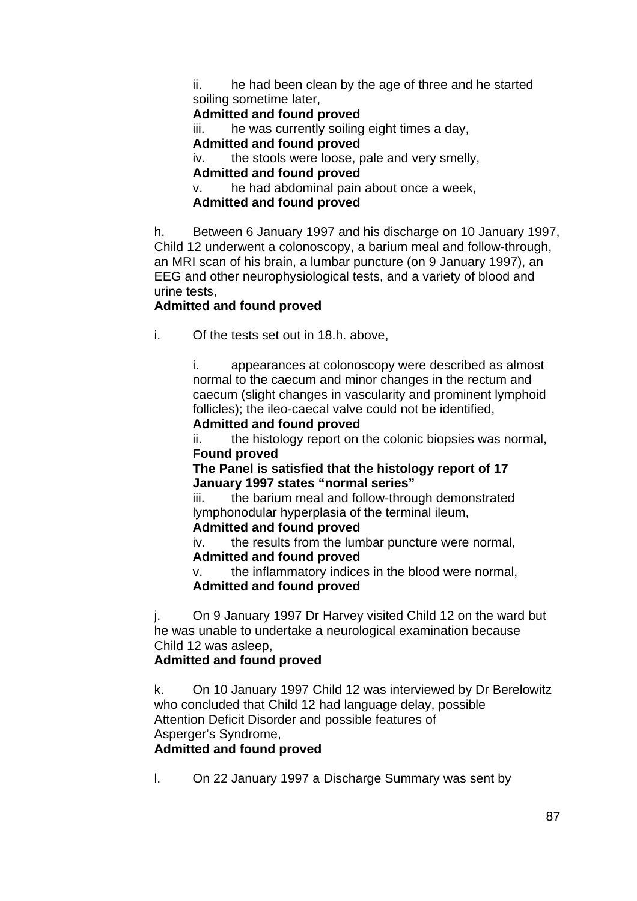ii. he had been clean by the age of three and he started soiling sometime later,

**Admitted and found proved**

iii. he was currently soiling eight times a day,

**Admitted and found proved**

iv. the stools were loose, pale and very smelly, **Admitted and found proved**

v. he had abdominal pain about once a week,

**Admitted and found proved** 

h. Between 6 January 1997 and his discharge on 10 January 1997, Child 12 underwent a colonoscopy, a barium meal and follow-through, an MRI scan of his brain, a lumbar puncture (on 9 January 1997), an EEG and other neurophysiological tests, and a variety of blood and urine tests,

# **Admitted and found proved**

i. Of the tests set out in 18.h. above,

i. appearances at colonoscopy were described as almost normal to the caecum and minor changes in the rectum and caecum (slight changes in vascularity and prominent lymphoid follicles); the ileo-caecal valve could not be identified,

### **Admitted and found proved**

ii. the histology report on the colonic biopsies was normal, **Found proved** 

**The Panel is satisfied that the histology report of 17 January 1997 states "normal series"** 

iii. the barium meal and follow-through demonstrated lymphonodular hyperplasia of the terminal ileum,

**Admitted and found proved**

iv. the results from the lumbar puncture were normal, **Admitted and found proved**

v. the inflammatory indices in the blood were normal, **Admitted and found proved**

j. On 9 January 1997 Dr Harvey visited Child 12 on the ward but he was unable to undertake a neurological examination because Child 12 was asleep,

# **Admitted and found proved**

k. On 10 January 1997 Child 12 was interviewed by Dr Berelowitz who concluded that Child 12 had language delay, possible Attention Deficit Disorder and possible features of Asperger's Syndrome,

# **Admitted and found proved**

l. On 22 January 1997 a Discharge Summary was sent by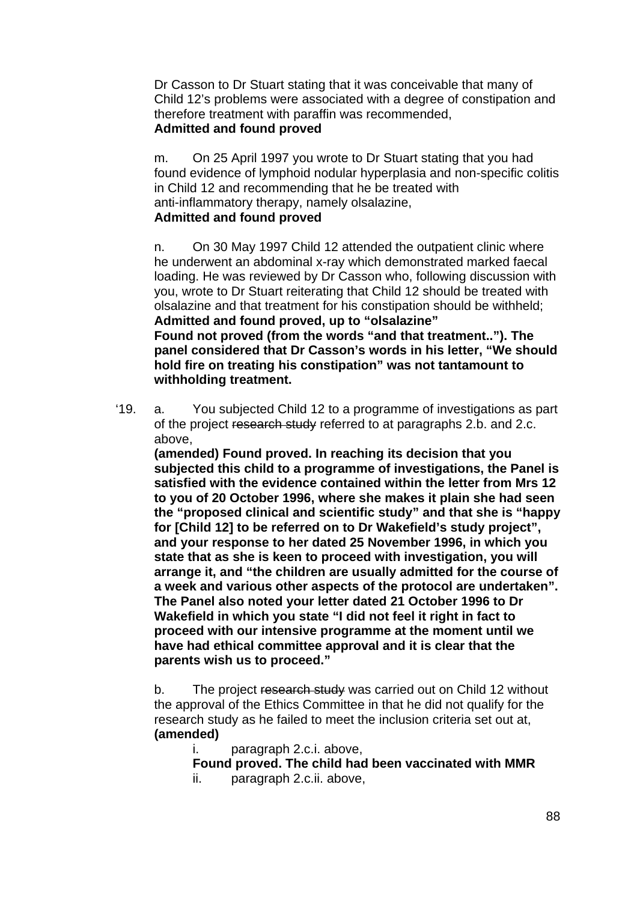Dr Casson to Dr Stuart stating that it was conceivable that many of Child 12's problems were associated with a degree of constipation and therefore treatment with paraffin was recommended, **Admitted and found proved** 

m. On 25 April 1997 you wrote to Dr Stuart stating that you had found evidence of lymphoid nodular hyperplasia and non-specific colitis in Child 12 and recommending that he be treated with anti-inflammatory therapy, namely olsalazine,

# **Admitted and found proved**

n. On 30 May 1997 Child 12 attended the outpatient clinic where he underwent an abdominal x-ray which demonstrated marked faecal loading. He was reviewed by Dr Casson who, following discussion with you, wrote to Dr Stuart reiterating that Child 12 should be treated with olsalazine and that treatment for his constipation should be withheld; **Admitted and found proved, up to "olsalazine" Found not proved (from the words "and that treatment.."). The panel considered that Dr Casson's words in his letter, "We should hold fire on treating his constipation" was not tantamount to withholding treatment.** 

'19. a. You subjected Child 12 to a programme of investigations as part of the project research study referred to at paragraphs 2.b. and 2.c. above,

**(amended) Found proved. In reaching its decision that you subjected this child to a programme of investigations, the Panel is satisfied with the evidence contained within the letter from Mrs 12 to you of 20 October 1996, where she makes it plain she had seen the "proposed clinical and scientific study" and that she is "happy for [Child 12] to be referred on to Dr Wakefield's study project", and your response to her dated 25 November 1996, in which you state that as she is keen to proceed with investigation, you will arrange it, and "the children are usually admitted for the course of a week and various other aspects of the protocol are undertaken". The Panel also noted your letter dated 21 October 1996 to Dr Wakefield in which you state "I did not feel it right in fact to proceed with our intensive programme at the moment until we have had ethical committee approval and it is clear that the parents wish us to proceed."** 

b. The project research study was carried out on Child 12 without the approval of the Ethics Committee in that he did not qualify for the research study as he failed to meet the inclusion criteria set out at, **(amended)** 

i. paragraph 2.c.i. above,

**Found proved. The child had been vaccinated with MMR** 

ii. paragraph 2.c.ii. above,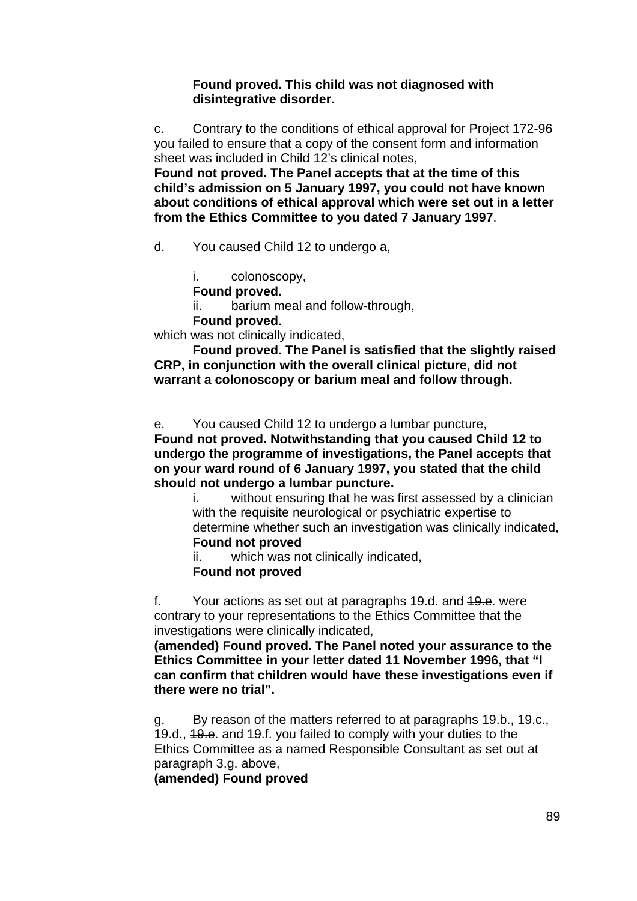#### **Found proved. This child was not diagnosed with disintegrative disorder.**

c. Contrary to the conditions of ethical approval for Project 172-96 you failed to ensure that a copy of the consent form and information sheet was included in Child 12's clinical notes,

**Found not proved. The Panel accepts that at the time of this child's admission on 5 January 1997, you could not have known about conditions of ethical approval which were set out in a letter from the Ethics Committee to you dated 7 January 1997**.

d. You caused Child 12 to undergo a,

i. colonoscopy,

**Found proved.** 

ii. barium meal and follow-through,

**Found proved**.

which was not clinically indicated.

**Found proved. The Panel is satisfied that the slightly raised CRP, in conjunction with the overall clinical picture, did not warrant a colonoscopy or barium meal and follow through.** 

e. You caused Child 12 to undergo a lumbar puncture,

**Found not proved. Notwithstanding that you caused Child 12 to undergo the programme of investigations, the Panel accepts that on your ward round of 6 January 1997, you stated that the child should not undergo a lumbar puncture.** 

i. without ensuring that he was first assessed by a clinician with the requisite neurological or psychiatric expertise to determine whether such an investigation was clinically indicated, **Found not proved** 

ii. which was not clinically indicated, **Found not proved** 

f. Your actions as set out at paragraphs 19.d. and 19.e. were contrary to your representations to the Ethics Committee that the investigations were clinically indicated,

**(amended) Found proved. The Panel noted your assurance to the Ethics Committee in your letter dated 11 November 1996, that "I can confirm that children would have these investigations even if there were no trial".** 

g. By reason of the matters referred to at paragraphs 19.b., 19.e., 19.d., 49.e. and 19.f. you failed to comply with your duties to the Ethics Committee as a named Responsible Consultant as set out at paragraph 3.g. above,

**(amended) Found proved**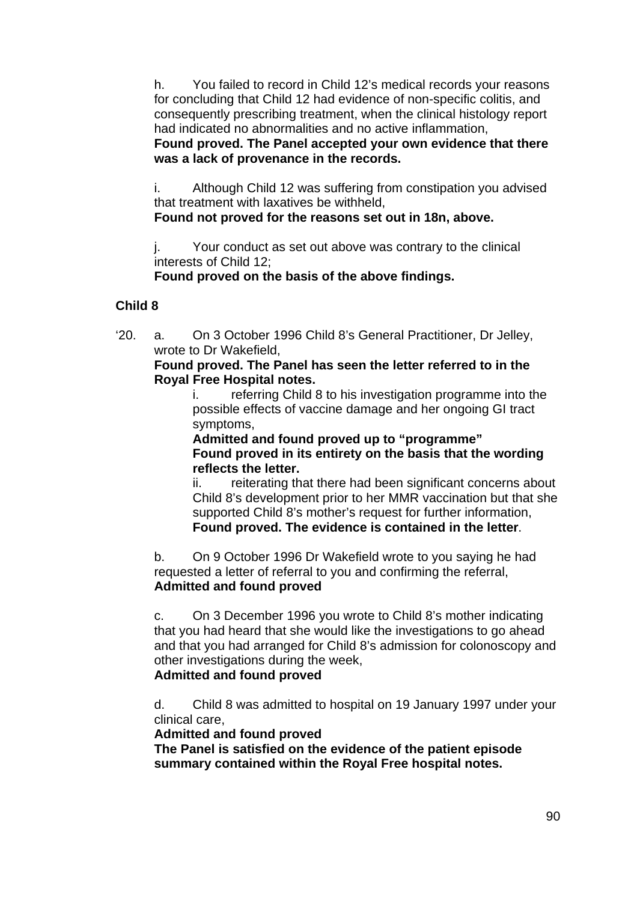h. You failed to record in Child 12's medical records your reasons for concluding that Child 12 had evidence of non-specific colitis, and consequently prescribing treatment, when the clinical histology report had indicated no abnormalities and no active inflammation,

### **Found proved. The Panel accepted your own evidence that there was a lack of provenance in the records.**

i. Although Child 12 was suffering from constipation you advised that treatment with laxatives be withheld,

### **Found not proved for the reasons set out in 18n, above.**

j. Your conduct as set out above was contrary to the clinical interests of Child 12;

 **Found proved on the basis of the above findings.** 

# **Child 8**

'20. a. On 3 October 1996 Child 8's General Practitioner, Dr Jelley, wrote to Dr Wakefield,

### **Found proved. The Panel has seen the letter referred to in the Royal Free Hospital notes.**

i. referring Child 8 to his investigation programme into the possible effects of vaccine damage and her ongoing GI tract symptoms,

 **Admitted and found proved up to "programme" Found proved in its entirety on the basis that the wording reflects the letter.** 

ii. reiterating that there had been significant concerns about Child 8's development prior to her MMR vaccination but that she supported Child 8's mother's request for further information, **Found proved. The evidence is contained in the letter**.

b. On 9 October 1996 Dr Wakefield wrote to you saying he had requested a letter of referral to you and confirming the referral, **Admitted and found proved**

c. On 3 December 1996 you wrote to Child 8's mother indicating that you had heard that she would like the investigations to go ahead and that you had arranged for Child 8's admission for colonoscopy and other investigations during the week, **Admitted and found proved**

d. Child 8 was admitted to hospital on 19 January 1997 under your clinical care,

**Admitted and found proved** 

**The Panel is satisfied on the evidence of the patient episode summary contained within the Royal Free hospital notes.**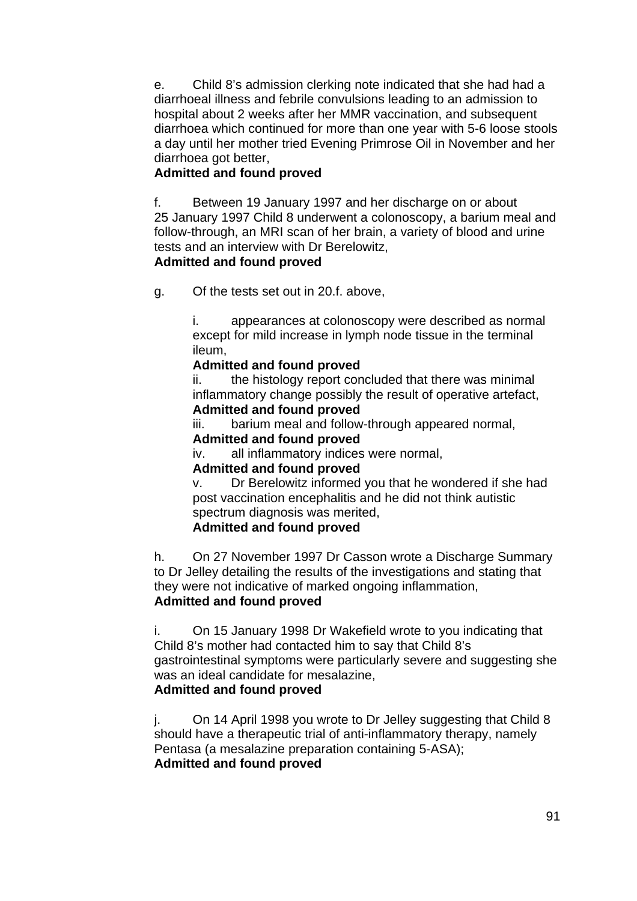e. Child 8's admission clerking note indicated that she had had a diarrhoeal illness and febrile convulsions leading to an admission to hospital about 2 weeks after her MMR vaccination, and subsequent diarrhoea which continued for more than one year with 5-6 loose stools a day until her mother tried Evening Primrose Oil in November and her diarrhoea got better,

# **Admitted and found proved**

f. Between 19 January 1997 and her discharge on or about 25 January 1997 Child 8 underwent a colonoscopy, a barium meal and follow-through, an MRI scan of her brain, a variety of blood and urine tests and an interview with Dr Berelowitz,

### **Admitted and found proved**

g. Of the tests set out in 20.f. above,

i. appearances at colonoscopy were described as normal except for mild increase in lymph node tissue in the terminal ileum,

#### **Admitted and found proved**

ii. the histology report concluded that there was minimal inflammatory change possibly the result of operative artefact, **Admitted and found proved**

iii. barium meal and follow-through appeared normal,

### **Admitted and found proved**

iv. all inflammatory indices were normal,

### **Admitted and found proved**

v. Dr Berelowitz informed you that he wondered if she had post vaccination encephalitis and he did not think autistic spectrum diagnosis was merited,

# **Admitted and found proved**

h. On 27 November 1997 Dr Casson wrote a Discharge Summary to Dr Jelley detailing the results of the investigations and stating that they were not indicative of marked ongoing inflammation, **Admitted and found proved** 

i. On 15 January 1998 Dr Wakefield wrote to you indicating that Child 8's mother had contacted him to say that Child 8's gastrointestinal symptoms were particularly severe and suggesting she was an ideal candidate for mesalazine, **Admitted and found proved**

j. On 14 April 1998 you wrote to Dr Jelley suggesting that Child 8 should have a therapeutic trial of anti-inflammatory therapy, namely Pentasa (a mesalazine preparation containing 5-ASA); **Admitted and found proved**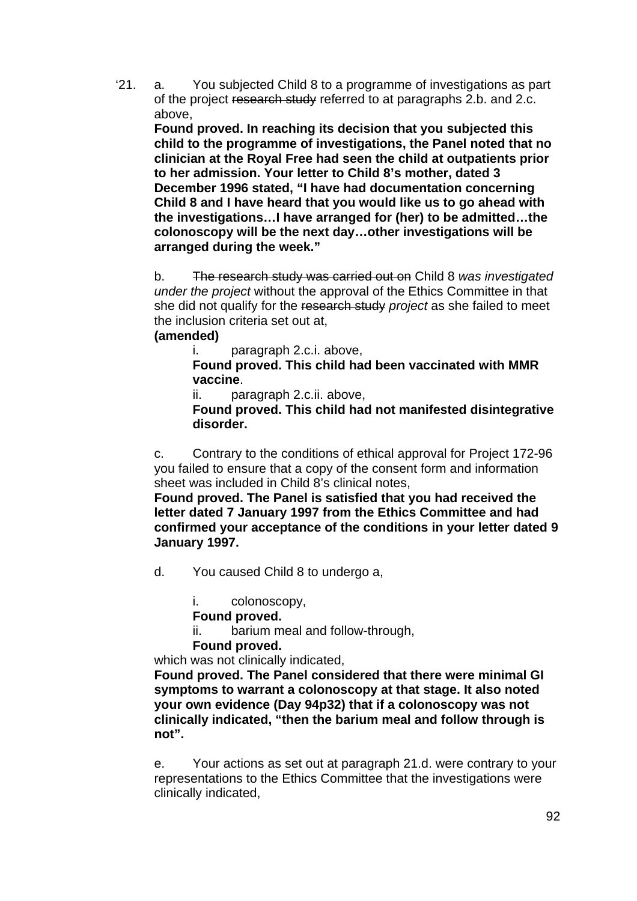'21. a. You subjected Child 8 to a programme of investigations as part of the project research study referred to at paragraphs 2.b. and 2.c. above,

**Found proved. In reaching its decision that you subjected this child to the programme of investigations, the Panel noted that no clinician at the Royal Free had seen the child at outpatients prior to her admission. Your letter to Child 8's mother, dated 3 December 1996 stated, "I have had documentation concerning Child 8 and I have heard that you would like us to go ahead with the investigations…I have arranged for (her) to be admitted…the colonoscopy will be the next day…other investigations will be arranged during the week."** 

b. The research study was carried out on Child 8 *was investigated under the project* without the approval of the Ethics Committee in that she did not qualify for the research study *project* as she failed to meet the inclusion criteria set out at,

### **(amended)**

i. paragraph 2.c.i. above,

**Found proved. This child had been vaccinated with MMR vaccine**.

ii. paragraph 2.c.ii. above,

**Found proved. This child had not manifested disintegrative disorder.** 

c. Contrary to the conditions of ethical approval for Project 172-96 you failed to ensure that a copy of the consent form and information sheet was included in Child 8's clinical notes,

**Found proved. The Panel is satisfied that you had received the letter dated 7 January 1997 from the Ethics Committee and had confirmed your acceptance of the conditions in your letter dated 9 January 1997.** 

d. You caused Child 8 to undergo a,

i. colonoscopy,

**Found proved.** 

ii. barium meal and follow-through,

**Found proved.** 

which was not clinically indicated,

**Found proved. The Panel considered that there were minimal GI symptoms to warrant a colonoscopy at that stage. It also noted your own evidence (Day 94p32) that if a colonoscopy was not clinically indicated, "then the barium meal and follow through is not".** 

e. Your actions as set out at paragraph 21.d. were contrary to your representations to the Ethics Committee that the investigations were clinically indicated,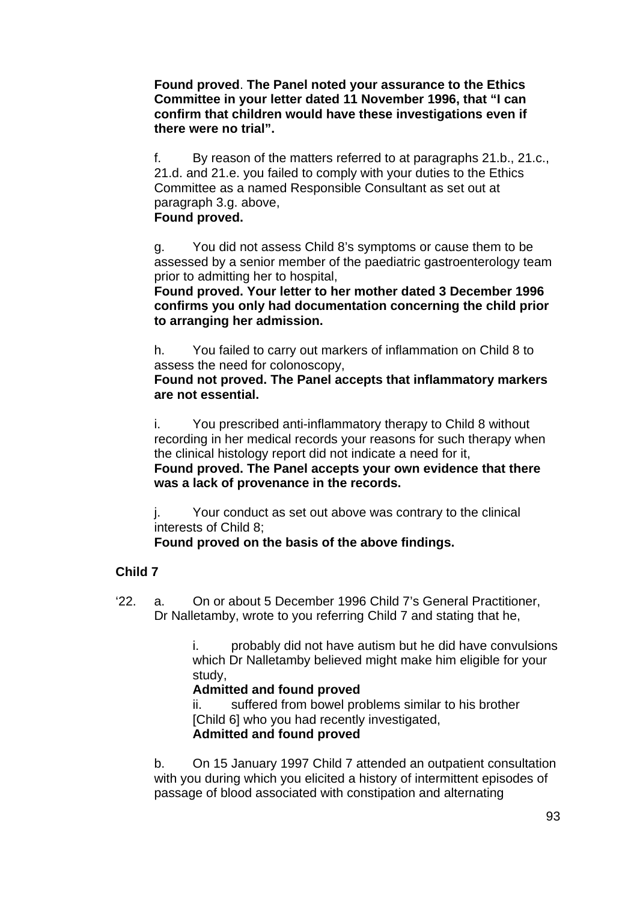**Found proved**. **The Panel noted your assurance to the Ethics Committee in your letter dated 11 November 1996, that "I can confirm that children would have these investigations even if there were no trial".** 

f. By reason of the matters referred to at paragraphs 21.b., 21.c., 21.d. and 21.e. you failed to comply with your duties to the Ethics Committee as a named Responsible Consultant as set out at paragraph 3.g. above,

**Found proved.** 

g. You did not assess Child 8's symptoms or cause them to be assessed by a senior member of the paediatric gastroenterology team prior to admitting her to hospital,

**Found proved. Your letter to her mother dated 3 December 1996 confirms you only had documentation concerning the child prior to arranging her admission.** 

h. You failed to carry out markers of inflammation on Child 8 to assess the need for colonoscopy,

**Found not proved. The Panel accepts that inflammatory markers are not essential.** 

i. You prescribed anti-inflammatory therapy to Child 8 without recording in her medical records your reasons for such therapy when the clinical histology report did not indicate a need for it, **Found proved. The Panel accepts your own evidence that there was a lack of provenance in the records.** 

j. Your conduct as set out above was contrary to the clinical interests of Child 8;

**Found proved on the basis of the above findings.** 

# **Child 7**

'22. a. On or about 5 December 1996 Child 7's General Practitioner, Dr Nalletamby, wrote to you referring Child 7 and stating that he,

> i. probably did not have autism but he did have convulsions which Dr Nalletamby believed might make him eligible for your study,

# **Admitted and found proved**

ii. suffered from bowel problems similar to his brother [Child 6] who you had recently investigated, **Admitted and found proved** 

b. On 15 January 1997 Child 7 attended an outpatient consultation with you during which you elicited a history of intermittent episodes of passage of blood associated with constipation and alternating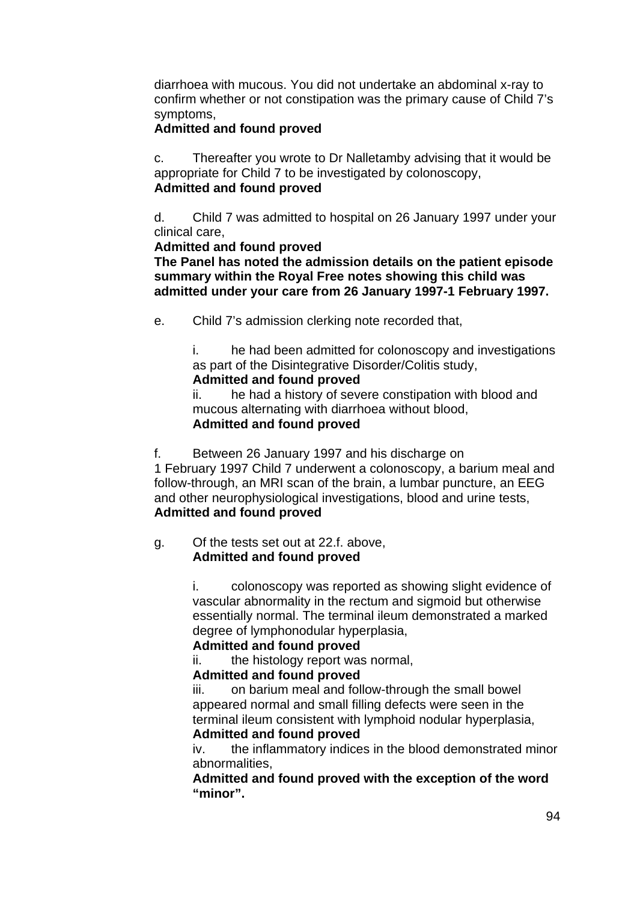diarrhoea with mucous. You did not undertake an abdominal x-ray to confirm whether or not constipation was the primary cause of Child 7's symptoms,

### **Admitted and found proved**

c. Thereafter you wrote to Dr Nalletamby advising that it would be appropriate for Child 7 to be investigated by colonoscopy, **Admitted and found proved** 

d. Child 7 was admitted to hospital on 26 January 1997 under your clinical care,

#### **Admitted and found proved**

**The Panel has noted the admission details on the patient episode summary within the Royal Free notes showing this child was admitted under your care from 26 January 1997-1 February 1997.** 

e. Child 7's admission clerking note recorded that,

i. he had been admitted for colonoscopy and investigations as part of the Disintegrative Disorder/Colitis study, **Admitted and found proved**

ii. he had a history of severe constipation with blood and mucous alternating with diarrhoea without blood, **Admitted and found proved** 

f. Between 26 January 1997 and his discharge on

1 February 1997 Child 7 underwent a colonoscopy, a barium meal and follow-through, an MRI scan of the brain, a lumbar puncture, an EEG and other neurophysiological investigations, blood and urine tests, **Admitted and found proved**

#### g. Of the tests set out at 22.f. above, **Admitted and found proved**

i. colonoscopy was reported as showing slight evidence of vascular abnormality in the rectum and sigmoid but otherwise essentially normal. The terminal ileum demonstrated a marked degree of lymphonodular hyperplasia,

### **Admitted and found proved**

ii. the histology report was normal,

### **Admitted and found proved**

iii. on barium meal and follow-through the small bowel appeared normal and small filling defects were seen in the terminal ileum consistent with lymphoid nodular hyperplasia, **Admitted and found proved**

iv. the inflammatory indices in the blood demonstrated minor abnormalities,

**Admitted and found proved with the exception of the word "minor".**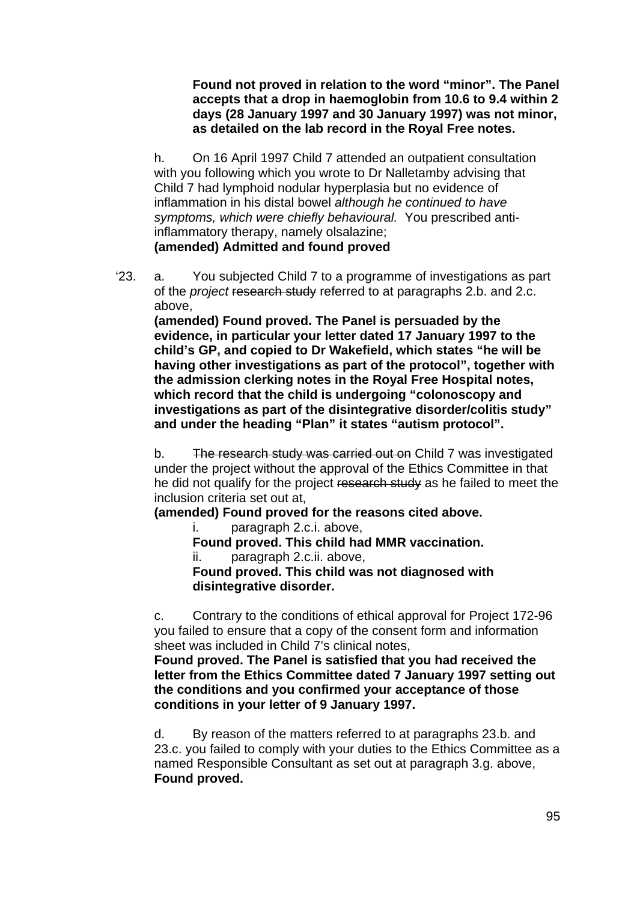**Found not proved in relation to the word "minor". The Panel accepts that a drop in haemoglobin from 10.6 to 9.4 within 2 days (28 January 1997 and 30 January 1997) was not minor, as detailed on the lab record in the Royal Free notes.** 

h. On 16 April 1997 Child 7 attended an outpatient consultation with you following which you wrote to Dr Nalletamby advising that Child 7 had lymphoid nodular hyperplasia but no evidence of inflammation in his distal bowel *although he continued to have symptoms, which were chiefly behavioural.* You prescribed antiinflammatory therapy, namely olsalazine; **(amended) Admitted and found proved** 

'23. a. You subjected Child 7 to a programme of investigations as part of the *project* research study referred to at paragraphs 2.b. and 2.c. above,

**(amended) Found proved. The Panel is persuaded by the evidence, in particular your letter dated 17 January 1997 to the child's GP, and copied to Dr Wakefield, which states "he will be having other investigations as part of the protocol", together with the admission clerking notes in the Royal Free Hospital notes, which record that the child is undergoing "colonoscopy and investigations as part of the disintegrative disorder/colitis study" and under the heading "Plan" it states "autism protocol".** 

b. The research study was carried out on Child 7 was investigated under the project without the approval of the Ethics Committee in that he did not qualify for the project research study as he failed to meet the inclusion criteria set out at,

**(amended) Found proved for the reasons cited above.** 

i. paragraph 2.c.i. above,

**Found proved. This child had MMR vaccination.** 

ii. paragraph 2.c.ii. above,

**Found proved. This child was not diagnosed with disintegrative disorder.** 

c. Contrary to the conditions of ethical approval for Project 172-96 you failed to ensure that a copy of the consent form and information sheet was included in Child 7's clinical notes,

**Found proved. The Panel is satisfied that you had received the letter from the Ethics Committee dated 7 January 1997 setting out the conditions and you confirmed your acceptance of those conditions in your letter of 9 January 1997.** 

d. By reason of the matters referred to at paragraphs 23.b. and 23.c. you failed to comply with your duties to the Ethics Committee as a named Responsible Consultant as set out at paragraph 3.g. above, **Found proved.**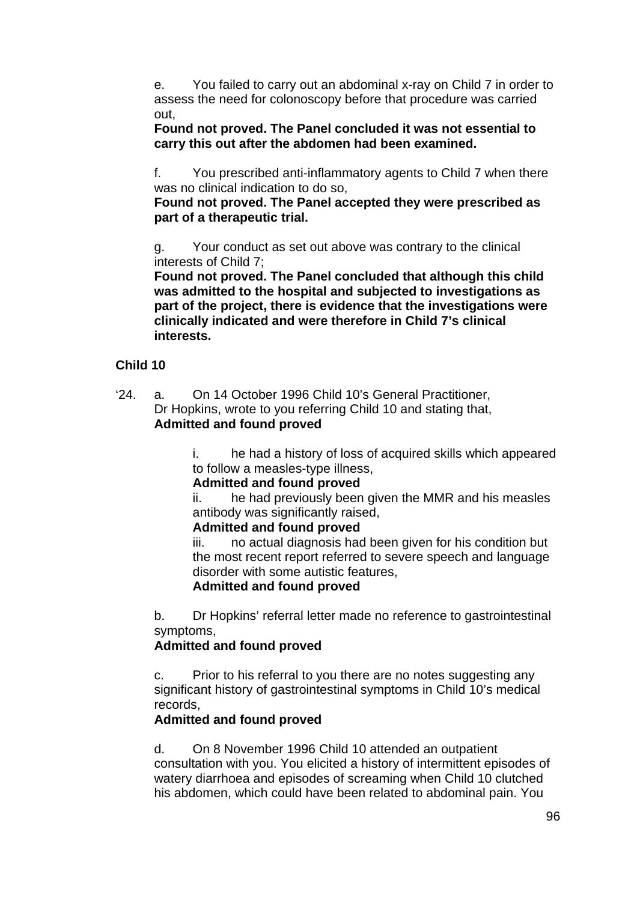e. You failed to carry out an abdominal x-ray on Child 7 in order to assess the need for colonoscopy before that procedure was carried out,

### **Found not proved. The Panel concluded it was not essential to carry this out after the abdomen had been examined.**

f. You prescribed anti-inflammatory agents to Child 7 when there was no clinical indication to do so,

### **Found not proved. The Panel accepted they were prescribed as part of a therapeutic trial.**

g. Your conduct as set out above was contrary to the clinical interests of Child 7;

**Found not proved. The Panel concluded that although this child was admitted to the hospital and subjected to investigations as part of the project, there is evidence that the investigations were clinically indicated and were therefore in Child 7's clinical interests.** 

# **Child 10**

'24. a. On 14 October 1996 Child 10's General Practitioner, Dr Hopkins, wrote to you referring Child 10 and stating that, **Admitted and found proved**

> i. he had a history of loss of acquired skills which appeared to follow a measles-type illness,

### **Admitted and found proved**

ii. he had previously been given the MMR and his measles antibody was significantly raised,

### **Admitted and found proved**

iii. no actual diagnosis had been given for his condition but the most recent report referred to severe speech and language disorder with some autistic features,

### **Admitted and found proved**

b. Dr Hopkins' referral letter made no reference to gastrointestinal symptoms,

# **Admitted and found proved**

c. Prior to his referral to you there are no notes suggesting any significant history of gastrointestinal symptoms in Child 10's medical records,

### **Admitted and found proved**

d. On 8 November 1996 Child 10 attended an outpatient consultation with you. You elicited a history of intermittent episodes of watery diarrhoea and episodes of screaming when Child 10 clutched his abdomen, which could have been related to abdominal pain. You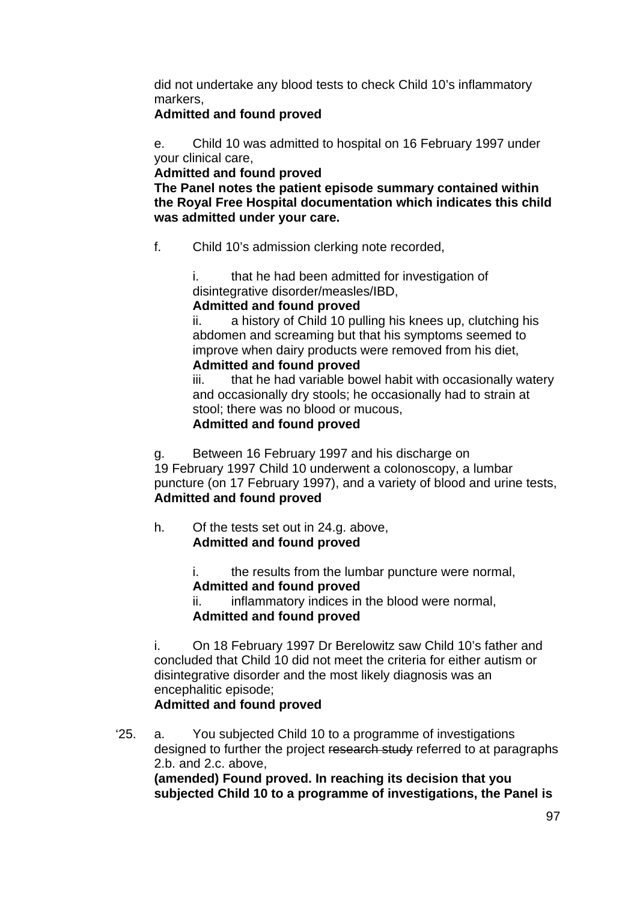did not undertake any blood tests to check Child 10's inflammatory markers,

### **Admitted and found proved**

e. Child 10 was admitted to hospital on 16 February 1997 under your clinical care,

**Admitted and found proved** 

**The Panel notes the patient episode summary contained within the Royal Free Hospital documentation which indicates this child was admitted under your care.** 

f. Child 10's admission clerking note recorded,

i. that he had been admitted for investigation of disintegrative disorder/measles/IBD,

# **Admitted and found proved**

ii. a history of Child 10 pulling his knees up, clutching his abdomen and screaming but that his symptoms seemed to improve when dairy products were removed from his diet,

### **Admitted and found proved**

iii. that he had variable bowel habit with occasionally watery and occasionally dry stools; he occasionally had to strain at stool; there was no blood or mucous, **Admitted and found proved** 

g. Between 16 February 1997 and his discharge on

19 February 1997 Child 10 underwent a colonoscopy, a lumbar puncture (on 17 February 1997), and a variety of blood and urine tests, **Admitted and found proved**

h. Of the tests set out in 24.g. above, **Admitted and found proved**

> i. the results from the lumbar puncture were normal, **Admitted and found proved**

ii. inflammatory indices in the blood were normal, **Admitted and found proved**

i. On 18 February 1997 Dr Berelowitz saw Child 10's father and concluded that Child 10 did not meet the criteria for either autism or disintegrative disorder and the most likely diagnosis was an encephalitic episode;

# **Admitted and found proved**

'25. a. You subjected Child 10 to a programme of investigations designed to further the project research study referred to at paragraphs 2.b. and 2.c. above, **(amended) Found proved. In reaching its decision that you subjected Child 10 to a programme of investigations, the Panel is**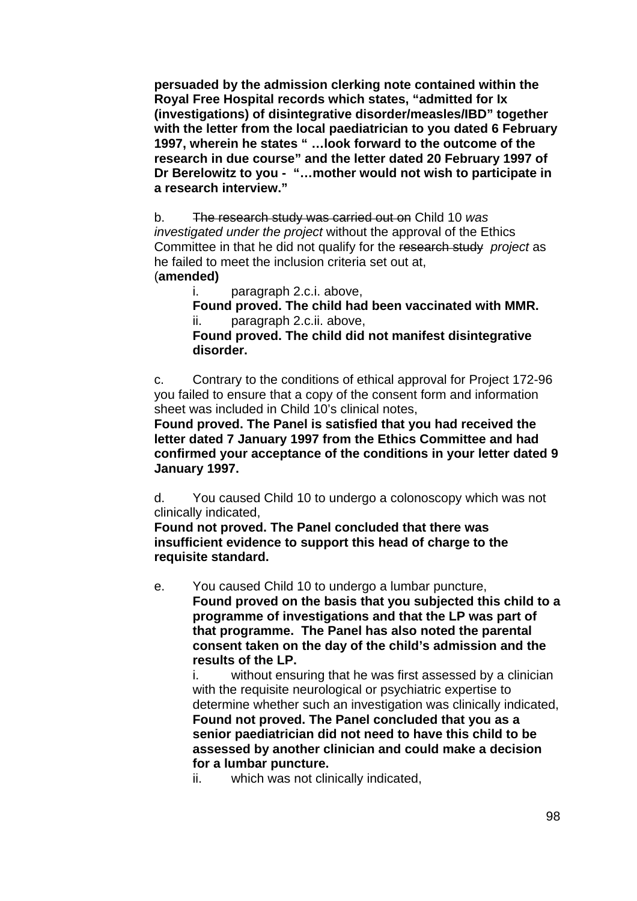**persuaded by the admission clerking note contained within the Royal Free Hospital records which states, "admitted for Ix (investigations) of disintegrative disorder/measles/IBD" together with the letter from the local paediatrician to you dated 6 February 1997, wherein he states " …look forward to the outcome of the research in due course" and the letter dated 20 February 1997 of Dr Berelowitz to you - "…mother would not wish to participate in a research interview."** 

b. The research study was carried out on Child 10 *was investigated under the project* without the approval of the Ethics Committee in that he did not qualify for the research study *project* as he failed to meet the inclusion criteria set out at, (**amended)** 

i. paragraph 2.c.i. above,

 **Found proved. The child had been vaccinated with MMR.**  paragraph 2.c.ii. above,

**Found proved. The child did not manifest disintegrative disorder.** 

c. Contrary to the conditions of ethical approval for Project 172-96 you failed to ensure that a copy of the consent form and information sheet was included in Child 10's clinical notes,

**Found proved. The Panel is satisfied that you had received the letter dated 7 January 1997 from the Ethics Committee and had confirmed your acceptance of the conditions in your letter dated 9 January 1997.** 

d. You caused Child 10 to undergo a colonoscopy which was not clinically indicated,

**Found not proved. The Panel concluded that there was insufficient evidence to support this head of charge to the requisite standard.** 

e. You caused Child 10 to undergo a lumbar puncture, **Found proved on the basis that you subjected this child to a programme of investigations and that the LP was part of that programme. The Panel has also noted the parental consent taken on the day of the child's admission and the results of the LP.** 

i. without ensuring that he was first assessed by a clinician with the requisite neurological or psychiatric expertise to determine whether such an investigation was clinically indicated, **Found not proved. The Panel concluded that you as a senior paediatrician did not need to have this child to be assessed by another clinician and could make a decision for a lumbar puncture.** 

ii. which was not clinically indicated,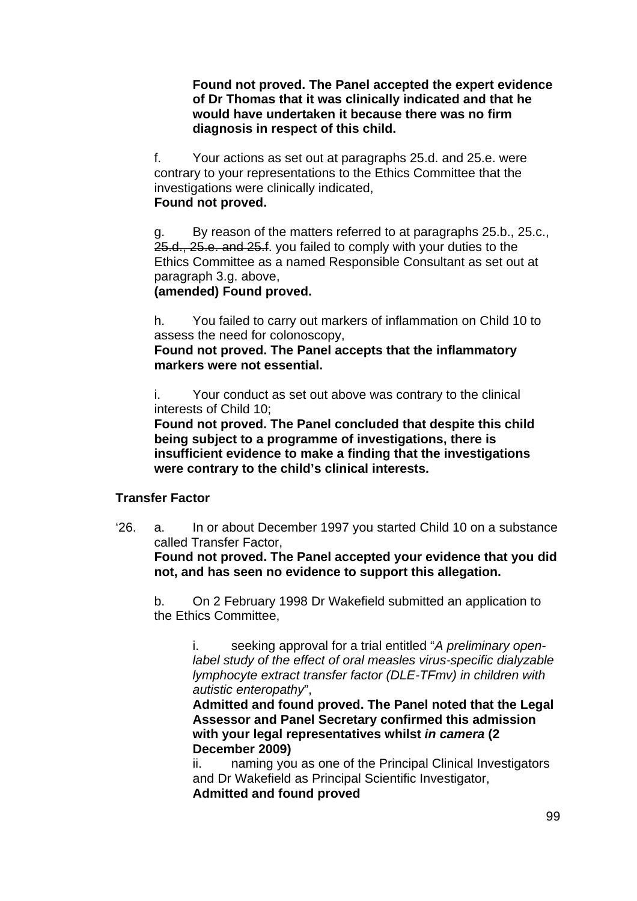**Found not proved. The Panel accepted the expert evidence of Dr Thomas that it was clinically indicated and that he would have undertaken it because there was no firm diagnosis in respect of this child.** 

f. Your actions as set out at paragraphs 25.d. and 25.e. were contrary to your representations to the Ethics Committee that the investigations were clinically indicated, **Found not proved.** 

g. By reason of the matters referred to at paragraphs 25.b., 25.c., 25.d., 25.e. and 25.f. you failed to comply with your duties to the Ethics Committee as a named Responsible Consultant as set out at paragraph 3.g. above,

#### **(amended) Found proved.**

h. You failed to carry out markers of inflammation on Child 10 to assess the need for colonoscopy,

**Found not proved. The Panel accepts that the inflammatory markers were not essential.** 

i. Your conduct as set out above was contrary to the clinical interests of Child 10;

**Found not proved. The Panel concluded that despite this child being subject to a programme of investigations, there is insufficient evidence to make a finding that the investigations were contrary to the child's clinical interests.** 

### **Transfer Factor**

'26. a. In or about December 1997 you started Child 10 on a substance called Transfer Factor,

**Found not proved. The Panel accepted your evidence that you did not, and has seen no evidence to support this allegation.** 

b. On 2 February 1998 Dr Wakefield submitted an application to the Ethics Committee,

i. seeking approval for a trial entitled "*A preliminary openlabel study of the effect of oral measles virus-specific dialyzable lymphocyte extract transfer factor (DLE-TFmv) in children with autistic enteropathy*",

**Admitted and found proved. The Panel noted that the Legal Assessor and Panel Secretary confirmed this admission with your legal representatives whilst** *in camera* **(2 December 2009)** 

ii. naming you as one of the Principal Clinical Investigators and Dr Wakefield as Principal Scientific Investigator, **Admitted and found proved**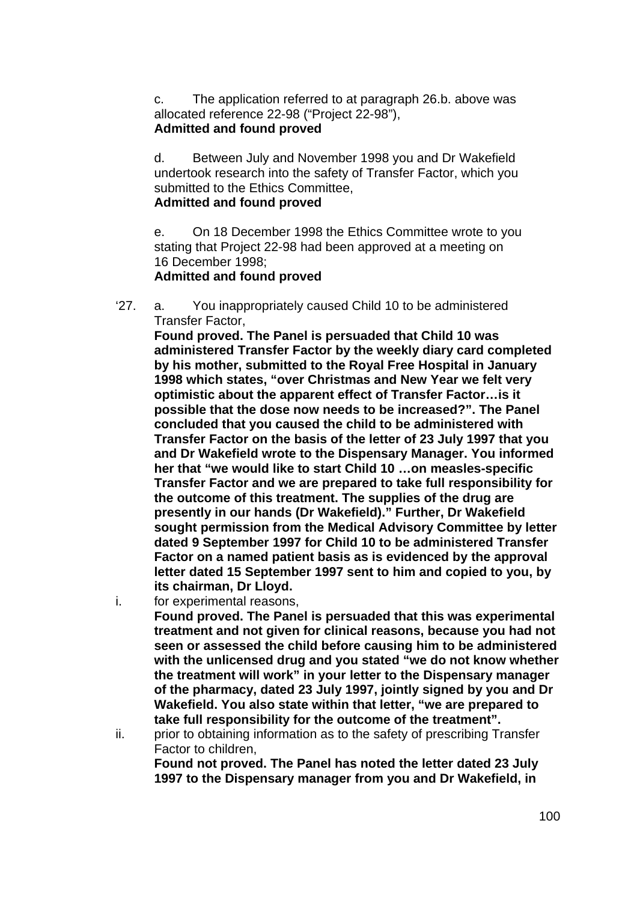c. The application referred to at paragraph 26.b. above was allocated reference 22-98 ("Project 22-98"), **Admitted and found proved** 

d. Between July and November 1998 you and Dr Wakefield undertook research into the safety of Transfer Factor, which you submitted to the Ethics Committee,

### **Admitted and found proved**

e. On 18 December 1998 the Ethics Committee wrote to you stating that Project 22-98 had been approved at a meeting on 16 December 1998;

# **Admitted and found proved**

'27. a. You inappropriately caused Child 10 to be administered Transfer Factor,

**Found proved. The Panel is persuaded that Child 10 was administered Transfer Factor by the weekly diary card completed by his mother, submitted to the Royal Free Hospital in January 1998 which states, "over Christmas and New Year we felt very optimistic about the apparent effect of Transfer Factor…is it possible that the dose now needs to be increased?". The Panel concluded that you caused the child to be administered with Transfer Factor on the basis of the letter of 23 July 1997 that you and Dr Wakefield wrote to the Dispensary Manager. You informed her that "we would like to start Child 10 …on measles-specific Transfer Factor and we are prepared to take full responsibility for the outcome of this treatment. The supplies of the drug are presently in our hands (Dr Wakefield)." Further, Dr Wakefield sought permission from the Medical Advisory Committee by letter dated 9 September 1997 for Child 10 to be administered Transfer Factor on a named patient basis as is evidenced by the approval letter dated 15 September 1997 sent to him and copied to you, by its chairman, Dr Lloyd.** 

i. for experimental reasons,

**Found proved. The Panel is persuaded that this was experimental treatment and not given for clinical reasons, because you had not seen or assessed the child before causing him to be administered with the unlicensed drug and you stated "we do not know whether the treatment will work" in your letter to the Dispensary manager of the pharmacy, dated 23 July 1997, jointly signed by you and Dr Wakefield. You also state within that letter, "we are prepared to take full responsibility for the outcome of the treatment".** 

ii. prior to obtaining information as to the safety of prescribing Transfer Factor to children,

**Found not proved. The Panel has noted the letter dated 23 July 1997 to the Dispensary manager from you and Dr Wakefield, in**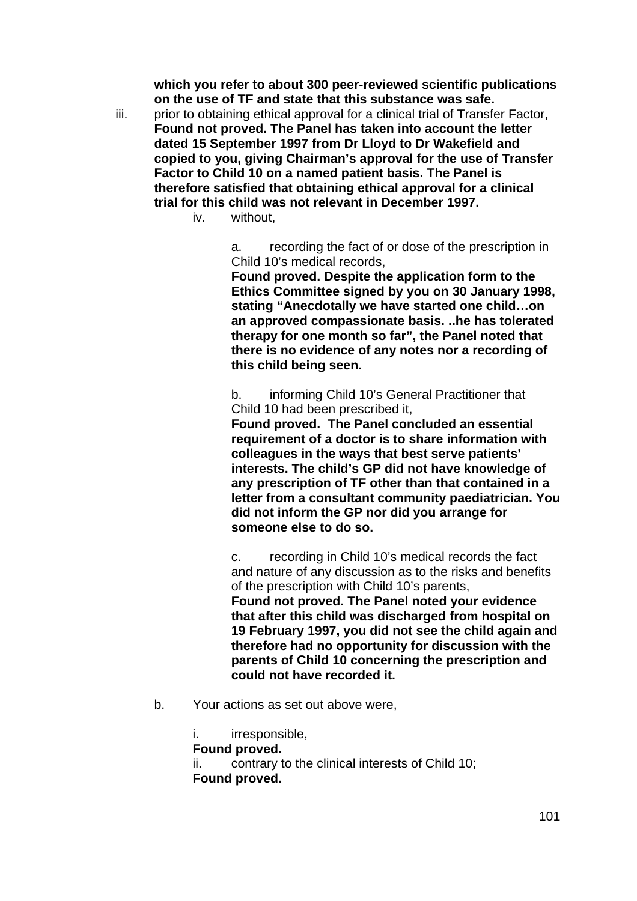**which you refer to about 300 peer-reviewed scientific publications on the use of TF and state that this substance was safe.** 

- iii. prior to obtaining ethical approval for a clinical trial of Transfer Factor, **Found not proved. The Panel has taken into account the letter dated 15 September 1997 from Dr Lloyd to Dr Wakefield and copied to you, giving Chairman's approval for the use of Transfer Factor to Child 10 on a named patient basis. The Panel is therefore satisfied that obtaining ethical approval for a clinical trial for this child was not relevant in December 1997.** 
	- iv. without

a. recording the fact of or dose of the prescription in Child 10's medical records,

**Found proved. Despite the application form to the Ethics Committee signed by you on 30 January 1998, stating "Anecdotally we have started one child…on an approved compassionate basis. ..he has tolerated therapy for one month so far", the Panel noted that there is no evidence of any notes nor a recording of this child being seen.** 

b. informing Child 10's General Practitioner that Child 10 had been prescribed it,

**Found proved. The Panel concluded an essential requirement of a doctor is to share information with colleagues in the ways that best serve patients' interests. The child's GP did not have knowledge of any prescription of TF other than that contained in a letter from a consultant community paediatrician. You did not inform the GP nor did you arrange for someone else to do so.** 

c. recording in Child 10's medical records the fact and nature of any discussion as to the risks and benefits of the prescription with Child 10's parents, **Found not proved. The Panel noted your evidence that after this child was discharged from hospital on 19 February 1997, you did not see the child again and therefore had no opportunity for discussion with the parents of Child 10 concerning the prescription and could not have recorded it.** 

b. Your actions as set out above were,

i. irresponsible, **Found proved.**  ii. contrary to the clinical interests of Child 10; **Found proved.**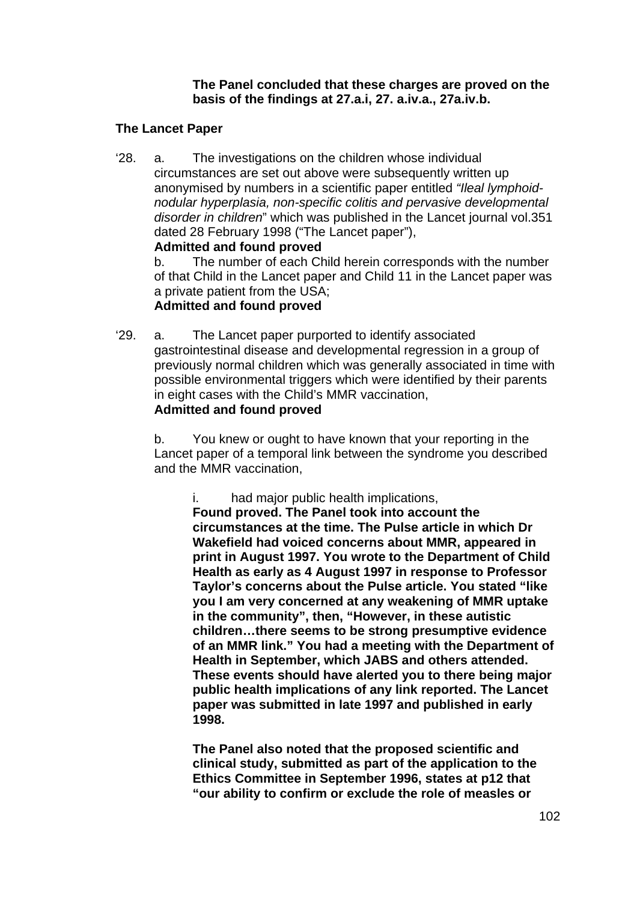**The Panel concluded that these charges are proved on the basis of the findings at 27.a.i, 27. a.iv.a., 27a.iv.b.** 

### **The Lancet Paper**

'28. a. The investigations on the children whose individual circumstances are set out above were subsequently written up anonymised by numbers in a scientific paper entitled *"Ileal lymphoidnodular hyperplasia, non-specific colitis and pervasive developmental disorder in children*" which was published in the Lancet journal vol.351 dated 28 February 1998 ("The Lancet paper"), **Admitted and found proved**

b. The number of each Child herein corresponds with the number of that Child in the Lancet paper and Child 11 in the Lancet paper was a private patient from the USA;

# **Admitted and found proved**

'29. a. The Lancet paper purported to identify associated gastrointestinal disease and developmental regression in a group of previously normal children which was generally associated in time with possible environmental triggers which were identified by their parents in eight cases with the Child's MMR vaccination,

### **Admitted and found proved**

b. You knew or ought to have known that your reporting in the Lancet paper of a temporal link between the syndrome you described and the MMR vaccination,

i. had major public health implications,

**Found proved. The Panel took into account the circumstances at the time. The Pulse article in which Dr Wakefield had voiced concerns about MMR, appeared in print in August 1997. You wrote to the Department of Child Health as early as 4 August 1997 in response to Professor Taylor's concerns about the Pulse article. You stated "like you I am very concerned at any weakening of MMR uptake in the community", then, "However, in these autistic children…there seems to be strong presumptive evidence of an MMR link." You had a meeting with the Department of Health in September, which JABS and others attended. These events should have alerted you to there being major public health implications of any link reported. The Lancet paper was submitted in late 1997 and published in early 1998.** 

**The Panel also noted that the proposed scientific and clinical study, submitted as part of the application to the Ethics Committee in September 1996, states at p12 that "our ability to confirm or exclude the role of measles or**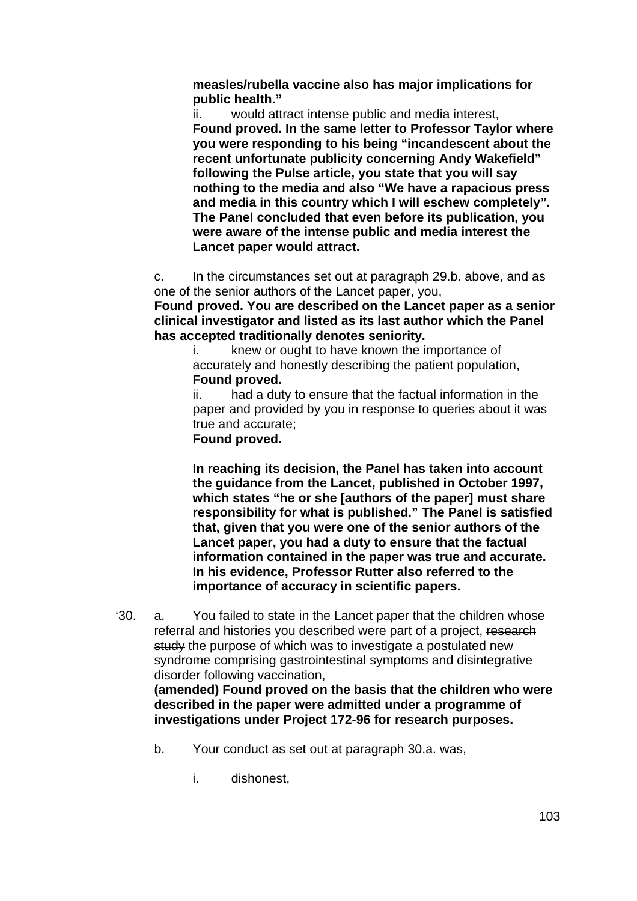**measles/rubella vaccine also has major implications for public health."** 

ii. would attract intense public and media interest, **Found proved. In the same letter to Professor Taylor where you were responding to his being "incandescent about the recent unfortunate publicity concerning Andy Wakefield" following the Pulse article, you state that you will say nothing to the media and also "We have a rapacious press and media in this country which I will eschew completely". The Panel concluded that even before its publication, you were aware of the intense public and media interest the Lancet paper would attract.** 

c. In the circumstances set out at paragraph 29.b. above, and as one of the senior authors of the Lancet paper, you,

**Found proved. You are described on the Lancet paper as a senior clinical investigator and listed as its last author which the Panel has accepted traditionally denotes seniority.** 

i. knew or ought to have known the importance of accurately and honestly describing the patient population, **Found proved.** 

ii. had a duty to ensure that the factual information in the paper and provided by you in response to queries about it was true and accurate;

**Found proved.** 

**In reaching its decision, the Panel has taken into account the guidance from the Lancet, published in October 1997, which states "he or she [authors of the paper] must share responsibility for what is published." The Panel is satisfied that, given that you were one of the senior authors of the Lancet paper, you had a duty to ensure that the factual information contained in the paper was true and accurate. In his evidence, Professor Rutter also referred to the importance of accuracy in scientific papers.** 

'30. a. You failed to state in the Lancet paper that the children whose referral and histories you described were part of a project, research study the purpose of which was to investigate a postulated new syndrome comprising gastrointestinal symptoms and disintegrative disorder following vaccination,

**(amended) Found proved on the basis that the children who were described in the paper were admitted under a programme of investigations under Project 172-96 for research purposes.** 

- b. Your conduct as set out at paragraph 30.a. was,
	- i. dishonest,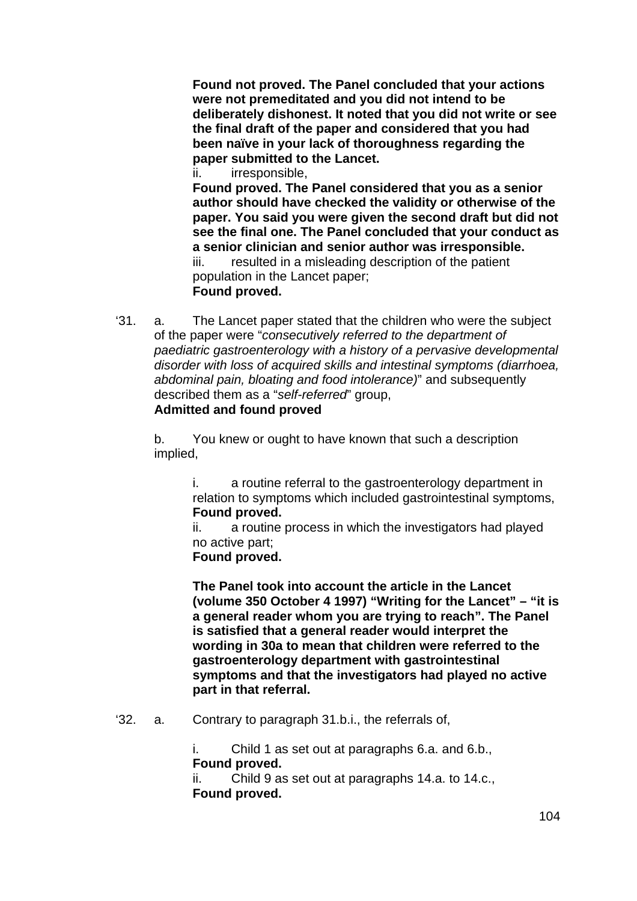**Found not proved. The Panel concluded that your actions were not premeditated and you did not intend to be deliberately dishonest. It noted that you did not write or see the final draft of the paper and considered that you had been naïve in your lack of thoroughness regarding the paper submitted to the Lancet.** 

ii. irresponsible,

**Found proved. The Panel considered that you as a senior author should have checked the validity or otherwise of the paper. You said you were given the second draft but did not see the final one. The Panel concluded that your conduct as a senior clinician and senior author was irresponsible.**  iii. resulted in a misleading description of the patient population in the Lancet paper;

#### **Found proved.**

'31. a. The Lancet paper stated that the children who were the subject of the paper were "*consecutively referred to the department of paediatric gastroenterology with a history of a pervasive developmental disorder with loss of acquired skills and intestinal symptoms (diarrhoea, abdominal pain, bloating and food intolerance)*" and subsequently described them as a "*self-referred*" group,

### **Admitted and found proved**

b. You knew or ought to have known that such a description implied,

> i. a routine referral to the gastroenterology department in relation to symptoms which included gastrointestinal symptoms, **Found proved.**

ii. a routine process in which the investigators had played no active part;

**Found proved.** 

**The Panel took into account the article in the Lancet (volume 350 October 4 1997) "Writing for the Lancet" – "it is a general reader whom you are trying to reach". The Panel is satisfied that a general reader would interpret the wording in 30a to mean that children were referred to the gastroenterology department with gastrointestinal symptoms and that the investigators had played no active part in that referral.** 

'32. a. Contrary to paragraph 31.b.i., the referrals of,

i. Child 1 as set out at paragraphs 6.a. and 6.b., **Found proved.** 

ii. Child 9 as set out at paragraphs 14.a. to 14.c., **Found proved.**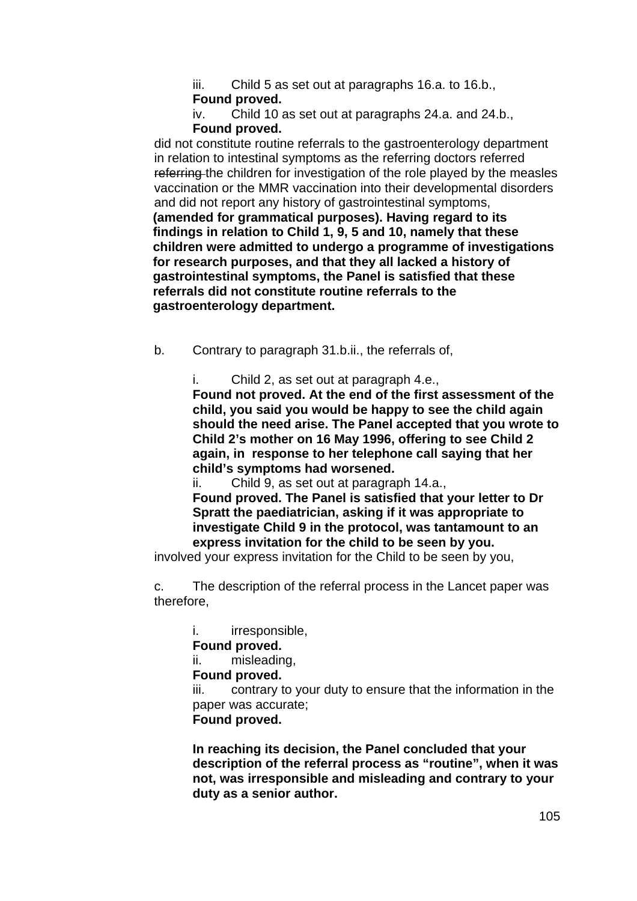iii. Child 5 as set out at paragraphs 16.a. to 16.b., **Found proved.** 

iv. Child 10 as set out at paragraphs 24.a. and 24.b., **Found proved.** 

did not constitute routine referrals to the gastroenterology department in relation to intestinal symptoms as the referring doctors referred referring the children for investigation of the role played by the measles vaccination or the MMR vaccination into their developmental disorders and did not report any history of gastrointestinal symptoms,

**(amended for grammatical purposes). Having regard to its findings in relation to Child 1, 9, 5 and 10, namely that these children were admitted to undergo a programme of investigations for research purposes, and that they all lacked a history of gastrointestinal symptoms, the Panel is satisfied that these referrals did not constitute routine referrals to the gastroenterology department.** 

b. Contrary to paragraph 31.b.ii., the referrals of,

i. Child 2, as set out at paragraph 4.e.,

**Found not proved. At the end of the first assessment of the child, you said you would be happy to see the child again should the need arise. The Panel accepted that you wrote to Child 2's mother on 16 May 1996, offering to see Child 2 again, in response to her telephone call saying that her child's symptoms had worsened.** 

ii. Child 9, as set out at paragraph 14.a., **Found proved. The Panel is satisfied that your letter to Dr Spratt the paediatrician, asking if it was appropriate to investigate Child 9 in the protocol, was tantamount to an express invitation for the child to be seen by you.** 

involved your express invitation for the Child to be seen by you,

c. The description of the referral process in the Lancet paper was therefore,

i. irresponsible,

### **Found proved.**

ii. misleading,

**Found proved.** 

iii. contrary to your duty to ensure that the information in the paper was accurate;

**Found proved.** 

**In reaching its decision, the Panel concluded that your description of the referral process as "routine", when it was not, was irresponsible and misleading and contrary to your duty as a senior author.**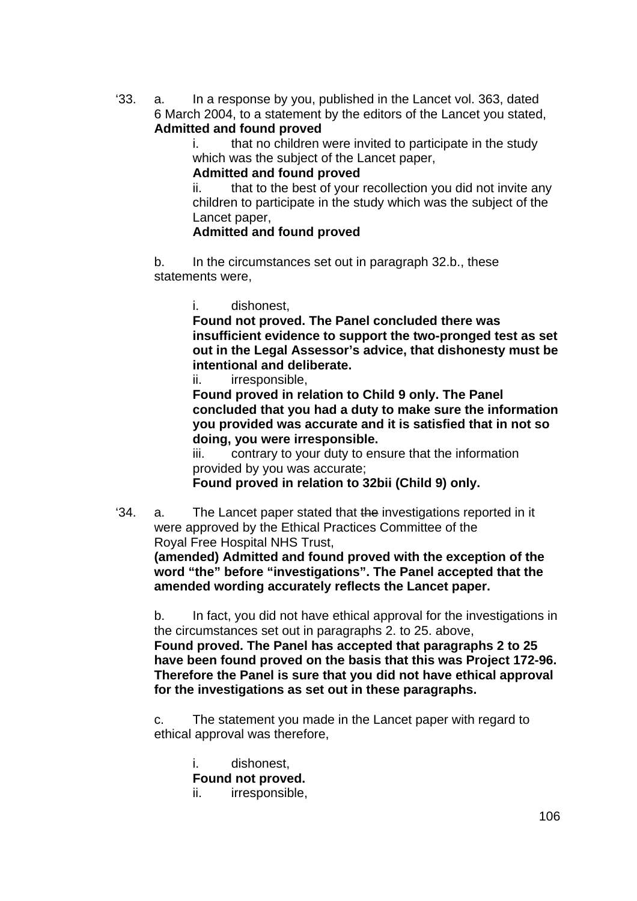'33. a. In a response by you, published in the Lancet vol. 363, dated 6 March 2004, to a statement by the editors of the Lancet you stated, **Admitted and found proved**

> i. that no children were invited to participate in the study which was the subject of the Lancet paper,

**Admitted and found proved**

ii. that to the best of your recollection you did not invite any children to participate in the study which was the subject of the Lancet paper,

### **Admitted and found proved**

b. In the circumstances set out in paragraph 32.b., these statements were,

i. dishonest,

**Found not proved. The Panel concluded there was insufficient evidence to support the two-pronged test as set out in the Legal Assessor's advice, that dishonesty must be intentional and deliberate.** 

ii. irresponsible,

**Found proved in relation to Child 9 only. The Panel concluded that you had a duty to make sure the information you provided was accurate and it is satisfied that in not so doing, you were irresponsible.** 

iii. contrary to your duty to ensure that the information provided by you was accurate;

**Found proved in relation to 32bii (Child 9) only.** 

'34. a. The Lancet paper stated that the investigations reported in it were approved by the Ethical Practices Committee of the Royal Free Hospital NHS Trust,

**(amended) Admitted and found proved with the exception of the word "the" before "investigations". The Panel accepted that the amended wording accurately reflects the Lancet paper.** 

b. In fact, you did not have ethical approval for the investigations in the circumstances set out in paragraphs 2. to 25. above,

**Found proved. The Panel has accepted that paragraphs 2 to 25 have been found proved on the basis that this was Project 172-96. Therefore the Panel is sure that you did not have ethical approval for the investigations as set out in these paragraphs.** 

c. The statement you made in the Lancet paper with regard to ethical approval was therefore,

i. dishonest, **Found not proved.**  ii. irresponsible,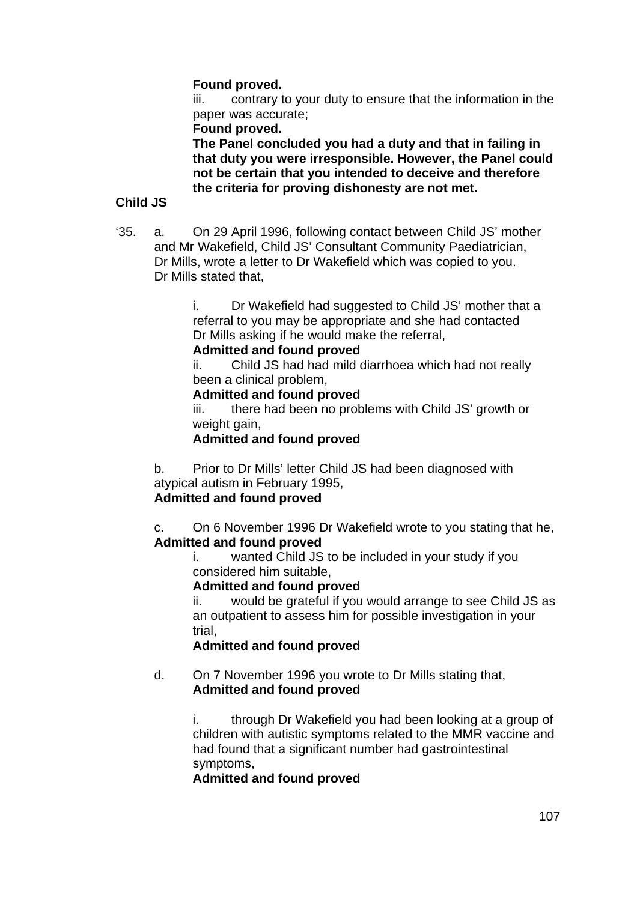### **Found proved.**

iii. contrary to your duty to ensure that the information in the paper was accurate;

#### **Found proved.**

**The Panel concluded you had a duty and that in failing in that duty you were irresponsible. However, the Panel could not be certain that you intended to deceive and therefore the criteria for proving dishonesty are not met.** 

#### **Child JS**

'35. a. On 29 April 1996, following contact between Child JS' mother and Mr Wakefield, Child JS' Consultant Community Paediatrician, Dr Mills, wrote a letter to Dr Wakefield which was copied to you. Dr Mills stated that,

> i. Dr Wakefield had suggested to Child JS' mother that a referral to you may be appropriate and she had contacted Dr Mills asking if he would make the referral,

### **Admitted and found proved**

ii. Child JS had had mild diarrhoea which had not really been a clinical problem,

#### **Admitted and found proved**

iii. there had been no problems with Child JS' growth or weight gain,

# **Admitted and found proved**

b. Prior to Dr Mills' letter Child JS had been diagnosed with atypical autism in February 1995,

# **Admitted and found proved**

c. On 6 November 1996 Dr Wakefield wrote to you stating that he, **Admitted and found proved**

i. wanted Child JS to be included in your study if you considered him suitable,

### **Admitted and found proved**

ii. would be grateful if you would arrange to see Child JS as an outpatient to assess him for possible investigation in your trial,

### **Admitted and found proved**

d. On 7 November 1996 you wrote to Dr Mills stating that, **Admitted and found proved**

> i. through Dr Wakefield you had been looking at a group of children with autistic symptoms related to the MMR vaccine and had found that a significant number had gastrointestinal symptoms,

### **Admitted and found proved**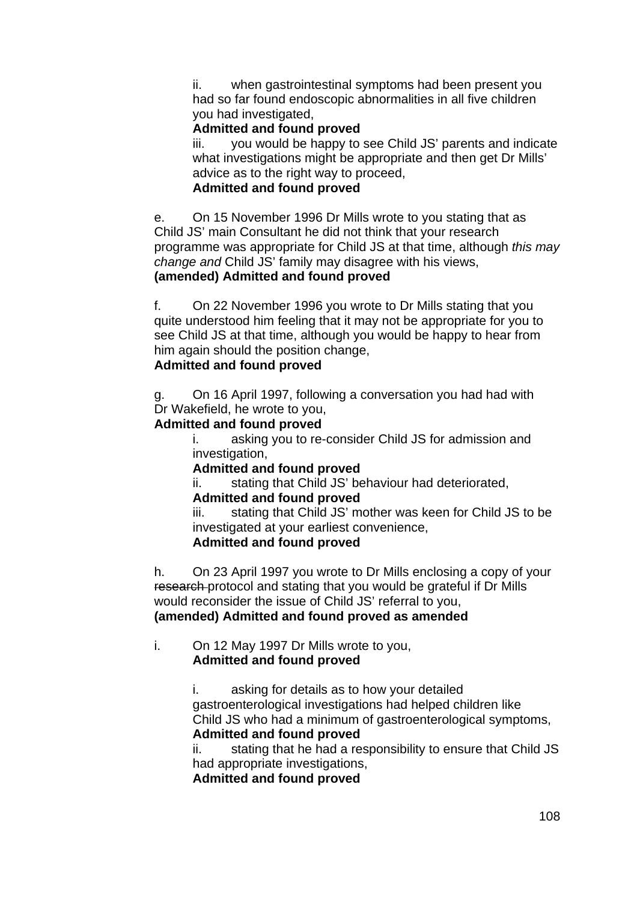ii. when gastrointestinal symptoms had been present you had so far found endoscopic abnormalities in all five children you had investigated,

### **Admitted and found proved**

iii. you would be happy to see Child JS' parents and indicate what investigations might be appropriate and then get Dr Mills' advice as to the right way to proceed.

### **Admitted and found proved**

e. On 15 November 1996 Dr Mills wrote to you stating that as Child JS' main Consultant he did not think that your research programme was appropriate for Child JS at that time, although *this may change and* Child JS' family may disagree with his views, **(amended) Admitted and found proved** 

f. On 22 November 1996 you wrote to Dr Mills stating that you quite understood him feeling that it may not be appropriate for you to see Child JS at that time, although you would be happy to hear from him again should the position change,

# **Admitted and found proved**

g. On 16 April 1997, following a conversation you had had with Dr Wakefield, he wrote to you,

### **Admitted and found proved**

i. asking you to re-consider Child JS for admission and investigation,

### **Admitted and found proved**

ii. stating that Child JS' behaviour had deteriorated,

### **Admitted and found proved**

iii. stating that Child JS' mother was keen for Child JS to be investigated at your earliest convenience,

### **Admitted and found proved**

h. On 23 April 1997 you wrote to Dr Mills enclosing a copy of your research protocol and stating that you would be grateful if Dr Mills would reconsider the issue of Child JS' referral to you, **(amended) Admitted and found proved as amended** 

### i. On 12 May 1997 Dr Mills wrote to you, **Admitted and found proved**

i. asking for details as to how your detailed gastroenterological investigations had helped children like Child JS who had a minimum of gastroenterological symptoms, **Admitted and found proved**

ii. stating that he had a responsibility to ensure that Child JS had appropriate investigations,

**Admitted and found proved**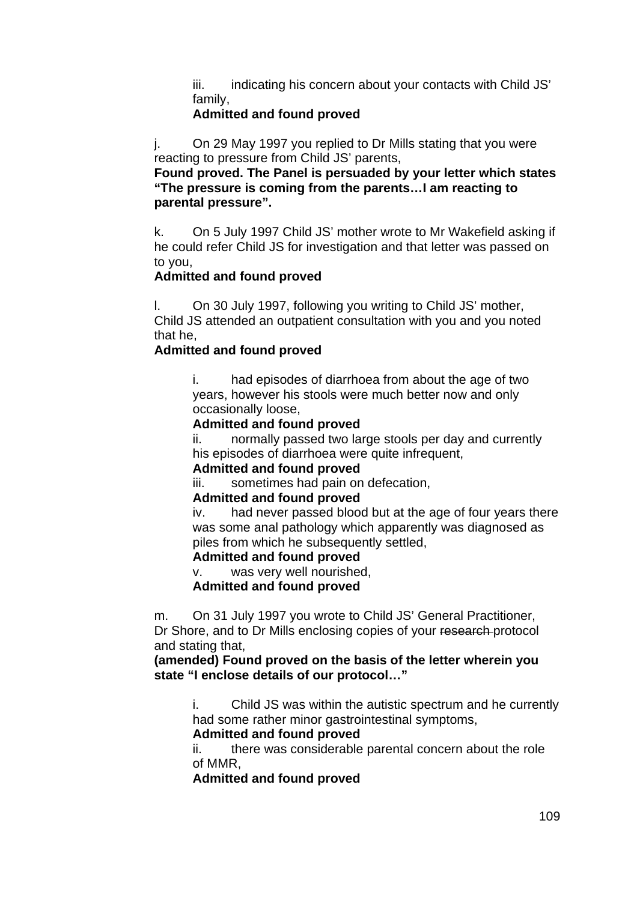iii. indicating his concern about your contacts with Child JS' family,

## **Admitted and found proved**

j. On 29 May 1997 you replied to Dr Mills stating that you were reacting to pressure from Child JS' parents,

**Found proved. The Panel is persuaded by your letter which states "The pressure is coming from the parents…I am reacting to parental pressure".** 

k. On 5 July 1997 Child JS' mother wrote to Mr Wakefield asking if he could refer Child JS for investigation and that letter was passed on to you,

## **Admitted and found proved**

l. On 30 July 1997, following you writing to Child JS' mother, Child JS attended an outpatient consultation with you and you noted that he,

## **Admitted and found proved**

i. had episodes of diarrhoea from about the age of two years, however his stools were much better now and only occasionally loose,

### **Admitted and found proved**

ii. normally passed two large stools per day and currently his episodes of diarrhoea were quite infrequent,

#### **Admitted and found proved**

iii. sometimes had pain on defecation,

### **Admitted and found proved**

iv. had never passed blood but at the age of four years there was some anal pathology which apparently was diagnosed as piles from which he subsequently settled,

### **Admitted and found proved**

v. was very well nourished,

#### **Admitted and found proved**

m. On 31 July 1997 you wrote to Child JS' General Practitioner, Dr Shore, and to Dr Mills enclosing copies of your research protocol and stating that,

#### **(amended) Found proved on the basis of the letter wherein you state "I enclose details of our protocol…"**

i. Child JS was within the autistic spectrum and he currently had some rather minor gastrointestinal symptoms,

### **Admitted and found proved**

ii. there was considerable parental concern about the role of MMR,

**Admitted and found proved**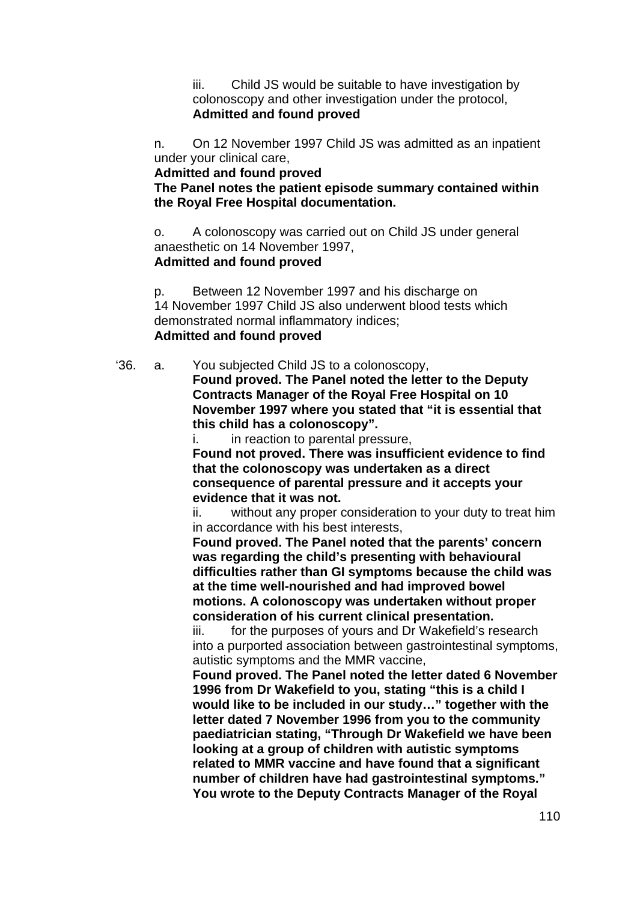iii. Child JS would be suitable to have investigation by colonoscopy and other investigation under the protocol, **Admitted and found proved**

n. On 12 November 1997 Child JS was admitted as an inpatient under your clinical care,

**Admitted and found proved** 

**The Panel notes the patient episode summary contained within the Royal Free Hospital documentation.** 

o. A colonoscopy was carried out on Child JS under general anaesthetic on 14 November 1997, **Admitted and found proved**

p. Between 12 November 1997 and his discharge on 14 November 1997 Child JS also underwent blood tests which demonstrated normal inflammatory indices; **Admitted and found proved**

'36. a. You subjected Child JS to a colonoscopy, **Found proved. The Panel noted the letter to the Deputy Contracts Manager of the Royal Free Hospital on 10 November 1997 where you stated that "it is essential that this child has a colonoscopy".** 

i. in reaction to parental pressure,

**Found not proved. There was insufficient evidence to find that the colonoscopy was undertaken as a direct consequence of parental pressure and it accepts your evidence that it was not.** 

ii. without any proper consideration to your duty to treat him in accordance with his best interests,

**Found proved. The Panel noted that the parents' concern was regarding the child's presenting with behavioural difficulties rather than GI symptoms because the child was at the time well-nourished and had improved bowel motions. A colonoscopy was undertaken without proper consideration of his current clinical presentation.** 

iii. for the purposes of yours and Dr Wakefield's research into a purported association between gastrointestinal symptoms, autistic symptoms and the MMR vaccine,

**Found proved. The Panel noted the letter dated 6 November 1996 from Dr Wakefield to you, stating "this is a child I would like to be included in our study…" together with the letter dated 7 November 1996 from you to the community paediatrician stating, "Through Dr Wakefield we have been looking at a group of children with autistic symptoms related to MMR vaccine and have found that a significant number of children have had gastrointestinal symptoms." You wrote to the Deputy Contracts Manager of the Royal**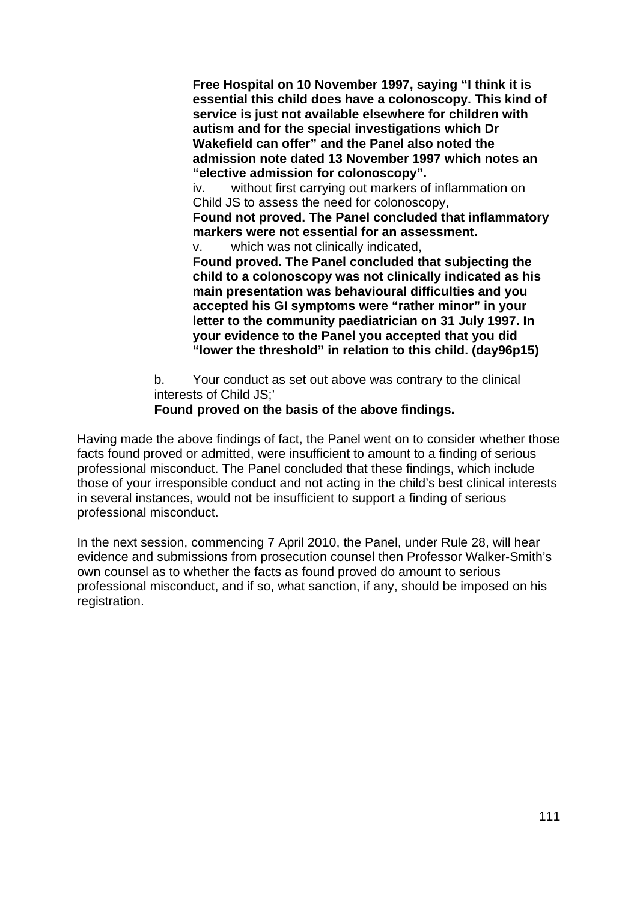**Free Hospital on 10 November 1997, saying "I think it is essential this child does have a colonoscopy. This kind of service is just not available elsewhere for children with autism and for the special investigations which Dr Wakefield can offer" and the Panel also noted the admission note dated 13 November 1997 which notes an "elective admission for colonoscopy".** 

iv. without first carrying out markers of inflammation on Child JS to assess the need for colonoscopy,

**Found not proved. The Panel concluded that inflammatory markers were not essential for an assessment.**

v. which was not clinically indicated,

**Found proved. The Panel concluded that subjecting the child to a colonoscopy was not clinically indicated as his main presentation was behavioural difficulties and you accepted his GI symptoms were "rather minor" in your letter to the community paediatrician on 31 July 1997. In your evidence to the Panel you accepted that you did "lower the threshold" in relation to this child. (day96p15)** 

b. Your conduct as set out above was contrary to the clinical interests of Child JS;'

## **Found proved on the basis of the above findings.**

Having made the above findings of fact, the Panel went on to consider whether those facts found proved or admitted, were insufficient to amount to a finding of serious professional misconduct. The Panel concluded that these findings, which include those of your irresponsible conduct and not acting in the child's best clinical interests in several instances, would not be insufficient to support a finding of serious professional misconduct.

In the next session, commencing 7 April 2010, the Panel, under Rule 28, will hear evidence and submissions from prosecution counsel then Professor Walker-Smith's own counsel as to whether the facts as found proved do amount to serious professional misconduct, and if so, what sanction, if any, should be imposed on his registration.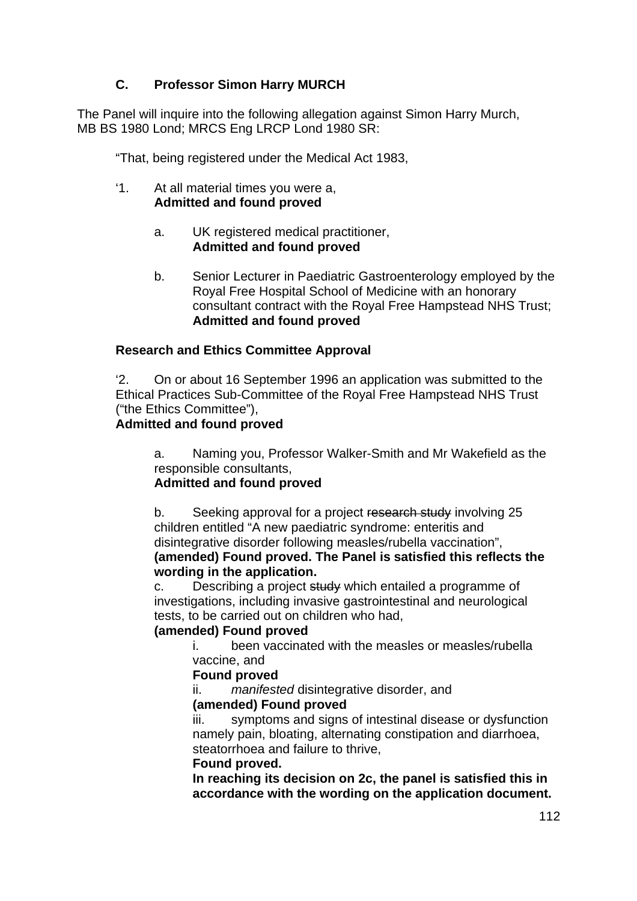## **C. Professor Simon Harry MURCH**

The Panel will inquire into the following allegation against Simon Harry Murch, MB BS 1980 Lond; MRCS Eng LRCP Lond 1980 SR:

"That, being registered under the Medical Act 1983,

- '1. At all material times you were a, **Admitted and found proved**
	- a. UK registered medical practitioner, **Admitted and found proved**
	- b. Senior Lecturer in Paediatric Gastroenterology employed by the Royal Free Hospital School of Medicine with an honorary consultant contract with the Royal Free Hampstead NHS Trust; **Admitted and found proved**

## **Research and Ethics Committee Approval**

'2. On or about 16 September 1996 an application was submitted to the Ethical Practices Sub-Committee of the Royal Free Hampstead NHS Trust ("the Ethics Committee"),

## **Admitted and found proved**

a. Naming you, Professor Walker-Smith and Mr Wakefield as the responsible consultants,

### **Admitted and found proved**

b. Seeking approval for a project research study involving 25 children entitled "A new paediatric syndrome: enteritis and disintegrative disorder following measles/rubella vaccination", **(amended) Found proved. The Panel is satisfied this reflects the wording in the application.** 

c. Describing a project study which entailed a programme of investigations, including invasive gastrointestinal and neurological tests, to be carried out on children who had,

### **(amended) Found proved**

i. been vaccinated with the measles or measles/rubella vaccine, and

### **Found proved**

ii. *manifested* disintegrative disorder, and

### **(amended) Found proved**

iii. symptoms and signs of intestinal disease or dysfunction namely pain, bloating, alternating constipation and diarrhoea, steatorrhoea and failure to thrive,

### **Found proved.**

**In reaching its decision on 2c, the panel is satisfied this in accordance with the wording on the application document.**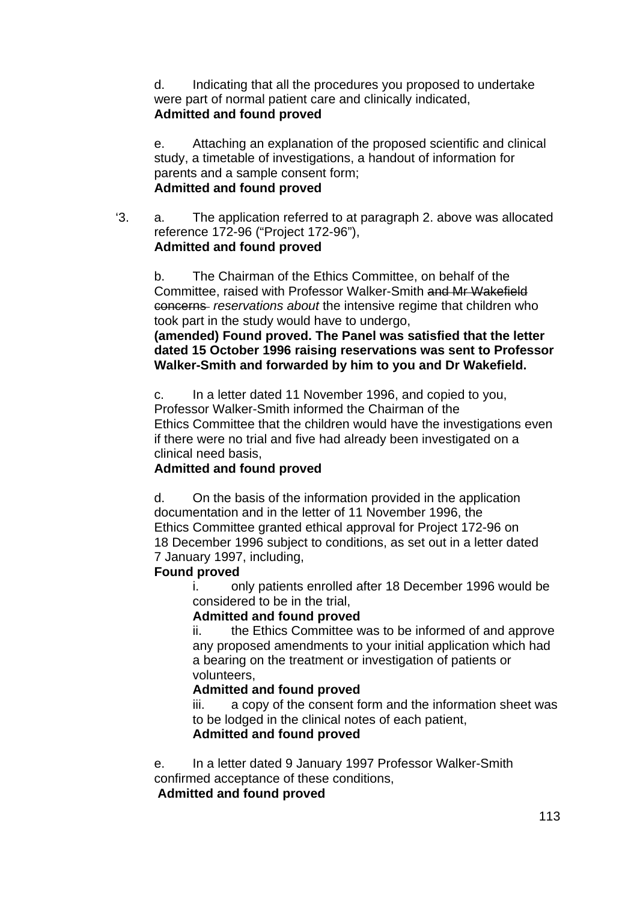d. Indicating that all the procedures you proposed to undertake were part of normal patient care and clinically indicated, **Admitted and found proved**

e. Attaching an explanation of the proposed scientific and clinical study, a timetable of investigations, a handout of information for parents and a sample consent form; **Admitted and found proved**

'3. a. The application referred to at paragraph 2. above was allocated reference 172-96 ("Project 172-96"), **Admitted and found proved**

b. The Chairman of the Ethics Committee, on behalf of the Committee, raised with Professor Walker-Smith and Mr Wakefield concerns *reservations about* the intensive regime that children who took part in the study would have to undergo,

**(amended) Found proved. The Panel was satisfied that the letter dated 15 October 1996 raising reservations was sent to Professor Walker-Smith and forwarded by him to you and Dr Wakefield.** 

c. In a letter dated 11 November 1996, and copied to you, Professor Walker-Smith informed the Chairman of the Ethics Committee that the children would have the investigations even if there were no trial and five had already been investigated on a clinical need basis,

## **Admitted and found proved**

d. On the basis of the information provided in the application documentation and in the letter of 11 November 1996, the Ethics Committee granted ethical approval for Project 172-96 on 18 December 1996 subject to conditions, as set out in a letter dated 7 January 1997, including,

## **Found proved**

i. only patients enrolled after 18 December 1996 would be considered to be in the trial,

## **Admitted and found proved**

ii. the Ethics Committee was to be informed of and approve any proposed amendments to your initial application which had a bearing on the treatment or investigation of patients or volunteers,

## **Admitted and found proved**

iii. a copy of the consent form and the information sheet was to be lodged in the clinical notes of each patient,

## **Admitted and found proved**

e. In a letter dated 9 January 1997 Professor Walker-Smith confirmed acceptance of these conditions,

### **Admitted and found proved**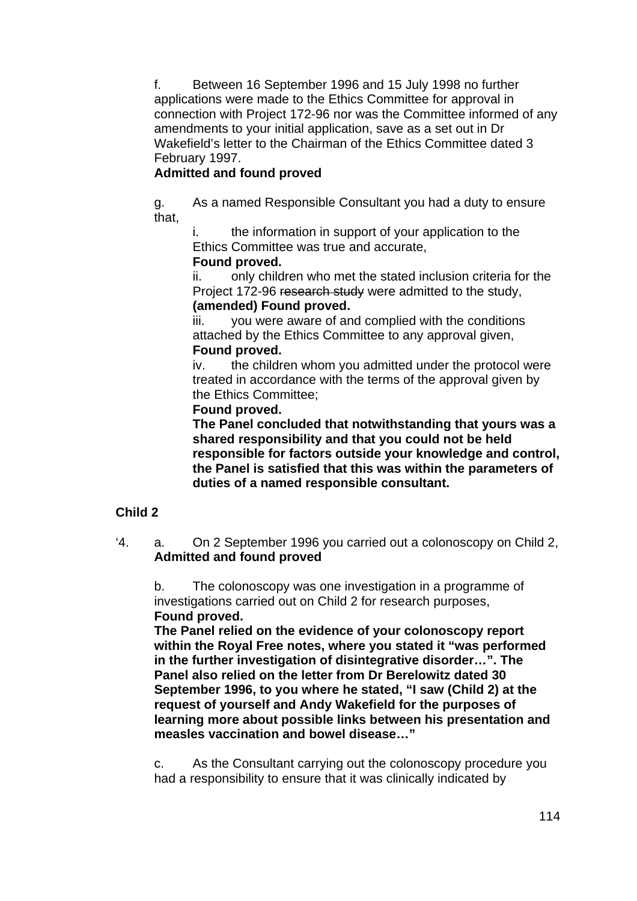f. Between 16 September 1996 and 15 July 1998 no further applications were made to the Ethics Committee for approval in connection with Project 172-96 nor was the Committee informed of any amendments to your initial application, save as a set out in Dr Wakefield's letter to the Chairman of the Ethics Committee dated 3 February 1997.

## **Admitted and found proved**

g. As a named Responsible Consultant you had a duty to ensure that,

i. the information in support of your application to the Ethics Committee was true and accurate,

## **Found proved.**

ii. only children who met the stated inclusion criteria for the Project 172-96 research study were admitted to the study, **(amended) Found proved.** 

iii. you were aware of and complied with the conditions attached by the Ethics Committee to any approval given, **Found proved.** 

iv. the children whom you admitted under the protocol were treated in accordance with the terms of the approval given by the Ethics Committee;

## **Found proved.**

**The Panel concluded that notwithstanding that yours was a shared responsibility and that you could not be held responsible for factors outside your knowledge and control, the Panel is satisfied that this was within the parameters of duties of a named responsible consultant.**

## **Child 2**

'4. a. On 2 September 1996 you carried out a colonoscopy on Child 2, **Admitted and found proved** 

b. The colonoscopy was one investigation in a programme of investigations carried out on Child 2 for research purposes, **Found proved.** 

**The Panel relied on the evidence of your colonoscopy report within the Royal Free notes, where you stated it "was performed in the further investigation of disintegrative disorder…". The Panel also relied on the letter from Dr Berelowitz dated 30 September 1996, to you where he stated, "I saw (Child 2) at the request of yourself and Andy Wakefield for the purposes of learning more about possible links between his presentation and measles vaccination and bowel disease…"** 

c. As the Consultant carrying out the colonoscopy procedure you had a responsibility to ensure that it was clinically indicated by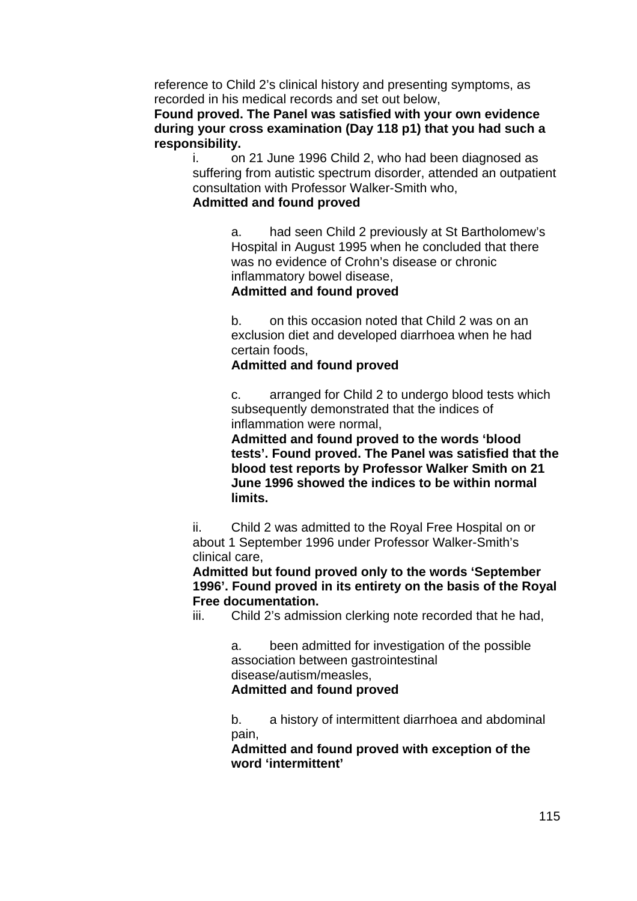reference to Child 2's clinical history and presenting symptoms, as recorded in his medical records and set out below,

## **Found proved. The Panel was satisfied with your own evidence during your cross examination (Day 118 p1) that you had such a responsibility.**

i. on 21 June 1996 Child 2, who had been diagnosed as suffering from autistic spectrum disorder, attended an outpatient consultation with Professor Walker-Smith who,

## **Admitted and found proved**

a. had seen Child 2 previously at St Bartholomew's Hospital in August 1995 when he concluded that there was no evidence of Crohn's disease or chronic inflammatory bowel disease,

## **Admitted and found proved**

b. on this occasion noted that Child 2 was on an exclusion diet and developed diarrhoea when he had certain foods,

## **Admitted and found proved**

c. arranged for Child 2 to undergo blood tests which subsequently demonstrated that the indices of inflammation were normal,

**Admitted and found proved to the words 'blood tests'. Found proved. The Panel was satisfied that the blood test reports by Professor Walker Smith on 21 June 1996 showed the indices to be within normal limits.**

ii. Child 2 was admitted to the Royal Free Hospital on or about 1 September 1996 under Professor Walker-Smith's clinical care,

**Admitted but found proved only to the words 'September 1996'. Found proved in its entirety on the basis of the Royal Free documentation.** 

iii. Child 2's admission clerking note recorded that he had,

a. been admitted for investigation of the possible association between gastrointestinal disease/autism/measles, **Admitted and found proved**

b. a history of intermittent diarrhoea and abdominal pain,

**Admitted and found proved with exception of the word 'intermittent'**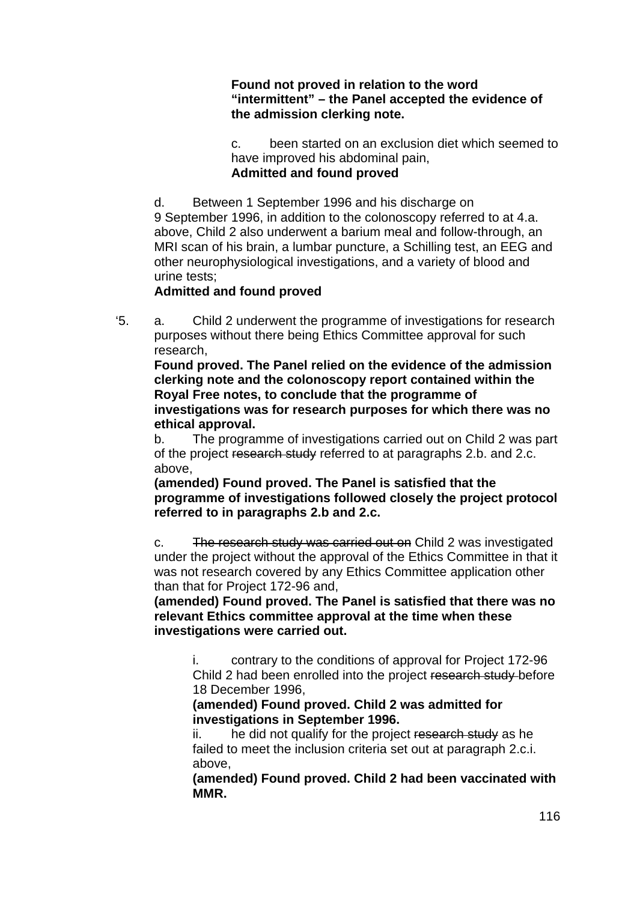## **Found not proved in relation to the word "intermittent" – the Panel accepted the evidence of the admission clerking note.**

c. been started on an exclusion diet which seemed to have improved his abdominal pain, **Admitted and found proved**

d. Between 1 September 1996 and his discharge on 9 September 1996, in addition to the colonoscopy referred to at 4.a. above, Child 2 also underwent a barium meal and follow-through, an MRI scan of his brain, a lumbar puncture, a Schilling test, an EEG and other neurophysiological investigations, and a variety of blood and urine tests;

## **Admitted and found proved**

'5. a. Child 2 underwent the programme of investigations for research purposes without there being Ethics Committee approval for such research,

**Found proved. The Panel relied on the evidence of the admission clerking note and the colonoscopy report contained within the Royal Free notes, to conclude that the programme of investigations was for research purposes for which there was no ethical approval.** 

b. The programme of investigations carried out on Child 2 was part of the project research study referred to at paragraphs 2.b. and 2.c. above,

**(amended) Found proved. The Panel is satisfied that the programme of investigations followed closely the project protocol referred to in paragraphs 2.b and 2.c.** 

c. The research study was carried out on Child 2 was investigated under the project without the approval of the Ethics Committee in that it was not research covered by any Ethics Committee application other than that for Project 172-96 and,

**(amended) Found proved. The Panel is satisfied that there was no relevant Ethics committee approval at the time when these investigations were carried out.** 

i. contrary to the conditions of approval for Project 172-96 Child 2 had been enrolled into the project research study before 18 December 1996,

**(amended) Found proved. Child 2 was admitted for investigations in September 1996.** 

ii. he did not qualify for the project research study as he failed to meet the inclusion criteria set out at paragraph 2.c.i. above,

**(amended) Found proved. Child 2 had been vaccinated with MMR.**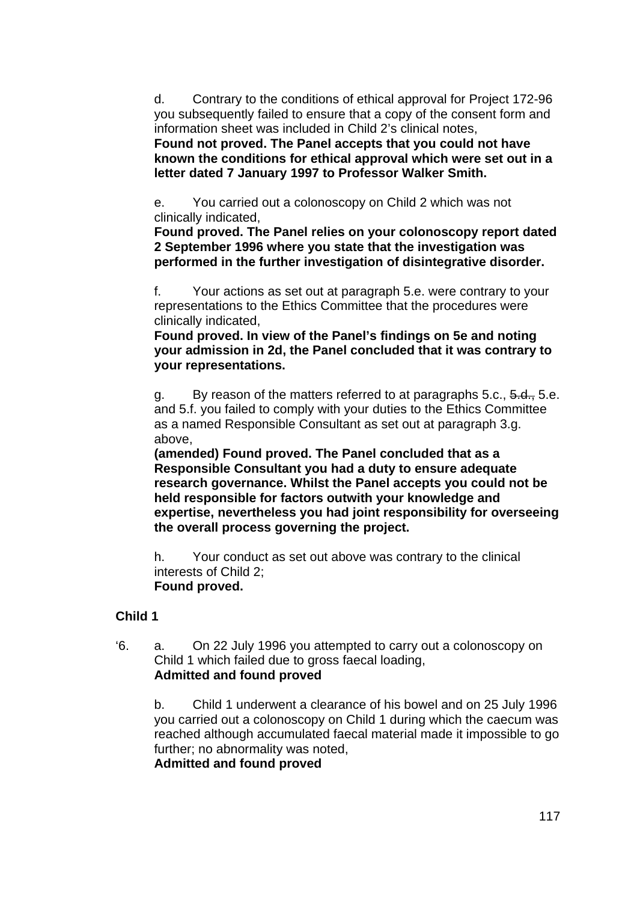d. Contrary to the conditions of ethical approval for Project 172-96 you subsequently failed to ensure that a copy of the consent form and information sheet was included in Child 2's clinical notes,

**Found not proved. The Panel accepts that you could not have known the conditions for ethical approval which were set out in a letter dated 7 January 1997 to Professor Walker Smith.** 

e. You carried out a colonoscopy on Child 2 which was not clinically indicated,

**Found proved. The Panel relies on your colonoscopy report dated 2 September 1996 where you state that the investigation was performed in the further investigation of disintegrative disorder.** 

f. Your actions as set out at paragraph 5.e. were contrary to your representations to the Ethics Committee that the procedures were clinically indicated,

**Found proved. In view of the Panel's findings on 5e and noting your admission in 2d, the Panel concluded that it was contrary to your representations.** 

g. By reason of the matters referred to at paragraphs  $5.c.,\, 5.d.,\, 5.e.$ and 5.f. you failed to comply with your duties to the Ethics Committee as a named Responsible Consultant as set out at paragraph 3.g. above,

**(amended) Found proved. The Panel concluded that as a Responsible Consultant you had a duty to ensure adequate research governance. Whilst the Panel accepts you could not be held responsible for factors outwith your knowledge and expertise, nevertheless you had joint responsibility for overseeing the overall process governing the project.** 

h. Your conduct as set out above was contrary to the clinical interests of Child 2;  **Found proved.** 

### **Child 1**

'6. a. On 22 July 1996 you attempted to carry out a colonoscopy on Child 1 which failed due to gross faecal loading, **Admitted and found proved**

b. Child 1 underwent a clearance of his bowel and on 25 July 1996 you carried out a colonoscopy on Child 1 during which the caecum was reached although accumulated faecal material made it impossible to go further; no abnormality was noted,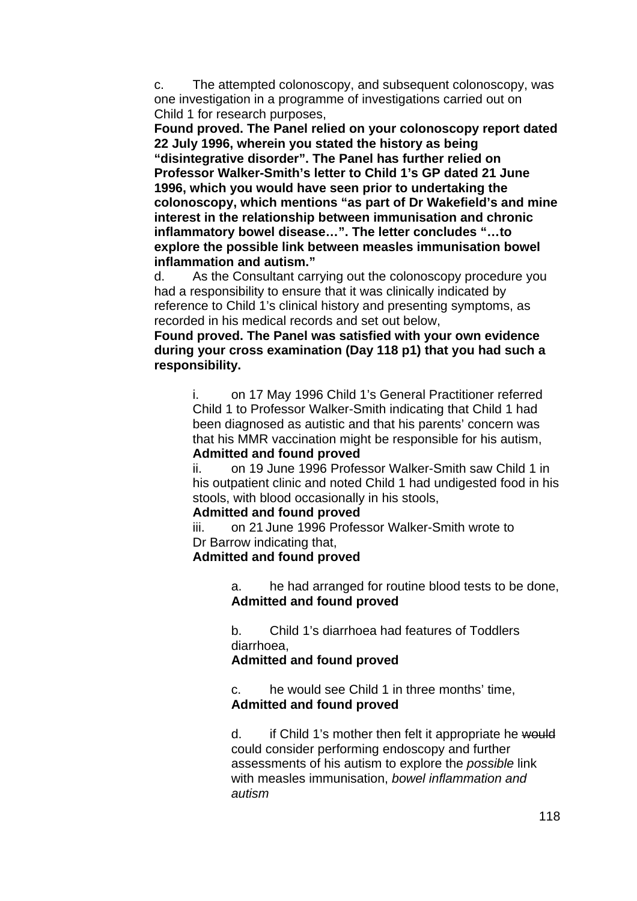c. The attempted colonoscopy, and subsequent colonoscopy, was one investigation in a programme of investigations carried out on Child 1 for research purposes,

**Found proved. The Panel relied on your colonoscopy report dated 22 July 1996, wherein you stated the history as being "disintegrative disorder". The Panel has further relied on Professor Walker-Smith's letter to Child 1's GP dated 21 June 1996, which you would have seen prior to undertaking the colonoscopy, which mentions "as part of Dr Wakefield's and mine interest in the relationship between immunisation and chronic inflammatory bowel disease…". The letter concludes "…to explore the possible link between measles immunisation bowel inflammation and autism."** 

d. As the Consultant carrying out the colonoscopy procedure you had a responsibility to ensure that it was clinically indicated by reference to Child 1's clinical history and presenting symptoms, as recorded in his medical records and set out below,

### **Found proved. The Panel was satisfied with your own evidence during your cross examination (Day 118 p1) that you had such a responsibility.**

i. on 17 May 1996 Child 1's General Practitioner referred Child 1 to Professor Walker-Smith indicating that Child 1 had been diagnosed as autistic and that his parents' concern was that his MMR vaccination might be responsible for his autism, **Admitted and found proved**

ii. on 19 June 1996 Professor Walker-Smith saw Child 1 in his outpatient clinic and noted Child 1 had undigested food in his stools, with blood occasionally in his stools,

### **Admitted and found proved**

iii. on 21 June 1996 Professor Walker-Smith wrote to Dr Barrow indicating that,

#### **Admitted and found proved**

a. he had arranged for routine blood tests to be done, **Admitted and found proved**

b. Child 1's diarrhoea had features of Toddlers diarrhoea,

### **Admitted and found proved**

c. he would see Child 1 in three months' time, **Admitted and found proved**

d. if Child 1's mother then felt it appropriate he would could consider performing endoscopy and further assessments of his autism to explore the *possible* link with measles immunisation, *bowel inflammation and autism*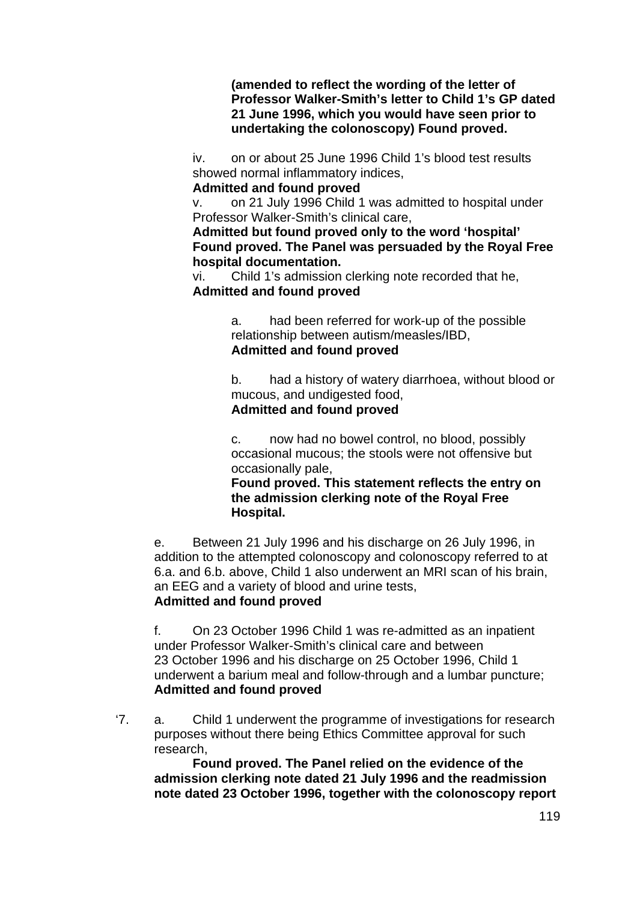**(amended to reflect the wording of the letter of Professor Walker-Smith's letter to Child 1's GP dated 21 June 1996, which you would have seen prior to undertaking the colonoscopy) Found proved.** 

iv. on or about 25 June 1996 Child 1's blood test results showed normal inflammatory indices,

#### **Admitted and found proved**

v. on 21 July 1996 Child 1 was admitted to hospital under Professor Walker-Smith's clinical care,

**Admitted but found proved only to the word 'hospital' Found proved. The Panel was persuaded by the Royal Free hospital documentation.** 

vi. Child 1's admission clerking note recorded that he, **Admitted and found proved**

> a. had been referred for work-up of the possible relationship between autism/measles/IBD, **Admitted and found proved**

b. had a history of watery diarrhoea, without blood or mucous, and undigested food,

## **Admitted and found proved**

c. now had no bowel control, no blood, possibly occasional mucous; the stools were not offensive but occasionally pale,

**Found proved. This statement reflects the entry on the admission clerking note of the Royal Free Hospital.** 

e. Between 21 July 1996 and his discharge on 26 July 1996, in addition to the attempted colonoscopy and colonoscopy referred to at 6.a. and 6.b. above, Child 1 also underwent an MRI scan of his brain, an EEG and a variety of blood and urine tests, **Admitted and found proved**

f. On 23 October 1996 Child 1 was re-admitted as an inpatient under Professor Walker-Smith's clinical care and between 23 October 1996 and his discharge on 25 October 1996, Child 1 underwent a barium meal and follow-through and a lumbar puncture; **Admitted and found proved**

'7. a. Child 1 underwent the programme of investigations for research purposes without there being Ethics Committee approval for such research,

**Found proved. The Panel relied on the evidence of the admission clerking note dated 21 July 1996 and the readmission note dated 23 October 1996, together with the colonoscopy report**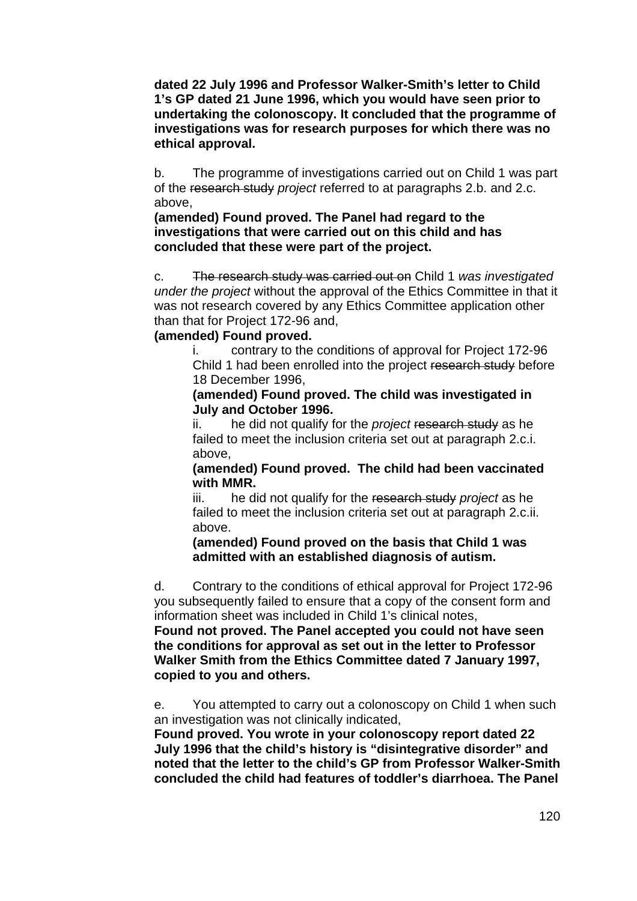**dated 22 July 1996 and Professor Walker-Smith's letter to Child 1's GP dated 21 June 1996, which you would have seen prior to undertaking the colonoscopy. It concluded that the programme of investigations was for research purposes for which there was no ethical approval.** 

b. The programme of investigations carried out on Child 1 was part of the research study *project* referred to at paragraphs 2.b. and 2.c. above,

**(amended) Found proved. The Panel had regard to the investigations that were carried out on this child and has concluded that these were part of the project.** 

c. The research study was carried out on Child 1 *was investigated under the project* without the approval of the Ethics Committee in that it was not research covered by any Ethics Committee application other than that for Project 172-96 and,

#### **(amended) Found proved.**

i. contrary to the conditions of approval for Project 172-96 Child 1 had been enrolled into the project research study before 18 December 1996,

**(amended) Found proved. The child was investigated in July and October 1996.** 

ii. he did not qualify for the *project* research study as he failed to meet the inclusion criteria set out at paragraph 2.c.i. above,

**(amended) Found proved. The child had been vaccinated with MMR.** 

iii. he did not qualify for the research study *project* as he failed to meet the inclusion criteria set out at paragraph 2.c.ii. above.

**(amended) Found proved on the basis that Child 1 was admitted with an established diagnosis of autism.** 

d. Contrary to the conditions of ethical approval for Project 172-96 you subsequently failed to ensure that a copy of the consent form and information sheet was included in Child 1's clinical notes,

**Found not proved. The Panel accepted you could not have seen the conditions for approval as set out in the letter to Professor Walker Smith from the Ethics Committee dated 7 January 1997, copied to you and others.** 

e. You attempted to carry out a colonoscopy on Child 1 when such an investigation was not clinically indicated,

**Found proved. You wrote in your colonoscopy report dated 22 July 1996 that the child's history is "disintegrative disorder" and noted that the letter to the child's GP from Professor Walker-Smith concluded the child had features of toddler's diarrhoea. The Panel**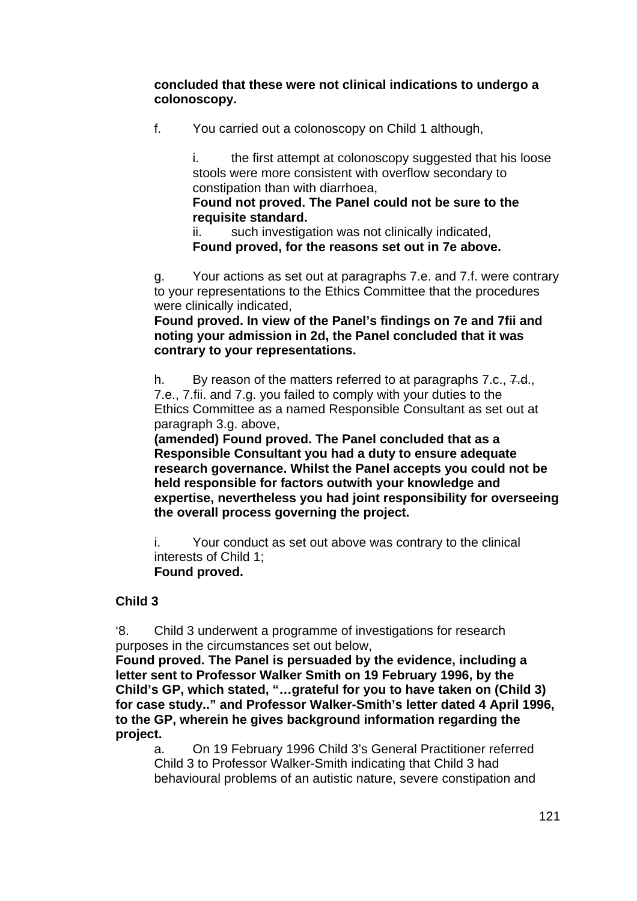**concluded that these were not clinical indications to undergo a colonoscopy.** 

f. You carried out a colonoscopy on Child 1 although,

i. the first attempt at colonoscopy suggested that his loose stools were more consistent with overflow secondary to constipation than with diarrhoea,

## **Found not proved. The Panel could not be sure to the requisite standard.**

ii. such investigation was not clinically indicated, **Found proved, for the reasons set out in 7e above.** 

g. Your actions as set out at paragraphs 7.e. and 7.f. were contrary to your representations to the Ethics Committee that the procedures were clinically indicated,

**Found proved. In view of the Panel's findings on 7e and 7fii and noting your admission in 2d, the Panel concluded that it was contrary to your representations.** 

h. By reason of the matters referred to at paragraphs 7.c., 7.d., 7.e., 7.fii. and 7.g. you failed to comply with your duties to the Ethics Committee as a named Responsible Consultant as set out at paragraph 3.g. above,

**(amended) Found proved. The Panel concluded that as a Responsible Consultant you had a duty to ensure adequate research governance. Whilst the Panel accepts you could not be held responsible for factors outwith your knowledge and expertise, nevertheless you had joint responsibility for overseeing the overall process governing the project.** 

i. Your conduct as set out above was contrary to the clinical interests of Child 1;  **Found proved.** 

## **Child 3**

'8. Child 3 underwent a programme of investigations for research purposes in the circumstances set out below,

**Found proved. The Panel is persuaded by the evidence, including a letter sent to Professor Walker Smith on 19 February 1996, by the Child's GP, which stated, "…grateful for you to have taken on (Child 3) for case study.." and Professor Walker-Smith's letter dated 4 April 1996, to the GP, wherein he gives background information regarding the project.** 

a. On 19 February 1996 Child 3's General Practitioner referred Child 3 to Professor Walker-Smith indicating that Child 3 had behavioural problems of an autistic nature, severe constipation and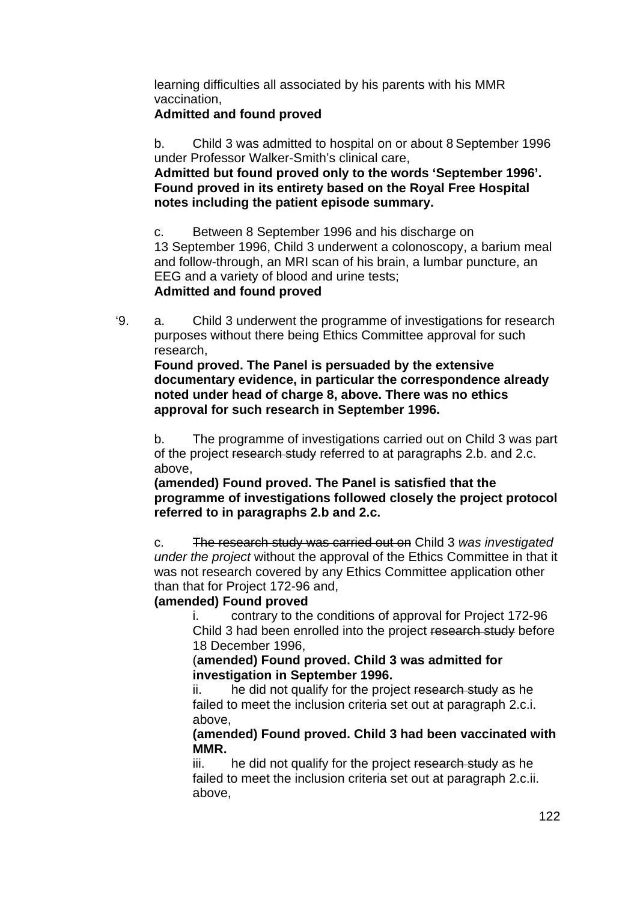learning difficulties all associated by his parents with his MMR vaccination,

## **Admitted and found proved**

b. Child 3 was admitted to hospital on or about 8 September 1996 under Professor Walker-Smith's clinical care,

**Admitted but found proved only to the words 'September 1996'. Found proved in its entirety based on the Royal Free Hospital notes including the patient episode summary.** 

c. Between 8 September 1996 and his discharge on 13 September 1996, Child 3 underwent a colonoscopy, a barium meal and follow-through, an MRI scan of his brain, a lumbar puncture, an EEG and a variety of blood and urine tests;

## **Admitted and found proved**

'9. a. Child 3 underwent the programme of investigations for research purposes without there being Ethics Committee approval for such research,

**Found proved. The Panel is persuaded by the extensive documentary evidence, in particular the correspondence already noted under head of charge 8, above. There was no ethics approval for such research in September 1996.** 

b. The programme of investigations carried out on Child 3 was part of the project research study referred to at paragraphs 2.b. and 2.c. above,

**(amended) Found proved. The Panel is satisfied that the programme of investigations followed closely the project protocol referred to in paragraphs 2.b and 2.c.** 

c. The research study was carried out on Child 3 *was investigated under the project* without the approval of the Ethics Committee in that it was not research covered by any Ethics Committee application other than that for Project 172-96 and,

## **(amended) Found proved**

i. contrary to the conditions of approval for Project 172-96 Child 3 had been enrolled into the project research study before 18 December 1996,

## (**amended) Found proved. Child 3 was admitted for investigation in September 1996.**

ii. he did not qualify for the project research study as he failed to meet the inclusion criteria set out at paragraph 2.c.i. above,

### **(amended) Found proved. Child 3 had been vaccinated with MMR.**

iii. he did not qualify for the project research study as he failed to meet the inclusion criteria set out at paragraph 2.c.ii. above,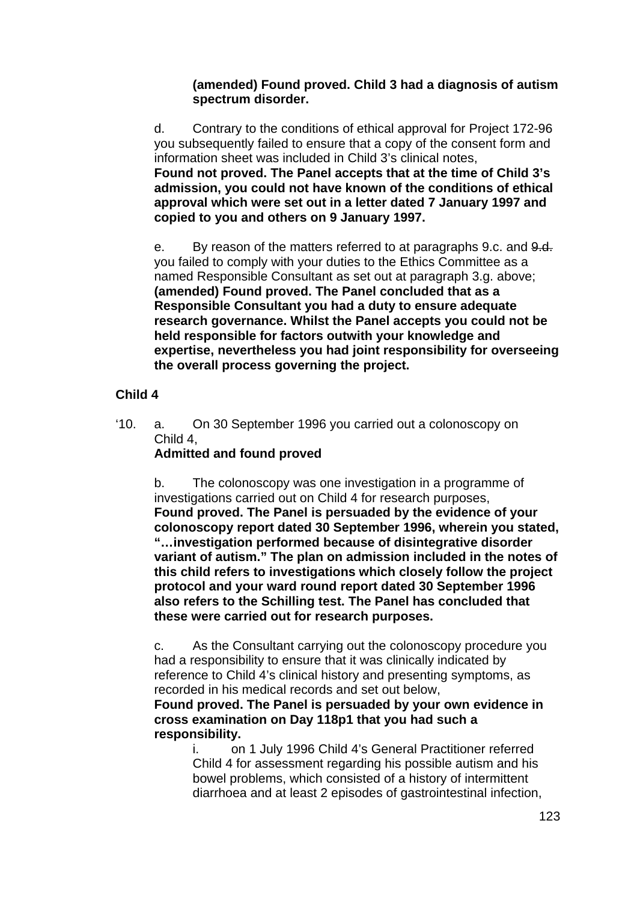## **(amended) Found proved. Child 3 had a diagnosis of autism spectrum disorder.**

d. Contrary to the conditions of ethical approval for Project 172-96 you subsequently failed to ensure that a copy of the consent form and information sheet was included in Child 3's clinical notes, **Found not proved. The Panel accepts that at the time of Child 3's admission, you could not have known of the conditions of ethical approval which were set out in a letter dated 7 January 1997 and copied to you and others on 9 January 1997.** 

e. By reason of the matters referred to at paragraphs 9.c. and  $9.4$ . you failed to comply with your duties to the Ethics Committee as a named Responsible Consultant as set out at paragraph 3.g. above; **(amended) Found proved. The Panel concluded that as a Responsible Consultant you had a duty to ensure adequate research governance. Whilst the Panel accepts you could not be held responsible for factors outwith your knowledge and expertise, nevertheless you had joint responsibility for overseeing the overall process governing the project.** 

## **Child 4**

'10. a. On 30 September 1996 you carried out a colonoscopy on Child 4,

# **Admitted and found proved**

b. The colonoscopy was one investigation in a programme of investigations carried out on Child 4 for research purposes, **Found proved. The Panel is persuaded by the evidence of your colonoscopy report dated 30 September 1996, wherein you stated, "…investigation performed because of disintegrative disorder variant of autism." The plan on admission included in the notes of this child refers to investigations which closely follow the project protocol and your ward round report dated 30 September 1996 also refers to the Schilling test. The Panel has concluded that these were carried out for research purposes.** 

c. As the Consultant carrying out the colonoscopy procedure you had a responsibility to ensure that it was clinically indicated by reference to Child 4's clinical history and presenting symptoms, as recorded in his medical records and set out below,

**Found proved. The Panel is persuaded by your own evidence in cross examination on Day 118p1 that you had such a responsibility.** 

i. on 1 July 1996 Child 4's General Practitioner referred Child 4 for assessment regarding his possible autism and his bowel problems, which consisted of a history of intermittent diarrhoea and at least 2 episodes of gastrointestinal infection,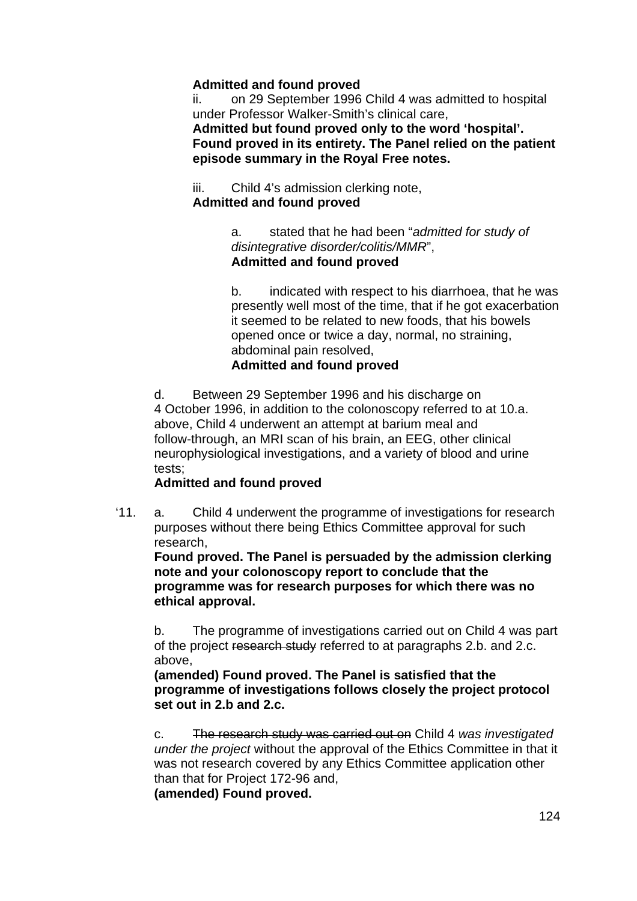## **Admitted and found proved**

ii. on 29 September 1996 Child 4 was admitted to hospital under Professor Walker-Smith's clinical care,

**Admitted but found proved only to the word 'hospital'. Found proved in its entirety. The Panel relied on the patient episode summary in the Royal Free notes.** 

iii. Child 4's admission clerking note, **Admitted and found proved**

> a. stated that he had been "*admitted for study of disintegrative disorder/colitis/MMR*", **Admitted and found proved**

b. indicated with respect to his diarrhoea, that he was presently well most of the time, that if he got exacerbation it seemed to be related to new foods, that his bowels opened once or twice a day, normal, no straining, abdominal pain resolved,

### **Admitted and found proved**

d. Between 29 September 1996 and his discharge on 4 October 1996, in addition to the colonoscopy referred to at 10.a. above, Child 4 underwent an attempt at barium meal and follow-through, an MRI scan of his brain, an EEG, other clinical neurophysiological investigations, and a variety of blood and urine tests;

## **Admitted and found proved**

'11. a. Child 4 underwent the programme of investigations for research purposes without there being Ethics Committee approval for such research,

**Found proved. The Panel is persuaded by the admission clerking note and your colonoscopy report to conclude that the programme was for research purposes for which there was no ethical approval.** 

b. The programme of investigations carried out on Child 4 was part of the project research study referred to at paragraphs 2.b. and 2.c. above,

**(amended) Found proved. The Panel is satisfied that the programme of investigations follows closely the project protocol set out in 2.b and 2.c.** 

c. The research study was carried out on Child 4 *was investigated under the project* without the approval of the Ethics Committee in that it was not research covered by any Ethics Committee application other than that for Project 172-96 and,

**(amended) Found proved.**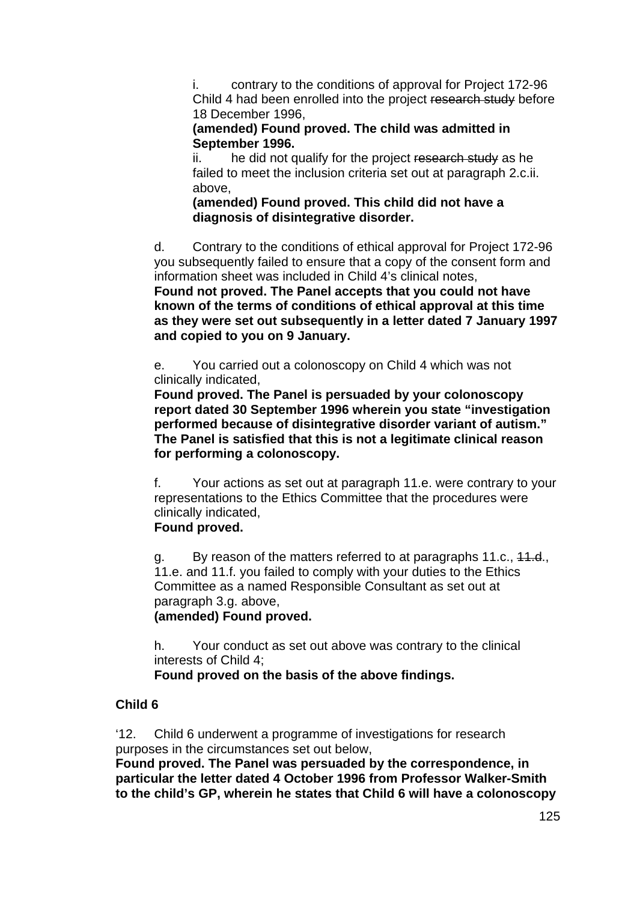i. contrary to the conditions of approval for Project 172-96 Child 4 had been enrolled into the project research study before 18 December 1996,

**(amended) Found proved. The child was admitted in September 1996.** 

ii. he did not qualify for the project research study as he failed to meet the inclusion criteria set out at paragraph 2.c.ii. above,

**(amended) Found proved. This child did not have a diagnosis of disintegrative disorder.** 

d. Contrary to the conditions of ethical approval for Project 172-96 you subsequently failed to ensure that a copy of the consent form and information sheet was included in Child 4's clinical notes,

**Found not proved. The Panel accepts that you could not have known of the terms of conditions of ethical approval at this time as they were set out subsequently in a letter dated 7 January 1997 and copied to you on 9 January.** 

e. You carried out a colonoscopy on Child 4 which was not clinically indicated,

**Found proved. The Panel is persuaded by your colonoscopy report dated 30 September 1996 wherein you state "investigation performed because of disintegrative disorder variant of autism." The Panel is satisfied that this is not a legitimate clinical reason for performing a colonoscopy.** 

f. Your actions as set out at paragraph 11.e. were contrary to your representations to the Ethics Committee that the procedures were clinically indicated,

## **Found proved.**

g. By reason of the matters referred to at paragraphs 11.c., 11.d., 11.e. and 11.f. you failed to comply with your duties to the Ethics Committee as a named Responsible Consultant as set out at paragraph 3.g. above,

## **(amended) Found proved.**

h. Your conduct as set out above was contrary to the clinical interests of Child 4;

**Found proved on the basis of the above findings.** 

## **Child 6**

'12. Child 6 underwent a programme of investigations for research purposes in the circumstances set out below,

**Found proved. The Panel was persuaded by the correspondence, in particular the letter dated 4 October 1996 from Professor Walker-Smith to the child's GP, wherein he states that Child 6 will have a colonoscopy**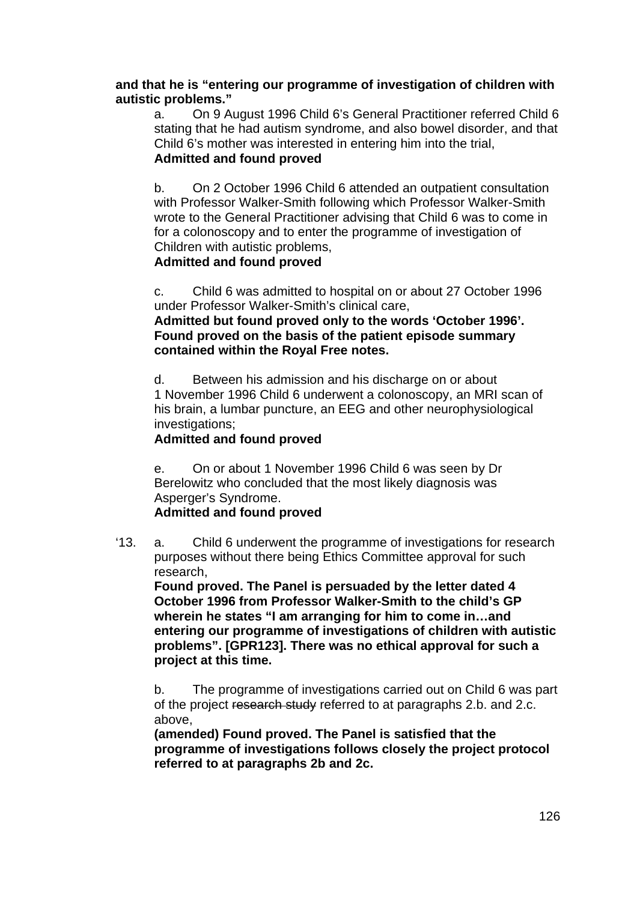### **and that he is "entering our programme of investigation of children with autistic problems."**

a. On 9 August 1996 Child 6's General Practitioner referred Child 6 stating that he had autism syndrome, and also bowel disorder, and that Child 6's mother was interested in entering him into the trial, **Admitted and found proved**

b. On 2 October 1996 Child 6 attended an outpatient consultation with Professor Walker-Smith following which Professor Walker-Smith wrote to the General Practitioner advising that Child 6 was to come in for a colonoscopy and to enter the programme of investigation of Children with autistic problems,

## **Admitted and found proved**

c. Child 6 was admitted to hospital on or about 27 October 1996 under Professor Walker-Smith's clinical care,

**Admitted but found proved only to the words 'October 1996'. Found proved on the basis of the patient episode summary contained within the Royal Free notes.** 

d. Between his admission and his discharge on or about 1 November 1996 Child 6 underwent a colonoscopy, an MRI scan of his brain, a lumbar puncture, an EEG and other neurophysiological investigations;

## **Admitted and found proved**

e. On or about 1 November 1996 Child 6 was seen by Dr Berelowitz who concluded that the most likely diagnosis was Asperger's Syndrome.

## **Admitted and found proved**

'13. a. Child 6 underwent the programme of investigations for research purposes without there being Ethics Committee approval for such research,

**Found proved. The Panel is persuaded by the letter dated 4 October 1996 from Professor Walker-Smith to the child's GP wherein he states "I am arranging for him to come in…and entering our programme of investigations of children with autistic problems". [GPR123]. There was no ethical approval for such a project at this time.** 

b. The programme of investigations carried out on Child 6 was part of the project research study referred to at paragraphs 2.b. and 2.c. above,

**(amended) Found proved. The Panel is satisfied that the programme of investigations follows closely the project protocol referred to at paragraphs 2b and 2c.**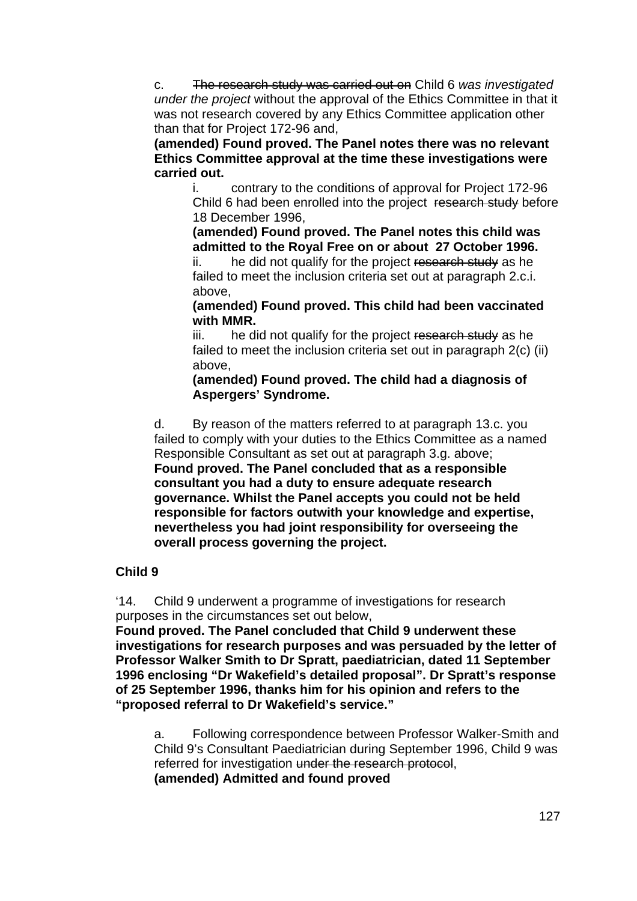c. The research study was carried out on Child 6 *was investigated under the project* without the approval of the Ethics Committee in that it was not research covered by any Ethics Committee application other than that for Project 172-96 and,

**(amended) Found proved. The Panel notes there was no relevant Ethics Committee approval at the time these investigations were carried out.** 

i. contrary to the conditions of approval for Project 172-96 Child 6 had been enrolled into the project research study before 18 December 1996,

**(amended) Found proved. The Panel notes this child was admitted to the Royal Free on or about 27 October 1996.** 

ii. he did not qualify for the project research study as he failed to meet the inclusion criteria set out at paragraph 2.c.i. above,

**(amended) Found proved. This child had been vaccinated with MMR.** 

iii. he did not qualify for the project research study as he failed to meet the inclusion criteria set out in paragraph 2(c) (ii) above,

**(amended) Found proved. The child had a diagnosis of Aspergers' Syndrome.** 

d. By reason of the matters referred to at paragraph 13.c. you failed to comply with your duties to the Ethics Committee as a named Responsible Consultant as set out at paragraph 3.g. above; **Found proved. The Panel concluded that as a responsible consultant you had a duty to ensure adequate research governance. Whilst the Panel accepts you could not be held responsible for factors outwith your knowledge and expertise, nevertheless you had joint responsibility for overseeing the overall process governing the project.** 

## **Child 9**

'14. Child 9 underwent a programme of investigations for research purposes in the circumstances set out below,

**Found proved. The Panel concluded that Child 9 underwent these investigations for research purposes and was persuaded by the letter of Professor Walker Smith to Dr Spratt, paediatrician, dated 11 September 1996 enclosing "Dr Wakefield's detailed proposal". Dr Spratt's response of 25 September 1996, thanks him for his opinion and refers to the "proposed referral to Dr Wakefield's service."** 

a. Following correspondence between Professor Walker-Smith and Child 9's Consultant Paediatrician during September 1996, Child 9 was referred for investigation under the research protocol, **(amended) Admitted and found proved**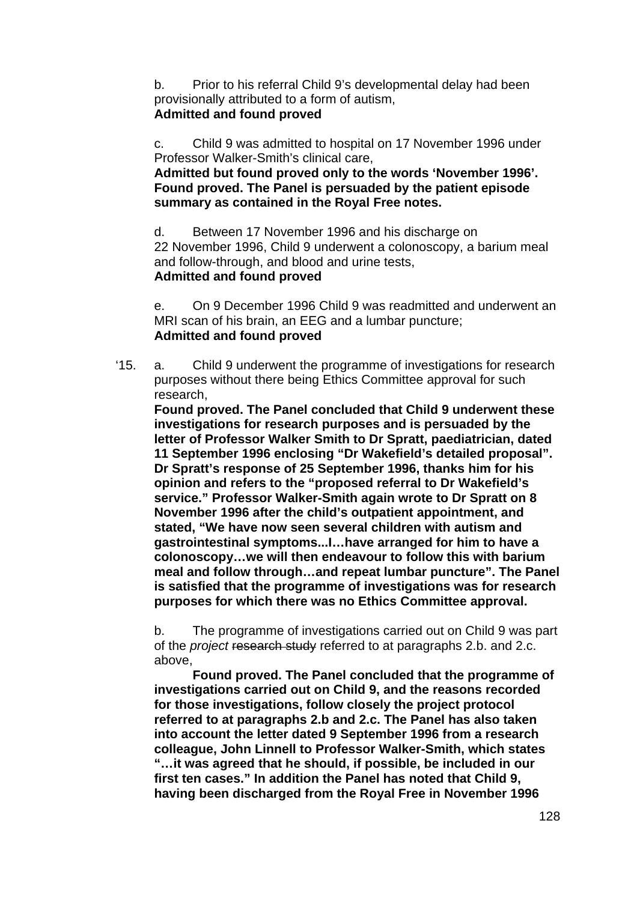b. Prior to his referral Child 9's developmental delay had been provisionally attributed to a form of autism, **Admitted and found proved**

c. Child 9 was admitted to hospital on 17 November 1996 under Professor Walker-Smith's clinical care,

**Admitted but found proved only to the words 'November 1996'. Found proved. The Panel is persuaded by the patient episode summary as contained in the Royal Free notes.** 

d. Between 17 November 1996 and his discharge on 22 November 1996, Child 9 underwent a colonoscopy, a barium meal and follow-through, and blood and urine tests, **Admitted and found proved**

e. On 9 December 1996 Child 9 was readmitted and underwent an MRI scan of his brain, an EEG and a lumbar puncture; **Admitted and found proved**

'15. a. Child 9 underwent the programme of investigations for research purposes without there being Ethics Committee approval for such research,

**Found proved. The Panel concluded that Child 9 underwent these investigations for research purposes and is persuaded by the letter of Professor Walker Smith to Dr Spratt, paediatrician, dated 11 September 1996 enclosing "Dr Wakefield's detailed proposal". Dr Spratt's response of 25 September 1996, thanks him for his opinion and refers to the "proposed referral to Dr Wakefield's service." Professor Walker-Smith again wrote to Dr Spratt on 8 November 1996 after the child's outpatient appointment, and stated, "We have now seen several children with autism and gastrointestinal symptoms...I…have arranged for him to have a colonoscopy…we will then endeavour to follow this with barium meal and follow through…and repeat lumbar puncture". The Panel is satisfied that the programme of investigations was for research purposes for which there was no Ethics Committee approval.** 

b. The programme of investigations carried out on Child 9 was part of the *project* research study referred to at paragraphs 2.b. and 2.c. above,

**Found proved. The Panel concluded that the programme of investigations carried out on Child 9, and the reasons recorded for those investigations, follow closely the project protocol referred to at paragraphs 2.b and 2.c. The Panel has also taken into account the letter dated 9 September 1996 from a research colleague, John Linnell to Professor Walker-Smith, which states "…it was agreed that he should, if possible, be included in our first ten cases." In addition the Panel has noted that Child 9, having been discharged from the Royal Free in November 1996**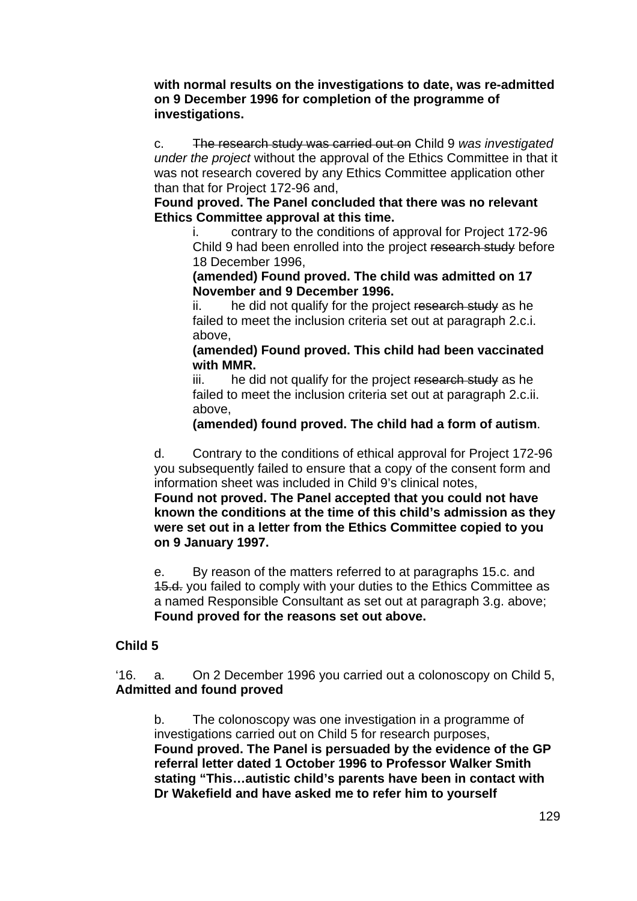**with normal results on the investigations to date, was re-admitted on 9 December 1996 for completion of the programme of investigations.** 

c. The research study was carried out on Child 9 *was investigated under the project* without the approval of the Ethics Committee in that it was not research covered by any Ethics Committee application other than that for Project 172-96 and,

**Found proved. The Panel concluded that there was no relevant Ethics Committee approval at this time.** 

i. contrary to the conditions of approval for Project 172-96 Child 9 had been enrolled into the project research study before 18 December 1996,

**(amended) Found proved. The child was admitted on 17 November and 9 December 1996.** 

ii. he did not qualify for the project research study as he failed to meet the inclusion criteria set out at paragraph 2.c.i. above,

**(amended) Found proved. This child had been vaccinated with MMR.** 

iii. he did not qualify for the project research study as he failed to meet the inclusion criteria set out at paragraph 2.c.ii. above,

**(amended) found proved. The child had a form of autism**.

d. Contrary to the conditions of ethical approval for Project 172-96 you subsequently failed to ensure that a copy of the consent form and information sheet was included in Child 9's clinical notes,

**Found not proved. The Panel accepted that you could not have known the conditions at the time of this child's admission as they were set out in a letter from the Ethics Committee copied to you on 9 January 1997.** 

e. By reason of the matters referred to at paragraphs 15.c. and 15.d. you failed to comply with your duties to the Ethics Committee as a named Responsible Consultant as set out at paragraph 3.g. above;  **Found proved for the reasons set out above.** 

## **Child 5**

'16. a. On 2 December 1996 you carried out a colonoscopy on Child 5, **Admitted and found proved** 

b. The colonoscopy was one investigation in a programme of investigations carried out on Child 5 for research purposes, **Found proved. The Panel is persuaded by the evidence of the GP referral letter dated 1 October 1996 to Professor Walker Smith stating "This…autistic child's parents have been in contact with Dr Wakefield and have asked me to refer him to yourself**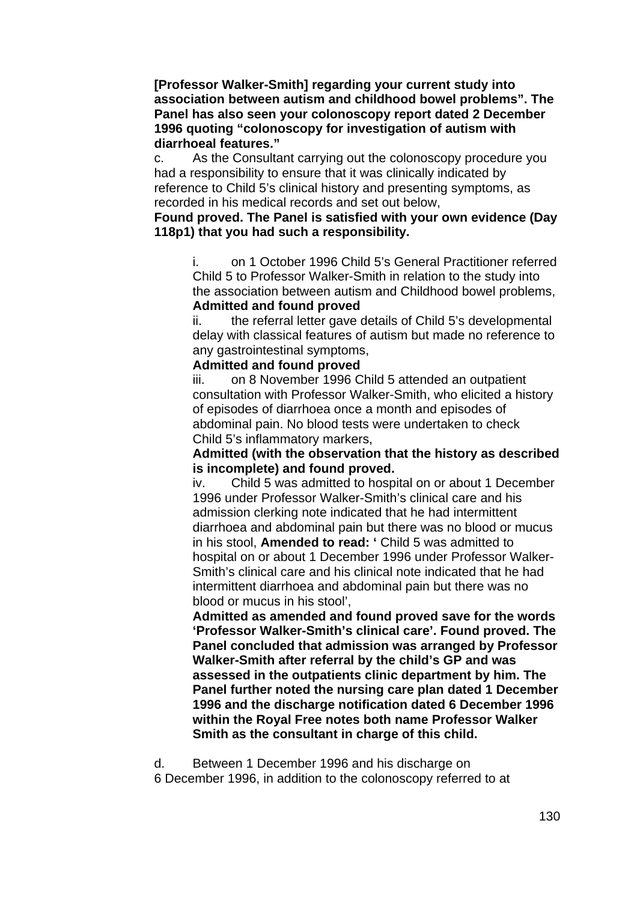**[Professor Walker-Smith] regarding your current study into association between autism and childhood bowel problems". The Panel has also seen your colonoscopy report dated 2 December 1996 quoting "colonoscopy for investigation of autism with diarrhoeal features."** 

c. As the Consultant carrying out the colonoscopy procedure you had a responsibility to ensure that it was clinically indicated by reference to Child 5's clinical history and presenting symptoms, as recorded in his medical records and set out below,

#### **Found proved. The Panel is satisfied with your own evidence (Day 118p1) that you had such a responsibility.**

i. on 1 October 1996 Child 5's General Practitioner referred Child 5 to Professor Walker-Smith in relation to the study into the association between autism and Childhood bowel problems, **Admitted and found proved**

ii. the referral letter gave details of Child 5's developmental delay with classical features of autism but made no reference to any gastrointestinal symptoms,

#### **Admitted and found proved**

iii. on 8 November 1996 Child 5 attended an outpatient consultation with Professor Walker-Smith, who elicited a history of episodes of diarrhoea once a month and episodes of abdominal pain. No blood tests were undertaken to check Child 5's inflammatory markers,

#### **Admitted (with the observation that the history as described is incomplete) and found proved.**

iv. Child 5 was admitted to hospital on or about 1 December 1996 under Professor Walker-Smith's clinical care and his admission clerking note indicated that he had intermittent diarrhoea and abdominal pain but there was no blood or mucus in his stool, **Amended to read: '** Child 5 was admitted to hospital on or about 1 December 1996 under Professor Walker-Smith's clinical care and his clinical note indicated that he had intermittent diarrhoea and abdominal pain but there was no blood or mucus in his stool',

**Admitted as amended and found proved save for the words 'Professor Walker-Smith's clinical care'. Found proved. The Panel concluded that admission was arranged by Professor Walker-Smith after referral by the child's GP and was assessed in the outpatients clinic department by him. The Panel further noted the nursing care plan dated 1 December 1996 and the discharge notification dated 6 December 1996 within the Royal Free notes both name Professor Walker Smith as the consultant in charge of this child.** 

d. Between 1 December 1996 and his discharge on

6 December 1996, in addition to the colonoscopy referred to at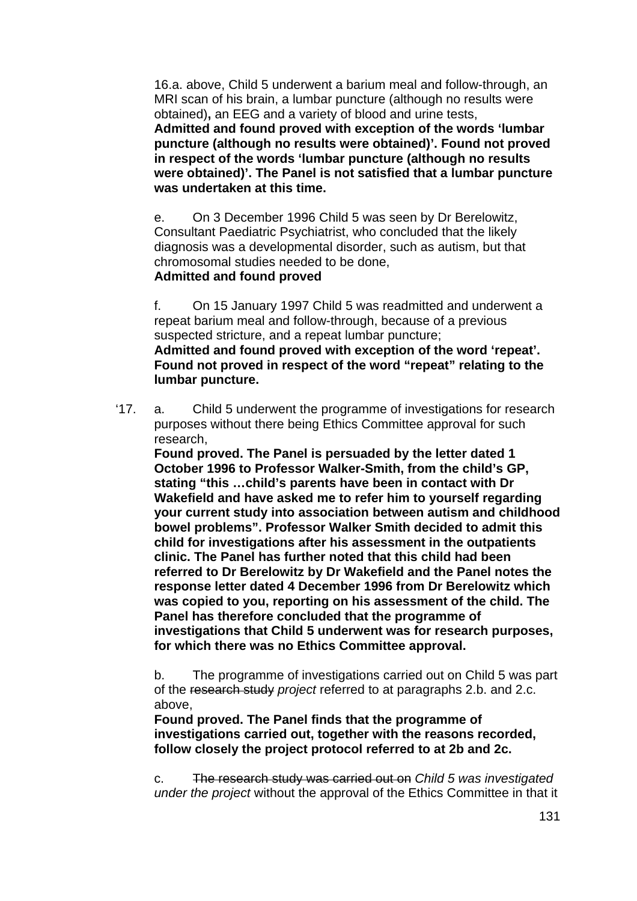16.a. above, Child 5 underwent a barium meal and follow-through, an MRI scan of his brain, a lumbar puncture (although no results were obtained)**,** an EEG and a variety of blood and urine tests,

**Admitted and found proved with exception of the words 'lumbar puncture (although no results were obtained)'. Found not proved in respect of the words 'lumbar puncture (although no results were obtained)'. The Panel is not satisfied that a lumbar puncture was undertaken at this time.** 

e. On 3 December 1996 Child 5 was seen by Dr Berelowitz, Consultant Paediatric Psychiatrist, who concluded that the likely diagnosis was a developmental disorder, such as autism, but that chromosomal studies needed to be done,

## **Admitted and found proved**

f. On 15 January 1997 Child 5 was readmitted and underwent a repeat barium meal and follow-through, because of a previous suspected stricture, and a repeat lumbar puncture; **Admitted and found proved with exception of the word 'repeat'. Found not proved in respect of the word "repeat" relating to the lumbar puncture.** 

'17. a. Child 5 underwent the programme of investigations for research purposes without there being Ethics Committee approval for such research,

**Found proved. The Panel is persuaded by the letter dated 1 October 1996 to Professor Walker-Smith, from the child's GP, stating "this …child's parents have been in contact with Dr Wakefield and have asked me to refer him to yourself regarding your current study into association between autism and childhood bowel problems". Professor Walker Smith decided to admit this child for investigations after his assessment in the outpatients clinic. The Panel has further noted that this child had been referred to Dr Berelowitz by Dr Wakefield and the Panel notes the response letter dated 4 December 1996 from Dr Berelowitz which was copied to you, reporting on his assessment of the child. The Panel has therefore concluded that the programme of investigations that Child 5 underwent was for research purposes, for which there was no Ethics Committee approval.** 

b. The programme of investigations carried out on Child 5 was part of the research study *project* referred to at paragraphs 2.b. and 2.c. above,

**Found proved. The Panel finds that the programme of investigations carried out, together with the reasons recorded, follow closely the project protocol referred to at 2b and 2c.** 

c. The research study was carried out on *Child 5 was investigated under the project* without the approval of the Ethics Committee in that it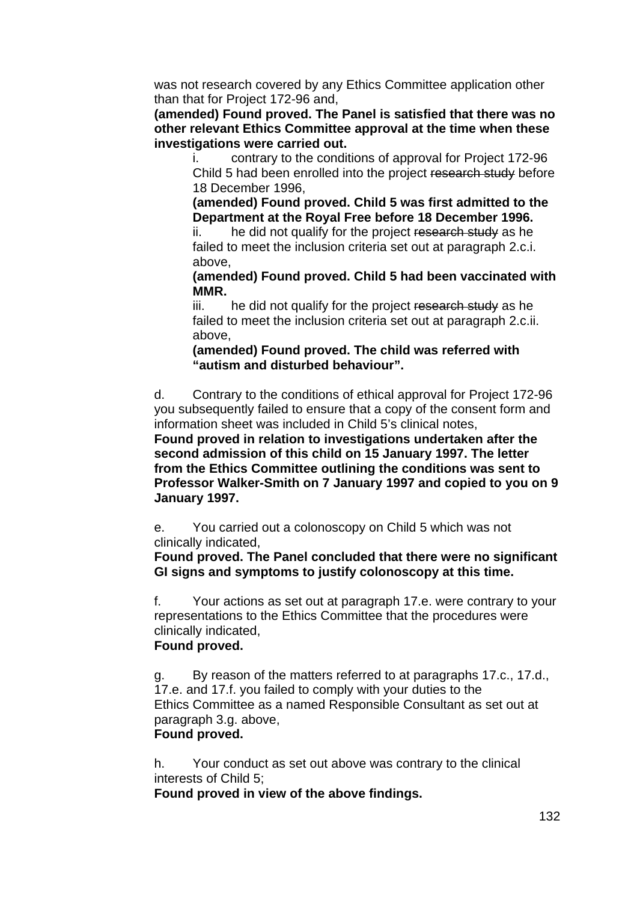was not research covered by any Ethics Committee application other than that for Project 172-96 and,

**(amended) Found proved. The Panel is satisfied that there was no other relevant Ethics Committee approval at the time when these investigations were carried out.** 

i. contrary to the conditions of approval for Project 172-96 Child 5 had been enrolled into the project research study before 18 December 1996,

**(amended) Found proved. Child 5 was first admitted to the Department at the Royal Free before 18 December 1996.** 

ii. he did not qualify for the project research study as he failed to meet the inclusion criteria set out at paragraph 2.c.i. above,

**(amended) Found proved. Child 5 had been vaccinated with MMR.** 

iii. he did not qualify for the project research study as he failed to meet the inclusion criteria set out at paragraph 2.c.ii. above,

**(amended) Found proved. The child was referred with "autism and disturbed behaviour".** 

d. Contrary to the conditions of ethical approval for Project 172-96 you subsequently failed to ensure that a copy of the consent form and information sheet was included in Child 5's clinical notes,

**Found proved in relation to investigations undertaken after the second admission of this child on 15 January 1997. The letter from the Ethics Committee outlining the conditions was sent to Professor Walker-Smith on 7 January 1997 and copied to you on 9 January 1997.** 

e. You carried out a colonoscopy on Child 5 which was not clinically indicated,

**Found proved. The Panel concluded that there were no significant GI signs and symptoms to justify colonoscopy at this time.** 

f. Your actions as set out at paragraph 17.e. were contrary to your representations to the Ethics Committee that the procedures were clinically indicated,

### **Found proved.**

g. By reason of the matters referred to at paragraphs 17.c., 17.d., 17.e. and 17.f. you failed to comply with your duties to the Ethics Committee as a named Responsible Consultant as set out at paragraph 3.g. above,

## **Found proved.**

h. Your conduct as set out above was contrary to the clinical interests of Child 5;

 **Found proved in view of the above findings.**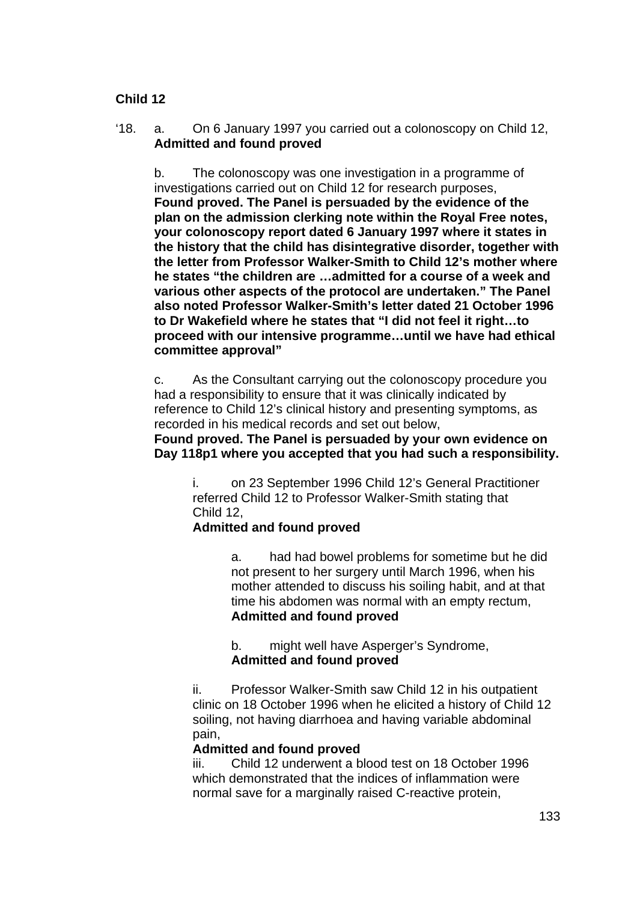## **Child 12**

'18. a. On 6 January 1997 you carried out a colonoscopy on Child 12, **Admitted and found proved** 

b. The colonoscopy was one investigation in a programme of investigations carried out on Child 12 for research purposes, **Found proved. The Panel is persuaded by the evidence of the plan on the admission clerking note within the Royal Free notes, your colonoscopy report dated 6 January 1997 where it states in the history that the child has disintegrative disorder, together with the letter from Professor Walker-Smith to Child 12's mother where he states "the children are …admitted for a course of a week and various other aspects of the protocol are undertaken." The Panel also noted Professor Walker-Smith's letter dated 21 October 1996 to Dr Wakefield where he states that "I did not feel it right…to proceed with our intensive programme…until we have had ethical committee approval"** 

c. As the Consultant carrying out the colonoscopy procedure you had a responsibility to ensure that it was clinically indicated by reference to Child 12's clinical history and presenting symptoms, as recorded in his medical records and set out below,

**Found proved. The Panel is persuaded by your own evidence on Day 118p1 where you accepted that you had such a responsibility.** 

i. on 23 September 1996 Child 12's General Practitioner referred Child 12 to Professor Walker-Smith stating that Child 12,

### **Admitted and found proved**

a. had had bowel problems for sometime but he did not present to her surgery until March 1996, when his mother attended to discuss his soiling habit, and at that time his abdomen was normal with an empty rectum, **Admitted and found proved**

b. might well have Asperger's Syndrome, **Admitted and found proved**

ii. Professor Walker-Smith saw Child 12 in his outpatient clinic on 18 October 1996 when he elicited a history of Child 12 soiling, not having diarrhoea and having variable abdominal pain,

### **Admitted and found proved**

iii. Child 12 underwent a blood test on 18 October 1996 which demonstrated that the indices of inflammation were normal save for a marginally raised C-reactive protein,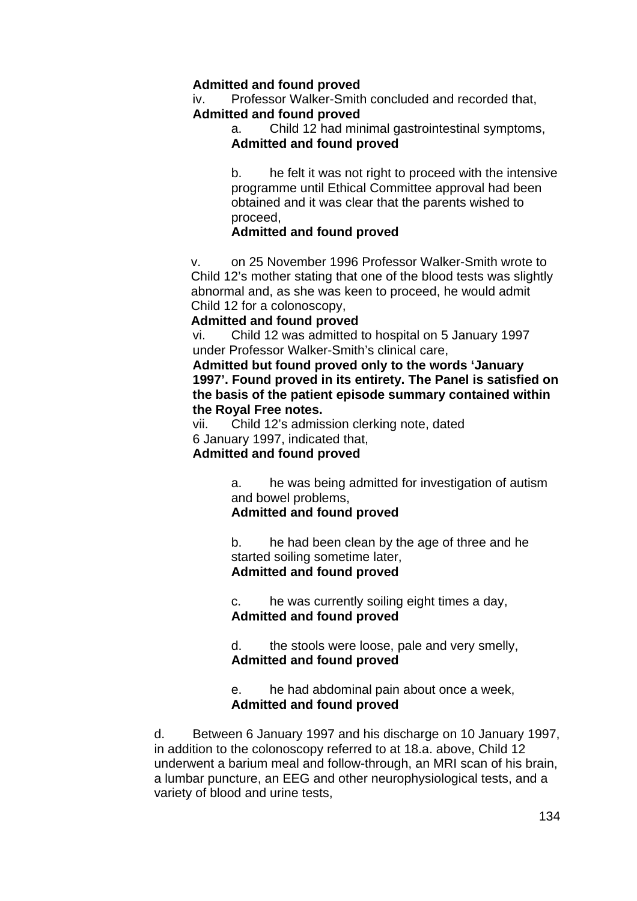## **Admitted and found proved**

iv. Professor Walker-Smith concluded and recorded that, **Admitted and found proved**

a. Child 12 had minimal gastrointestinal symptoms, **Admitted and found proved**

b. he felt it was not right to proceed with the intensive programme until Ethical Committee approval had been obtained and it was clear that the parents wished to proceed,

### **Admitted and found proved**

v. on 25 November 1996 Professor Walker-Smith wrote to Child 12's mother stating that one of the blood tests was slightly abnormal and, as she was keen to proceed, he would admit Child 12 for a colonoscopy,

#### **Admitted and found proved**

vi. Child 12 was admitted to hospital on 5 January 1997 under Professor Walker-Smith's clinical care,

**Admitted but found proved only to the words 'January 1997'. Found proved in its entirety. The Panel is satisfied on the basis of the patient episode summary contained within the Royal Free notes.** 

vii. Child 12's admission clerking note, dated 6 January 1997, indicated that,

## **Admitted and found proved**

a. he was being admitted for investigation of autism and bowel problems,

# **Admitted and found proved**

b. he had been clean by the age of three and he started soiling sometime later, **Admitted and found proved**

c. he was currently soiling eight times a day, **Admitted and found proved**

d. the stools were loose, pale and very smelly, **Admitted and found proved**

### e. he had abdominal pain about once a week, **Admitted and found proved**

d. Between 6 January 1997 and his discharge on 10 January 1997, in addition to the colonoscopy referred to at 18.a. above, Child 12 underwent a barium meal and follow-through, an MRI scan of his brain, a lumbar puncture, an EEG and other neurophysiological tests, and a variety of blood and urine tests,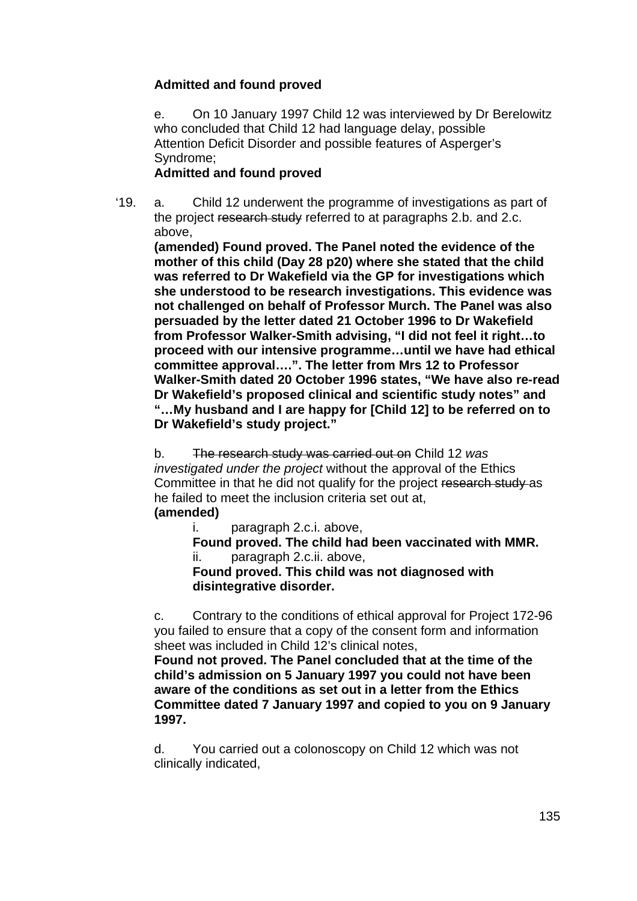## **Admitted and found proved**

e. On 10 January 1997 Child 12 was interviewed by Dr Berelowitz who concluded that Child 12 had language delay, possible Attention Deficit Disorder and possible features of Asperger's Syndrome;

#### **Admitted and found proved**

'19. a. Child 12 underwent the programme of investigations as part of the project research study referred to at paragraphs 2.b. and 2.c. above,

**(amended) Found proved. The Panel noted the evidence of the mother of this child (Day 28 p20) where she stated that the child was referred to Dr Wakefield via the GP for investigations which she understood to be research investigations. This evidence was not challenged on behalf of Professor Murch. The Panel was also persuaded by the letter dated 21 October 1996 to Dr Wakefield from Professor Walker-Smith advising, "I did not feel it right…to proceed with our intensive programme…until we have had ethical committee approval….". The letter from Mrs 12 to Professor Walker-Smith dated 20 October 1996 states, "We have also re-read Dr Wakefield's proposed clinical and scientific study notes" and "…My husband and I are happy for [Child 12] to be referred on to Dr Wakefield's study project."** 

b. The research study was carried out on Child 12 *was investigated under the project* without the approval of the Ethics Committee in that he did not qualify for the project research study as he failed to meet the inclusion criteria set out at,

## **(amended)**

i. paragraph 2.c.i. above,

 **Found proved. The child had been vaccinated with MMR.**  ii. paragraph 2.c.ii. above,

**Found proved. This child was not diagnosed with disintegrative disorder.** 

c. Contrary to the conditions of ethical approval for Project 172-96 you failed to ensure that a copy of the consent form and information sheet was included in Child 12's clinical notes,

**Found not proved. The Panel concluded that at the time of the child's admission on 5 January 1997 you could not have been aware of the conditions as set out in a letter from the Ethics Committee dated 7 January 1997 and copied to you on 9 January 1997.** 

d. You carried out a colonoscopy on Child 12 which was not clinically indicated,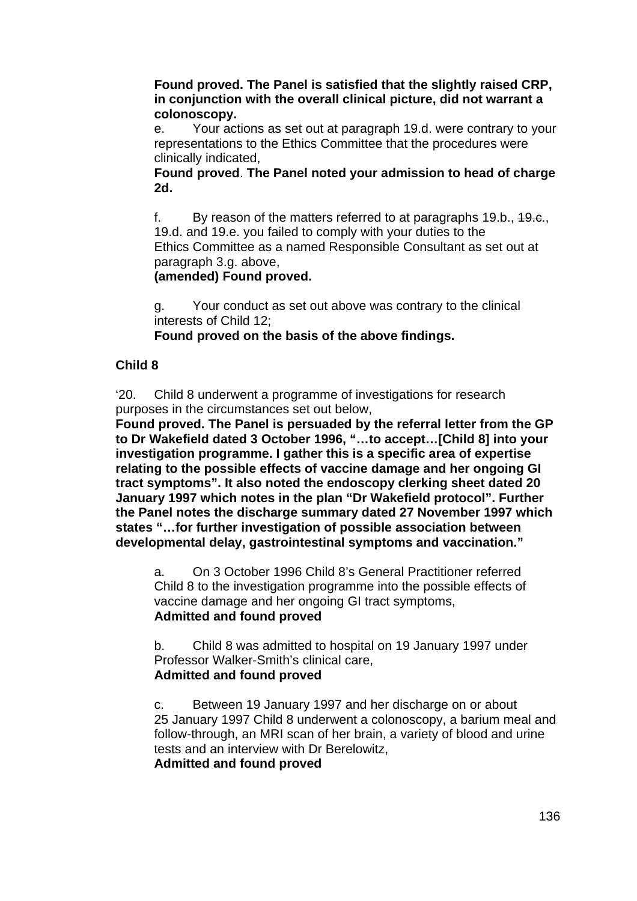**Found proved. The Panel is satisfied that the slightly raised CRP, in conjunction with the overall clinical picture, did not warrant a colonoscopy.** 

e. Your actions as set out at paragraph 19.d. were contrary to your representations to the Ethics Committee that the procedures were clinically indicated,

**Found proved**. **The Panel noted your admission to head of charge 2d.** 

f. By reason of the matters referred to at paragraphs 19.b., 19.c., 19.d. and 19.e. you failed to comply with your duties to the Ethics Committee as a named Responsible Consultant as set out at paragraph 3.g. above,

### **(amended) Found proved.**

g. Your conduct as set out above was contrary to the clinical interests of Child 12;

 **Found proved on the basis of the above findings.** 

## **Child 8**

'20. Child 8 underwent a programme of investigations for research purposes in the circumstances set out below,

**Found proved. The Panel is persuaded by the referral letter from the GP to Dr Wakefield dated 3 October 1996, "…to accept…[Child 8] into your investigation programme. I gather this is a specific area of expertise relating to the possible effects of vaccine damage and her ongoing GI tract symptoms". It also noted the endoscopy clerking sheet dated 20 January 1997 which notes in the plan "Dr Wakefield protocol". Further the Panel notes the discharge summary dated 27 November 1997 which states "…for further investigation of possible association between developmental delay, gastrointestinal symptoms and vaccination."** 

a. On 3 October 1996 Child 8's General Practitioner referred Child 8 to the investigation programme into the possible effects of vaccine damage and her ongoing GI tract symptoms, **Admitted and found proved**

b. Child 8 was admitted to hospital on 19 January 1997 under Professor Walker-Smith's clinical care, **Admitted and found proved**

c. Between 19 January 1997 and her discharge on or about 25 January 1997 Child 8 underwent a colonoscopy, a barium meal and follow-through, an MRI scan of her brain, a variety of blood and urine tests and an interview with Dr Berelowitz, **Admitted and found proved**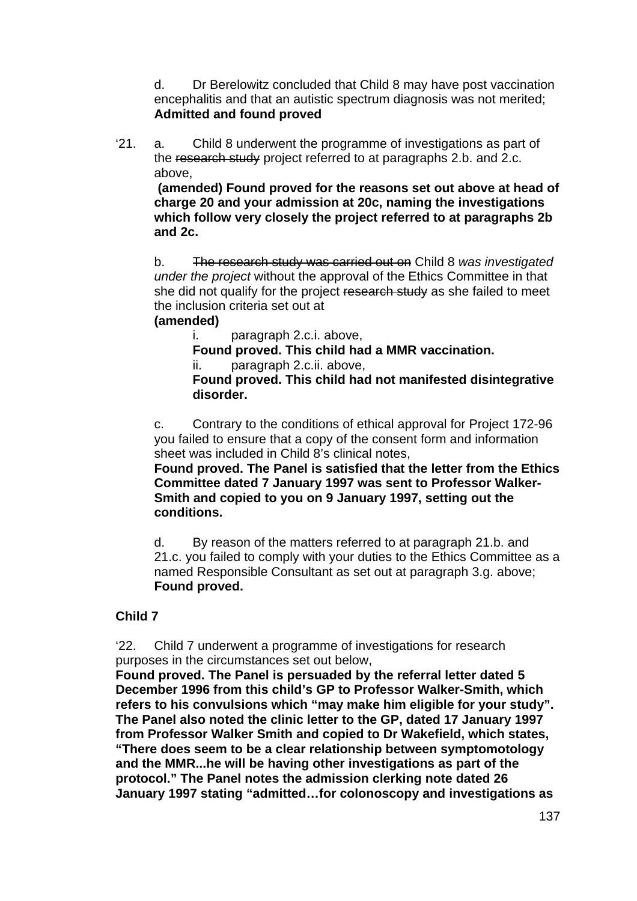d. Dr Berelowitz concluded that Child 8 may have post vaccination encephalitis and that an autistic spectrum diagnosis was not merited; **Admitted and found proved**

'21. a. Child 8 underwent the programme of investigations as part of the research study project referred to at paragraphs 2.b. and 2.c. above,

**(amended) Found proved for the reasons set out above at head of charge 20 and your admission at 20c, naming the investigations which follow very closely the project referred to at paragraphs 2b and 2c.** 

b. The research study was carried out on Child 8 *was investigated under the project* without the approval of the Ethics Committee in that she did not qualify for the project research study as she failed to meet the inclusion criteria set out at

#### **(amended)**

i. paragraph 2.c.i. above,

**Found proved. This child had a MMR vaccination.** 

ii. paragraph 2.c.ii. above,

**Found proved. This child had not manifested disintegrative disorder.** 

c. Contrary to the conditions of ethical approval for Project 172-96 you failed to ensure that a copy of the consent form and information sheet was included in Child 8's clinical notes,

**Found proved. The Panel is satisfied that the letter from the Ethics Committee dated 7 January 1997 was sent to Professor Walker-Smith and copied to you on 9 January 1997, setting out the conditions.** 

d. By reason of the matters referred to at paragraph 21.b. and 21.c. you failed to comply with your duties to the Ethics Committee as a named Responsible Consultant as set out at paragraph 3.g. above;  **Found proved.** 

### **Child 7**

'22. Child 7 underwent a programme of investigations for research purposes in the circumstances set out below,

**Found proved. The Panel is persuaded by the referral letter dated 5 December 1996 from this child's GP to Professor Walker-Smith, which refers to his convulsions which "may make him eligible for your study". The Panel also noted the clinic letter to the GP, dated 17 January 1997 from Professor Walker Smith and copied to Dr Wakefield, which states, "There does seem to be a clear relationship between symptomotology and the MMR...he will be having other investigations as part of the protocol." The Panel notes the admission clerking note dated 26 January 1997 stating "admitted…for colonoscopy and investigations as**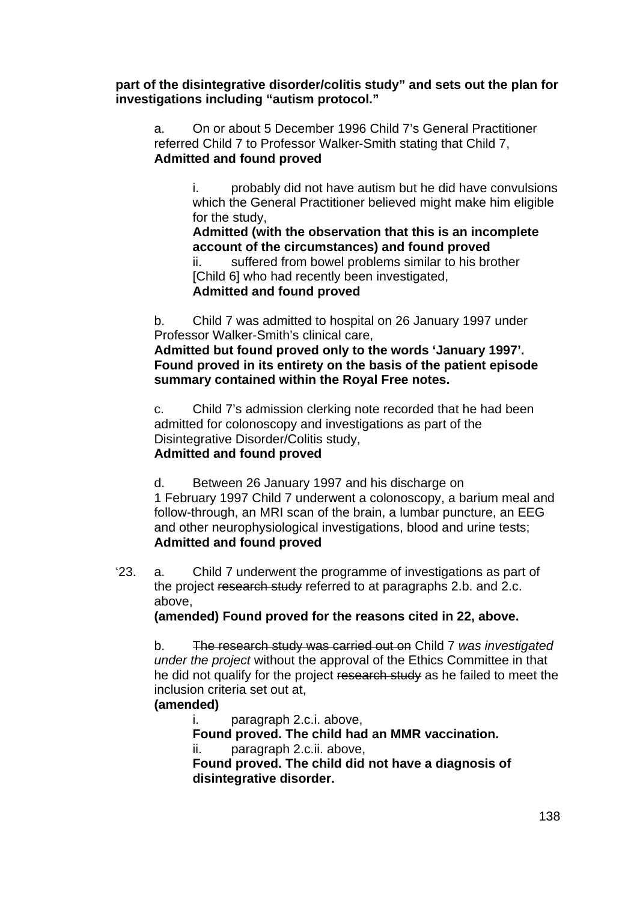**part of the disintegrative disorder/colitis study" and sets out the plan for investigations including "autism protocol."** 

a. On or about 5 December 1996 Child 7's General Practitioner referred Child 7 to Professor Walker-Smith stating that Child 7, **Admitted and found proved** 

> i. probably did not have autism but he did have convulsions which the General Practitioner believed might make him eligible for the study,

**Admitted (with the observation that this is an incomplete account of the circumstances) and found proved** 

ii. suffered from bowel problems similar to his brother [Child 6] who had recently been investigated,

### **Admitted and found proved**

b. Child 7 was admitted to hospital on 26 January 1997 under Professor Walker-Smith's clinical care,

**Admitted but found proved only to the words 'January 1997'. Found proved in its entirety on the basis of the patient episode summary contained within the Royal Free notes.** 

c. Child 7's admission clerking note recorded that he had been admitted for colonoscopy and investigations as part of the Disintegrative Disorder/Colitis study, **Admitted and found proved**

d. Between 26 January 1997 and his discharge on 1 February 1997 Child 7 underwent a colonoscopy, a barium meal and follow-through, an MRI scan of the brain, a lumbar puncture, an EEG and other neurophysiological investigations, blood and urine tests; **Admitted and found proved**

'23. a. Child 7 underwent the programme of investigations as part of the project research study referred to at paragraphs 2.b. and 2.c. above,

**(amended) Found proved for the reasons cited in 22, above.** 

b. The research study was carried out on Child 7 *was investigated under the project* without the approval of the Ethics Committee in that he did not qualify for the project research study as he failed to meet the inclusion criteria set out at,

### **(amended)**

i. paragraph 2.c.i. above,

**Found proved. The child had an MMR vaccination.** 

ii. paragraph 2.c.ii. above,

**Found proved. The child did not have a diagnosis of disintegrative disorder.**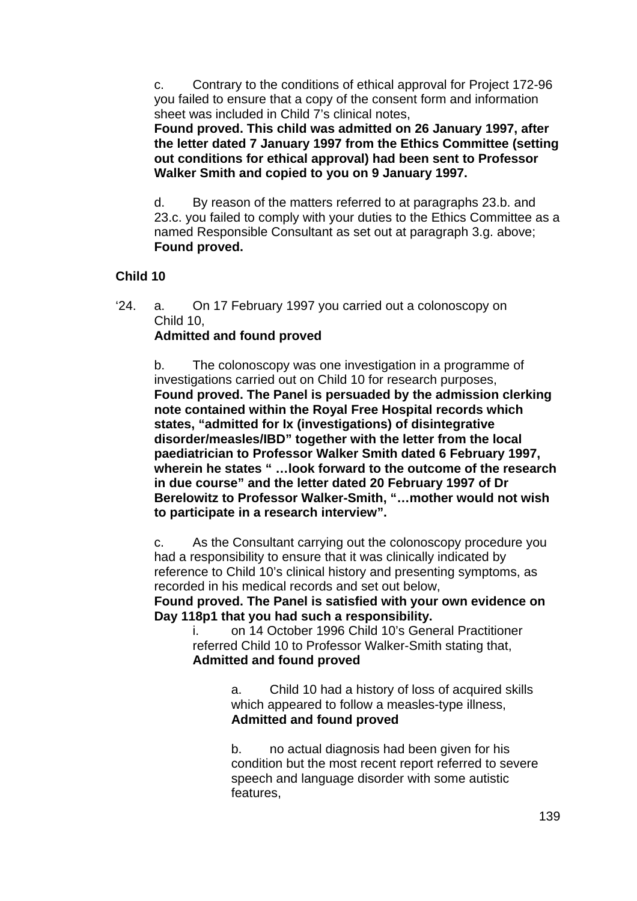c. Contrary to the conditions of ethical approval for Project 172-96 you failed to ensure that a copy of the consent form and information sheet was included in Child 7's clinical notes,

**Found proved. This child was admitted on 26 January 1997, after the letter dated 7 January 1997 from the Ethics Committee (setting out conditions for ethical approval) had been sent to Professor Walker Smith and copied to you on 9 January 1997.** 

d. By reason of the matters referred to at paragraphs 23.b. and 23.c. you failed to comply with your duties to the Ethics Committee as a named Responsible Consultant as set out at paragraph 3.g. above;  **Found proved.** 

## **Child 10**

'24. a. On 17 February 1997 you carried out a colonoscopy on Child 10,

## **Admitted and found proved**

b. The colonoscopy was one investigation in a programme of investigations carried out on Child 10 for research purposes, **Found proved. The Panel is persuaded by the admission clerking note contained within the Royal Free Hospital records which states, "admitted for Ix (investigations) of disintegrative disorder/measles/IBD" together with the letter from the local paediatrician to Professor Walker Smith dated 6 February 1997, wherein he states " …look forward to the outcome of the research in due course" and the letter dated 20 February 1997 of Dr Berelowitz to Professor Walker-Smith, "…mother would not wish to participate in a research interview".** 

c. As the Consultant carrying out the colonoscopy procedure you had a responsibility to ensure that it was clinically indicated by reference to Child 10's clinical history and presenting symptoms, as recorded in his medical records and set out below,

**Found proved. The Panel is satisfied with your own evidence on Day 118p1 that you had such a responsibility.** 

i. on 14 October 1996 Child 10's General Practitioner referred Child 10 to Professor Walker-Smith stating that, **Admitted and found proved**

> a. Child 10 had a history of loss of acquired skills which appeared to follow a measles-type illness, **Admitted and found proved**

b. no actual diagnosis had been given for his condition but the most recent report referred to severe speech and language disorder with some autistic features,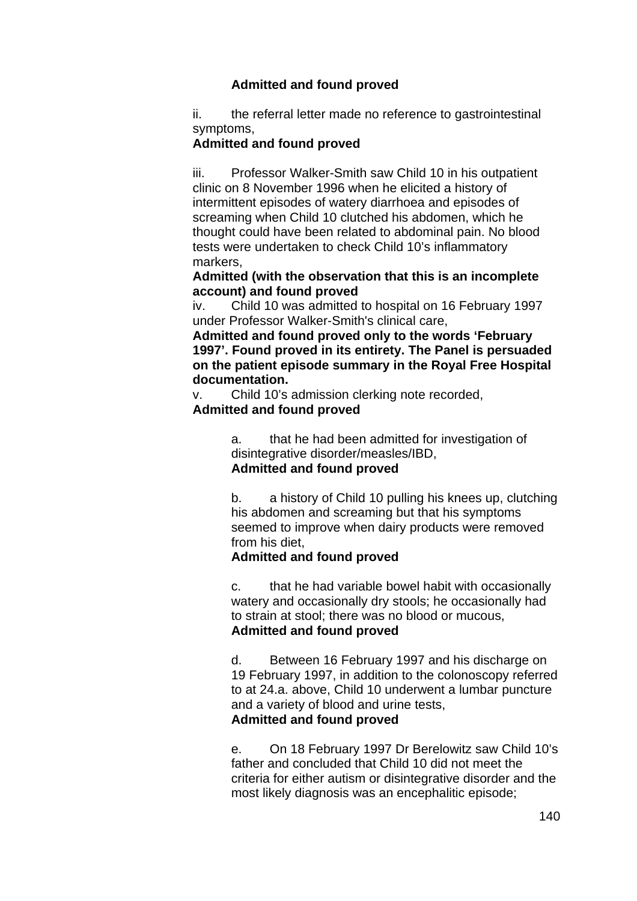## **Admitted and found proved**

ii. the referral letter made no reference to gastrointestinal symptoms,

#### **Admitted and found proved**

iii. Professor Walker-Smith saw Child 10 in his outpatient clinic on 8 November 1996 when he elicited a history of intermittent episodes of watery diarrhoea and episodes of screaming when Child 10 clutched his abdomen, which he thought could have been related to abdominal pain. No blood tests were undertaken to check Child 10's inflammatory markers,

**Admitted (with the observation that this is an incomplete account) and found proved** 

iv. Child 10 was admitted to hospital on 16 February 1997 under Professor Walker-Smith's clinical care,

**Admitted and found proved only to the words 'February 1997'. Found proved in its entirety. The Panel is persuaded on the patient episode summary in the Royal Free Hospital documentation.** 

v. Child 10's admission clerking note recorded,

#### **Admitted and found proved**

a. that he had been admitted for investigation of disintegrative disorder/measles/IBD, **Admitted and found proved**

b. a history of Child 10 pulling his knees up, clutching his abdomen and screaming but that his symptoms seemed to improve when dairy products were removed from his diet,

### **Admitted and found proved**

c. that he had variable bowel habit with occasionally watery and occasionally dry stools; he occasionally had to strain at stool; there was no blood or mucous, **Admitted and found proved**

d. Between 16 February 1997 and his discharge on 19 February 1997, in addition to the colonoscopy referred to at 24.a. above, Child 10 underwent a lumbar puncture and a variety of blood and urine tests, **Admitted and found proved**

e. On 18 February 1997 Dr Berelowitz saw Child 10's father and concluded that Child 10 did not meet the criteria for either autism or disintegrative disorder and the most likely diagnosis was an encephalitic episode;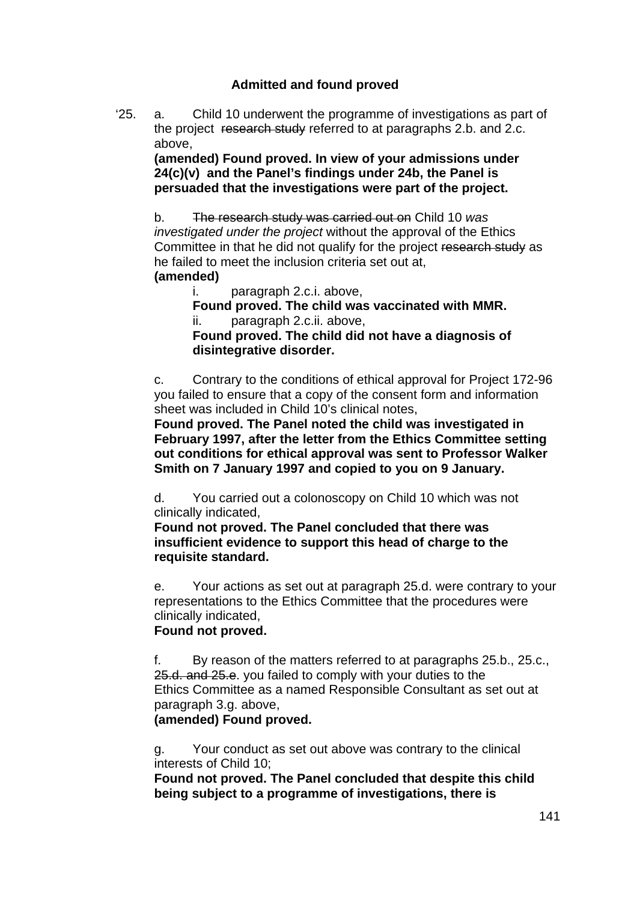## **Admitted and found proved**

'25. a. Child 10 underwent the programme of investigations as part of the project research study referred to at paragraphs 2.b. and 2.c. above,

**(amended) Found proved. In view of your admissions under 24(c)(v) and the Panel's findings under 24b, the Panel is persuaded that the investigations were part of the project.** 

b. The research study was carried out on Child 10 *was investigated under the project* without the approval of the Ethics Committee in that he did not qualify for the project research study as he failed to meet the inclusion criteria set out at,

#### **(amended)**

i. paragraph 2.c.i. above,

 **Found proved. The child was vaccinated with MMR.**  ii. paragraph 2.c.ii. above,

**Found proved. The child did not have a diagnosis of disintegrative disorder.** 

c. Contrary to the conditions of ethical approval for Project 172-96 you failed to ensure that a copy of the consent form and information sheet was included in Child 10's clinical notes,

**Found proved. The Panel noted the child was investigated in February 1997, after the letter from the Ethics Committee setting out conditions for ethical approval was sent to Professor Walker Smith on 7 January 1997 and copied to you on 9 January.** 

d. You carried out a colonoscopy on Child 10 which was not clinically indicated,

**Found not proved. The Panel concluded that there was insufficient evidence to support this head of charge to the requisite standard.** 

e. Your actions as set out at paragraph 25.d. were contrary to your representations to the Ethics Committee that the procedures were clinically indicated,

### **Found not proved.**

f. By reason of the matters referred to at paragraphs 25.b., 25.c., 25.d. and 25.e. you failed to comply with your duties to the Ethics Committee as a named Responsible Consultant as set out at paragraph 3.g. above,

**(amended) Found proved.** 

g. Your conduct as set out above was contrary to the clinical interests of Child 10;

**Found not proved. The Panel concluded that despite this child being subject to a programme of investigations, there is**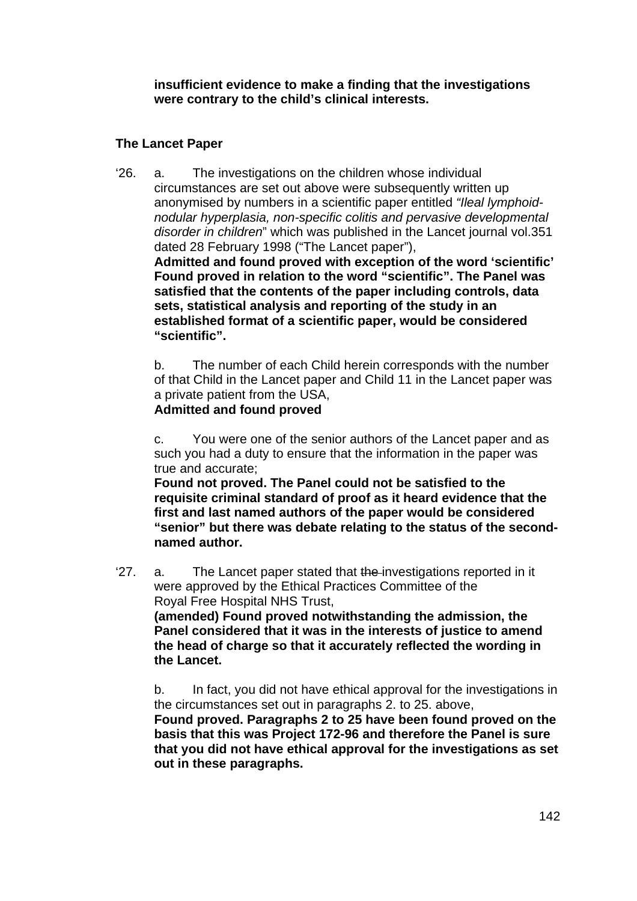**insufficient evidence to make a finding that the investigations were contrary to the child's clinical interests.** 

## **The Lancet Paper**

'26. a. The investigations on the children whose individual circumstances are set out above were subsequently written up anonymised by numbers in a scientific paper entitled *"Ileal lymphoidnodular hyperplasia, non-specific colitis and pervasive developmental disorder in children*" which was published in the Lancet journal vol.351 dated 28 February 1998 ("The Lancet paper"), **Admitted and found proved with exception of the word 'scientific' Found proved in relation to the word "scientific". The Panel was satisfied that the contents of the paper including controls, data sets, statistical analysis and reporting of the study in an** 

**established format of a scientific paper, would be considered "scientific".** 

b. The number of each Child herein corresponds with the number of that Child in the Lancet paper and Child 11 in the Lancet paper was a private patient from the USA,

## **Admitted and found proved**

c. You were one of the senior authors of the Lancet paper and as such you had a duty to ensure that the information in the paper was true and accurate;

**Found not proved. The Panel could not be satisfied to the requisite criminal standard of proof as it heard evidence that the first and last named authors of the paper would be considered "senior" but there was debate relating to the status of the secondnamed author.** 

<sup>27</sup>. a. The Lancet paper stated that the investigations reported in it were approved by the Ethical Practices Committee of the Royal Free Hospital NHS Trust,

**(amended) Found proved notwithstanding the admission, the Panel considered that it was in the interests of justice to amend the head of charge so that it accurately reflected the wording in the Lancet.** 

b. In fact, you did not have ethical approval for the investigations in the circumstances set out in paragraphs 2. to 25. above,

**Found proved. Paragraphs 2 to 25 have been found proved on the basis that this was Project 172-96 and therefore the Panel is sure that you did not have ethical approval for the investigations as set out in these paragraphs.**